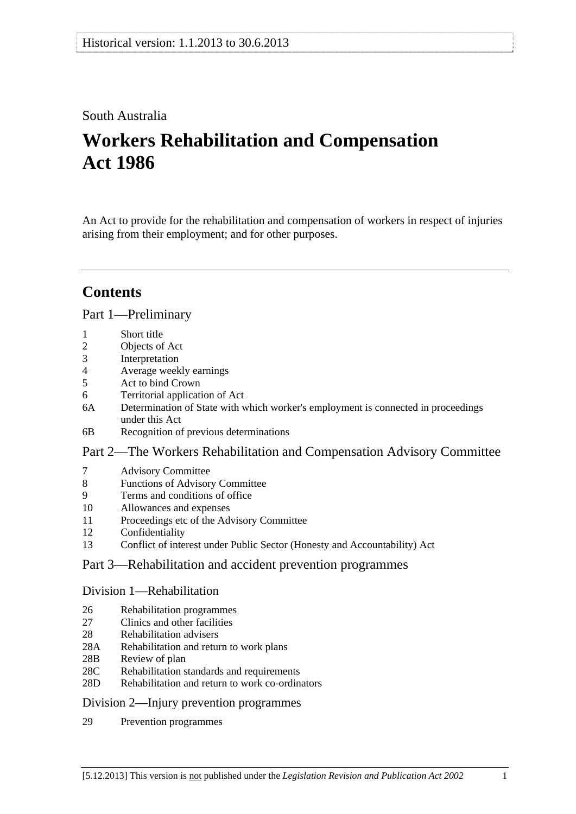# South Australia

# **Workers Rehabilitation and Compensation Act 1986**

An Act to provide for the rehabilitation and compensation of workers in respect of injuries arising from their employment; and for other purposes.

# **Contents**

#### [Part 1—Preliminary](#page-10-0)

- [1 Short title](#page-10-0)
- [2 Objects of Act](#page-10-0)
- [3 Interpretation](#page-10-0)
- [4 Average weekly earnings](#page-19-0)
- [5 Act to bind Crown](#page-22-0)
- [6 Territorial application of Act](#page-22-0)
- [6A Determination of State with which worker's employment is connected in proceedings](#page-23-0)  [under this Act](#page-23-0)
- [6B Recognition of previous determinations](#page-23-0)

## [Part 2—The Workers Rehabilitation and Compensation Advisory Committee](#page-26-0)

- [7 Advisory Committee](#page-26-0)
- [8 Functions of Advisory Committee](#page-26-0)
- [9 Terms and conditions of office](#page-27-0)
- [10 Allowances and expenses](#page-27-0)
- [11 Proceedings etc of the Advisory Committee](#page-27-0)
- [12 Confidentiality](#page-28-0)
- [13 Conflict of interest under Public Sector \(Honesty and Accountability\) Act](#page-28-0)

## [Part 3—Rehabilitation and accident prevention programmes](#page-30-0)

#### [Division 1—Rehabilitation](#page-30-0)

- [26 Rehabilitation programmes](#page-30-0)
- 27 Clinics and other facilities
- [28 Rehabilitation advisers](#page-31-0)
- [28A Rehabilitation and return to work plans](#page-31-0)
- [28B Review of plan](#page-32-0)
- [28C Rehabilitation standards and requirements](#page-32-0)
- [28D Rehabilitation and return to work co-ordinators](#page-33-0)

## [Division 2—Injury prevention programmes](#page-34-0)

[29 Prevention programmes](#page-34-0)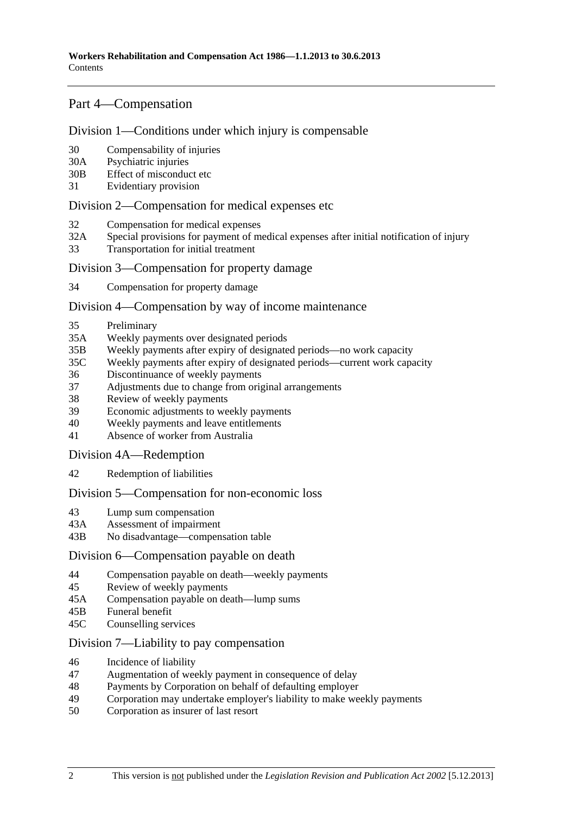# [Part 4—Compensation](#page-36-0)

#### [Division 1—Conditions under which injury is compensable](#page-36-0)

- [30 Compensability of injuries](#page-36-0)
- [30A Psychiatric injuries](#page-37-0)
- [30B Effect of misconduct etc](#page-37-0)
- [31 Evidentiary provision](#page-38-0)

#### [Division 2—Compensation for medical expenses etc](#page-38-0)

- [32 Compensation for medical expenses](#page-38-0)
- [32A Special provisions for payment of medical expenses after initial notification of injury](#page-41-0)
- [33 Transportation for initial treatment](#page-42-0)

#### [Division 3—Compensation for property damage](#page-42-0)

[34 Compensation for property damage](#page-42-0) 

#### [Division 4—Compensation by way of income maintenance](#page-42-0)

- [35 Preliminary](#page-42-0)
- [35A Weekly payments over designated periods](#page-44-0)
- [35B Weekly payments after expiry of designated periods—no work capacity](#page-45-0)
- [35C Weekly payments after expiry of designated periods—current work capacity](#page-46-0)
- [36 Discontinuance of weekly payments](#page-47-0)
- [37 Adjustments due to change from original arrangements](#page-53-0)
- [38 Review of weekly payments](#page-54-0)
- [39 Economic adjustments to weekly payments](#page-54-0)
- [40 Weekly payments and leave entitlements](#page-55-0)
- [41 Absence of worker from Australia](#page-56-0)

#### [Division 4A—Redemption](#page-56-0)

[42 Redemption of liabilities](#page-56-0)

#### [Division 5—Compensation for non-economic loss](#page-58-0)

- [43 Lump sum compensation](#page-58-0)
- [43A Assessment of impairment](#page-59-0)
- [43B No disadvantage—compensation table](#page-60-0)

#### [Division 6—Compensation payable on death](#page-61-0)

- [44 Compensation payable on death—weekly payments](#page-61-0)
- [45 Review of weekly payments](#page-63-0)
- [45A Compensation payable on death—lump sums](#page-64-0)
- [45B Funeral benefit](#page-66-0)
- [45C Counselling services](#page-67-0)

#### [Division 7—Liability to pay compensation](#page-67-0)

- [46 Incidence of liability](#page-67-0)
- [47 Augmentation of weekly payment in consequence of delay](#page-69-0)
- [48 Payments by Corporation on behalf of defaulting employer](#page-69-0)
- [49 Corporation may undertake employer's liability to make weekly payments](#page-69-0)
- [50 Corporation as insurer of last resort](#page-69-0)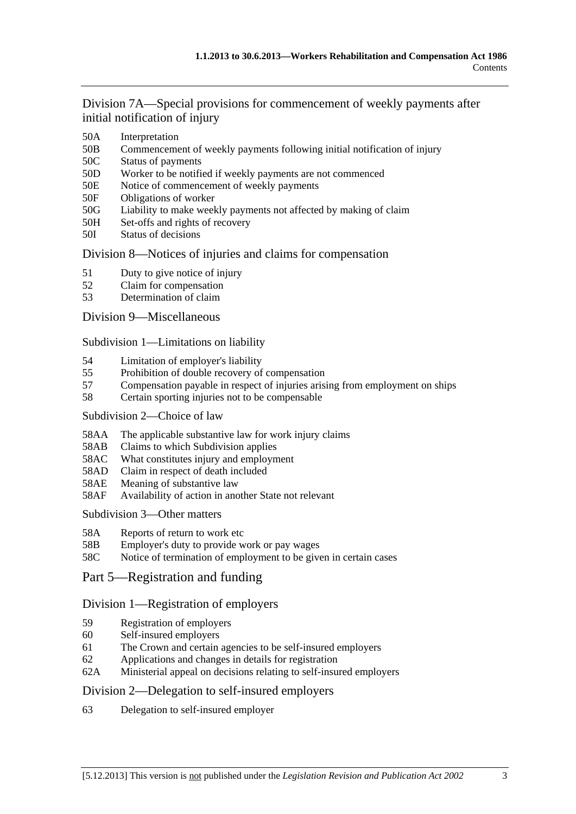[Division 7A—Special provisions for commencement of weekly payments after](#page-70-0)  [initial notification of injury](#page-70-0)

- [50A Interpretation](#page-70-0)
- [50B Commencement of weekly payments following initial notification of injury](#page-70-0)
- [50C Status of payments](#page-70-0)
- [50D Worker to be notified if weekly payments are not commenced](#page-71-0)
- [50E Notice of commencement of weekly payments](#page-71-0)
- [50F Obligations of worker](#page-71-0)
- [50G Liability to make weekly payments not affected by making of claim](#page-71-0)
- [50H Set-offs and rights of recovery](#page-71-0)
- [50I Status of decisions](#page-72-0)

#### [Division 8—Notices of injuries and claims for compensation](#page-72-0)

- [51 Duty to give notice of injury](#page-72-0)
- [52 Claim for compensation](#page-73-0)
- [53 Determination of claim](#page-75-0)

#### [Division 9—Miscellaneous](#page-76-0)

[Subdivision 1—Limitations on liability](#page-76-0)

- [54 Limitation of employer's liability](#page-76-0)
- [55 Prohibition of double recovery of compensation](#page-79-0)
- [57 Compensation payable in respect of injuries arising from employment on ships](#page-80-0)
- [58 Certain sporting injuries not to be compensable](#page-80-0)

#### [Subdivision 2—Choice of law](#page-81-0)

- [58AA The applicable substantive law for work injury claims](#page-81-0)
- [58AB Claims to which Subdivision applies](#page-81-0)
- [58AC What constitutes injury and employment](#page-82-0)
- [58AD Claim in respect of death included](#page-82-0)
- [58AE Meaning of substantive law](#page-82-0)
- [58AF Availability of action in another State not relevant](#page-83-0)

#### [Subdivision 3—Other matters](#page-83-0)

- [58A Reports of return to work etc](#page-83-0)
- [58B Employer's duty to provide work or pay wages](#page-84-0)
- [58C Notice of termination of employment to be given in certain cases](#page-84-0)
- [Part 5—Registration and funding](#page-86-0)

## [Division 1—Registration of employers](#page-86-0)

- [59 Registration of employers](#page-86-0)
- [60 Self-insured employers](#page-86-0)
- [61 The Crown and certain agencies to be self-insured employers](#page-89-0)
- [62 Applications and changes in details for registration](#page-89-0)
- [62A Ministerial appeal on decisions relating to self-insured employers](#page-90-0)

## [Division 2—Delegation to self-insured employers](#page-90-0)

[63 Delegation to self-insured employer](#page-90-0)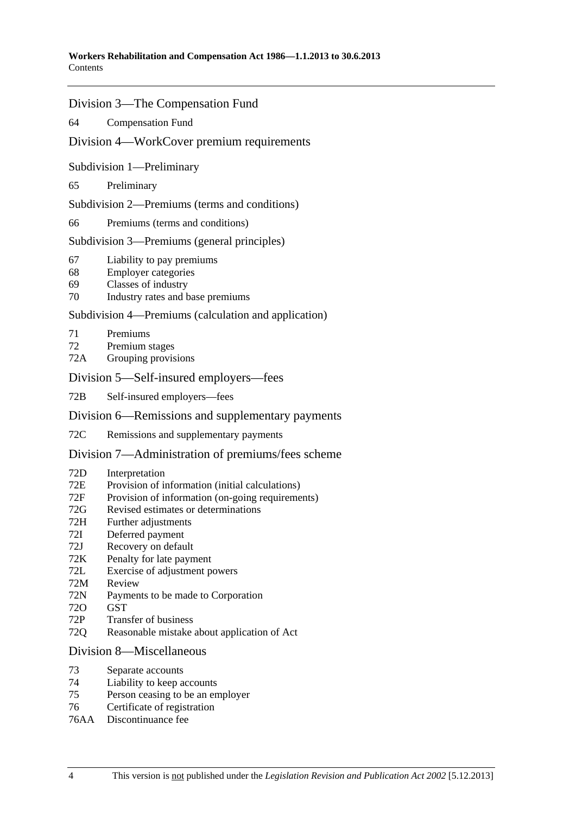#### [Division 3—The Compensation Fund](#page-92-0)

[64 Compensation Fund](#page-92-0) 

#### [Division 4—WorkCover premium requirements](#page-94-0)

[Subdivision 1—Preliminary](#page-94-0) 

[65 Preliminary](#page-94-0) 

[Subdivision 2—Premiums \(terms and conditions\)](#page-94-0) 

[66 Premiums \(terms and conditions\)](#page-94-0)

[Subdivision 3—Premiums \(general principles\)](#page-94-0) 

- [67 Liability to pay premiums](#page-94-0)
- [68 Employer categories](#page-95-0)
- [69 Classes of industry](#page-95-0)
- [70 Industry rates and base premiums](#page-96-0)

#### [Subdivision 4—Premiums \(calculation and application\)](#page-97-0)

- [71 Premiums](#page-97-0)
- [72 Premium stages](#page-99-0)
- [72A Grouping provisions](#page-100-0)

#### [Division 5—Self-insured employers—fees](#page-101-0)

[72B Self-insured employers—fees](#page-101-0) 

#### [Division 6—Remissions and supplementary payments](#page-101-0)

[72C Remissions and supplementary payments](#page-101-0)

#### [Division 7—Administration of premiums/fees scheme](#page-103-0)

- [72D Interpretation](#page-103-0)
- [72E Provision of information \(initial calculations\)](#page-103-0)
- [72F Provision of information \(on-going requirements\)](#page-104-0)
- [72G Revised estimates or determinations](#page-104-0)
- [72H Further adjustments](#page-104-0)
- [72I Deferred payment](#page-105-0)
- [72J Recovery on default](#page-105-0)
- [72K Penalty for late payment](#page-106-0)
- [72L Exercise of adjustment powers](#page-106-0)
- [72M Review](#page-107-0)
- [72N Payments to be made to Corporation](#page-108-0)
- [72O GST](#page-108-0)
- [72P Transfer of business](#page-108-0)
- [72Q Reasonable mistake about application of Act](#page-108-0)

#### [Division 8—Miscellaneous](#page-109-0)

- [73 Separate accounts](#page-109-0)
- [74 Liability to keep accounts](#page-109-0)
- [75 Person ceasing to be an employer](#page-109-0)
- [76 Certificate of registration](#page-110-0)
- [76AA Discontinuance fee](#page-110-0)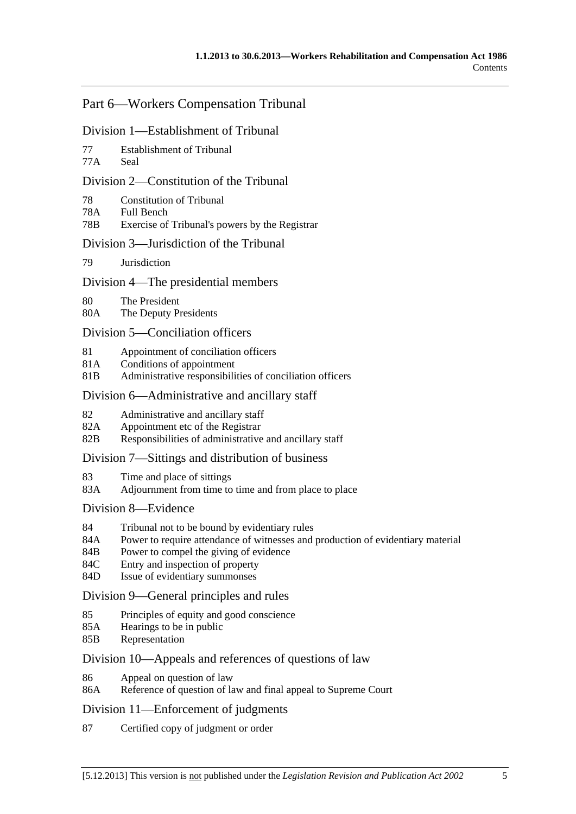# [Part 6—Workers Compensation Tribunal](#page-112-0)

#### [Division 1—Establishment of Tribunal](#page-112-0)

- [77 Establishment of Tribunal](#page-112-0)
- [77A Seal](#page-112-0)

## [Division 2—Constitution of the Tribunal](#page-112-0)

- [78 Constitution of Tribunal](#page-112-0)
- [78A Full Bench](#page-112-0)
- [78B Exercise of Tribunal's powers by the Registrar](#page-112-0)

## [Division 3—Jurisdiction of the Tribunal](#page-112-0)

[79 Jurisdiction](#page-112-0)

## [Division 4—The presidential members](#page-112-0)

- [80 The President](#page-112-0)
- [80A The Deputy Presidents](#page-113-0)

#### [Division 5—Conciliation officers](#page-114-0)

- [81 Appointment of conciliation officers](#page-114-0)
- [81A Conditions of appointment](#page-114-0)
- [81B Administrative responsibilities of conciliation officers](#page-115-0)

#### [Division 6—Administrative and ancillary staff](#page-115-0)

- [82 Administrative and ancillary staff](#page-115-0)
- [82A Appointment etc of the Registrar](#page-115-0)
- [82B Responsibilities of administrative and ancillary staff](#page-115-0)

#### [Division 7—Sittings and distribution of business](#page-115-0)

- [83 Time and place of sittings](#page-115-0)
- [83A Adjournment from time to time and from place to place](#page-116-0)

#### [Division 8—Evidence](#page-116-0)

- [84 Tribunal not to be bound by evidentiary rules](#page-116-0)
- [84A Power to require attendance of witnesses and production of evidentiary material](#page-116-0)
- [84B Power to compel the giving of evidence](#page-116-0)
- [84C Entry and inspection of property](#page-116-0)
- [84D Issue of evidentiary summonses](#page-117-0)

#### [Division 9—General principles and rules](#page-117-0)

- [85 Principles of equity and good conscience](#page-117-0)
- [85A Hearings to be in public](#page-117-0)
- [85B Representation](#page-117-0)

#### [Division 10—Appeals and references of questions of law](#page-118-0)

- [86 Appeal on question of law](#page-118-0)
- [86A Reference of question of law and final appeal to Supreme Court](#page-118-0)

#### [Division 11—Enforcement of judgments](#page-118-0)

[87 Certified copy of judgment or order](#page-118-0)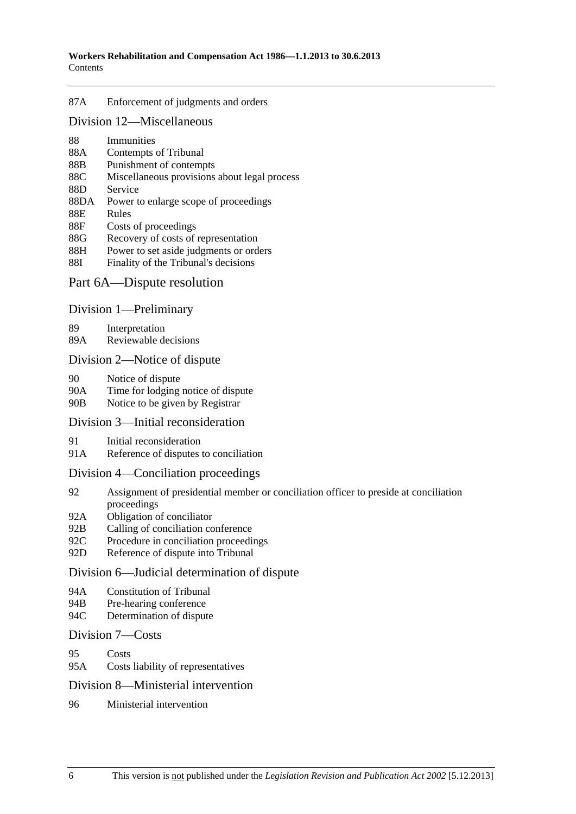#### [87A Enforcement of judgments and orders](#page-118-0)

#### [Division 12—Miscellaneous](#page-118-0)

- [88 Immunities](#page-118-0)
- [88A Contempts of Tribunal](#page-119-0)
- [88B Punishment of contempts](#page-119-0)
- [88C Miscellaneous provisions about legal process](#page-119-0)
- [88D Service](#page-119-0)
- [88DA Power to enlarge scope of proceedings](#page-119-0)
- [88E Rules](#page-120-0)
- [88F Costs of proceedings](#page-120-0)
- [88G Recovery of costs of representation](#page-120-0)
- [88H Power to set aside judgments or orders](#page-120-0)
- [88I Finality of the Tribunal's decisions](#page-121-0)

## [Part 6A—Dispute resolution](#page-122-0)

#### [Division 1—Preliminary](#page-122-0)

[89 Interpretation](#page-122-0) 

[89A Reviewable decisions](#page-122-0)

#### [Division 2—Notice of dispute](#page-123-0)

- [90 Notice of dispute](#page-123-0)
- [90A Time for lodging notice of dispute](#page-123-0)
- [90B Notice to be given by Registrar](#page-123-0)

#### [Division 3—Initial reconsideration](#page-123-0)

- [91 Initial reconsideration](#page-123-0)
- [91A Reference of disputes to conciliation](#page-124-0)

#### [Division 4—Conciliation proceedings](#page-125-0)

- [92 Assignment of presidential member or conciliation officer to preside at conciliation](#page-125-0)  [proceedings](#page-125-0)
- [92A Obligation of conciliator](#page-125-0)
- [92B Calling of conciliation conference](#page-125-0)
- [92C Procedure in conciliation proceedings](#page-125-0)
- [92D Reference of dispute into Tribunal](#page-126-0)

#### [Division 6—Judicial determination of dispute](#page-126-0)

- [94A Constitution of Tribunal](#page-126-0)
- [94B Pre-hearing conference](#page-126-0)
- [94C Determination of dispute](#page-126-0)

#### [Division 7—Costs](#page-127-0)

- [95 Costs](#page-127-0)
- [95A Costs liability of representatives](#page-127-0)

#### [Division 8—Ministerial intervention](#page-128-0)

[96 Ministerial intervention](#page-128-0)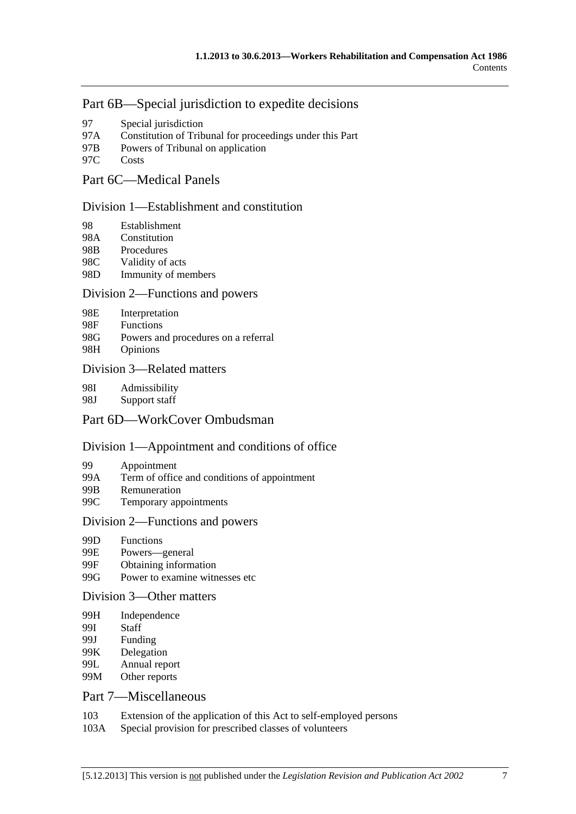# [Part 6B—Special jurisdiction to expedite decisions](#page-130-0)

- [97 Special jurisdiction](#page-130-0)
- [97A Constitution of Tribunal for proceedings under this Part](#page-130-0)
- [97B Powers of Tribunal on application](#page-130-0)
- [97C Costs](#page-130-0)

# [Part 6C—Medical Panels](#page-132-0)

#### [Division 1—Establishment and constitution](#page-132-0)

- [98 Establishment](#page-132-0)
- [98A Constitution](#page-133-0)
- [98B Procedures](#page-133-0)
- [98C Validity of acts](#page-133-0)
- [98D Immunity of members](#page-134-0)

#### [Division 2—Functions and powers](#page-134-0)

- [98E Interpretation](#page-134-0)
- [98F Functions](#page-135-0)
- [98G Powers and procedures on a referral](#page-135-0)
- [98H Opinions](#page-136-0)

#### [Division 3—Related matters](#page-137-0)

[98I Admissibility](#page-137-0) 

[98J Support staff](#page-137-0) 

# [Part 6D—WorkCover Ombudsman](#page-138-0)

## [Division 1—Appointment and conditions of office](#page-138-0)

- [99 Appointment](#page-138-0)
- [99A Term of office and conditions of appointment](#page-138-0)
- [99B Remuneration](#page-139-0)
- [99C Temporary appointments](#page-139-0)

#### [Division 2—Functions and powers](#page-139-0)

- [99D Functions](#page-139-0)
- [99E Powers—general](#page-141-0)
- [99F Obtaining information](#page-141-0)
- [99G Power to examine witnesses etc](#page-141-0)

## [Division 3—Other matters](#page-142-0)

- [99H Independence](#page-142-0)
- [99I Staff](#page-142-0)
- [99J Funding](#page-142-0)
- [99K Delegation](#page-142-0)
- [99L Annual report](#page-143-0)
- [99M Other reports](#page-143-0)

# [Part 7—Miscellaneous](#page-144-0)

- [103 Extension of the application of this Act to self-employed persons](#page-144-0)
- [103A Special provision for prescribed classes of volunteers](#page-144-0)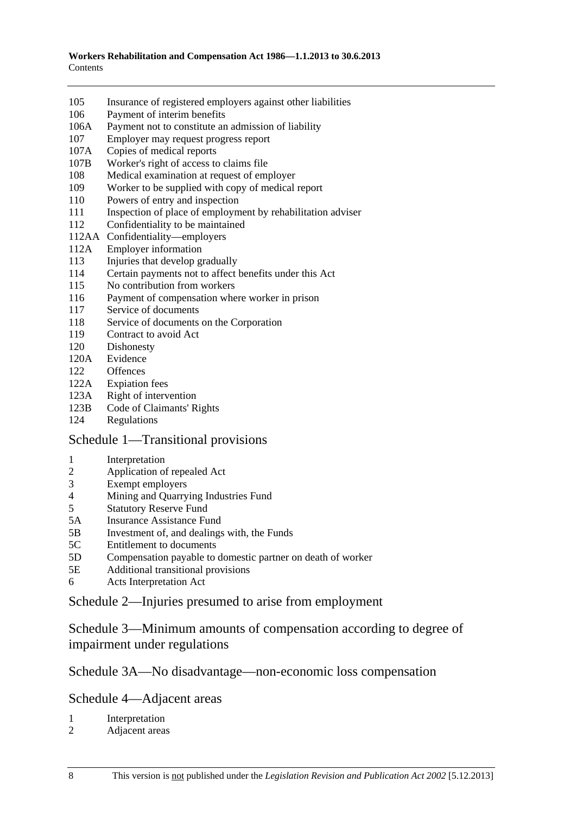- [105 Insurance of registered employers against other liabilities](#page-145-0)
- [106 Payment of interim benefits](#page-145-0)
- [106A Payment not to constitute an admission of liability](#page-145-0)
- [107 Employer may request progress report](#page-145-0)
- [107A Copies of medical reports](#page-146-0)
- [107B Worker's right of access to claims file](#page-146-0)
- [108 Medical examination at request of employer](#page-146-0)
- [109 Worker to be supplied with copy of medical report](#page-147-0)
- [110 Powers of entry and inspection](#page-147-0)
- 111 Inspection of place of employment by rehabilitation adviser
- [112 Confidentiality to be maintained](#page-149-0)
- [112AA Confidentiality—employers](#page-150-0)
- [112A Employer information](#page-151-0)
- [113 Injuries that develop gradually](#page-151-0)
- [114 Certain payments not to affect benefits under this Act](#page-152-0)
- [115 No contribution from workers](#page-152-0)
- [116 Payment of compensation where worker in prison](#page-153-0)
- [117 Service of documents](#page-153-0)
- [118 Service of documents on the Corporation](#page-153-0)
- [119 Contract to avoid Act](#page-153-0)
- [120 Dishonesty](#page-154-0)
- [120A Evidence](#page-154-0)
- [122 Offences](#page-155-0)
- [122A Expiation fees](#page-155-0)
- [123A Right of intervention](#page-155-0)
- [123B Code of Claimants' Rights](#page-156-0)
- [124 Regulations](#page-156-0)

#### [Schedule 1—Transitional provisions](#page-158-0)

- [1 Interpretation](#page-158-0)
- [2 Application of repealed Act](#page-158-0)
- [3 Exempt employers](#page-159-0)
- [4 Mining and Quarrying Industries Fund](#page-160-0)
- [5 Statutory Reserve Fund](#page-160-0)
- [5A Insurance Assistance Fund](#page-162-0)
- [5B Investment of, and dealings with, the Funds](#page-162-0)
- [5C Entitlement to documents](#page-162-0)
- [5D Compensation payable to domestic partner on death of worker](#page-162-0)
- [5E Additional transitional provisions](#page-163-0)
- [6 Acts Interpretation Act](#page-163-0)

## [Schedule 2—Injuries presumed to arise from employment](#page-163-0)

[Schedule 3—Minimum amounts of compensation according to degree of](#page-164-0)  [impairment under regulations](#page-164-0) 

# [Schedule 3A—No disadvantage—non-economic loss compensation](#page-165-0)

[Schedule 4—Adjacent areas](#page-166-0) 

- [1 Interpretation](#page-166-0)
- [2 Adjacent areas](#page-167-0)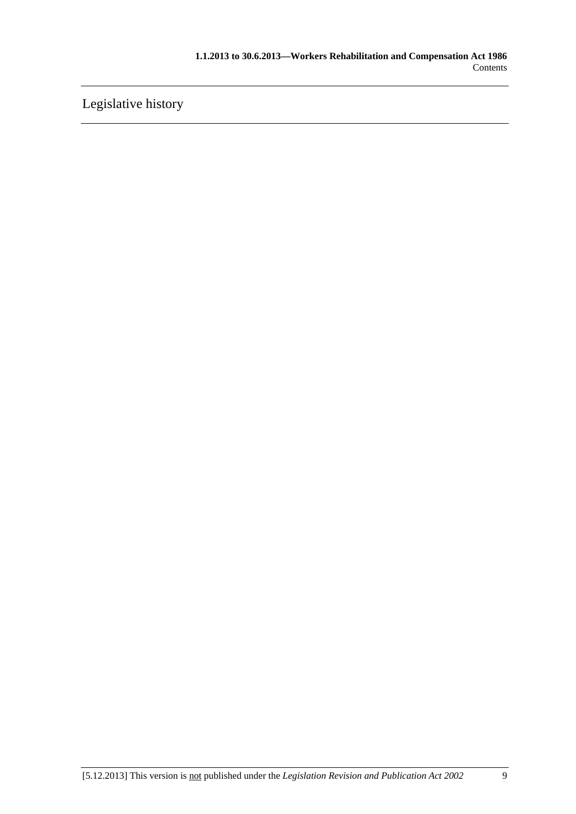[Legislative history](#page-168-0)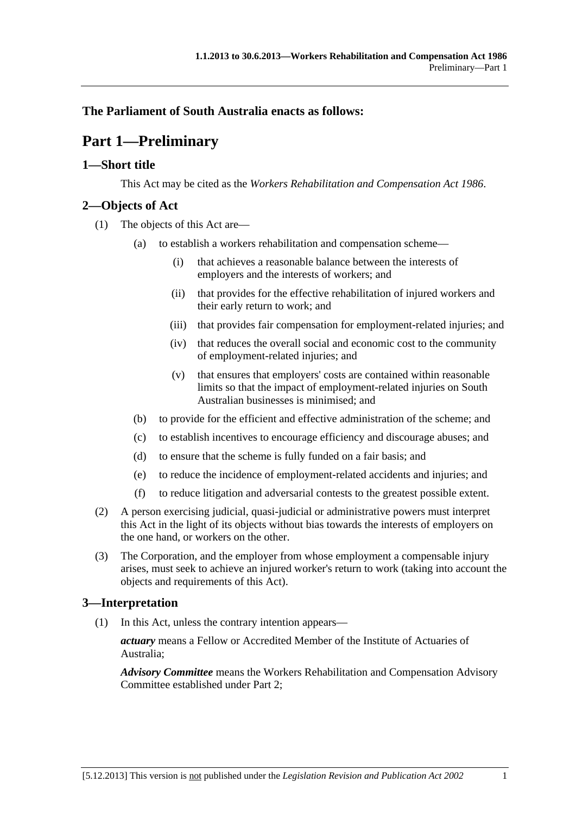# <span id="page-10-0"></span>**The Parliament of South Australia enacts as follows:**

# **Part 1—Preliminary**

# **1—Short title**

This Act may be cited as the *Workers Rehabilitation and Compensation Act 1986*.

# **2—Objects of Act**

- (1) The objects of this Act are—
	- (a) to establish a workers rehabilitation and compensation scheme—
		- (i) that achieves a reasonable balance between the interests of employers and the interests of workers; and
		- (ii) that provides for the effective rehabilitation of injured workers and their early return to work; and
		- (iii) that provides fair compensation for employment-related injuries; and
		- (iv) that reduces the overall social and economic cost to the community of employment-related injuries; and
		- (v) that ensures that employers' costs are contained within reasonable limits so that the impact of employment-related injuries on South Australian businesses is minimised; and
	- (b) to provide for the efficient and effective administration of the scheme; and
	- (c) to establish incentives to encourage efficiency and discourage abuses; and
	- (d) to ensure that the scheme is fully funded on a fair basis; and
	- (e) to reduce the incidence of employment-related accidents and injuries; and
	- (f) to reduce litigation and adversarial contests to the greatest possible extent.
- (2) A person exercising judicial, quasi-judicial or administrative powers must interpret this Act in the light of its objects without bias towards the interests of employers on the one hand, or workers on the other.
- (3) The Corporation, and the employer from whose employment a compensable injury arises, must seek to achieve an injured worker's return to work (taking into account the objects and requirements of this Act).

# **3—Interpretation**

(1) In this Act, unless the contrary intention appears—

*actuary* means a Fellow or Accredited Member of the Institute of Actuaries of Australia;

*Advisory Committee* means the Workers Rehabilitation and Compensation Advisory Committee established under [Part 2](#page-26-0);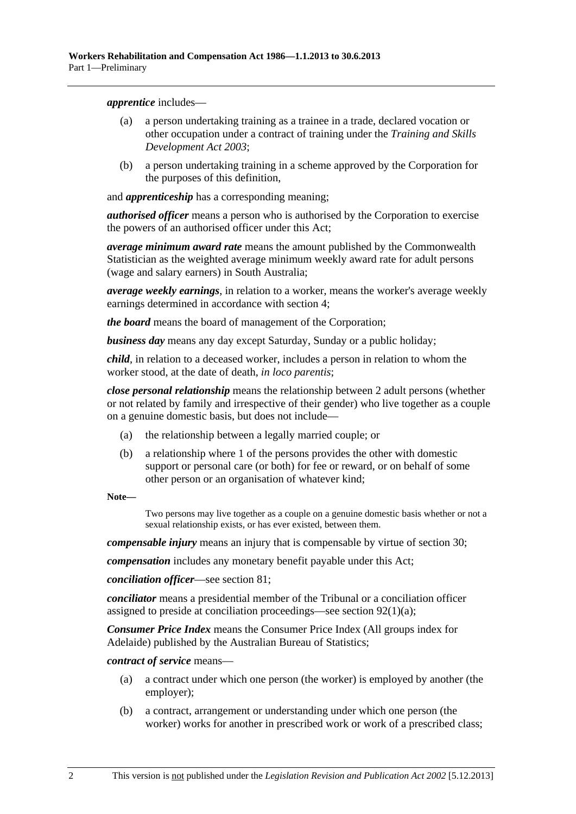<span id="page-11-0"></span>*apprentice* includes—

- (a) a person undertaking training as a trainee in a trade, declared vocation or other occupation under a contract of training under the *[Training and Skills](http://www.legislation.sa.gov.au/index.aspx?action=legref&type=act&legtitle=Training%20and%20Skills%20Development%20Act%202003)  [Development Act 2003](http://www.legislation.sa.gov.au/index.aspx?action=legref&type=act&legtitle=Training%20and%20Skills%20Development%20Act%202003)*;
- (b) a person undertaking training in a scheme approved by the Corporation for the purposes of this definition,

and *apprenticeship* has a corresponding meaning;

*authorised officer* means a person who is authorised by the Corporation to exercise the powers of an authorised officer under this Act;

*average minimum award rate* means the amount published by the Commonwealth Statistician as the weighted average minimum weekly award rate for adult persons (wage and salary earners) in South Australia;

*average weekly earnings*, in relation to a worker, means the worker's average weekly earnings determined in accordance with [section 4;](#page-19-0)

*the board* means the board of management of the Corporation;

*business day* means any day except Saturday, Sunday or a public holiday;

*child*, in relation to a deceased worker, includes a person in relation to whom the worker stood, at the date of death, *in loco parentis*;

*close personal relationship* means the relationship between 2 adult persons (whether or not related by family and irrespective of their gender) who live together as a couple on a genuine domestic basis, but does not include—

- (a) the relationship between a legally married couple; or
- (b) a relationship where 1 of the persons provides the other with domestic support or personal care (or both) for fee or reward, or on behalf of some other person or an organisation of whatever kind;

**Note—** 

Two persons may live together as a couple on a genuine domestic basis whether or not a sexual relationship exists, or has ever existed, between them.

*compensable injury* means an injury that is compensable by virtue of [section 30;](#page-36-0)

*compensation* includes any monetary benefit payable under this Act;

*conciliation officer*—see [section 81](#page-114-0);

*conciliator* means a presidential member of the Tribunal or a conciliation officer assigned to preside at conciliation proceedings—see [section 92\(1\)\(a\)](#page-125-0);

*Consumer Price Index* means the Consumer Price Index (All groups index for Adelaide) published by the Australian Bureau of Statistics;

*contract of service* means—

- (a) a contract under which one person (the worker) is employed by another (the employer);
- (b) a contract, arrangement or understanding under which one person (the worker) works for another in prescribed work or work of a prescribed class;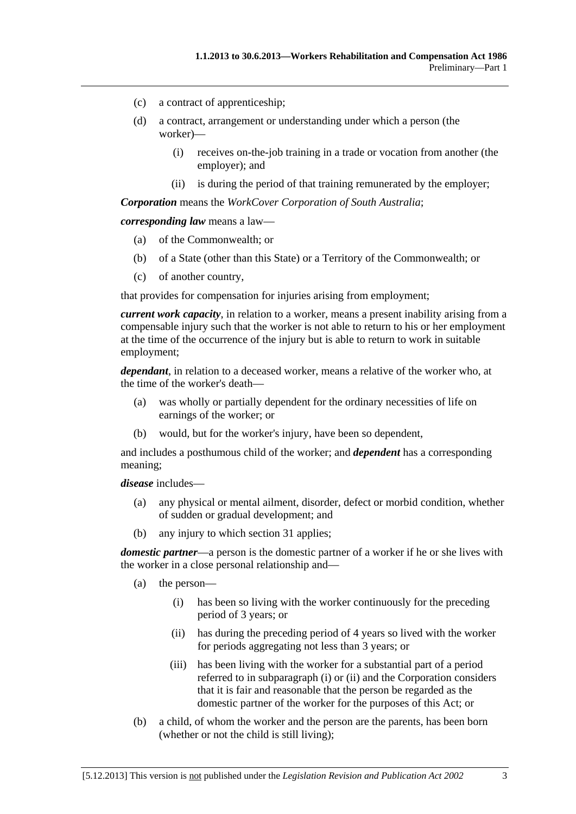- <span id="page-12-0"></span>(c) a contract of apprenticeship;
- (d) a contract, arrangement or understanding under which a person (the worker)—
	- (i) receives on-the-job training in a trade or vocation from another (the employer); and
	- (ii) is during the period of that training remunerated by the employer;

*Corporation* means the *WorkCover Corporation of South Australia*;

*corresponding law* means a law—

- (a) of the Commonwealth; or
- (b) of a State (other than this State) or a Territory of the Commonwealth; or
- (c) of another country,

that provides for compensation for injuries arising from employment;

*current work capacity*, in relation to a worker, means a present inability arising from a compensable injury such that the worker is not able to return to his or her employment at the time of the occurrence of the injury but is able to return to work in suitable employment;

*dependant*, in relation to a deceased worker, means a relative of the worker who, at the time of the worker's death—

- (a) was wholly or partially dependent for the ordinary necessities of life on earnings of the worker; or
- (b) would, but for the worker's injury, have been so dependent,

and includes a posthumous child of the worker; and *dependent* has a corresponding meaning;

*disease* includes—

- (a) any physical or mental ailment, disorder, defect or morbid condition, whether of sudden or gradual development; and
- (b) any injury to which [section 31](#page-38-0) applies;

*domestic partner*—a person is the domestic partner of a worker if he or she lives with the worker in a close personal relationship and—

- (a) the person—
	- (i) has been so living with the worker continuously for the preceding period of 3 years; or
	- (ii) has during the preceding period of 4 years so lived with the worker for periods aggregating not less than 3 years; or
	- (iii) has been living with the worker for a substantial part of a period referred to in [subparagraph \(i\)](#page-12-0) or [\(ii\)](#page-12-0) and the Corporation considers that it is fair and reasonable that the person be regarded as the domestic partner of the worker for the purposes of this Act; or
- (b) a child, of whom the worker and the person are the parents, has been born (whether or not the child is still living);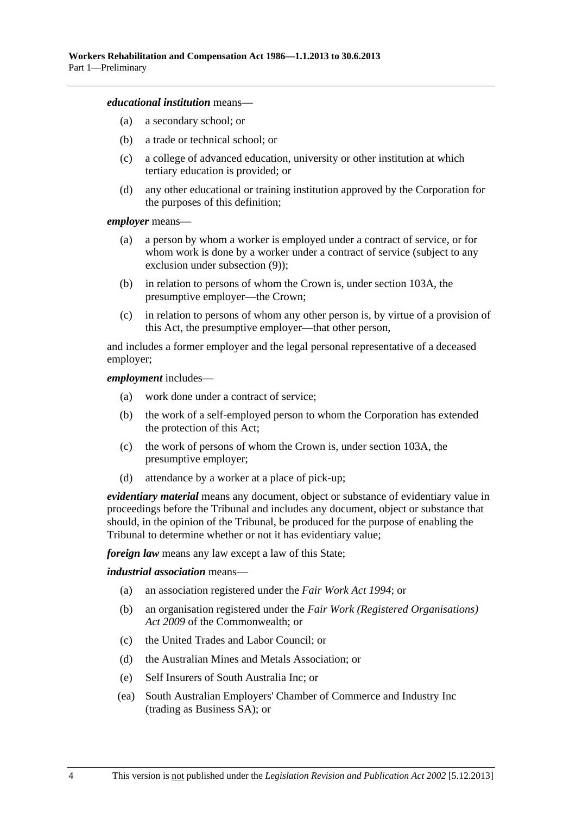#### *educational institution* means—

- (a) a secondary school; or
- (b) a trade or technical school; or
- (c) a college of advanced education, university or other institution at which tertiary education is provided; or
- (d) any other educational or training institution approved by the Corporation for the purposes of this definition;

#### *employer* means—

- (a) a person by whom a worker is employed under a contract of service, or for whom work is done by a worker under a contract of service (subject to any exclusion under [subsection \(9\)](#page-18-0));
- (b) in relation to persons of whom the Crown is, under [section 103A,](#page-144-0) the presumptive employer—the Crown;
- (c) in relation to persons of whom any other person is, by virtue of a provision of this Act, the presumptive employer—that other person,

and includes a former employer and the legal personal representative of a deceased employer;

#### *employment* includes—

- (a) work done under a contract of service;
- (b) the work of a self-employed person to whom the Corporation has extended the protection of this Act;
- (c) the work of persons of whom the Crown is, under [section 103A,](#page-144-0) the presumptive employer;
- (d) attendance by a worker at a place of pick-up;

*evidentiary material* means any document, object or substance of evidentiary value in proceedings before the Tribunal and includes any document, object or substance that should, in the opinion of the Tribunal, be produced for the purpose of enabling the Tribunal to determine whether or not it has evidentiary value;

*foreign law* means any law except a law of this State;

#### *industrial association* means—

- (a) an association registered under the *[Fair Work Act 1994](http://www.legislation.sa.gov.au/index.aspx?action=legref&type=act&legtitle=Fair%20Work%20Act%201994)*; or
- (b) an organisation registered under the *Fair Work (Registered Organisations) Act 2009* of the Commonwealth; or
- (c) the United Trades and Labor Council; or
- (d) the Australian Mines and Metals Association; or
- (e) Self Insurers of South Australia Inc; or
- (ea) South Australian Employers' Chamber of Commerce and Industry Inc (trading as Business SA); or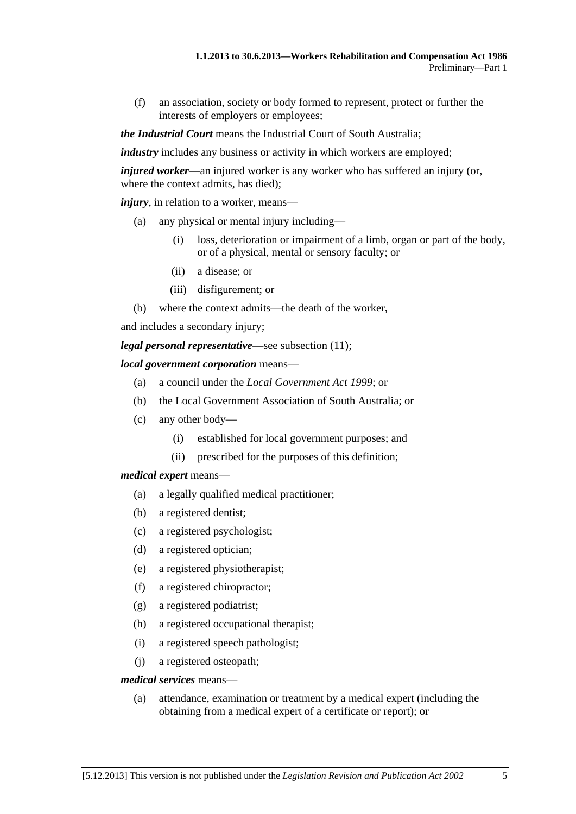(f) an association, society or body formed to represent, protect or further the interests of employers or employees;

*the Industrial Court* means the Industrial Court of South Australia;

*industry* includes any business or activity in which workers are employed;

*injured worker*—an injured worker is any worker who has suffered an injury (or, where the context admits, has died);

*injury*, in relation to a worker, means—

- (a) any physical or mental injury including—
	- (i) loss, deterioration or impairment of a limb, organ or part of the body, or of a physical, mental or sensory faculty; or
	- (ii) a disease; or
	- (iii) disfigurement; or
- (b) where the context admits—the death of the worker,

and includes a secondary injury;

*legal personal representative*—see [subsection \(11\);](#page-18-0)

#### *local government corporation* means—

- (a) a council under the *[Local Government Act 1999](http://www.legislation.sa.gov.au/index.aspx?action=legref&type=act&legtitle=Local%20Government%20Act%201999)*; or
- (b) the Local Government Association of South Australia; or
- (c) any other body—
	- (i) established for local government purposes; and
	- (ii) prescribed for the purposes of this definition;

#### *medical expert* means—

- (a) a legally qualified medical practitioner;
- (b) a registered dentist;
- (c) a registered psychologist;
- (d) a registered optician;
- (e) a registered physiotherapist;
- (f) a registered chiropractor;
- (g) a registered podiatrist;
- (h) a registered occupational therapist;
- (i) a registered speech pathologist;
- (j) a registered osteopath;

#### *medical services* means—

 (a) attendance, examination or treatment by a medical expert (including the obtaining from a medical expert of a certificate or report); or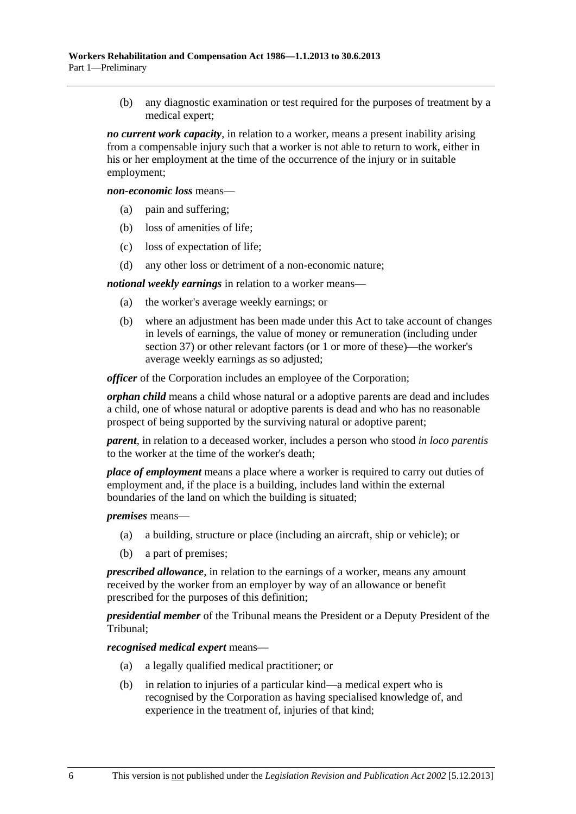(b) any diagnostic examination or test required for the purposes of treatment by a medical expert;

*no current work capacity*, in relation to a worker, means a present inability arising from a compensable injury such that a worker is not able to return to work, either in his or her employment at the time of the occurrence of the injury or in suitable employment;

*non-economic loss* means—

- (a) pain and suffering;
- (b) loss of amenities of life;
- (c) loss of expectation of life;
- (d) any other loss or detriment of a non-economic nature;

*notional weekly earnings* in relation to a worker means—

- (a) the worker's average weekly earnings; or
- (b) where an adjustment has been made under this Act to take account of changes in levels of earnings, the value of money or remuneration (including under [section 37](#page-53-0)) or other relevant factors (or 1 or more of these)—the worker's average weekly earnings as so adjusted;

*officer* of the Corporation includes an employee of the Corporation:

*orphan child* means a child whose natural or a adoptive parents are dead and includes a child, one of whose natural or adoptive parents is dead and who has no reasonable prospect of being supported by the surviving natural or adoptive parent;

*parent*, in relation to a deceased worker, includes a person who stood *in loco parentis* to the worker at the time of the worker's death;

*place of employment* means a place where a worker is required to carry out duties of employment and, if the place is a building, includes land within the external boundaries of the land on which the building is situated;

*premises* means—

- (a) a building, structure or place (including an aircraft, ship or vehicle); or
- (b) a part of premises;

*prescribed allowance*, in relation to the earnings of a worker, means any amount received by the worker from an employer by way of an allowance or benefit prescribed for the purposes of this definition;

*presidential member* of the Tribunal means the President or a Deputy President of the Tribunal;

*recognised medical expert* means—

- (a) a legally qualified medical practitioner; or
- (b) in relation to injuries of a particular kind—a medical expert who is recognised by the Corporation as having specialised knowledge of, and experience in the treatment of, injuries of that kind;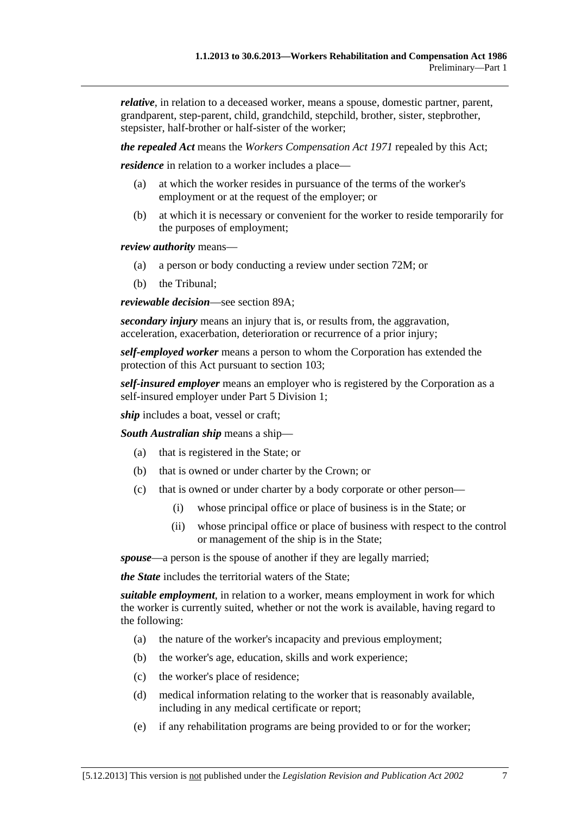*relative*, in relation to a deceased worker, means a spouse, domestic partner, parent, grandparent, step-parent, child, grandchild, stepchild, brother, sister, stepbrother, stepsister, half-brother or half-sister of the worker;

*the repealed Act* means the *[Workers Compensation Act 1971](http://www.legislation.sa.gov.au/index.aspx?action=legref&type=act&legtitle=Workers%20Compensation%20Act%201971)* repealed by this Act;

*residence* in relation to a worker includes a place—

- (a) at which the worker resides in pursuance of the terms of the worker's employment or at the request of the employer; or
- (b) at which it is necessary or convenient for the worker to reside temporarily for the purposes of employment;

*review authority* means—

- (a) a person or body conducting a review under [section 72M;](#page-107-0) or
- (b) the Tribunal;

*reviewable decision*—see [section 89A;](#page-122-0)

*secondary injury* means an injury that is, or results from, the aggravation, acceleration, exacerbation, deterioration or recurrence of a prior injury;

*self-employed worker* means a person to whom the Corporation has extended the protection of this Act pursuant to [section 103;](#page-144-0)

*self-insured employer* means an employer who is registered by the Corporation as a self-insured employer under [Part 5 Division 1;](#page-86-0)

*ship* includes a boat, vessel or craft;

*South Australian ship* means a ship—

- (a) that is registered in the State; or
- (b) that is owned or under charter by the Crown; or
- (c) that is owned or under charter by a body corporate or other person—
	- (i) whose principal office or place of business is in the State; or
	- (ii) whose principal office or place of business with respect to the control or management of the ship is in the State;

*spouse*—a person is the spouse of another if they are legally married;

*the State* includes the territorial waters of the State;

*suitable employment*, in relation to a worker, means employment in work for which the worker is currently suited, whether or not the work is available, having regard to the following:

- (a) the nature of the worker's incapacity and previous employment;
- (b) the worker's age, education, skills and work experience;
- (c) the worker's place of residence;
- (d) medical information relating to the worker that is reasonably available, including in any medical certificate or report;
- (e) if any rehabilitation programs are being provided to or for the worker;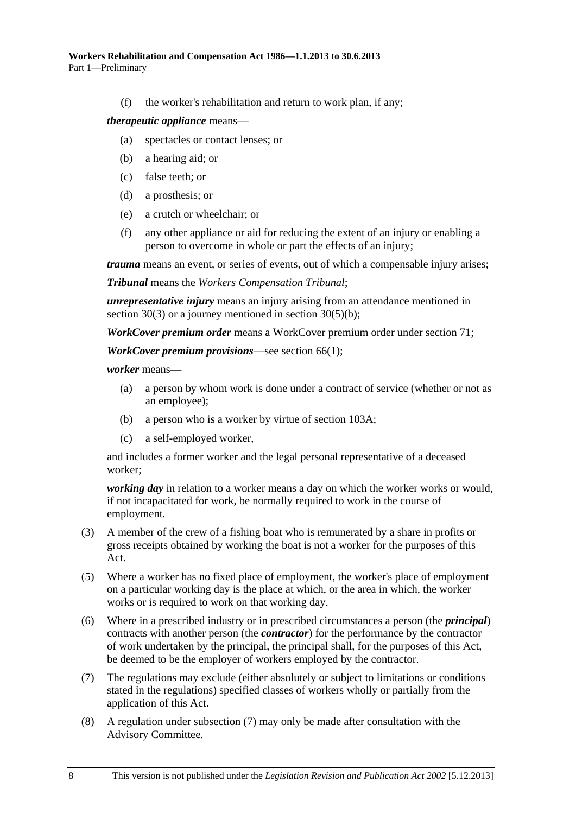<span id="page-17-0"></span>(f) the worker's rehabilitation and return to work plan, if any;

#### *therapeutic appliance* means—

- (a) spectacles or contact lenses; or
- (b) a hearing aid; or
- (c) false teeth; or
- (d) a prosthesis; or
- (e) a crutch or wheelchair; or
- (f) any other appliance or aid for reducing the extent of an injury or enabling a person to overcome in whole or part the effects of an injury;

*trauma* means an event, or series of events, out of which a compensable injury arises;

*Tribunal* means the *Workers Compensation Tribunal*;

*unrepresentative injury* means an injury arising from an attendance mentioned in [section 30\(3\)](#page-36-0) or a journey mentioned in [section 30\(5\)\(b\)](#page-36-0);

*WorkCover premium order* means a WorkCover premium order under [section 71;](#page-97-0)

*WorkCover premium provisions*—see [section 66\(1\)](#page-94-0);

*worker* means—

- (a) a person by whom work is done under a contract of service (whether or not as an employee);
- (b) a person who is a worker by virtue of [section 103A](#page-144-0);
- (c) a self-employed worker,

and includes a former worker and the legal personal representative of a deceased worker;

*working day* in relation to a worker means a day on which the worker works or would, if not incapacitated for work, be normally required to work in the course of employment.

- (3) A member of the crew of a fishing boat who is remunerated by a share in profits or gross receipts obtained by working the boat is not a worker for the purposes of this Act.
- (5) Where a worker has no fixed place of employment, the worker's place of employment on a particular working day is the place at which, or the area in which, the worker works or is required to work on that working day.
- (6) Where in a prescribed industry or in prescribed circumstances a person (the *principal*) contracts with another person (the *contractor*) for the performance by the contractor of work undertaken by the principal, the principal shall, for the purposes of this Act, be deemed to be the employer of workers employed by the contractor.
- (7) The regulations may exclude (either absolutely or subject to limitations or conditions stated in the regulations) specified classes of workers wholly or partially from the application of this Act.
- (8) A regulation under [subsection \(7\)](#page-17-0) may only be made after consultation with the Advisory Committee.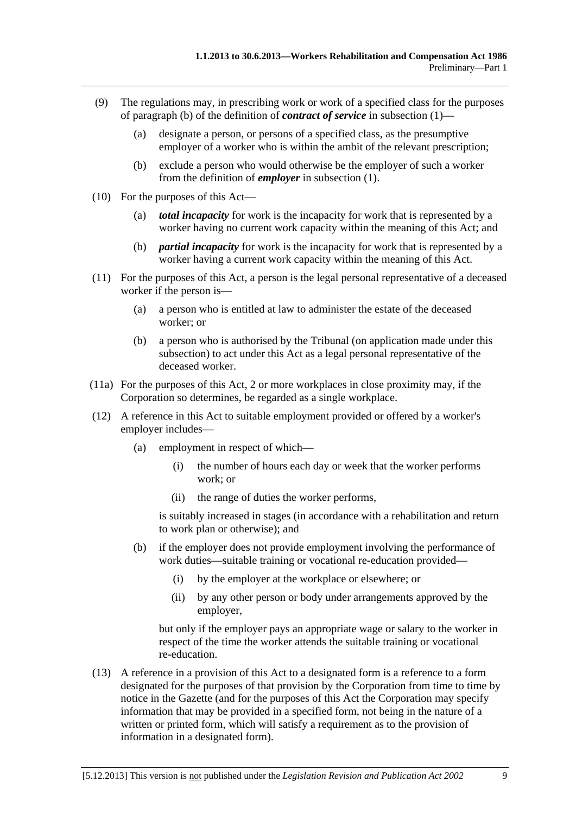- <span id="page-18-0"></span> (9) The regulations may, in prescribing work or work of a specified class for the purposes of [paragraph \(b\)](#page-11-0) of the definition of *contract of service* in [subsection \(1\)](#page-10-0)—
	- (a) designate a person, or persons of a specified class, as the presumptive employer of a worker who is within the ambit of the relevant prescription;
	- (b) exclude a person who would otherwise be the employer of such a worker from the definition of *employer* in [subsection \(1\).](#page-10-0)
- (10) For the purposes of this Act—
	- (a) *total incapacity* for work is the incapacity for work that is represented by a worker having no current work capacity within the meaning of this Act; and
	- (b) *partial incapacity* for work is the incapacity for work that is represented by a worker having a current work capacity within the meaning of this Act.
- (11) For the purposes of this Act, a person is the legal personal representative of a deceased worker if the person is—
	- (a) a person who is entitled at law to administer the estate of the deceased worker; or
	- (b) a person who is authorised by the Tribunal (on application made under this subsection) to act under this Act as a legal personal representative of the deceased worker.
- (11a) For the purposes of this Act, 2 or more workplaces in close proximity may, if the Corporation so determines, be regarded as a single workplace.
- (12) A reference in this Act to suitable employment provided or offered by a worker's employer includes—
	- (a) employment in respect of which—
		- (i) the number of hours each day or week that the worker performs work; or
		- (ii) the range of duties the worker performs,

is suitably increased in stages (in accordance with a rehabilitation and return to work plan or otherwise); and

- (b) if the employer does not provide employment involving the performance of work duties—suitable training or vocational re-education provided—
	- (i) by the employer at the workplace or elsewhere; or
	- (ii) by any other person or body under arrangements approved by the employer,

but only if the employer pays an appropriate wage or salary to the worker in respect of the time the worker attends the suitable training or vocational re-education.

 (13) A reference in a provision of this Act to a designated form is a reference to a form designated for the purposes of that provision by the Corporation from time to time by notice in the Gazette (and for the purposes of this Act the Corporation may specify information that may be provided in a specified form, not being in the nature of a written or printed form, which will satisfy a requirement as to the provision of information in a designated form).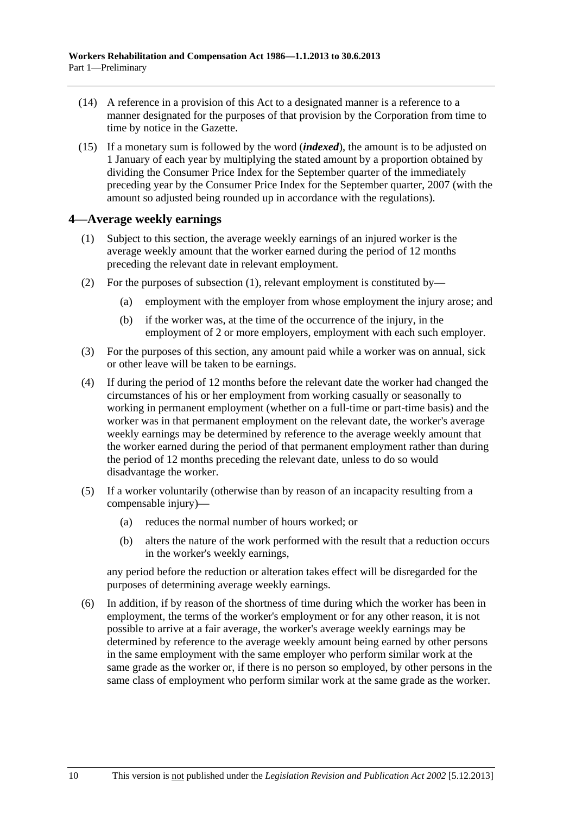- <span id="page-19-0"></span> (14) A reference in a provision of this Act to a designated manner is a reference to a manner designated for the purposes of that provision by the Corporation from time to time by notice in the Gazette.
- (15) If a monetary sum is followed by the word (*indexed*), the amount is to be adjusted on 1 January of each year by multiplying the stated amount by a proportion obtained by dividing the Consumer Price Index for the September quarter of the immediately preceding year by the Consumer Price Index for the September quarter, 2007 (with the amount so adjusted being rounded up in accordance with the regulations).

## **4—Average weekly earnings**

- (1) Subject to this section, the average weekly earnings of an injured worker is the average weekly amount that the worker earned during the period of 12 months preceding the relevant date in relevant employment.
- (2) For the purposes of [subsection \(1\)](#page-19-0), relevant employment is constituted by—
	- (a) employment with the employer from whose employment the injury arose; and
	- (b) if the worker was, at the time of the occurrence of the injury, in the employment of 2 or more employers, employment with each such employer.
- (3) For the purposes of this section, any amount paid while a worker was on annual, sick or other leave will be taken to be earnings.
- (4) If during the period of 12 months before the relevant date the worker had changed the circumstances of his or her employment from working casually or seasonally to working in permanent employment (whether on a full-time or part-time basis) and the worker was in that permanent employment on the relevant date, the worker's average weekly earnings may be determined by reference to the average weekly amount that the worker earned during the period of that permanent employment rather than during the period of 12 months preceding the relevant date, unless to do so would disadvantage the worker.
- (5) If a worker voluntarily (otherwise than by reason of an incapacity resulting from a compensable injury)—
	- (a) reduces the normal number of hours worked; or
	- (b) alters the nature of the work performed with the result that a reduction occurs in the worker's weekly earnings,

any period before the reduction or alteration takes effect will be disregarded for the purposes of determining average weekly earnings.

 (6) In addition, if by reason of the shortness of time during which the worker has been in employment, the terms of the worker's employment or for any other reason, it is not possible to arrive at a fair average, the worker's average weekly earnings may be determined by reference to the average weekly amount being earned by other persons in the same employment with the same employer who perform similar work at the same grade as the worker or, if there is no person so employed, by other persons in the same class of employment who perform similar work at the same grade as the worker.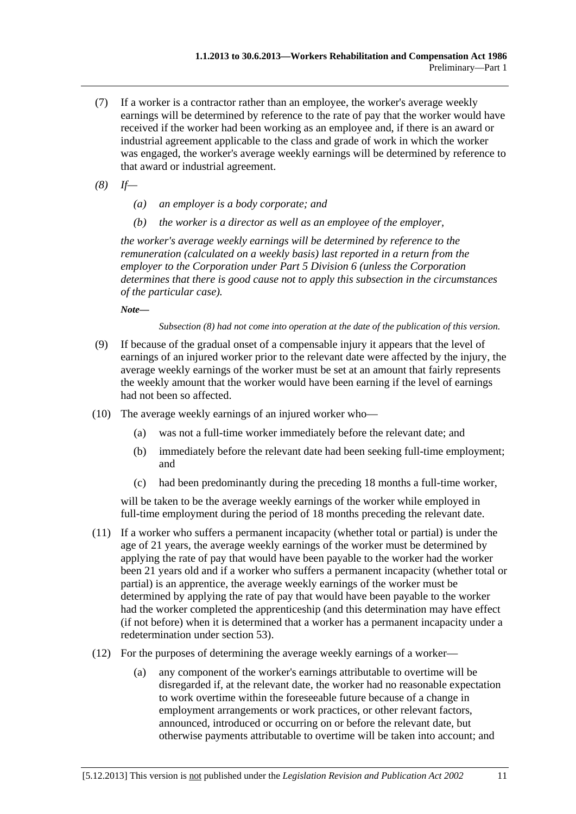- (7) If a worker is a contractor rather than an employee, the worker's average weekly earnings will be determined by reference to the rate of pay that the worker would have received if the worker had been working as an employee and, if there is an award or industrial agreement applicable to the class and grade of work in which the worker was engaged, the worker's average weekly earnings will be determined by reference to that award or industrial agreement.
- *(8) If—* 
	- *(a) an employer is a body corporate; and*
	- *(b) the worker is a director as well as an employee of the employer,*

*the worker's average weekly earnings will be determined by reference to the remuneration (calculated on a weekly basis) last reported in a return from the employer to the Corporation under Part 5 Division 6 (unless the Corporation determines that there is good cause not to apply this subsection in the circumstances of the particular case).* 

*Note—* 

*Subsection (8) had not come into operation at the date of the publication of this version.* 

- (9) If because of the gradual onset of a compensable injury it appears that the level of earnings of an injured worker prior to the relevant date were affected by the injury, the average weekly earnings of the worker must be set at an amount that fairly represents the weekly amount that the worker would have been earning if the level of earnings had not been so affected.
- (10) The average weekly earnings of an injured worker who—
	- (a) was not a full-time worker immediately before the relevant date; and
	- (b) immediately before the relevant date had been seeking full-time employment; and
	- (c) had been predominantly during the preceding 18 months a full-time worker,

will be taken to be the average weekly earnings of the worker while employed in full-time employment during the period of 18 months preceding the relevant date.

- (11) If a worker who suffers a permanent incapacity (whether total or partial) is under the age of 21 years, the average weekly earnings of the worker must be determined by applying the rate of pay that would have been payable to the worker had the worker been 21 years old and if a worker who suffers a permanent incapacity (whether total or partial) is an apprentice, the average weekly earnings of the worker must be determined by applying the rate of pay that would have been payable to the worker had the worker completed the apprenticeship (and this determination may have effect (if not before) when it is determined that a worker has a permanent incapacity under a redetermination under [section 53\)](#page-75-0).
- (12) For the purposes of determining the average weekly earnings of a worker—
	- (a) any component of the worker's earnings attributable to overtime will be disregarded if, at the relevant date, the worker had no reasonable expectation to work overtime within the foreseeable future because of a change in employment arrangements or work practices, or other relevant factors, announced, introduced or occurring on or before the relevant date, but otherwise payments attributable to overtime will be taken into account; and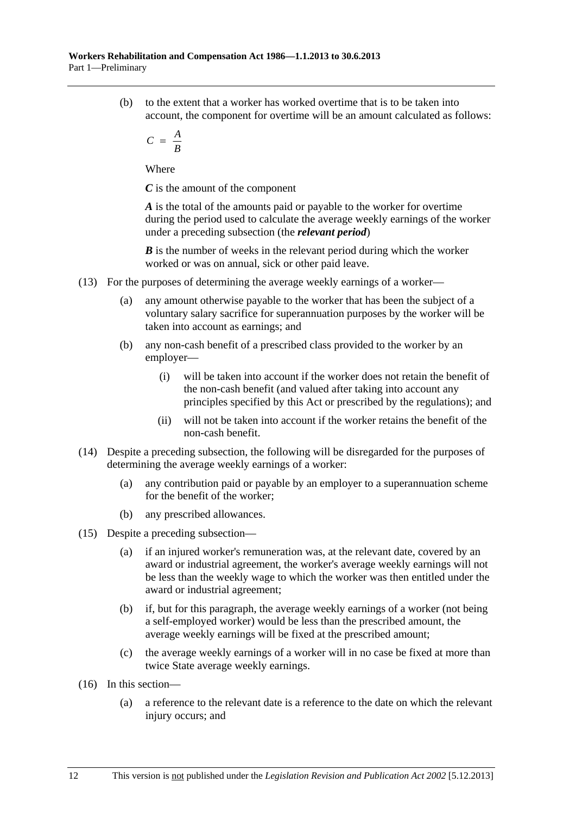(b) to the extent that a worker has worked overtime that is to be taken into account, the component for overtime will be an amount calculated as follows:

$$
C = \frac{A}{B}
$$

Where

*C* is the amount of the component

*A* is the total of the amounts paid or payable to the worker for overtime during the period used to calculate the average weekly earnings of the worker under a preceding subsection (the *relevant period*)

*B* is the number of weeks in the relevant period during which the worker worked or was on annual, sick or other paid leave.

- (13) For the purposes of determining the average weekly earnings of a worker—
	- (a) any amount otherwise payable to the worker that has been the subject of a voluntary salary sacrifice for superannuation purposes by the worker will be taken into account as earnings; and
	- (b) any non-cash benefit of a prescribed class provided to the worker by an employer—
		- (i) will be taken into account if the worker does not retain the benefit of the non-cash benefit (and valued after taking into account any principles specified by this Act or prescribed by the regulations); and
		- (ii) will not be taken into account if the worker retains the benefit of the non-cash benefit.
- (14) Despite a preceding subsection, the following will be disregarded for the purposes of determining the average weekly earnings of a worker:
	- (a) any contribution paid or payable by an employer to a superannuation scheme for the benefit of the worker;
	- (b) any prescribed allowances.
- (15) Despite a preceding subsection—
	- (a) if an injured worker's remuneration was, at the relevant date, covered by an award or industrial agreement, the worker's average weekly earnings will not be less than the weekly wage to which the worker was then entitled under the award or industrial agreement;
	- (b) if, but for this paragraph, the average weekly earnings of a worker (not being a self-employed worker) would be less than the prescribed amount, the average weekly earnings will be fixed at the prescribed amount;
	- (c) the average weekly earnings of a worker will in no case be fixed at more than twice State average weekly earnings.
- (16) In this section—
	- (a) a reference to the relevant date is a reference to the date on which the relevant injury occurs; and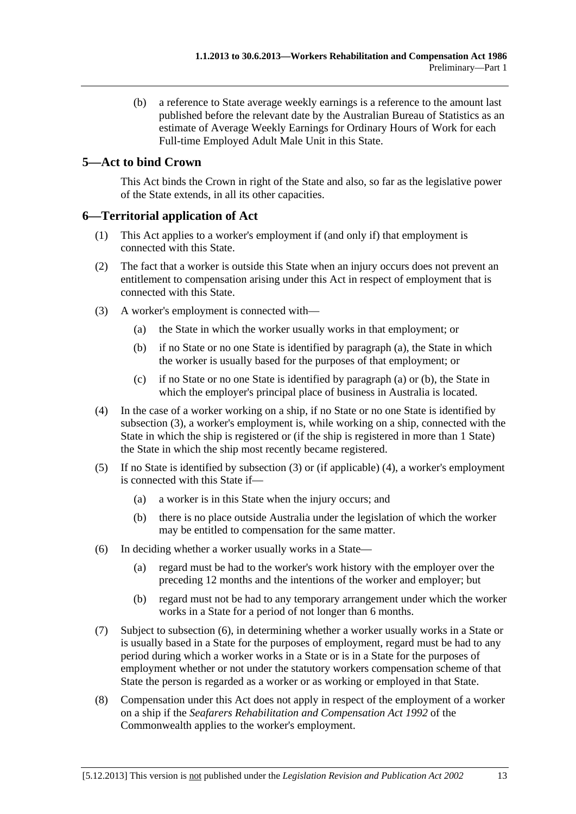<span id="page-22-0"></span> (b) a reference to State average weekly earnings is a reference to the amount last published before the relevant date by the Australian Bureau of Statistics as an estimate of Average Weekly Earnings for Ordinary Hours of Work for each Full-time Employed Adult Male Unit in this State.

# **5—Act to bind Crown**

This Act binds the Crown in right of the State and also, so far as the legislative power of the State extends, in all its other capacities.

## **6—Territorial application of Act**

- (1) This Act applies to a worker's employment if (and only if) that employment is connected with this State.
- (2) The fact that a worker is outside this State when an injury occurs does not prevent an entitlement to compensation arising under this Act in respect of employment that is connected with this State.
- (3) A worker's employment is connected with—
	- (a) the State in which the worker usually works in that employment; or
	- (b) if no State or no one State is identified by [paragraph \(a\)](#page-22-0), the State in which the worker is usually based for the purposes of that employment; or
	- (c) if no State or no one State is identified by [paragraph \(a\)](#page-22-0) or [\(b\),](#page-22-0) the State in which the employer's principal place of business in Australia is located.
- (4) In the case of a worker working on a ship, if no State or no one State is identified by [subsection \(3\),](#page-22-0) a worker's employment is, while working on a ship, connected with the State in which the ship is registered or (if the ship is registered in more than 1 State) the State in which the ship most recently became registered.
- (5) If no State is identified by [subsection \(3\)](#page-22-0) or (if applicable) [\(4\),](#page-22-0) a worker's employment is connected with this State if—
	- (a) a worker is in this State when the injury occurs; and
	- (b) there is no place outside Australia under the legislation of which the worker may be entitled to compensation for the same matter.
- (6) In deciding whether a worker usually works in a State—
	- (a) regard must be had to the worker's work history with the employer over the preceding 12 months and the intentions of the worker and employer; but
	- (b) regard must not be had to any temporary arrangement under which the worker works in a State for a period of not longer than 6 months.
- (7) Subject to [subsection \(6\),](#page-22-0) in determining whether a worker usually works in a State or is usually based in a State for the purposes of employment, regard must be had to any period during which a worker works in a State or is in a State for the purposes of employment whether or not under the statutory workers compensation scheme of that State the person is regarded as a worker or as working or employed in that State.
- (8) Compensation under this Act does not apply in respect of the employment of a worker on a ship if the *Seafarers Rehabilitation and Compensation Act 1992* of the Commonwealth applies to the worker's employment.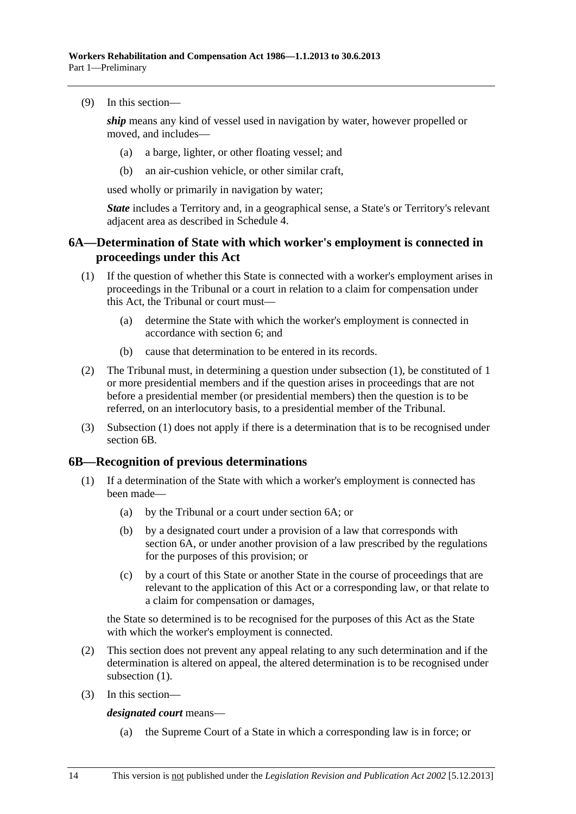<span id="page-23-0"></span>(9) In this section—

*ship* means any kind of vessel used in navigation by water, however propelled or moved, and includes—

- (a) a barge, lighter, or other floating vessel; and
- (b) an air-cushion vehicle, or other similar craft,

used wholly or primarily in navigation by water;

*State* includes a Territory and, in a geographical sense, a State's or Territory's relevant adjacent area as described in [Schedule 4.](#page-166-0)

## **6A—Determination of State with which worker's employment is connected in proceedings under this Act**

- (1) If the question of whether this State is connected with a worker's employment arises in proceedings in the Tribunal or a court in relation to a claim for compensation under this Act, the Tribunal or court must—
	- (a) determine the State with which the worker's employment is connected in accordance with [section 6](#page-22-0); and
	- (b) cause that determination to be entered in its records.
- (2) The Tribunal must, in determining a question under [subsection \(1\)](#page-23-0), be constituted of 1 or more presidential members and if the question arises in proceedings that are not before a presidential member (or presidential members) then the question is to be referred, on an interlocutory basis, to a presidential member of the Tribunal.
- (3) [Subsection \(1\)](#page-23-0) does not apply if there is a determination that is to be recognised under [section 6B.](#page-23-0)

#### **6B—Recognition of previous determinations**

- (1) If a determination of the State with which a worker's employment is connected has been made—
	- (a) by the Tribunal or a court under [section 6A;](#page-23-0) or
	- (b) by a designated court under a provision of a law that corresponds with [section 6A,](#page-23-0) or under another provision of a law prescribed by the regulations for the purposes of this provision; or
	- (c) by a court of this State or another State in the course of proceedings that are relevant to the application of this Act or a corresponding law, or that relate to a claim for compensation or damages,

the State so determined is to be recognised for the purposes of this Act as the State with which the worker's employment is connected.

- (2) This section does not prevent any appeal relating to any such determination and if the determination is altered on appeal, the altered determination is to be recognised under subsection  $(1)$ .
- (3) In this section—

*designated court* means—

(a) the Supreme Court of a State in which a corresponding law is in force; or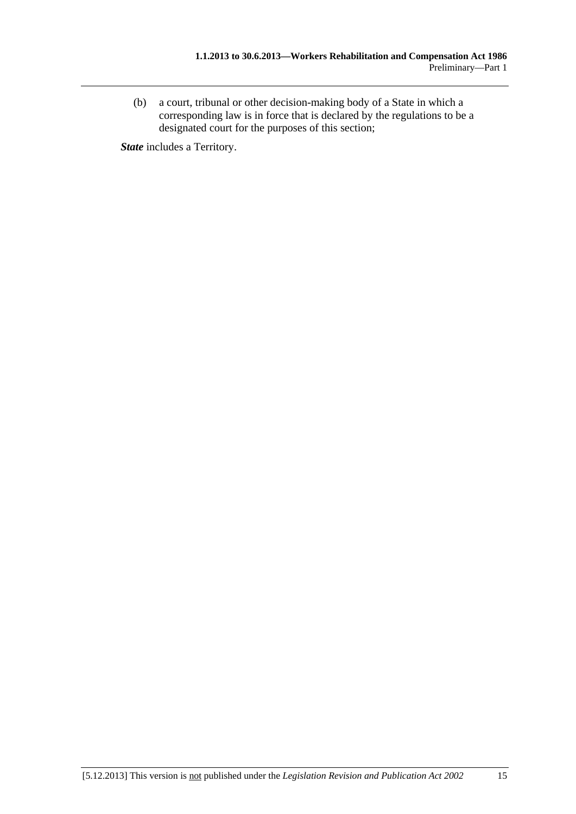(b) a court, tribunal or other decision-making body of a State in which a corresponding law is in force that is declared by the regulations to be a designated court for the purposes of this section;

*State* includes a Territory.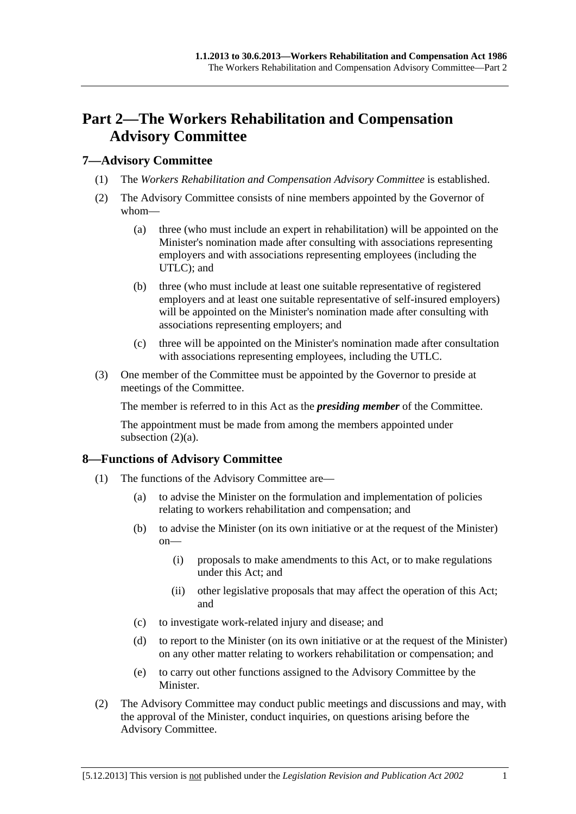# <span id="page-26-0"></span>**Part 2—The Workers Rehabilitation and Compensation Advisory Committee**

## **7—Advisory Committee**

- (1) The *Workers Rehabilitation and Compensation Advisory Committee* is established.
- (2) The Advisory Committee consists of nine members appointed by the Governor of whom—
	- (a) three (who must include an expert in rehabilitation) will be appointed on the Minister's nomination made after consulting with associations representing employers and with associations representing employees (including the UTLC); and
	- (b) three (who must include at least one suitable representative of registered employers and at least one suitable representative of self-insured employers) will be appointed on the Minister's nomination made after consulting with associations representing employers; and
	- (c) three will be appointed on the Minister's nomination made after consultation with associations representing employees, including the UTLC.
- (3) One member of the Committee must be appointed by the Governor to preside at meetings of the Committee.

The member is referred to in this Act as the *presiding member* of the Committee.

The appointment must be made from among the members appointed under subsection  $(2)(a)$ .

# **8—Functions of Advisory Committee**

- (1) The functions of the Advisory Committee are—
	- (a) to advise the Minister on the formulation and implementation of policies relating to workers rehabilitation and compensation; and
	- (b) to advise the Minister (on its own initiative or at the request of the Minister) on—
		- (i) proposals to make amendments to this Act, or to make regulations under this Act; and
		- (ii) other legislative proposals that may affect the operation of this Act; and
	- (c) to investigate work-related injury and disease; and
	- (d) to report to the Minister (on its own initiative or at the request of the Minister) on any other matter relating to workers rehabilitation or compensation; and
	- (e) to carry out other functions assigned to the Advisory Committee by the Minister.
- (2) The Advisory Committee may conduct public meetings and discussions and may, with the approval of the Minister, conduct inquiries, on questions arising before the Advisory Committee.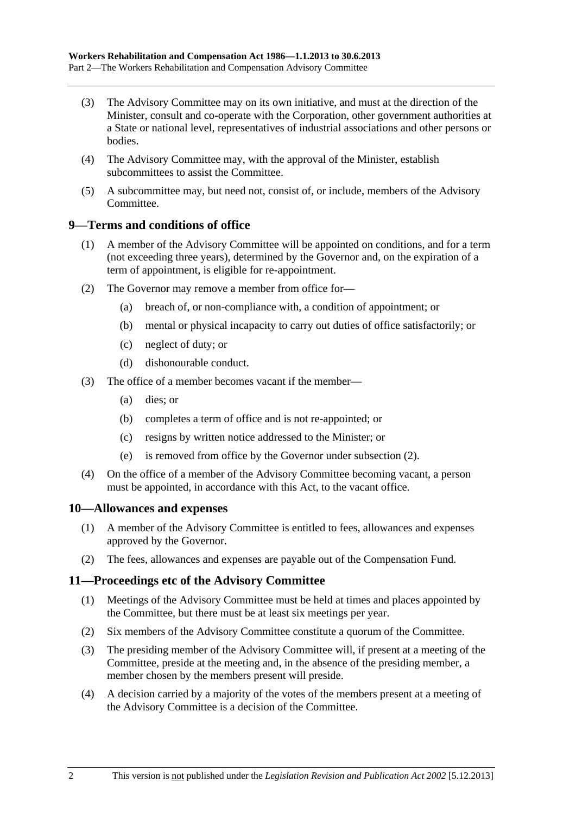- <span id="page-27-0"></span> (3) The Advisory Committee may on its own initiative, and must at the direction of the Minister, consult and co-operate with the Corporation, other government authorities at a State or national level, representatives of industrial associations and other persons or bodies.
- (4) The Advisory Committee may, with the approval of the Minister, establish subcommittees to assist the Committee.
- (5) A subcommittee may, but need not, consist of, or include, members of the Advisory Committee.

### **9—Terms and conditions of office**

- (1) A member of the Advisory Committee will be appointed on conditions, and for a term (not exceeding three years), determined by the Governor and, on the expiration of a term of appointment, is eligible for re-appointment.
- (2) The Governor may remove a member from office for—
	- (a) breach of, or non-compliance with, a condition of appointment; or
	- (b) mental or physical incapacity to carry out duties of office satisfactorily; or
	- (c) neglect of duty; or
	- (d) dishonourable conduct.
- (3) The office of a member becomes vacant if the member—
	- (a) dies; or
	- (b) completes a term of office and is not re-appointed; or
	- (c) resigns by written notice addressed to the Minister; or
	- (e) is removed from office by the Governor under [subsection \(2\)](#page-27-0).
- (4) On the office of a member of the Advisory Committee becoming vacant, a person must be appointed, in accordance with this Act, to the vacant office.

#### **10—Allowances and expenses**

- (1) A member of the Advisory Committee is entitled to fees, allowances and expenses approved by the Governor.
- (2) The fees, allowances and expenses are payable out of the Compensation Fund.

#### **11—Proceedings etc of the Advisory Committee**

- (1) Meetings of the Advisory Committee must be held at times and places appointed by the Committee, but there must be at least six meetings per year.
- (2) Six members of the Advisory Committee constitute a quorum of the Committee.
- (3) The presiding member of the Advisory Committee will, if present at a meeting of the Committee, preside at the meeting and, in the absence of the presiding member, a member chosen by the members present will preside.
- (4) A decision carried by a majority of the votes of the members present at a meeting of the Advisory Committee is a decision of the Committee.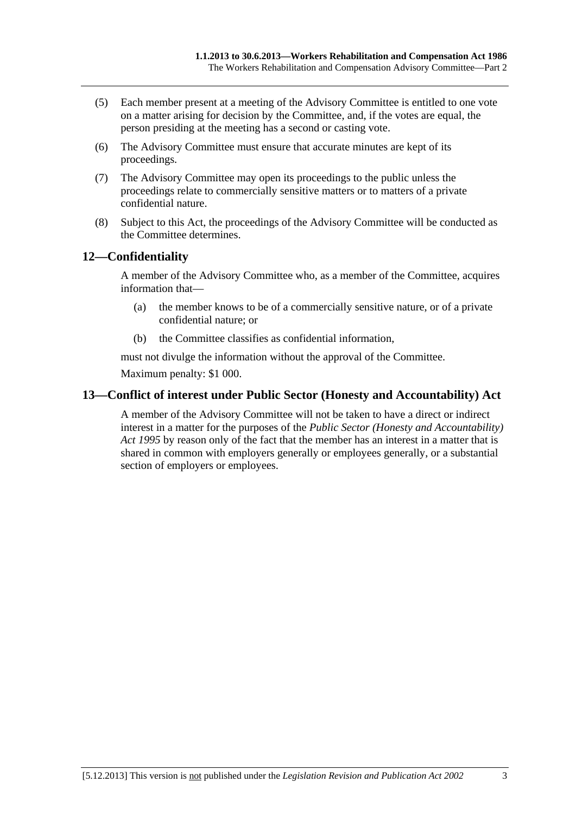- <span id="page-28-0"></span> (5) Each member present at a meeting of the Advisory Committee is entitled to one vote on a matter arising for decision by the Committee, and, if the votes are equal, the person presiding at the meeting has a second or casting vote.
- (6) The Advisory Committee must ensure that accurate minutes are kept of its proceedings.
- (7) The Advisory Committee may open its proceedings to the public unless the proceedings relate to commercially sensitive matters or to matters of a private confidential nature.
- (8) Subject to this Act, the proceedings of the Advisory Committee will be conducted as the Committee determines.

# **12—Confidentiality**

A member of the Advisory Committee who, as a member of the Committee, acquires information that—

- (a) the member knows to be of a commercially sensitive nature, or of a private confidential nature; or
- (b) the Committee classifies as confidential information,

must not divulge the information without the approval of the Committee. Maximum penalty: \$1 000.

# **13—Conflict of interest under Public Sector (Honesty and Accountability) Act**

A member of the Advisory Committee will not be taken to have a direct or indirect interest in a matter for the purposes of the *[Public Sector \(Honesty and Accountability\)](http://www.legislation.sa.gov.au/index.aspx?action=legref&type=act&legtitle=Public%20Sector%20(Honesty%20and%20Accountability)%20Act%201995)  [Act 1995](http://www.legislation.sa.gov.au/index.aspx?action=legref&type=act&legtitle=Public%20Sector%20(Honesty%20and%20Accountability)%20Act%201995)* by reason only of the fact that the member has an interest in a matter that is shared in common with employers generally or employees generally, or a substantial section of employers or employees.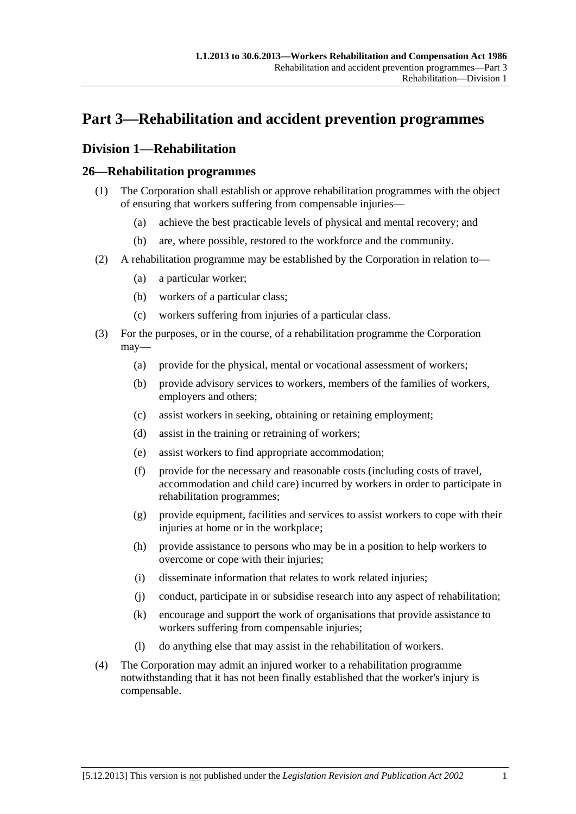# <span id="page-30-0"></span>**Part 3—Rehabilitation and accident prevention programmes**

# **Division 1—Rehabilitation**

# **26—Rehabilitation programmes**

- (1) The Corporation shall establish or approve rehabilitation programmes with the object of ensuring that workers suffering from compensable injuries—
	- (a) achieve the best practicable levels of physical and mental recovery; and
	- (b) are, where possible, restored to the workforce and the community.
- (2) A rehabilitation programme may be established by the Corporation in relation to—
	- (a) a particular worker;
	- (b) workers of a particular class;
	- (c) workers suffering from injuries of a particular class.
- (3) For the purposes, or in the course, of a rehabilitation programme the Corporation may—
	- (a) provide for the physical, mental or vocational assessment of workers;
	- (b) provide advisory services to workers, members of the families of workers, employers and others;
	- (c) assist workers in seeking, obtaining or retaining employment;
	- (d) assist in the training or retraining of workers;
	- (e) assist workers to find appropriate accommodation;
	- (f) provide for the necessary and reasonable costs (including costs of travel, accommodation and child care) incurred by workers in order to participate in rehabilitation programmes;
	- (g) provide equipment, facilities and services to assist workers to cope with their injuries at home or in the workplace;
	- (h) provide assistance to persons who may be in a position to help workers to overcome or cope with their injuries;
	- (i) disseminate information that relates to work related injuries;
	- (j) conduct, participate in or subsidise research into any aspect of rehabilitation;
	- (k) encourage and support the work of organisations that provide assistance to workers suffering from compensable injuries;
	- (l) do anything else that may assist in the rehabilitation of workers.
- (4) The Corporation may admit an injured worker to a rehabilitation programme notwithstanding that it has not been finally established that the worker's injury is compensable.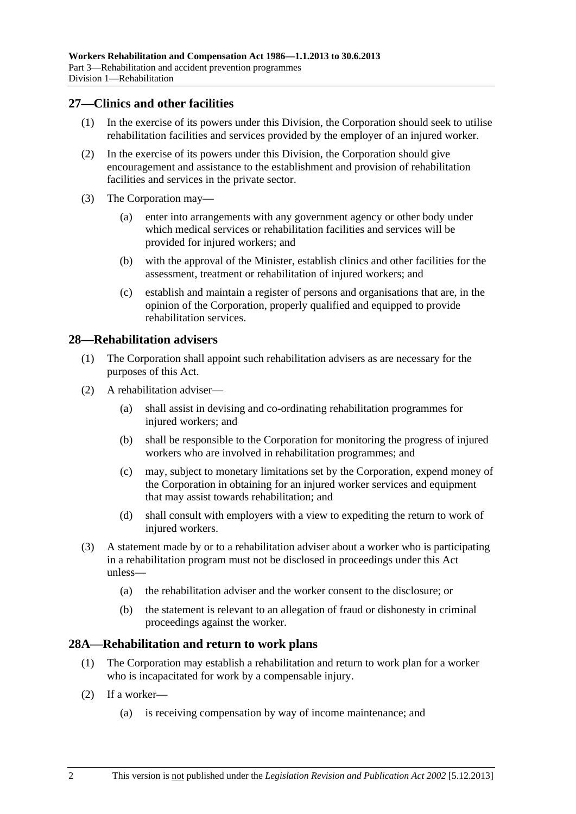## <span id="page-31-0"></span>**27—Clinics and other facilities**

- (1) In the exercise of its powers under this Division, the Corporation should seek to utilise rehabilitation facilities and services provided by the employer of an injured worker.
- (2) In the exercise of its powers under this Division, the Corporation should give encouragement and assistance to the establishment and provision of rehabilitation facilities and services in the private sector.
- (3) The Corporation may—
	- (a) enter into arrangements with any government agency or other body under which medical services or rehabilitation facilities and services will be provided for injured workers; and
	- (b) with the approval of the Minister, establish clinics and other facilities for the assessment, treatment or rehabilitation of injured workers; and
	- (c) establish and maintain a register of persons and organisations that are, in the opinion of the Corporation, properly qualified and equipped to provide rehabilitation services.

#### **28—Rehabilitation advisers**

- (1) The Corporation shall appoint such rehabilitation advisers as are necessary for the purposes of this Act.
- (2) A rehabilitation adviser—
	- (a) shall assist in devising and co-ordinating rehabilitation programmes for injured workers; and
	- (b) shall be responsible to the Corporation for monitoring the progress of injured workers who are involved in rehabilitation programmes; and
	- (c) may, subject to monetary limitations set by the Corporation, expend money of the Corporation in obtaining for an injured worker services and equipment that may assist towards rehabilitation; and
	- (d) shall consult with employers with a view to expediting the return to work of injured workers.
- (3) A statement made by or to a rehabilitation adviser about a worker who is participating in a rehabilitation program must not be disclosed in proceedings under this Act unless—
	- (a) the rehabilitation adviser and the worker consent to the disclosure; or
	- (b) the statement is relevant to an allegation of fraud or dishonesty in criminal proceedings against the worker.

#### **28A—Rehabilitation and return to work plans**

- (1) The Corporation may establish a rehabilitation and return to work plan for a worker who is incapacitated for work by a compensable injury.
- (2) If a worker—
	- (a) is receiving compensation by way of income maintenance; and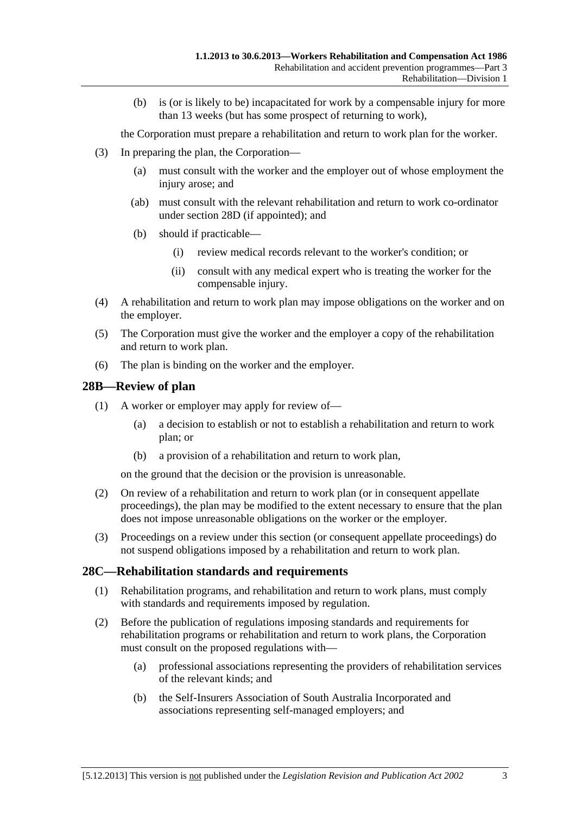<span id="page-32-0"></span> (b) is (or is likely to be) incapacitated for work by a compensable injury for more than 13 weeks (but has some prospect of returning to work),

the Corporation must prepare a rehabilitation and return to work plan for the worker.

- (3) In preparing the plan, the Corporation—
	- (a) must consult with the worker and the employer out of whose employment the injury arose; and
	- (ab) must consult with the relevant rehabilitation and return to work co-ordinator under [section 28D](#page-33-0) (if appointed); and
	- (b) should if practicable—
		- (i) review medical records relevant to the worker's condition; or
		- (ii) consult with any medical expert who is treating the worker for the compensable injury.
- (4) A rehabilitation and return to work plan may impose obligations on the worker and on the employer.
- (5) The Corporation must give the worker and the employer a copy of the rehabilitation and return to work plan.
- (6) The plan is binding on the worker and the employer.

#### **28B—Review of plan**

- (1) A worker or employer may apply for review of—
	- (a) a decision to establish or not to establish a rehabilitation and return to work plan; or
	- (b) a provision of a rehabilitation and return to work plan,

on the ground that the decision or the provision is unreasonable.

- (2) On review of a rehabilitation and return to work plan (or in consequent appellate proceedings), the plan may be modified to the extent necessary to ensure that the plan does not impose unreasonable obligations on the worker or the employer.
- (3) Proceedings on a review under this section (or consequent appellate proceedings) do not suspend obligations imposed by a rehabilitation and return to work plan.

#### **28C—Rehabilitation standards and requirements**

- (1) Rehabilitation programs, and rehabilitation and return to work plans, must comply with standards and requirements imposed by regulation.
- (2) Before the publication of regulations imposing standards and requirements for rehabilitation programs or rehabilitation and return to work plans, the Corporation must consult on the proposed regulations with—
	- (a) professional associations representing the providers of rehabilitation services of the relevant kinds; and
	- (b) the Self-Insurers Association of South Australia Incorporated and associations representing self-managed employers; and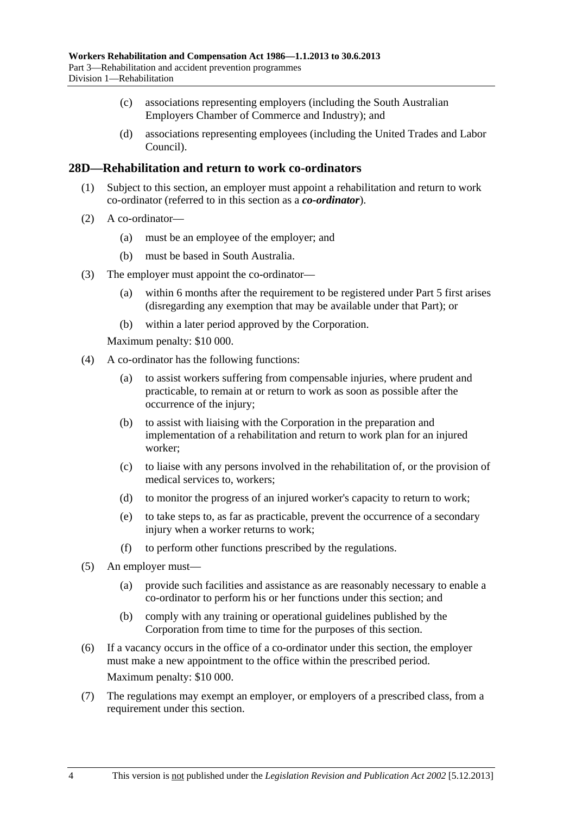- <span id="page-33-0"></span> (c) associations representing employers (including the South Australian Employers Chamber of Commerce and Industry); and
- (d) associations representing employees (including the United Trades and Labor Council).

#### **28D—Rehabilitation and return to work co-ordinators**

- (1) Subject to this section, an employer must appoint a rehabilitation and return to work co-ordinator (referred to in this section as a *co-ordinator*).
- (2) A co-ordinator—
	- (a) must be an employee of the employer; and
	- (b) must be based in South Australia.
- (3) The employer must appoint the co-ordinator—
	- (a) within 6 months after the requirement to be registered under [Part 5](#page-86-0) first arises (disregarding any exemption that may be available under that Part); or
	- (b) within a later period approved by the Corporation.

Maximum penalty: \$10 000.

- (4) A co-ordinator has the following functions:
	- (a) to assist workers suffering from compensable injuries, where prudent and practicable, to remain at or return to work as soon as possible after the occurrence of the injury;
	- (b) to assist with liaising with the Corporation in the preparation and implementation of a rehabilitation and return to work plan for an injured worker;
	- (c) to liaise with any persons involved in the rehabilitation of, or the provision of medical services to, workers;
	- (d) to monitor the progress of an injured worker's capacity to return to work;
	- (e) to take steps to, as far as practicable, prevent the occurrence of a secondary injury when a worker returns to work:
	- (f) to perform other functions prescribed by the regulations.
- (5) An employer must—
	- (a) provide such facilities and assistance as are reasonably necessary to enable a co-ordinator to perform his or her functions under this section; and
	- (b) comply with any training or operational guidelines published by the Corporation from time to time for the purposes of this section.
- (6) If a vacancy occurs in the office of a co-ordinator under this section, the employer must make a new appointment to the office within the prescribed period. Maximum penalty: \$10 000.
- (7) The regulations may exempt an employer, or employers of a prescribed class, from a requirement under this section.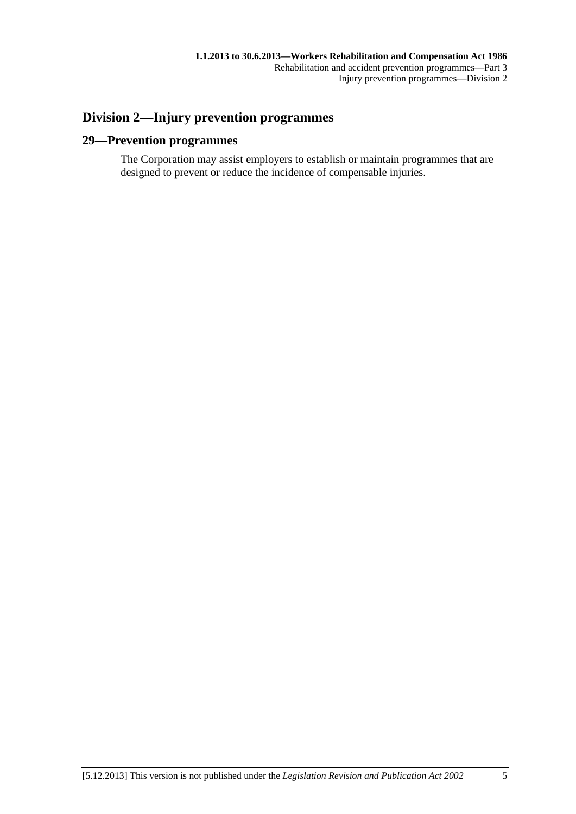# <span id="page-34-0"></span>**Division 2—Injury prevention programmes**

# **29—Prevention programmes**

The Corporation may assist employers to establish or maintain programmes that are designed to prevent or reduce the incidence of compensable injuries.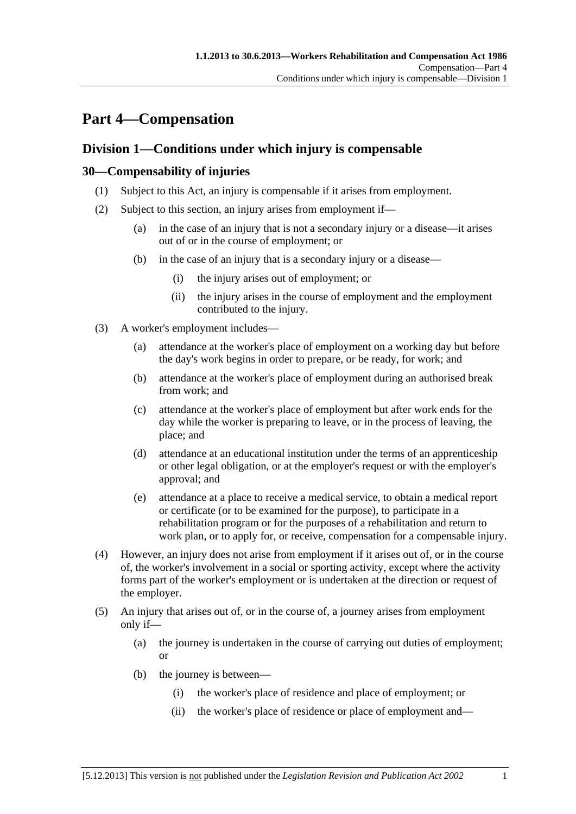# <span id="page-36-0"></span>**Part 4—Compensation**

## **Division 1—Conditions under which injury is compensable**

#### **30—Compensability of injuries**

- (1) Subject to this Act, an injury is compensable if it arises from employment.
- (2) Subject to this section, an injury arises from employment if—
	- (a) in the case of an injury that is not a secondary injury or a disease—it arises out of or in the course of employment; or
	- (b) in the case of an injury that is a secondary injury or a disease—
		- (i) the injury arises out of employment; or
		- (ii) the injury arises in the course of employment and the employment contributed to the injury.
- (3) A worker's employment includes—
	- (a) attendance at the worker's place of employment on a working day but before the day's work begins in order to prepare, or be ready, for work; and
	- (b) attendance at the worker's place of employment during an authorised break from work; and
	- (c) attendance at the worker's place of employment but after work ends for the day while the worker is preparing to leave, or in the process of leaving, the place; and
	- (d) attendance at an educational institution under the terms of an apprenticeship or other legal obligation, or at the employer's request or with the employer's approval; and
	- (e) attendance at a place to receive a medical service, to obtain a medical report or certificate (or to be examined for the purpose), to participate in a rehabilitation program or for the purposes of a rehabilitation and return to work plan, or to apply for, or receive, compensation for a compensable injury.
- (4) However, an injury does not arise from employment if it arises out of, or in the course of, the worker's involvement in a social or sporting activity, except where the activity forms part of the worker's employment or is undertaken at the direction or request of the employer.
- (5) An injury that arises out of, or in the course of, a journey arises from employment only if—
	- (a) the journey is undertaken in the course of carrying out duties of employment; or
	- (b) the journey is between—
		- (i) the worker's place of residence and place of employment; or
		- (ii) the worker's place of residence or place of employment and—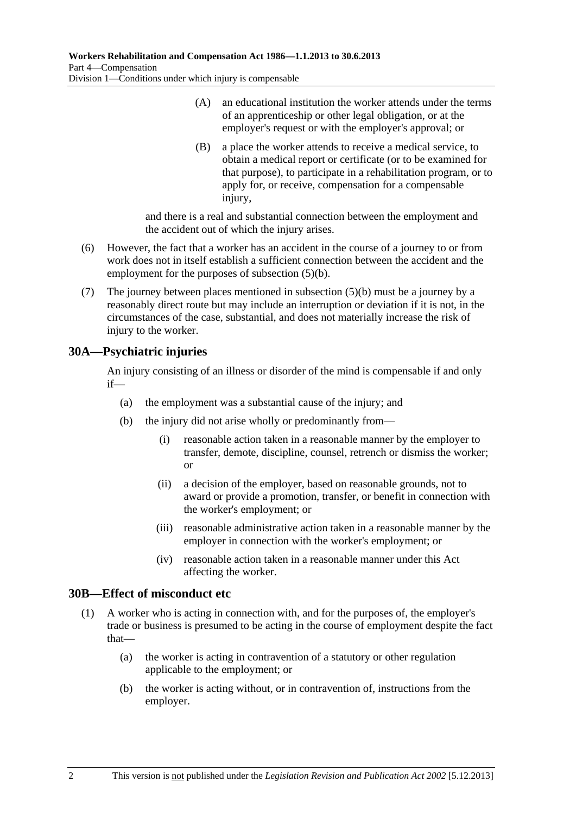- (A) an educational institution the worker attends under the terms of an apprenticeship or other legal obligation, or at the employer's request or with the employer's approval; or
- (B) a place the worker attends to receive a medical service, to obtain a medical report or certificate (or to be examined for that purpose), to participate in a rehabilitation program, or to apply for, or receive, compensation for a compensable injury,

and there is a real and substantial connection between the employment and the accident out of which the injury arises.

- (6) However, the fact that a worker has an accident in the course of a journey to or from work does not in itself establish a sufficient connection between the accident and the employment for the purposes of [subsection \(5\)\(b\).](#page-36-0)
- (7) The journey between places mentioned in [subsection \(5\)\(b\)](#page-36-0) must be a journey by a reasonably direct route but may include an interruption or deviation if it is not, in the circumstances of the case, substantial, and does not materially increase the risk of injury to the worker.

### **30A—Psychiatric injuries**

An injury consisting of an illness or disorder of the mind is compensable if and only if—

- (a) the employment was a substantial cause of the injury; and
- (b) the injury did not arise wholly or predominantly from—
	- (i) reasonable action taken in a reasonable manner by the employer to transfer, demote, discipline, counsel, retrench or dismiss the worker; or
	- (ii) a decision of the employer, based on reasonable grounds, not to award or provide a promotion, transfer, or benefit in connection with the worker's employment; or
	- (iii) reasonable administrative action taken in a reasonable manner by the employer in connection with the worker's employment; or
	- (iv) reasonable action taken in a reasonable manner under this Act affecting the worker.

#### **30B—Effect of misconduct etc**

- (1) A worker who is acting in connection with, and for the purposes of, the employer's trade or business is presumed to be acting in the course of employment despite the fact that—
	- (a) the worker is acting in contravention of a statutory or other regulation applicable to the employment; or
	- (b) the worker is acting without, or in contravention of, instructions from the employer.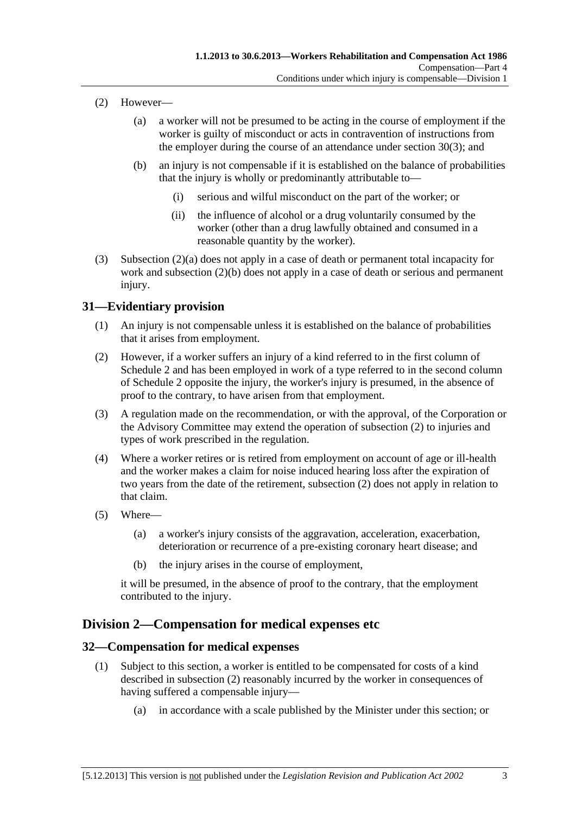- <span id="page-38-0"></span> (2) However—
	- (a) a worker will not be presumed to be acting in the course of employment if the worker is guilty of misconduct or acts in contravention of instructions from the employer during the course of an attendance under [section 30\(3\)](#page-36-0); and
	- (b) an injury is not compensable if it is established on the balance of probabilities that the injury is wholly or predominantly attributable to—
		- (i) serious and wilful misconduct on the part of the worker; or
		- (ii) the influence of alcohol or a drug voluntarily consumed by the worker (other than a drug lawfully obtained and consumed in a reasonable quantity by the worker).
- (3) [Subsection \(2\)\(a\)](#page-38-0) does not apply in a case of death or permanent total incapacity for work and [subsection \(2\)\(b\)](#page-38-0) does not apply in a case of death or serious and permanent injury.

#### **31—Evidentiary provision**

- (1) An injury is not compensable unless it is established on the balance of probabilities that it arises from employment.
- (2) However, if a worker suffers an injury of a kind referred to in the first column of [Schedule 2](#page-163-0) and has been employed in work of a type referred to in the second column of [Schedule 2](#page-163-0) opposite the injury, the worker's injury is presumed, in the absence of proof to the contrary, to have arisen from that employment.
- (3) A regulation made on the recommendation, or with the approval, of the Corporation or the Advisory Committee may extend the operation of [subsection \(2\)](#page-38-0) to injuries and types of work prescribed in the regulation.
- (4) Where a worker retires or is retired from employment on account of age or ill-health and the worker makes a claim for noise induced hearing loss after the expiration of two years from the date of the retirement, [subsection \(2\)](#page-38-0) does not apply in relation to that claim.
- (5) Where—
	- (a) a worker's injury consists of the aggravation, acceleration, exacerbation, deterioration or recurrence of a pre-existing coronary heart disease; and
	- (b) the injury arises in the course of employment,

it will be presumed, in the absence of proof to the contrary, that the employment contributed to the injury.

### **Division 2—Compensation for medical expenses etc**

#### **32—Compensation for medical expenses**

- (1) Subject to this section, a worker is entitled to be compensated for costs of a kind described in [subsection \(2\)](#page-39-0) reasonably incurred by the worker in consequences of having suffered a compensable injury—
	- (a) in accordance with a scale published by the Minister under this section; or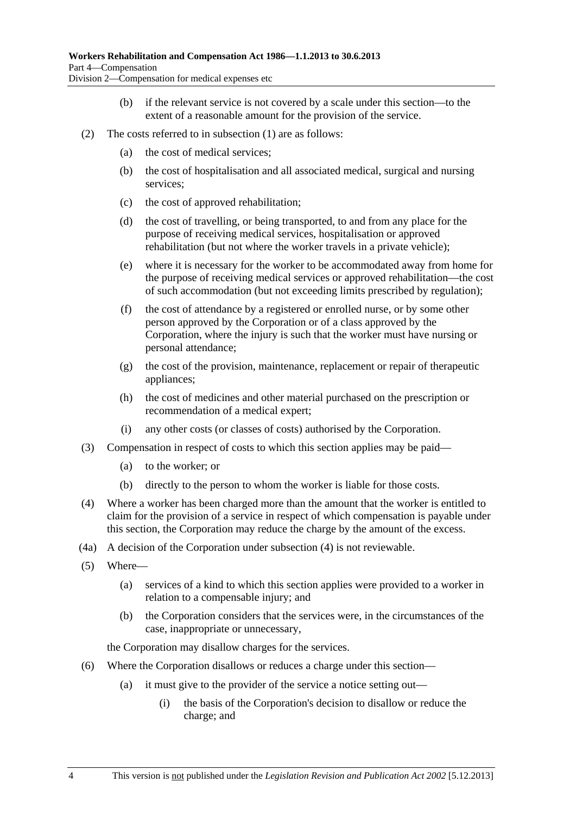- (b) if the relevant service is not covered by a scale under this section—to the extent of a reasonable amount for the provision of the service.
- <span id="page-39-0"></span> (2) The costs referred to in [subsection \(1\)](#page-38-0) are as follows:
	- (a) the cost of medical services;
	- (b) the cost of hospitalisation and all associated medical, surgical and nursing services;
	- (c) the cost of approved rehabilitation;
	- (d) the cost of travelling, or being transported, to and from any place for the purpose of receiving medical services, hospitalisation or approved rehabilitation (but not where the worker travels in a private vehicle);
	- (e) where it is necessary for the worker to be accommodated away from home for the purpose of receiving medical services or approved rehabilitation—the cost of such accommodation (but not exceeding limits prescribed by regulation);
	- (f) the cost of attendance by a registered or enrolled nurse, or by some other person approved by the Corporation or of a class approved by the Corporation, where the injury is such that the worker must have nursing or personal attendance;
	- (g) the cost of the provision, maintenance, replacement or repair of therapeutic appliances;
	- (h) the cost of medicines and other material purchased on the prescription or recommendation of a medical expert;
	- (i) any other costs (or classes of costs) authorised by the Corporation.
- (3) Compensation in respect of costs to which this section applies may be paid—
	- (a) to the worker; or
	- (b) directly to the person to whom the worker is liable for those costs.
- (4) Where a worker has been charged more than the amount that the worker is entitled to claim for the provision of a service in respect of which compensation is payable under this section, the Corporation may reduce the charge by the amount of the excess.
- (4a) A decision of the Corporation under [subsection \(4\)](#page-39-0) is not reviewable.
- (5) Where—
	- (a) services of a kind to which this section applies were provided to a worker in relation to a compensable injury; and
	- (b) the Corporation considers that the services were, in the circumstances of the case, inappropriate or unnecessary,

the Corporation may disallow charges for the services.

- (6) Where the Corporation disallows or reduces a charge under this section—
	- (a) it must give to the provider of the service a notice setting out—
		- (i) the basis of the Corporation's decision to disallow or reduce the charge; and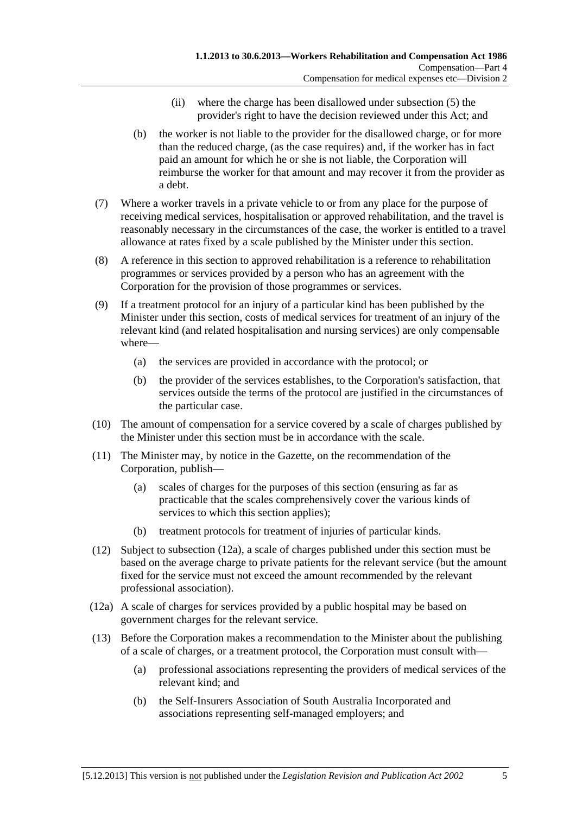- (ii) where the charge has been disallowed under [subsection \(5\)](#page-39-0) the provider's right to have the decision reviewed under this Act; and
- <span id="page-40-0"></span> (b) the worker is not liable to the provider for the disallowed charge, or for more than the reduced charge, (as the case requires) and, if the worker has in fact paid an amount for which he or she is not liable, the Corporation will reimburse the worker for that amount and may recover it from the provider as a debt.
- (7) Where a worker travels in a private vehicle to or from any place for the purpose of receiving medical services, hospitalisation or approved rehabilitation, and the travel is reasonably necessary in the circumstances of the case, the worker is entitled to a travel allowance at rates fixed by a scale published by the Minister under this section.
- (8) A reference in this section to approved rehabilitation is a reference to rehabilitation programmes or services provided by a person who has an agreement with the Corporation for the provision of those programmes or services.
- (9) If a treatment protocol for an injury of a particular kind has been published by the Minister under this section, costs of medical services for treatment of an injury of the relevant kind (and related hospitalisation and nursing services) are only compensable where—
	- (a) the services are provided in accordance with the protocol; or
	- (b) the provider of the services establishes, to the Corporation's satisfaction, that services outside the terms of the protocol are justified in the circumstances of the particular case.
- (10) The amount of compensation for a service covered by a scale of charges published by the Minister under this section must be in accordance with the scale.
- (11) The Minister may, by notice in the Gazette, on the recommendation of the Corporation, publish—
	- (a) scales of charges for the purposes of this section (ensuring as far as practicable that the scales comprehensively cover the various kinds of services to which this section applies);
	- (b) treatment protocols for treatment of injuries of particular kinds.
- (12) Subject to [subsection \(12a\),](#page-40-0) a scale of charges published under this section must be based on the average charge to private patients for the relevant service (but the amount fixed for the service must not exceed the amount recommended by the relevant professional association).
- (12a) A scale of charges for services provided by a public hospital may be based on government charges for the relevant service.
- (13) Before the Corporation makes a recommendation to the Minister about the publishing of a scale of charges, or a treatment protocol, the Corporation must consult with—
	- (a) professional associations representing the providers of medical services of the relevant kind; and
	- (b) the Self-Insurers Association of South Australia Incorporated and associations representing self-managed employers; and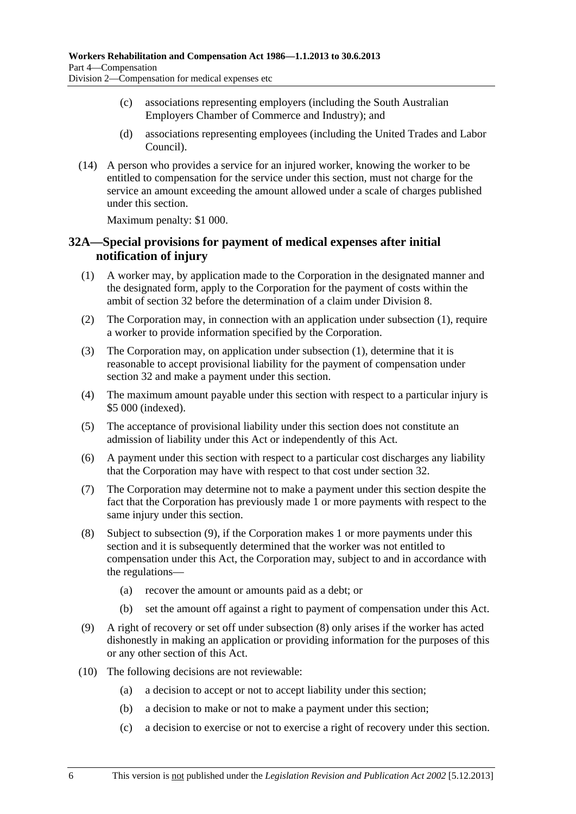- <span id="page-41-0"></span> (c) associations representing employers (including the South Australian Employers Chamber of Commerce and Industry); and
- (d) associations representing employees (including the United Trades and Labor Council).
- (14) A person who provides a service for an injured worker, knowing the worker to be entitled to compensation for the service under this section, must not charge for the service an amount exceeding the amount allowed under a scale of charges published under this section.

Maximum penalty: \$1 000.

### **32A—Special provisions for payment of medical expenses after initial notification of injury**

- (1) A worker may, by application made to the Corporation in the designated manner and the designated form, apply to the Corporation for the payment of costs within the ambit of [section 32](#page-38-0) before the determination of a claim under [Division 8](#page-72-0).
- (2) The Corporation may, in connection with an application under [subsection \(1\),](#page-41-0) require a worker to provide information specified by the Corporation.
- (3) The Corporation may, on application under [subsection \(1\),](#page-41-0) determine that it is reasonable to accept provisional liability for the payment of compensation under [section 32](#page-38-0) and make a payment under this section.
- (4) The maximum amount payable under this section with respect to a particular injury is \$5 000 (indexed).
- (5) The acceptance of provisional liability under this section does not constitute an admission of liability under this Act or independently of this Act.
- (6) A payment under this section with respect to a particular cost discharges any liability that the Corporation may have with respect to that cost under [section 32.](#page-38-0)
- (7) The Corporation may determine not to make a payment under this section despite the fact that the Corporation has previously made 1 or more payments with respect to the same injury under this section.
- (8) Subject to [subsection \(9\),](#page-41-0) if the Corporation makes 1 or more payments under this section and it is subsequently determined that the worker was not entitled to compensation under this Act, the Corporation may, subject to and in accordance with the regulations—
	- (a) recover the amount or amounts paid as a debt; or
	- (b) set the amount off against a right to payment of compensation under this Act.
- (9) A right of recovery or set off under [subsection \(8\)](#page-41-0) only arises if the worker has acted dishonestly in making an application or providing information for the purposes of this or any other section of this Act.
- (10) The following decisions are not reviewable:
	- (a) a decision to accept or not to accept liability under this section;
	- (b) a decision to make or not to make a payment under this section;
	- (c) a decision to exercise or not to exercise a right of recovery under this section.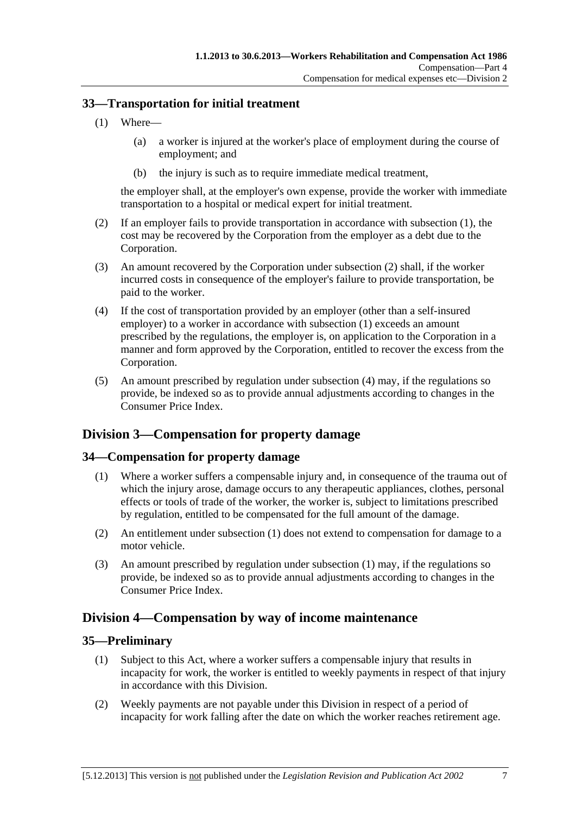#### <span id="page-42-0"></span>**33—Transportation for initial treatment**

- (1) Where—
	- (a) a worker is injured at the worker's place of employment during the course of employment; and
	- (b) the injury is such as to require immediate medical treatment,

the employer shall, at the employer's own expense, provide the worker with immediate transportation to a hospital or medical expert for initial treatment.

- (2) If an employer fails to provide transportation in accordance with [subsection \(1\)](#page-42-0), the cost may be recovered by the Corporation from the employer as a debt due to the Corporation.
- (3) An amount recovered by the Corporation under [subsection \(2\)](#page-42-0) shall, if the worker incurred costs in consequence of the employer's failure to provide transportation, be paid to the worker.
- (4) If the cost of transportation provided by an employer (other than a self-insured employer) to a worker in accordance with [subsection \(1\)](#page-42-0) exceeds an amount prescribed by the regulations, the employer is, on application to the Corporation in a manner and form approved by the Corporation, entitled to recover the excess from the Corporation.
- (5) An amount prescribed by regulation under [subsection \(4\)](#page-42-0) may, if the regulations so provide, be indexed so as to provide annual adjustments according to changes in the Consumer Price Index.

## **Division 3—Compensation for property damage**

### **34—Compensation for property damage**

- (1) Where a worker suffers a compensable injury and, in consequence of the trauma out of which the injury arose, damage occurs to any therapeutic appliances, clothes, personal effects or tools of trade of the worker, the worker is, subject to limitations prescribed by regulation, entitled to be compensated for the full amount of the damage.
- (2) An entitlement under [subsection \(1\)](#page-42-0) does not extend to compensation for damage to a motor vehicle.
- (3) An amount prescribed by regulation under [subsection \(1\)](#page-42-0) may, if the regulations so provide, be indexed so as to provide annual adjustments according to changes in the Consumer Price Index.

## **Division 4—Compensation by way of income maintenance**

#### **35—Preliminary**

- (1) Subject to this Act, where a worker suffers a compensable injury that results in incapacity for work, the worker is entitled to weekly payments in respect of that injury in accordance with this Division.
- (2) Weekly payments are not payable under this Division in respect of a period of incapacity for work falling after the date on which the worker reaches retirement age.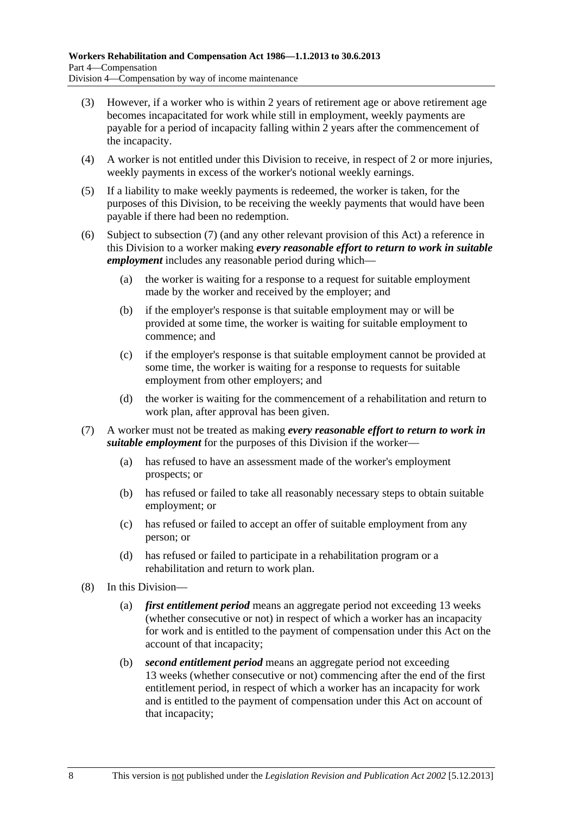- <span id="page-43-0"></span> (3) However, if a worker who is within 2 years of retirement age or above retirement age becomes incapacitated for work while still in employment, weekly payments are payable for a period of incapacity falling within 2 years after the commencement of the incapacity.
- (4) A worker is not entitled under this Division to receive, in respect of 2 or more injuries, weekly payments in excess of the worker's notional weekly earnings.
- (5) If a liability to make weekly payments is redeemed, the worker is taken, for the purposes of this Division, to be receiving the weekly payments that would have been payable if there had been no redemption.
- (6) Subject to [subsection \(7\)](#page-43-0) (and any other relevant provision of this Act) a reference in this Division to a worker making *every reasonable effort to return to work in suitable employment* includes any reasonable period during which—
	- (a) the worker is waiting for a response to a request for suitable employment made by the worker and received by the employer; and
	- (b) if the employer's response is that suitable employment may or will be provided at some time, the worker is waiting for suitable employment to commence; and
	- (c) if the employer's response is that suitable employment cannot be provided at some time, the worker is waiting for a response to requests for suitable employment from other employers; and
	- (d) the worker is waiting for the commencement of a rehabilitation and return to work plan, after approval has been given.
- (7) A worker must not be treated as making *every reasonable effort to return to work in suitable employment* for the purposes of this Division if the worker—
	- (a) has refused to have an assessment made of the worker's employment prospects; or
	- (b) has refused or failed to take all reasonably necessary steps to obtain suitable employment; or
	- (c) has refused or failed to accept an offer of suitable employment from any person; or
	- (d) has refused or failed to participate in a rehabilitation program or a rehabilitation and return to work plan.
- (8) In this Division—
	- (a) *first entitlement period* means an aggregate period not exceeding 13 weeks (whether consecutive or not) in respect of which a worker has an incapacity for work and is entitled to the payment of compensation under this Act on the account of that incapacity;
	- (b) *second entitlement period* means an aggregate period not exceeding 13 weeks (whether consecutive or not) commencing after the end of the first entitlement period, in respect of which a worker has an incapacity for work and is entitled to the payment of compensation under this Act on account of that incapacity;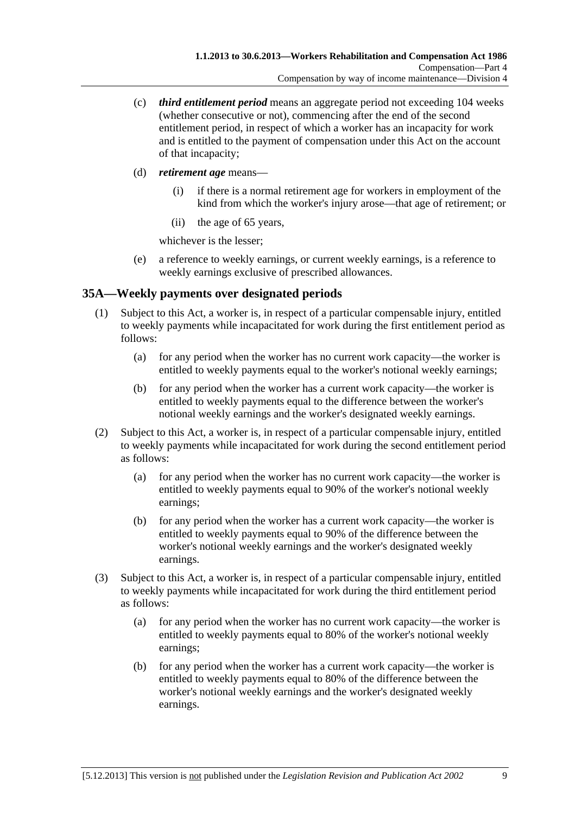- <span id="page-44-0"></span> (c) *third entitlement period* means an aggregate period not exceeding 104 weeks (whether consecutive or not), commencing after the end of the second entitlement period, in respect of which a worker has an incapacity for work and is entitled to the payment of compensation under this Act on the account of that incapacity;
- (d) *retirement age* means—
	- (i) if there is a normal retirement age for workers in employment of the kind from which the worker's injury arose—that age of retirement; or
	- (ii) the age of 65 years,

whichever is the lesser;

 (e) a reference to weekly earnings, or current weekly earnings, is a reference to weekly earnings exclusive of prescribed allowances.

### **35A—Weekly payments over designated periods**

- (1) Subject to this Act, a worker is, in respect of a particular compensable injury, entitled to weekly payments while incapacitated for work during the first entitlement period as follows:
	- (a) for any period when the worker has no current work capacity—the worker is entitled to weekly payments equal to the worker's notional weekly earnings;
	- (b) for any period when the worker has a current work capacity—the worker is entitled to weekly payments equal to the difference between the worker's notional weekly earnings and the worker's designated weekly earnings.
- (2) Subject to this Act, a worker is, in respect of a particular compensable injury, entitled to weekly payments while incapacitated for work during the second entitlement period as follows:
	- (a) for any period when the worker has no current work capacity—the worker is entitled to weekly payments equal to 90% of the worker's notional weekly earnings;
	- (b) for any period when the worker has a current work capacity—the worker is entitled to weekly payments equal to 90% of the difference between the worker's notional weekly earnings and the worker's designated weekly earnings.
- (3) Subject to this Act, a worker is, in respect of a particular compensable injury, entitled to weekly payments while incapacitated for work during the third entitlement period as follows:
	- (a) for any period when the worker has no current work capacity—the worker is entitled to weekly payments equal to 80% of the worker's notional weekly earnings;
	- (b) for any period when the worker has a current work capacity—the worker is entitled to weekly payments equal to 80% of the difference between the worker's notional weekly earnings and the worker's designated weekly earnings.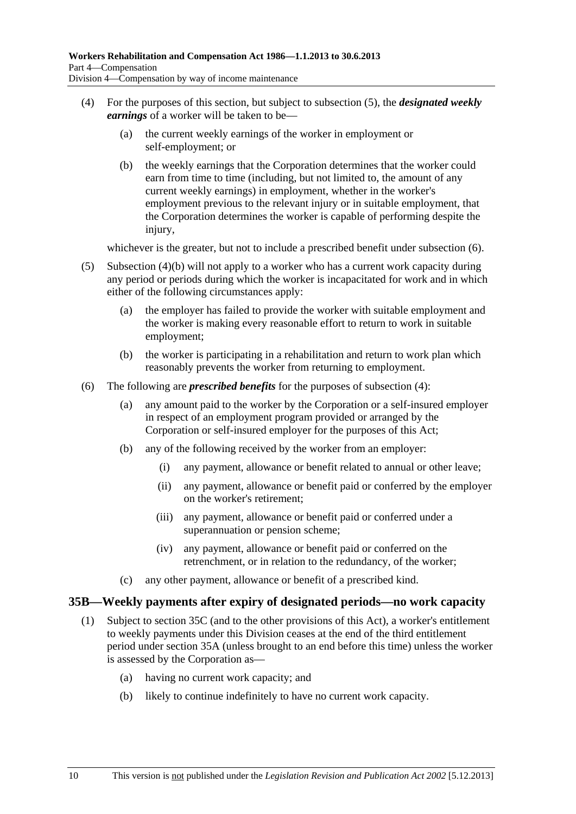- <span id="page-45-0"></span> (4) For the purposes of this section, but subject to [subsection \(5\)](#page-45-0), the *designated weekly earnings* of a worker will be taken to be—
	- (a) the current weekly earnings of the worker in employment or self-employment; or
	- (b) the weekly earnings that the Corporation determines that the worker could earn from time to time (including, but not limited to, the amount of any current weekly earnings) in employment, whether in the worker's employment previous to the relevant injury or in suitable employment, that the Corporation determines the worker is capable of performing despite the injury,

whichever is the greater, but not to include a prescribed benefit under [subsection \(6\).](#page-45-0)

- (5) [Subsection \(4\)\(b\)](#page-45-0) will not apply to a worker who has a current work capacity during any period or periods during which the worker is incapacitated for work and in which either of the following circumstances apply:
	- (a) the employer has failed to provide the worker with suitable employment and the worker is making every reasonable effort to return to work in suitable employment;
	- (b) the worker is participating in a rehabilitation and return to work plan which reasonably prevents the worker from returning to employment.
- (6) The following are *prescribed benefits* for the purposes of [subsection \(4\)](#page-45-0):
	- (a) any amount paid to the worker by the Corporation or a self-insured employer in respect of an employment program provided or arranged by the Corporation or self-insured employer for the purposes of this Act;
	- (b) any of the following received by the worker from an employer:
		- (i) any payment, allowance or benefit related to annual or other leave;
		- (ii) any payment, allowance or benefit paid or conferred by the employer on the worker's retirement;
		- (iii) any payment, allowance or benefit paid or conferred under a superannuation or pension scheme;
		- (iv) any payment, allowance or benefit paid or conferred on the retrenchment, or in relation to the redundancy, of the worker;
	- (c) any other payment, allowance or benefit of a prescribed kind.

#### **35B—Weekly payments after expiry of designated periods—no work capacity**

- (1) Subject to [section 35C](#page-46-0) (and to the other provisions of this Act), a worker's entitlement to weekly payments under this Division ceases at the end of the third entitlement period under [section 35A](#page-44-0) (unless brought to an end before this time) unless the worker is assessed by the Corporation as—
	- (a) having no current work capacity; and
	- (b) likely to continue indefinitely to have no current work capacity.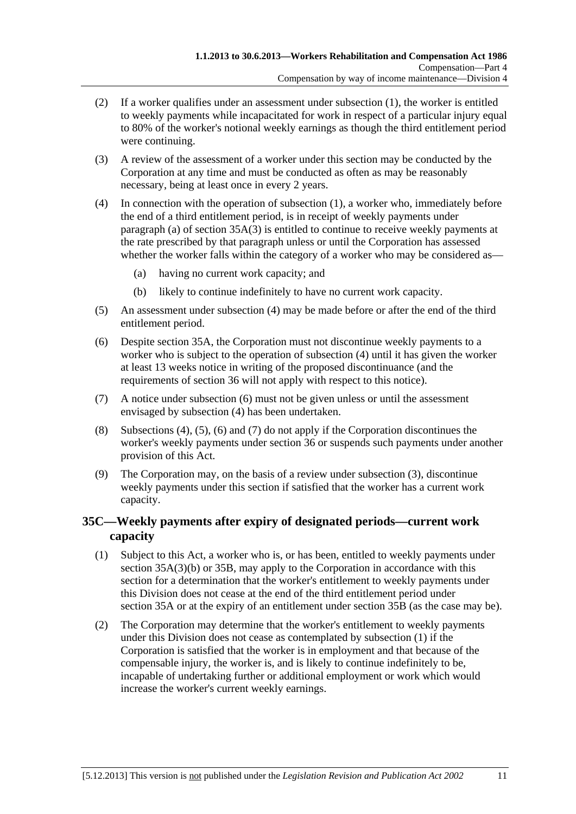- <span id="page-46-0"></span> (2) If a worker qualifies under an assessment under [subsection \(1\),](#page-45-0) the worker is entitled to weekly payments while incapacitated for work in respect of a particular injury equal to 80% of the worker's notional weekly earnings as though the third entitlement period were continuing.
- (3) A review of the assessment of a worker under this section may be conducted by the Corporation at any time and must be conducted as often as may be reasonably necessary, being at least once in every 2 years.
- (4) In connection with the operation of [subsection \(1\)](#page-45-0), a worker who, immediately before the end of a third entitlement period, is in receipt of weekly payments under [paragraph \(a\)](#page-44-0) of section  $35A(3)$  is entitled to continue to receive weekly payments at the rate prescribed by that paragraph unless or until the Corporation has assessed whether the worker falls within the category of a worker who may be considered as—
	- (a) having no current work capacity; and
	- (b) likely to continue indefinitely to have no current work capacity.
- (5) An assessment under [subsection \(4\)](#page-46-0) may be made before or after the end of the third entitlement period.
- (6) Despite [section 35A](#page-44-0), the Corporation must not discontinue weekly payments to a worker who is subject to the operation of [subsection \(4\)](#page-46-0) until it has given the worker at least 13 weeks notice in writing of the proposed discontinuance (and the requirements of [section 36](#page-47-0) will not apply with respect to this notice).
- (7) A notice under [subsection \(6\)](#page-46-0) must not be given unless or until the assessment envisaged by [subsection \(4\)](#page-46-0) has been undertaken.
- (8) [Subsections \(4\)](#page-46-0), [\(5\)](#page-46-0), [\(6\)](#page-46-0) and [\(7\)](#page-46-0) do not apply if the Corporation discontinues the worker's weekly payments under [section 36](#page-47-0) or suspends such payments under another provision of this Act.
- (9) The Corporation may, on the basis of a review under [subsection \(3\)](#page-46-0), discontinue weekly payments under this section if satisfied that the worker has a current work capacity.

### **35C—Weekly payments after expiry of designated periods—current work capacity**

- (1) Subject to this Act, a worker who is, or has been, entitled to weekly payments under [section 35A\(3\)\(b\)](#page-44-0) or [35B](#page-45-0), may apply to the Corporation in accordance with this section for a determination that the worker's entitlement to weekly payments under this Division does not cease at the end of the third entitlement period under [section 35A](#page-44-0) or at the expiry of an entitlement under [section 35B](#page-45-0) (as the case may be).
- (2) The Corporation may determine that the worker's entitlement to weekly payments under this Division does not cease as contemplated by [subsection \(1\)](#page-46-0) if the Corporation is satisfied that the worker is in employment and that because of the compensable injury, the worker is, and is likely to continue indefinitely to be, incapable of undertaking further or additional employment or work which would increase the worker's current weekly earnings.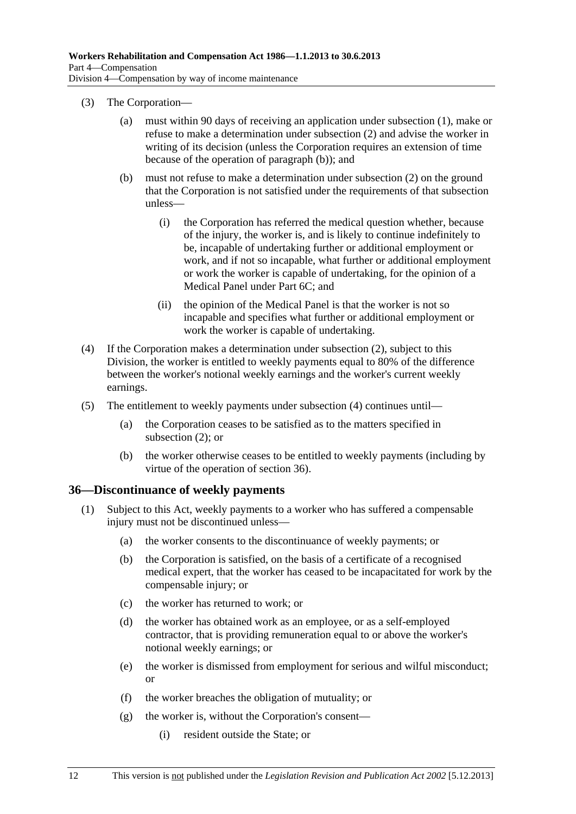- <span id="page-47-0"></span> (3) The Corporation—
	- (a) must within 90 days of receiving an application under [subsection \(1\),](#page-46-0) make or refuse to make a determination under [subsection \(2\)](#page-46-0) and advise the worker in writing of its decision (unless the Corporation requires an extension of time because of the operation of [paragraph \(b\)](#page-47-0)); and
	- (b) must not refuse to make a determination under [subsection \(2\)](#page-46-0) on the ground that the Corporation is not satisfied under the requirements of that subsection unless—
		- (i) the Corporation has referred the medical question whether, because of the injury, the worker is, and is likely to continue indefinitely to be, incapable of undertaking further or additional employment or work, and if not so incapable, what further or additional employment or work the worker is capable of undertaking, for the opinion of a Medical Panel under [Part 6C;](#page-132-0) and
		- (ii) the opinion of the Medical Panel is that the worker is not so incapable and specifies what further or additional employment or work the worker is capable of undertaking.
- (4) If the Corporation makes a determination under [subsection \(2\)](#page-46-0), subject to this Division, the worker is entitled to weekly payments equal to 80% of the difference between the worker's notional weekly earnings and the worker's current weekly earnings.
- (5) The entitlement to weekly payments under [subsection \(4\)](#page-47-0) continues until—
	- (a) the Corporation ceases to be satisfied as to the matters specified in [subsection \(2\)](#page-46-0); or
	- (b) the worker otherwise ceases to be entitled to weekly payments (including by virtue of the operation of [section 36](#page-47-0)).

#### **36—Discontinuance of weekly payments**

- (1) Subject to this Act, weekly payments to a worker who has suffered a compensable injury must not be discontinued unless—
	- (a) the worker consents to the discontinuance of weekly payments; or
	- (b) the Corporation is satisfied, on the basis of a certificate of a recognised medical expert, that the worker has ceased to be incapacitated for work by the compensable injury; or
	- (c) the worker has returned to work; or
	- (d) the worker has obtained work as an employee, or as a self-employed contractor, that is providing remuneration equal to or above the worker's notional weekly earnings; or
	- (e) the worker is dismissed from employment for serious and wilful misconduct; or
	- (f) the worker breaches the obligation of mutuality; or
	- (g) the worker is, without the Corporation's consent—
		- (i) resident outside the State; or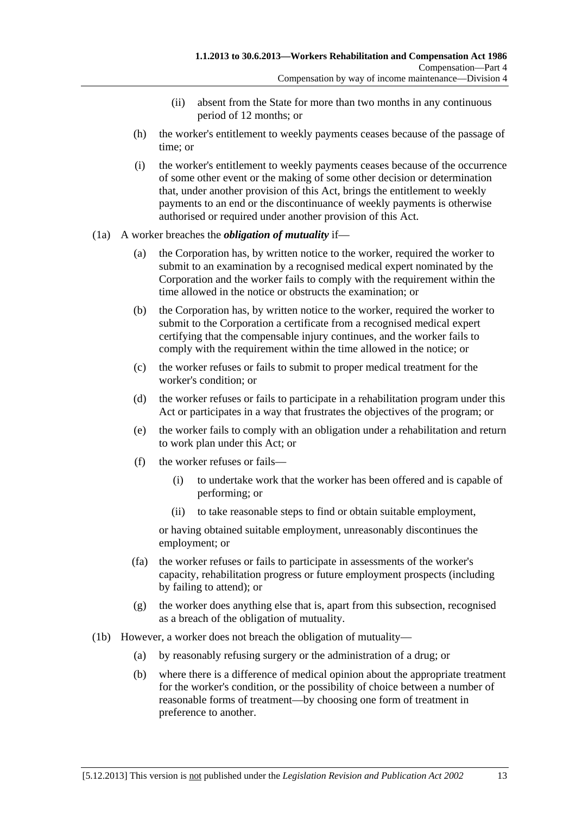- (ii) absent from the State for more than two months in any continuous period of 12 months; or
- (h) the worker's entitlement to weekly payments ceases because of the passage of time; or
- (i) the worker's entitlement to weekly payments ceases because of the occurrence of some other event or the making of some other decision or determination that, under another provision of this Act, brings the entitlement to weekly payments to an end or the discontinuance of weekly payments is otherwise authorised or required under another provision of this Act.
- (1a) A worker breaches the *obligation of mutuality* if—
	- (a) the Corporation has, by written notice to the worker, required the worker to submit to an examination by a recognised medical expert nominated by the Corporation and the worker fails to comply with the requirement within the time allowed in the notice or obstructs the examination; or
	- (b) the Corporation has, by written notice to the worker, required the worker to submit to the Corporation a certificate from a recognised medical expert certifying that the compensable injury continues, and the worker fails to comply with the requirement within the time allowed in the notice; or
	- (c) the worker refuses or fails to submit to proper medical treatment for the worker's condition; or
	- (d) the worker refuses or fails to participate in a rehabilitation program under this Act or participates in a way that frustrates the objectives of the program; or
	- (e) the worker fails to comply with an obligation under a rehabilitation and return to work plan under this Act; or
	- (f) the worker refuses or fails—
		- (i) to undertake work that the worker has been offered and is capable of performing; or
		- (ii) to take reasonable steps to find or obtain suitable employment,

or having obtained suitable employment, unreasonably discontinues the employment; or

- (fa) the worker refuses or fails to participate in assessments of the worker's capacity, rehabilitation progress or future employment prospects (including by failing to attend); or
- (g) the worker does anything else that is, apart from this subsection, recognised as a breach of the obligation of mutuality.
- (1b) However, a worker does not breach the obligation of mutuality—
	- (a) by reasonably refusing surgery or the administration of a drug; or
	- (b) where there is a difference of medical opinion about the appropriate treatment for the worker's condition, or the possibility of choice between a number of reasonable forms of treatment—by choosing one form of treatment in preference to another.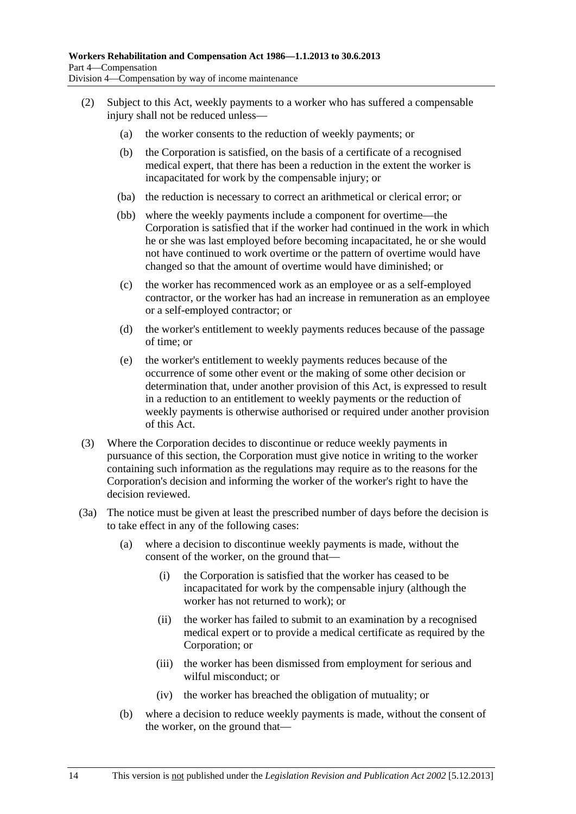- <span id="page-49-0"></span> (2) Subject to this Act, weekly payments to a worker who has suffered a compensable injury shall not be reduced unless—
	- (a) the worker consents to the reduction of weekly payments; or
	- (b) the Corporation is satisfied, on the basis of a certificate of a recognised medical expert, that there has been a reduction in the extent the worker is incapacitated for work by the compensable injury; or
	- (ba) the reduction is necessary to correct an arithmetical or clerical error; or
	- (bb) where the weekly payments include a component for overtime—the Corporation is satisfied that if the worker had continued in the work in which he or she was last employed before becoming incapacitated, he or she would not have continued to work overtime or the pattern of overtime would have changed so that the amount of overtime would have diminished; or
	- (c) the worker has recommenced work as an employee or as a self-employed contractor, or the worker has had an increase in remuneration as an employee or a self-employed contractor; or
	- (d) the worker's entitlement to weekly payments reduces because of the passage of time; or
	- (e) the worker's entitlement to weekly payments reduces because of the occurrence of some other event or the making of some other decision or determination that, under another provision of this Act, is expressed to result in a reduction to an entitlement to weekly payments or the reduction of weekly payments is otherwise authorised or required under another provision of this Act.
- (3) Where the Corporation decides to discontinue or reduce weekly payments in pursuance of this section, the Corporation must give notice in writing to the worker containing such information as the regulations may require as to the reasons for the Corporation's decision and informing the worker of the worker's right to have the decision reviewed.
- (3a) The notice must be given at least the prescribed number of days before the decision is to take effect in any of the following cases:
	- (a) where a decision to discontinue weekly payments is made, without the consent of the worker, on the ground that—
		- (i) the Corporation is satisfied that the worker has ceased to be incapacitated for work by the compensable injury (although the worker has not returned to work); or
		- (ii) the worker has failed to submit to an examination by a recognised medical expert or to provide a medical certificate as required by the Corporation; or
		- (iii) the worker has been dismissed from employment for serious and wilful misconduct; or
		- (iv) the worker has breached the obligation of mutuality; or
	- (b) where a decision to reduce weekly payments is made, without the consent of the worker, on the ground that—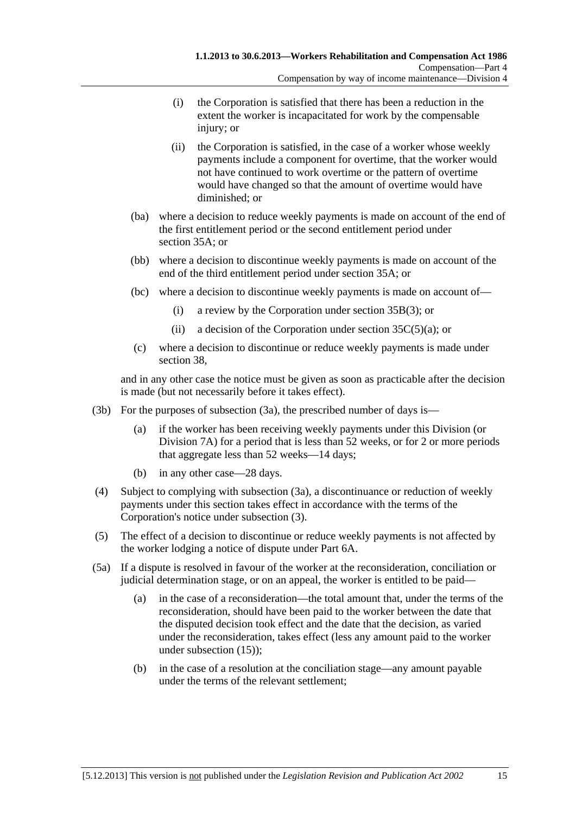- <span id="page-50-0"></span> (i) the Corporation is satisfied that there has been a reduction in the extent the worker is incapacitated for work by the compensable injury; or
- (ii) the Corporation is satisfied, in the case of a worker whose weekly payments include a component for overtime, that the worker would not have continued to work overtime or the pattern of overtime would have changed so that the amount of overtime would have diminished; or
- (ba) where a decision to reduce weekly payments is made on account of the end of the first entitlement period or the second entitlement period under [section 35A;](#page-44-0) or
- (bb) where a decision to discontinue weekly payments is made on account of the end of the third entitlement period under [section 35A](#page-44-0); or
- (bc) where a decision to discontinue weekly payments is made on account of—
	- (i) a review by the Corporation under [section 35B\(3\)](#page-46-0); or
	- (ii) a decision of the Corporation under section  $35C(5)(a)$ ; or
- (c) where a decision to discontinue or reduce weekly payments is made under [section 38](#page-54-0),

and in any other case the notice must be given as soon as practicable after the decision is made (but not necessarily before it takes effect).

- (3b) For the purposes of [subsection \(3a\),](#page-49-0) the prescribed number of days is—
	- (a) if the worker has been receiving weekly payments under this Division (or [Division 7A](#page-70-0)) for a period that is less than 52 weeks, or for 2 or more periods that aggregate less than 52 weeks—14 days;
	- (b) in any other case—28 days.
- (4) Subject to complying with [subsection \(3a\)](#page-49-0), a discontinuance or reduction of weekly payments under this section takes effect in accordance with the terms of the Corporation's notice under [subsection \(3\).](#page-49-0)
- (5) The effect of a decision to discontinue or reduce weekly payments is not affected by the worker lodging a notice of dispute under [Part 6A](#page-122-0).
- (5a) If a dispute is resolved in favour of the worker at the reconsideration, conciliation or judicial determination stage, or on an appeal, the worker is entitled to be paid—
	- (a) in the case of a reconsideration—the total amount that, under the terms of the reconsideration, should have been paid to the worker between the date that the disputed decision took effect and the date that the decision, as varied under the reconsideration, takes effect (less any amount paid to the worker under [subsection \(15\)](#page-52-0));
	- (b) in the case of a resolution at the conciliation stage—any amount payable under the terms of the relevant settlement;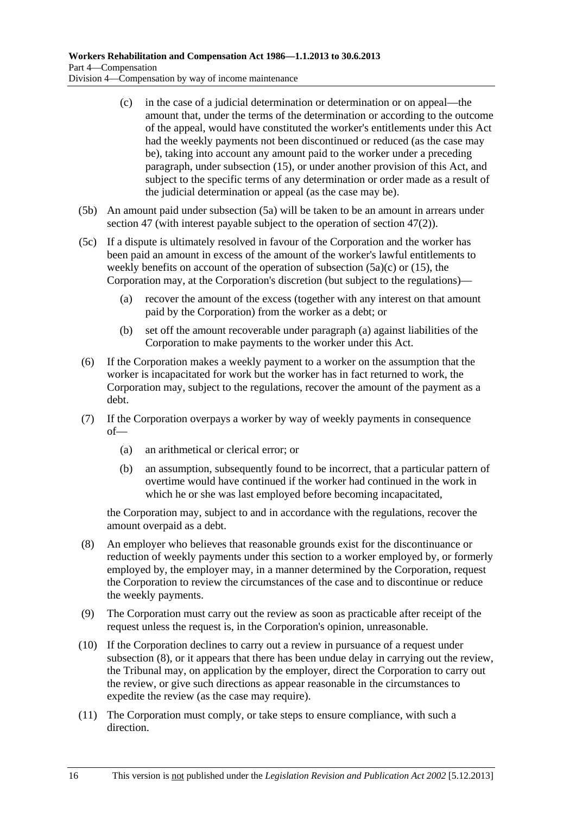- <span id="page-51-0"></span> (c) in the case of a judicial determination or determination or on appeal—the amount that, under the terms of the determination or according to the outcome of the appeal, would have constituted the worker's entitlements under this Act had the weekly payments not been discontinued or reduced (as the case may be), taking into account any amount paid to the worker under a preceding paragraph, under [subsection \(15\),](#page-52-0) or under another provision of this Act, and subject to the specific terms of any determination or order made as a result of the judicial determination or appeal (as the case may be).
- (5b) An amount paid under [subsection \(5a\)](#page-50-0) will be taken to be an amount in arrears under [section 47](#page-69-0) (with interest payable subject to the operation of [section 47\(2\)](#page-69-0)).
- (5c) If a dispute is ultimately resolved in favour of the Corporation and the worker has been paid an amount in excess of the amount of the worker's lawful entitlements to weekly benefits on account of the operation of [subsection \(5a\)\(c\)](#page-51-0) or [\(15\)](#page-52-0), the Corporation may, at the Corporation's discretion (but subject to the regulations)—
	- (a) recover the amount of the excess (together with any interest on that amount paid by the Corporation) from the worker as a debt; or
	- (b) set off the amount recoverable under [paragraph \(a\)](#page-51-0) against liabilities of the Corporation to make payments to the worker under this Act.
- (6) If the Corporation makes a weekly payment to a worker on the assumption that the worker is incapacitated for work but the worker has in fact returned to work, the Corporation may, subject to the regulations, recover the amount of the payment as a debt.
- (7) If the Corporation overpays a worker by way of weekly payments in consequence of—
	- (a) an arithmetical or clerical error; or
	- (b) an assumption, subsequently found to be incorrect, that a particular pattern of overtime would have continued if the worker had continued in the work in which he or she was last employed before becoming incapacitated,

the Corporation may, subject to and in accordance with the regulations, recover the amount overpaid as a debt.

- (8) An employer who believes that reasonable grounds exist for the discontinuance or reduction of weekly payments under this section to a worker employed by, or formerly employed by, the employer may, in a manner determined by the Corporation, request the Corporation to review the circumstances of the case and to discontinue or reduce the weekly payments.
- (9) The Corporation must carry out the review as soon as practicable after receipt of the request unless the request is, in the Corporation's opinion, unreasonable.
- (10) If the Corporation declines to carry out a review in pursuance of a request under [subsection \(8\)](#page-51-0), or it appears that there has been undue delay in carrying out the review, the Tribunal may, on application by the employer, direct the Corporation to carry out the review, or give such directions as appear reasonable in the circumstances to expedite the review (as the case may require).
- (11) The Corporation must comply, or take steps to ensure compliance, with such a direction.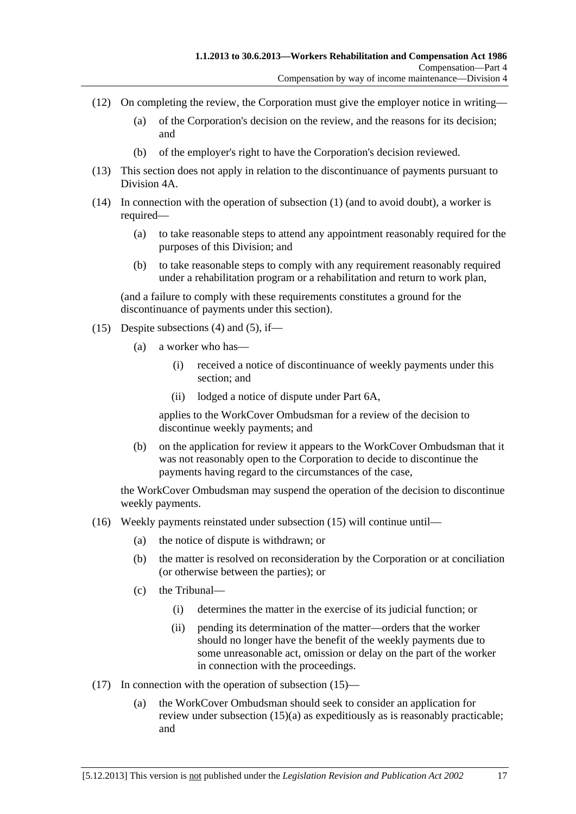- <span id="page-52-0"></span> (12) On completing the review, the Corporation must give the employer notice in writing—
	- (a) of the Corporation's decision on the review, and the reasons for its decision; and
	- (b) of the employer's right to have the Corporation's decision reviewed.
- (13) This section does not apply in relation to the discontinuance of payments pursuant to [Division 4A](#page-56-0).
- (14) In connection with the operation of [subsection \(1\)](#page-47-0) (and to avoid doubt), a worker is required—
	- (a) to take reasonable steps to attend any appointment reasonably required for the purposes of this Division; and
	- (b) to take reasonable steps to comply with any requirement reasonably required under a rehabilitation program or a rehabilitation and return to work plan,

(and a failure to comply with these requirements constitutes a ground for the discontinuance of payments under this section).

- (15) Despite [subsections \(4\)](#page-50-0) and [\(5\),](#page-50-0) if—
	- (a) a worker who has—
		- (i) received a notice of discontinuance of weekly payments under this section; and
		- (ii) lodged a notice of dispute under [Part 6A](#page-122-0),

applies to the WorkCover Ombudsman for a review of the decision to discontinue weekly payments; and

 (b) on the application for review it appears to the WorkCover Ombudsman that it was not reasonably open to the Corporation to decide to discontinue the payments having regard to the circumstances of the case,

the WorkCover Ombudsman may suspend the operation of the decision to discontinue weekly payments.

- (16) Weekly payments reinstated under [subsection \(15\)](#page-52-0) will continue until—
	- (a) the notice of dispute is withdrawn; or
	- (b) the matter is resolved on reconsideration by the Corporation or at conciliation (or otherwise between the parties); or
	- (c) the Tribunal—
		- (i) determines the matter in the exercise of its judicial function; or
		- (ii) pending its determination of the matter—orders that the worker should no longer have the benefit of the weekly payments due to some unreasonable act, omission or delay on the part of the worker in connection with the proceedings.
- (17) In connection with the operation of [subsection \(15\)](#page-52-0)
	- (a) the WorkCover Ombudsman should seek to consider an application for review under [subsection \(15\)\(a\)](#page-52-0) as expeditiously as is reasonably practicable; and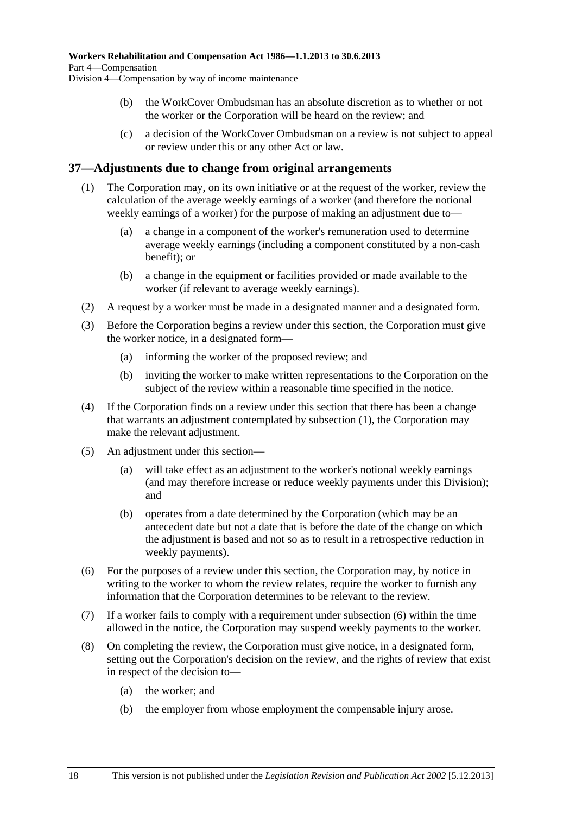- <span id="page-53-0"></span> (b) the WorkCover Ombudsman has an absolute discretion as to whether or not the worker or the Corporation will be heard on the review; and
- (c) a decision of the WorkCover Ombudsman on a review is not subject to appeal or review under this or any other Act or law.

#### **37—Adjustments due to change from original arrangements**

- (1) The Corporation may, on its own initiative or at the request of the worker, review the calculation of the average weekly earnings of a worker (and therefore the notional weekly earnings of a worker) for the purpose of making an adjustment due to—
	- (a) a change in a component of the worker's remuneration used to determine average weekly earnings (including a component constituted by a non-cash benefit); or
	- (b) a change in the equipment or facilities provided or made available to the worker (if relevant to average weekly earnings).
- (2) A request by a worker must be made in a designated manner and a designated form.
- (3) Before the Corporation begins a review under this section, the Corporation must give the worker notice, in a designated form—
	- (a) informing the worker of the proposed review; and
	- (b) inviting the worker to make written representations to the Corporation on the subject of the review within a reasonable time specified in the notice.
- (4) If the Corporation finds on a review under this section that there has been a change that warrants an adjustment contemplated by [subsection \(1\)](#page-53-0), the Corporation may make the relevant adjustment.
- (5) An adjustment under this section—
	- (a) will take effect as an adjustment to the worker's notional weekly earnings (and may therefore increase or reduce weekly payments under this Division); and
	- (b) operates from a date determined by the Corporation (which may be an antecedent date but not a date that is before the date of the change on which the adjustment is based and not so as to result in a retrospective reduction in weekly payments).
- (6) For the purposes of a review under this section, the Corporation may, by notice in writing to the worker to whom the review relates, require the worker to furnish any information that the Corporation determines to be relevant to the review.
- (7) If a worker fails to comply with a requirement under [subsection \(6\)](#page-53-0) within the time allowed in the notice, the Corporation may suspend weekly payments to the worker.
- (8) On completing the review, the Corporation must give notice, in a designated form, setting out the Corporation's decision on the review, and the rights of review that exist in respect of the decision to—
	- (a) the worker; and
	- (b) the employer from whose employment the compensable injury arose.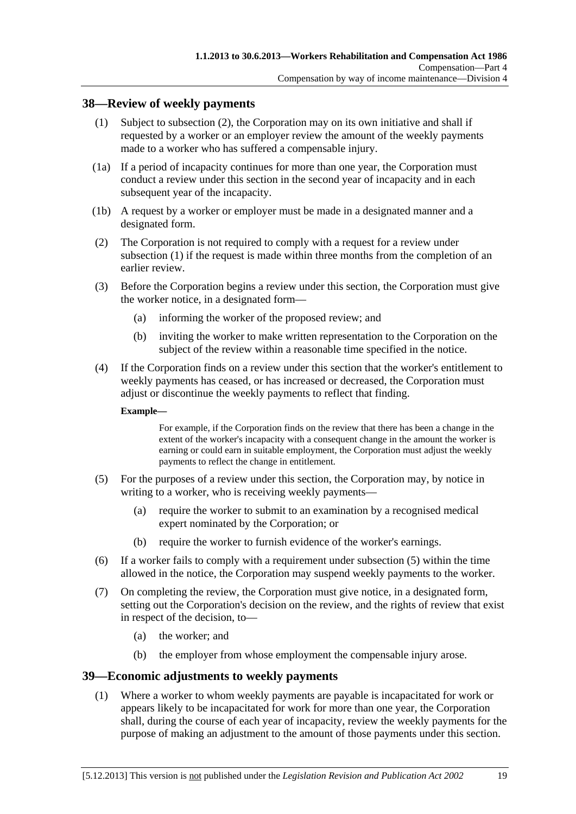#### <span id="page-54-0"></span>**38—Review of weekly payments**

- (1) Subject to [subsection \(2\),](#page-54-0) the Corporation may on its own initiative and shall if requested by a worker or an employer review the amount of the weekly payments made to a worker who has suffered a compensable injury.
- (1a) If a period of incapacity continues for more than one year, the Corporation must conduct a review under this section in the second year of incapacity and in each subsequent year of the incapacity.
- (1b) A request by a worker or employer must be made in a designated manner and a designated form.
- (2) The Corporation is not required to comply with a request for a review under [subsection \(1\)](#page-54-0) if the request is made within three months from the completion of an earlier review.
- (3) Before the Corporation begins a review under this section, the Corporation must give the worker notice, in a designated form—
	- (a) informing the worker of the proposed review; and
	- (b) inviting the worker to make written representation to the Corporation on the subject of the review within a reasonable time specified in the notice.
- (4) If the Corporation finds on a review under this section that the worker's entitlement to weekly payments has ceased, or has increased or decreased, the Corporation must adjust or discontinue the weekly payments to reflect that finding.

#### **Example—**

For example, if the Corporation finds on the review that there has been a change in the extent of the worker's incapacity with a consequent change in the amount the worker is earning or could earn in suitable employment, the Corporation must adjust the weekly payments to reflect the change in entitlement.

- (5) For the purposes of a review under this section, the Corporation may, by notice in writing to a worker, who is receiving weekly payments—
	- (a) require the worker to submit to an examination by a recognised medical expert nominated by the Corporation; or
	- (b) require the worker to furnish evidence of the worker's earnings.
- (6) If a worker fails to comply with a requirement under [subsection \(5\)](#page-54-0) within the time allowed in the notice, the Corporation may suspend weekly payments to the worker.
- (7) On completing the review, the Corporation must give notice, in a designated form, setting out the Corporation's decision on the review, and the rights of review that exist in respect of the decision, to—
	- (a) the worker; and
	- (b) the employer from whose employment the compensable injury arose.

#### **39—Economic adjustments to weekly payments**

 (1) Where a worker to whom weekly payments are payable is incapacitated for work or appears likely to be incapacitated for work for more than one year, the Corporation shall, during the course of each year of incapacity, review the weekly payments for the purpose of making an adjustment to the amount of those payments under this section.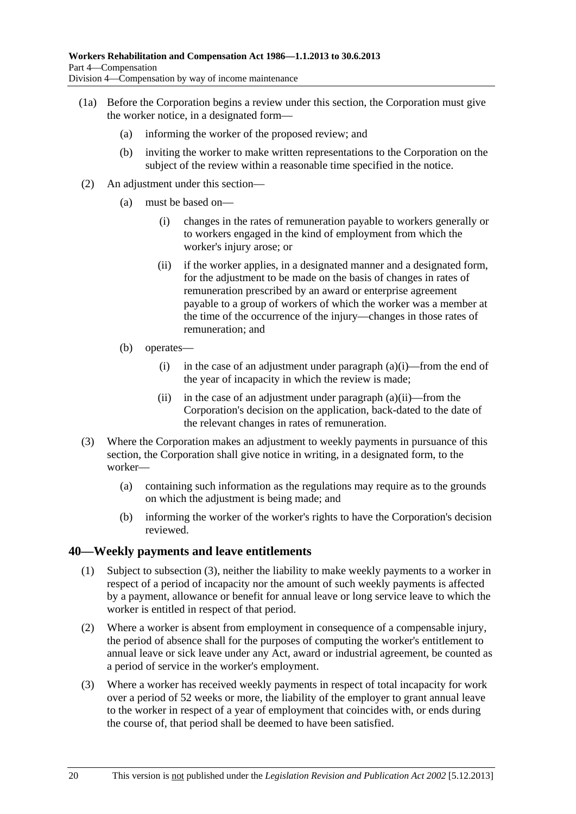- <span id="page-55-0"></span> (1a) Before the Corporation begins a review under this section, the Corporation must give the worker notice, in a designated form—
	- (a) informing the worker of the proposed review; and
	- (b) inviting the worker to make written representations to the Corporation on the subject of the review within a reasonable time specified in the notice.
- (2) An adjustment under this section—
	- (a) must be based on—
		- (i) changes in the rates of remuneration payable to workers generally or to workers engaged in the kind of employment from which the worker's injury arose; or
		- (ii) if the worker applies, in a designated manner and a designated form, for the adjustment to be made on the basis of changes in rates of remuneration prescribed by an award or enterprise agreement payable to a group of workers of which the worker was a member at the time of the occurrence of the injury—changes in those rates of remuneration; and
	- (b) operates—
		- (i) in the case of an adjustment under paragraph  $(a)(i)$ —from the end of the year of incapacity in which the review is made;
		- (ii) in the case of an adjustment under paragraph  $(a)(ii)$ —from the Corporation's decision on the application, back-dated to the date of the relevant changes in rates of remuneration.
- (3) Where the Corporation makes an adjustment to weekly payments in pursuance of this section, the Corporation shall give notice in writing, in a designated form, to the worker—
	- (a) containing such information as the regulations may require as to the grounds on which the adjustment is being made; and
	- (b) informing the worker of the worker's rights to have the Corporation's decision reviewed.

#### **40—Weekly payments and leave entitlements**

- (1) Subject to [subsection \(3\),](#page-55-0) neither the liability to make weekly payments to a worker in respect of a period of incapacity nor the amount of such weekly payments is affected by a payment, allowance or benefit for annual leave or long service leave to which the worker is entitled in respect of that period.
- (2) Where a worker is absent from employment in consequence of a compensable injury, the period of absence shall for the purposes of computing the worker's entitlement to annual leave or sick leave under any Act, award or industrial agreement, be counted as a period of service in the worker's employment.
- (3) Where a worker has received weekly payments in respect of total incapacity for work over a period of 52 weeks or more, the liability of the employer to grant annual leave to the worker in respect of a year of employment that coincides with, or ends during the course of, that period shall be deemed to have been satisfied.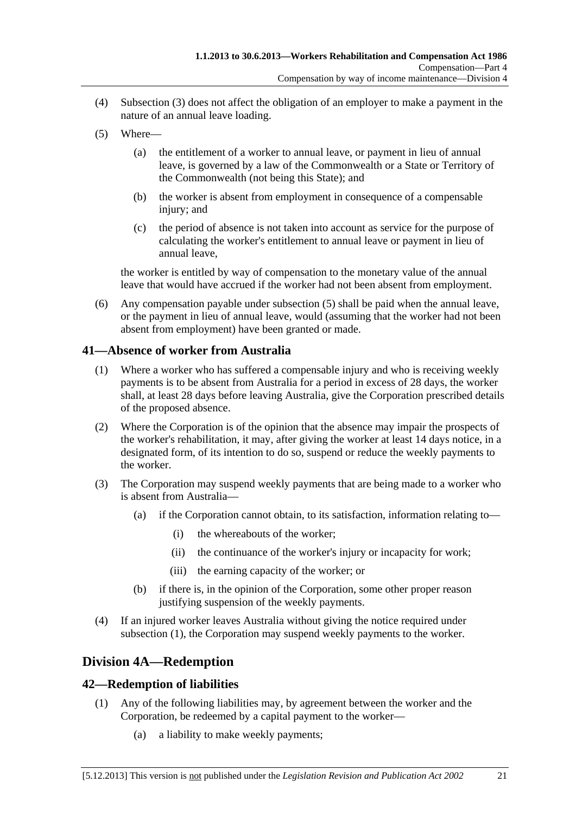- <span id="page-56-0"></span> (4) [Subsection \(3\)](#page-55-0) does not affect the obligation of an employer to make a payment in the nature of an annual leave loading.
- (5) Where—
	- (a) the entitlement of a worker to annual leave, or payment in lieu of annual leave, is governed by a law of the Commonwealth or a State or Territory of the Commonwealth (not being this State); and
	- (b) the worker is absent from employment in consequence of a compensable injury; and
	- (c) the period of absence is not taken into account as service for the purpose of calculating the worker's entitlement to annual leave or payment in lieu of annual leave,

the worker is entitled by way of compensation to the monetary value of the annual leave that would have accrued if the worker had not been absent from employment.

 (6) Any compensation payable under [subsection \(5\)](#page-56-0) shall be paid when the annual leave, or the payment in lieu of annual leave, would (assuming that the worker had not been absent from employment) have been granted or made.

#### **41—Absence of worker from Australia**

- (1) Where a worker who has suffered a compensable injury and who is receiving weekly payments is to be absent from Australia for a period in excess of 28 days, the worker shall, at least 28 days before leaving Australia, give the Corporation prescribed details of the proposed absence.
- (2) Where the Corporation is of the opinion that the absence may impair the prospects of the worker's rehabilitation, it may, after giving the worker at least 14 days notice, in a designated form, of its intention to do so, suspend or reduce the weekly payments to the worker.
- (3) The Corporation may suspend weekly payments that are being made to a worker who is absent from Australia—
	- (a) if the Corporation cannot obtain, to its satisfaction, information relating to—
		- (i) the whereabouts of the worker;
		- (ii) the continuance of the worker's injury or incapacity for work;
		- (iii) the earning capacity of the worker; or
	- (b) if there is, in the opinion of the Corporation, some other proper reason justifying suspension of the weekly payments.
- (4) If an injured worker leaves Australia without giving the notice required under [subsection \(1\),](#page-56-0) the Corporation may suspend weekly payments to the worker.

## **Division 4A—Redemption**

### **42—Redemption of liabilities**

- (1) Any of the following liabilities may, by agreement between the worker and the Corporation, be redeemed by a capital payment to the worker—
	- (a) a liability to make weekly payments;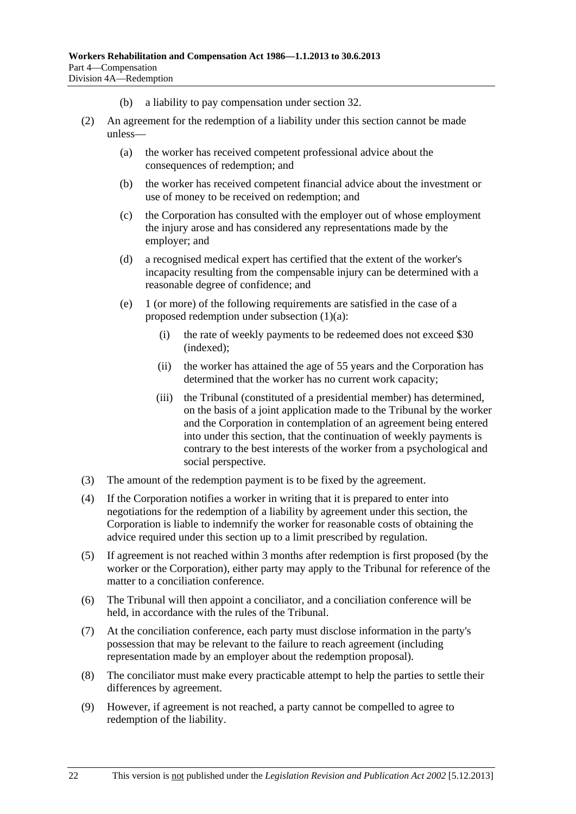- (b) a liability to pay compensation under [section 32.](#page-38-0)
- (2) An agreement for the redemption of a liability under this section cannot be made unless—
	- (a) the worker has received competent professional advice about the consequences of redemption; and
	- (b) the worker has received competent financial advice about the investment or use of money to be received on redemption; and
	- (c) the Corporation has consulted with the employer out of whose employment the injury arose and has considered any representations made by the employer; and
	- (d) a recognised medical expert has certified that the extent of the worker's incapacity resulting from the compensable injury can be determined with a reasonable degree of confidence; and
	- (e) 1 (or more) of the following requirements are satisfied in the case of a proposed redemption under [subsection \(1\)\(a\)](#page-56-0):
		- (i) the rate of weekly payments to be redeemed does not exceed \$30 (indexed);
		- (ii) the worker has attained the age of 55 years and the Corporation has determined that the worker has no current work capacity;
		- (iii) the Tribunal (constituted of a presidential member) has determined, on the basis of a joint application made to the Tribunal by the worker and the Corporation in contemplation of an agreement being entered into under this section, that the continuation of weekly payments is contrary to the best interests of the worker from a psychological and social perspective.
- (3) The amount of the redemption payment is to be fixed by the agreement.
- (4) If the Corporation notifies a worker in writing that it is prepared to enter into negotiations for the redemption of a liability by agreement under this section, the Corporation is liable to indemnify the worker for reasonable costs of obtaining the advice required under this section up to a limit prescribed by regulation.
- (5) If agreement is not reached within 3 months after redemption is first proposed (by the worker or the Corporation), either party may apply to the Tribunal for reference of the matter to a conciliation conference.
- (6) The Tribunal will then appoint a conciliator, and a conciliation conference will be held, in accordance with the rules of the Tribunal.
- (7) At the conciliation conference, each party must disclose information in the party's possession that may be relevant to the failure to reach agreement (including representation made by an employer about the redemption proposal).
- (8) The conciliator must make every practicable attempt to help the parties to settle their differences by agreement.
- (9) However, if agreement is not reached, a party cannot be compelled to agree to redemption of the liability.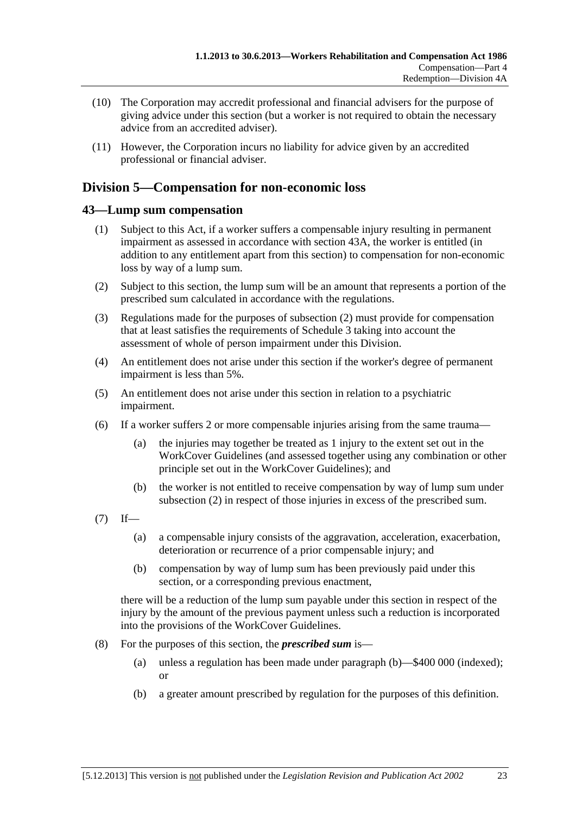- <span id="page-58-0"></span> (10) The Corporation may accredit professional and financial advisers for the purpose of giving advice under this section (but a worker is not required to obtain the necessary advice from an accredited adviser).
- (11) However, the Corporation incurs no liability for advice given by an accredited professional or financial adviser.

## **Division 5—Compensation for non-economic loss**

#### **43—Lump sum compensation**

- (1) Subject to this Act, if a worker suffers a compensable injury resulting in permanent impairment as assessed in accordance with [section 43A](#page-59-0), the worker is entitled (in addition to any entitlement apart from this section) to compensation for non-economic loss by way of a lump sum.
- (2) Subject to this section, the lump sum will be an amount that represents a portion of the prescribed sum calculated in accordance with the regulations.
- (3) Regulations made for the purposes of [subsection \(2\)](#page-58-0) must provide for compensation that at least satisfies the requirements of [Schedule 3](#page-164-0) taking into account the assessment of whole of person impairment under this Division.
- (4) An entitlement does not arise under this section if the worker's degree of permanent impairment is less than 5%.
- (5) An entitlement does not arise under this section in relation to a psychiatric impairment.
- (6) If a worker suffers 2 or more compensable injuries arising from the same trauma—
	- (a) the injuries may together be treated as 1 injury to the extent set out in the WorkCover Guidelines (and assessed together using any combination or other principle set out in the WorkCover Guidelines); and
	- (b) the worker is not entitled to receive compensation by way of lump sum under [subsection \(2\)](#page-58-0) in respect of those injuries in excess of the prescribed sum.
- $(7)$  If—
	- (a) a compensable injury consists of the aggravation, acceleration, exacerbation, deterioration or recurrence of a prior compensable injury; and
	- (b) compensation by way of lump sum has been previously paid under this section, or a corresponding previous enactment,

there will be a reduction of the lump sum payable under this section in respect of the injury by the amount of the previous payment unless such a reduction is incorporated into the provisions of the WorkCover Guidelines.

- (8) For the purposes of this section, the *prescribed sum* is—
	- (a) unless a regulation has been made under [paragraph \(b\)](#page-58-0)—\$400 000 (indexed); or
	- (b) a greater amount prescribed by regulation for the purposes of this definition.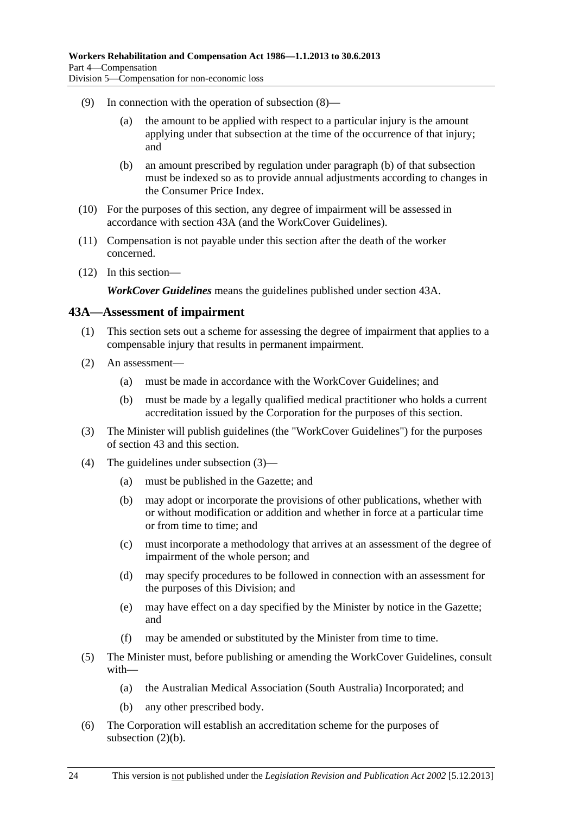- <span id="page-59-0"></span> (9) In connection with the operation of [subsection \(8\)](#page-58-0)—
	- (a) the amount to be applied with respect to a particular injury is the amount applying under that subsection at the time of the occurrence of that injury; and
	- (b) an amount prescribed by regulation under [paragraph \(b\)](#page-58-0) of that subsection must be indexed so as to provide annual adjustments according to changes in the Consumer Price Index.
- (10) For the purposes of this section, any degree of impairment will be assessed in accordance with [section 43A](#page-59-0) (and the WorkCover Guidelines).
- (11) Compensation is not payable under this section after the death of the worker concerned.
- (12) In this section—

*WorkCover Guidelines* means the guidelines published under [section 43A](#page-59-0).

#### **43A—Assessment of impairment**

- (1) This section sets out a scheme for assessing the degree of impairment that applies to a compensable injury that results in permanent impairment.
- (2) An assessment—
	- (a) must be made in accordance with the WorkCover Guidelines; and
	- (b) must be made by a legally qualified medical practitioner who holds a current accreditation issued by the Corporation for the purposes of this section.
- (3) The Minister will publish guidelines (the "WorkCover Guidelines") for the purposes of [section 43](#page-58-0) and this section.
- (4) The guidelines under [subsection \(3\)](#page-59-0)
	- (a) must be published in the Gazette; and
	- (b) may adopt or incorporate the provisions of other publications, whether with or without modification or addition and whether in force at a particular time or from time to time; and
	- (c) must incorporate a methodology that arrives at an assessment of the degree of impairment of the whole person; and
	- (d) may specify procedures to be followed in connection with an assessment for the purposes of this Division; and
	- (e) may have effect on a day specified by the Minister by notice in the Gazette; and
	- (f) may be amended or substituted by the Minister from time to time.
- (5) The Minister must, before publishing or amending the WorkCover Guidelines, consult with—
	- (a) the Australian Medical Association (South Australia) Incorporated; and
	- (b) any other prescribed body.
- (6) The Corporation will establish an accreditation scheme for the purposes of [subsection \(2\)\(b\).](#page-59-0)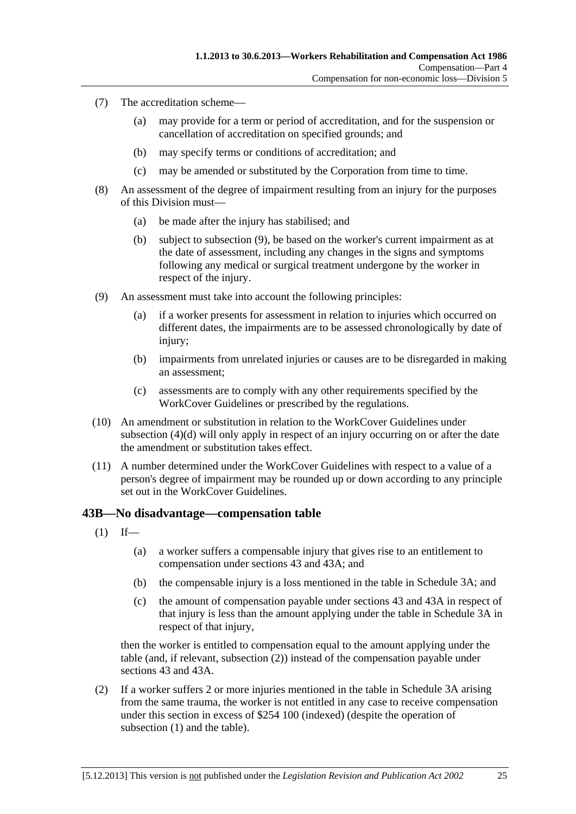- <span id="page-60-0"></span> (7) The accreditation scheme—
	- (a) may provide for a term or period of accreditation, and for the suspension or cancellation of accreditation on specified grounds; and
	- (b) may specify terms or conditions of accreditation; and
	- (c) may be amended or substituted by the Corporation from time to time.
- (8) An assessment of the degree of impairment resulting from an injury for the purposes of this Division must—
	- (a) be made after the injury has stabilised; and
	- (b) subject to [subsection \(9\),](#page-60-0) be based on the worker's current impairment as at the date of assessment, including any changes in the signs and symptoms following any medical or surgical treatment undergone by the worker in respect of the injury.
- (9) An assessment must take into account the following principles:
	- (a) if a worker presents for assessment in relation to injuries which occurred on different dates, the impairments are to be assessed chronologically by date of injury;
	- (b) impairments from unrelated injuries or causes are to be disregarded in making an assessment;
	- (c) assessments are to comply with any other requirements specified by the WorkCover Guidelines or prescribed by the regulations.
- (10) An amendment or substitution in relation to the WorkCover Guidelines under [subsection \(4\)\(d\)](#page-59-0) will only apply in respect of an injury occurring on or after the date the amendment or substitution takes effect.
- (11) A number determined under the WorkCover Guidelines with respect to a value of a person's degree of impairment may be rounded up or down according to any principle set out in the WorkCover Guidelines.

#### **43B—No disadvantage—compensation table**

- $(1)$  If—
	- (a) a worker suffers a compensable injury that gives rise to an entitlement to compensation under [sections 43](#page-58-0) and [43A;](#page-59-0) and
	- (b) the compensable injury is a loss mentioned in the table in [Schedule 3A](#page-165-0); and
	- (c) the amount of compensation payable under [sections 43](#page-58-0) and [43A](#page-59-0) in respect of that injury is less than the amount applying under the table in [Schedule 3A](#page-165-0) in respect of that injury,

then the worker is entitled to compensation equal to the amount applying under the table (and, if relevant, [subsection \(2\)\)](#page-60-0) instead of the compensation payable under [sections 43](#page-58-0) and [43A](#page-59-0).

 (2) If a worker suffers 2 or more injuries mentioned in the table in [Schedule 3A](#page-165-0) arising from the same trauma, the worker is not entitled in any case to receive compensation under this section in excess of \$254 100 (indexed) (despite the operation of subsection  $(1)$  and the table).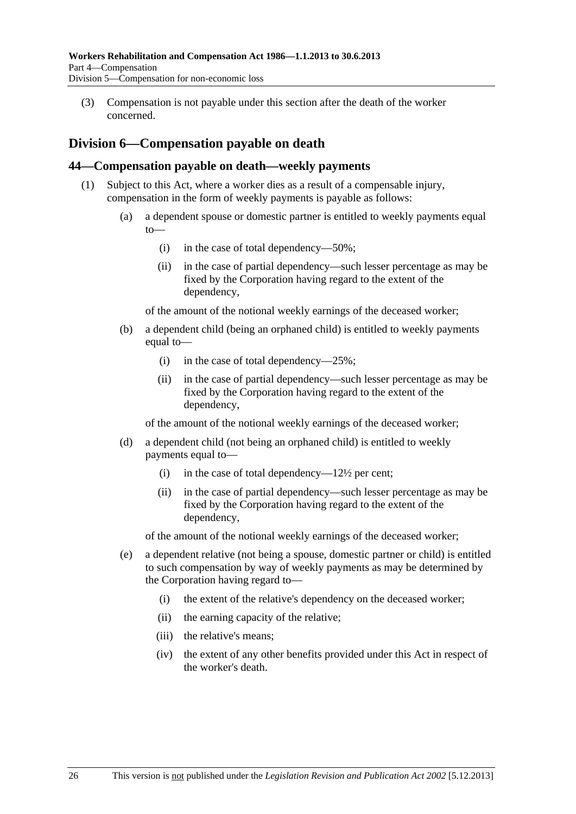<span id="page-61-0"></span> (3) Compensation is not payable under this section after the death of the worker concerned.

## **Division 6—Compensation payable on death**

#### **44—Compensation payable on death—weekly payments**

- (1) Subject to this Act, where a worker dies as a result of a compensable injury, compensation in the form of weekly payments is payable as follows:
	- (a) a dependent spouse or domestic partner is entitled to weekly payments equal  $to$ 
		- (i) in the case of total dependency—50%;
		- (ii) in the case of partial dependency—such lesser percentage as may be fixed by the Corporation having regard to the extent of the dependency,

of the amount of the notional weekly earnings of the deceased worker;

- (b) a dependent child (being an orphaned child) is entitled to weekly payments equal to—
	- (i) in the case of total dependency—25%;
	- (ii) in the case of partial dependency—such lesser percentage as may be fixed by the Corporation having regard to the extent of the dependency,

of the amount of the notional weekly earnings of the deceased worker;

- (d) a dependent child (not being an orphaned child) is entitled to weekly payments equal to—
	- (i) in the case of total dependency— $12\frac{1}{2}$  per cent;
	- (ii) in the case of partial dependency—such lesser percentage as may be fixed by the Corporation having regard to the extent of the dependency,

of the amount of the notional weekly earnings of the deceased worker;

- (e) a dependent relative (not being a spouse, domestic partner or child) is entitled to such compensation by way of weekly payments as may be determined by the Corporation having regard to—
	- (i) the extent of the relative's dependency on the deceased worker;
	- (ii) the earning capacity of the relative;
	- (iii) the relative's means;
	- (iv) the extent of any other benefits provided under this Act in respect of the worker's death.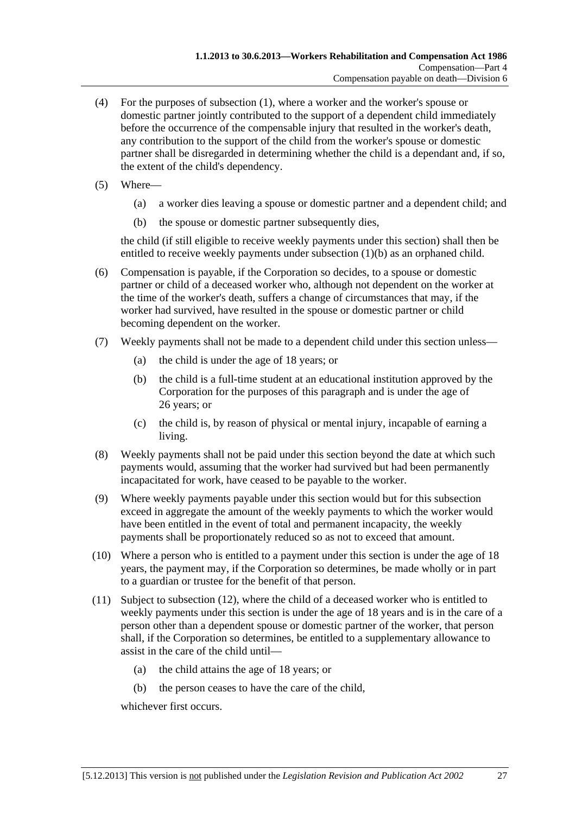- <span id="page-62-0"></span> (4) For the purposes of [subsection \(1\),](#page-61-0) where a worker and the worker's spouse or domestic partner jointly contributed to the support of a dependent child immediately before the occurrence of the compensable injury that resulted in the worker's death, any contribution to the support of the child from the worker's spouse or domestic partner shall be disregarded in determining whether the child is a dependant and, if so, the extent of the child's dependency.
- (5) Where—
	- (a) a worker dies leaving a spouse or domestic partner and a dependent child; and
	- (b) the spouse or domestic partner subsequently dies,

the child (if still eligible to receive weekly payments under this section) shall then be entitled to receive weekly payments under subsection  $(1)(b)$  as an orphaned child.

- (6) Compensation is payable, if the Corporation so decides, to a spouse or domestic partner or child of a deceased worker who, although not dependent on the worker at the time of the worker's death, suffers a change of circumstances that may, if the worker had survived, have resulted in the spouse or domestic partner or child becoming dependent on the worker.
- (7) Weekly payments shall not be made to a dependent child under this section unless—
	- (a) the child is under the age of 18 years; or
	- (b) the child is a full-time student at an educational institution approved by the Corporation for the purposes of this paragraph and is under the age of 26 years; or
	- (c) the child is, by reason of physical or mental injury, incapable of earning a living.
- (8) Weekly payments shall not be paid under this section beyond the date at which such payments would, assuming that the worker had survived but had been permanently incapacitated for work, have ceased to be payable to the worker.
- (9) Where weekly payments payable under this section would but for this subsection exceed in aggregate the amount of the weekly payments to which the worker would have been entitled in the event of total and permanent incapacity, the weekly payments shall be proportionately reduced so as not to exceed that amount.
- (10) Where a person who is entitled to a payment under this section is under the age of 18 years, the payment may, if the Corporation so determines, be made wholly or in part to a guardian or trustee for the benefit of that person.
- (11) Subject to [subsection \(12\),](#page-63-0) where the child of a deceased worker who is entitled to weekly payments under this section is under the age of 18 years and is in the care of a person other than a dependent spouse or domestic partner of the worker, that person shall, if the Corporation so determines, be entitled to a supplementary allowance to assist in the care of the child until—
	- (a) the child attains the age of 18 years; or
	- (b) the person ceases to have the care of the child,

whichever first occurs.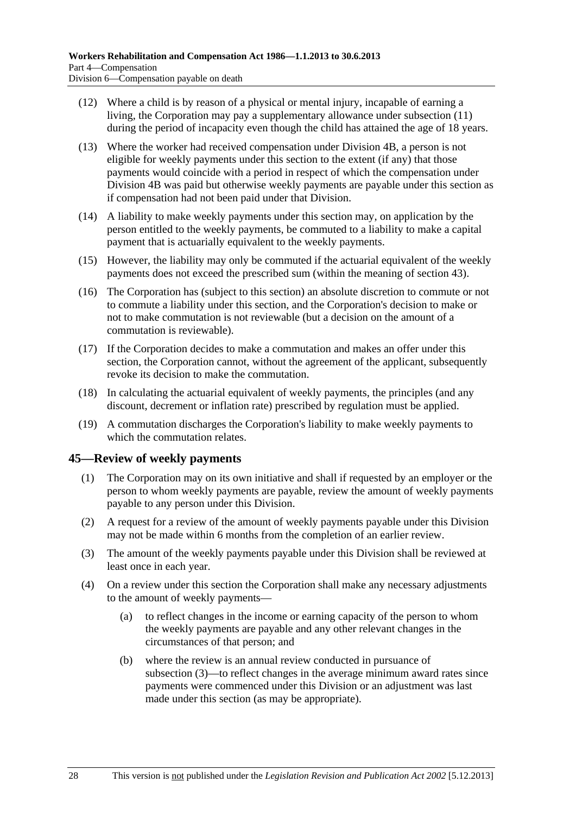- <span id="page-63-0"></span> (12) Where a child is by reason of a physical or mental injury, incapable of earning a living, the Corporation may pay a supplementary allowance under [subsection \(11\)](#page-62-0) during the period of incapacity even though the child has attained the age of 18 years.
- (13) Where the worker had received compensation under Division 4B, a person is not eligible for weekly payments under this section to the extent (if any) that those payments would coincide with a period in respect of which the compensation under Division 4B was paid but otherwise weekly payments are payable under this section as if compensation had not been paid under that Division.
- (14) A liability to make weekly payments under this section may, on application by the person entitled to the weekly payments, be commuted to a liability to make a capital payment that is actuarially equivalent to the weekly payments.
- (15) However, the liability may only be commuted if the actuarial equivalent of the weekly payments does not exceed the prescribed sum (within the meaning of [section 43\)](#page-58-0).
- (16) The Corporation has (subject to this section) an absolute discretion to commute or not to commute a liability under this section, and the Corporation's decision to make or not to make commutation is not reviewable (but a decision on the amount of a commutation is reviewable).
- (17) If the Corporation decides to make a commutation and makes an offer under this section, the Corporation cannot, without the agreement of the applicant, subsequently revoke its decision to make the commutation.
- (18) In calculating the actuarial equivalent of weekly payments, the principles (and any discount, decrement or inflation rate) prescribed by regulation must be applied.
- (19) A commutation discharges the Corporation's liability to make weekly payments to which the commutation relates.

#### **45—Review of weekly payments**

- (1) The Corporation may on its own initiative and shall if requested by an employer or the person to whom weekly payments are payable, review the amount of weekly payments payable to any person under this Division.
- (2) A request for a review of the amount of weekly payments payable under this Division may not be made within 6 months from the completion of an earlier review.
- (3) The amount of the weekly payments payable under this Division shall be reviewed at least once in each year.
- (4) On a review under this section the Corporation shall make any necessary adjustments to the amount of weekly payments—
	- (a) to reflect changes in the income or earning capacity of the person to whom the weekly payments are payable and any other relevant changes in the circumstances of that person; and
	- (b) where the review is an annual review conducted in pursuance of [subsection \(3\)](#page-63-0)—to reflect changes in the average minimum award rates since payments were commenced under this Division or an adjustment was last made under this section (as may be appropriate).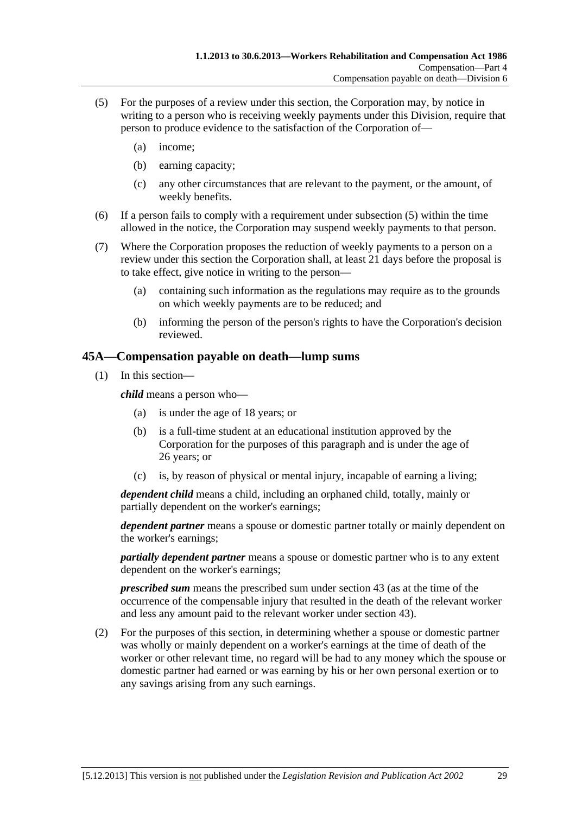- <span id="page-64-0"></span> (5) For the purposes of a review under this section, the Corporation may, by notice in writing to a person who is receiving weekly payments under this Division, require that person to produce evidence to the satisfaction of the Corporation of—
	- (a) income;
	- (b) earning capacity;
	- (c) any other circumstances that are relevant to the payment, or the amount, of weekly benefits.
- (6) If a person fails to comply with a requirement under [subsection \(5\)](#page-64-0) within the time allowed in the notice, the Corporation may suspend weekly payments to that person.
- (7) Where the Corporation proposes the reduction of weekly payments to a person on a review under this section the Corporation shall, at least 21 days before the proposal is to take effect, give notice in writing to the person—
	- (a) containing such information as the regulations may require as to the grounds on which weekly payments are to be reduced; and
	- (b) informing the person of the person's rights to have the Corporation's decision reviewed.

#### **45A—Compensation payable on death—lump sums**

(1) In this section—

*child* means a person who—

- (a) is under the age of 18 years; or
- (b) is a full-time student at an educational institution approved by the Corporation for the purposes of this paragraph and is under the age of 26 years; or
- (c) is, by reason of physical or mental injury, incapable of earning a living;

*dependent child* means a child, including an orphaned child, totally, mainly or partially dependent on the worker's earnings;

*dependent partner* means a spouse or domestic partner totally or mainly dependent on the worker's earnings;

*partially dependent partner* means a spouse or domestic partner who is to any extent dependent on the worker's earnings;

*prescribed sum* means the prescribed sum under [section 43](#page-58-0) (as at the time of the occurrence of the compensable injury that resulted in the death of the relevant worker and less any amount paid to the relevant worker under [section 43](#page-58-0)).

 (2) For the purposes of this section, in determining whether a spouse or domestic partner was wholly or mainly dependent on a worker's earnings at the time of death of the worker or other relevant time, no regard will be had to any money which the spouse or domestic partner had earned or was earning by his or her own personal exertion or to any savings arising from any such earnings.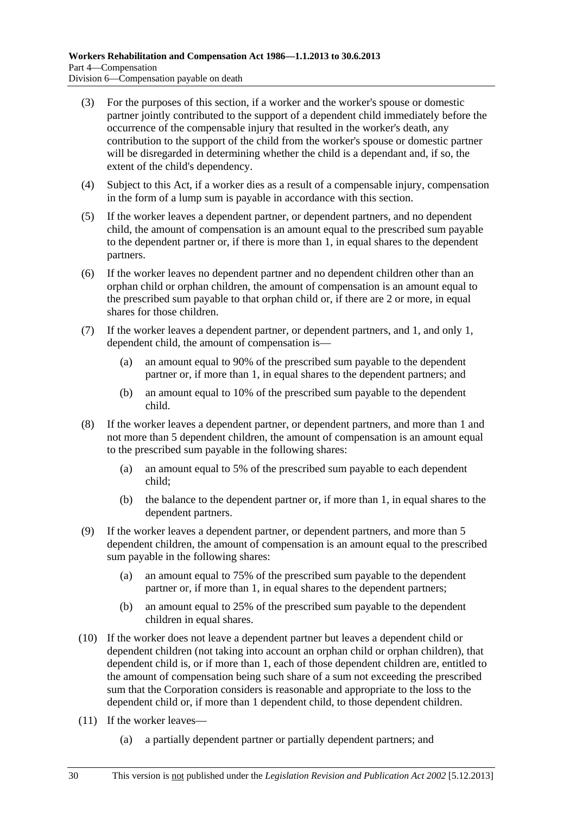- (3) For the purposes of this section, if a worker and the worker's spouse or domestic partner jointly contributed to the support of a dependent child immediately before the occurrence of the compensable injury that resulted in the worker's death, any contribution to the support of the child from the worker's spouse or domestic partner will be disregarded in determining whether the child is a dependant and, if so, the extent of the child's dependency.
- (4) Subject to this Act, if a worker dies as a result of a compensable injury, compensation in the form of a lump sum is payable in accordance with this section.
- (5) If the worker leaves a dependent partner, or dependent partners, and no dependent child, the amount of compensation is an amount equal to the prescribed sum payable to the dependent partner or, if there is more than 1, in equal shares to the dependent partners.
- (6) If the worker leaves no dependent partner and no dependent children other than an orphan child or orphan children, the amount of compensation is an amount equal to the prescribed sum payable to that orphan child or, if there are 2 or more, in equal shares for those children.
- (7) If the worker leaves a dependent partner, or dependent partners, and 1, and only 1, dependent child, the amount of compensation is—
	- (a) an amount equal to 90% of the prescribed sum payable to the dependent partner or, if more than 1, in equal shares to the dependent partners; and
	- (b) an amount equal to 10% of the prescribed sum payable to the dependent child.
- (8) If the worker leaves a dependent partner, or dependent partners, and more than 1 and not more than 5 dependent children, the amount of compensation is an amount equal to the prescribed sum payable in the following shares:
	- (a) an amount equal to 5% of the prescribed sum payable to each dependent child;
	- (b) the balance to the dependent partner or, if more than 1, in equal shares to the dependent partners.
- (9) If the worker leaves a dependent partner, or dependent partners, and more than 5 dependent children, the amount of compensation is an amount equal to the prescribed sum payable in the following shares:
	- (a) an amount equal to 75% of the prescribed sum payable to the dependent partner or, if more than 1, in equal shares to the dependent partners;
	- (b) an amount equal to 25% of the prescribed sum payable to the dependent children in equal shares.
- (10) If the worker does not leave a dependent partner but leaves a dependent child or dependent children (not taking into account an orphan child or orphan children), that dependent child is, or if more than 1, each of those dependent children are, entitled to the amount of compensation being such share of a sum not exceeding the prescribed sum that the Corporation considers is reasonable and appropriate to the loss to the dependent child or, if more than 1 dependent child, to those dependent children.
- (11) If the worker leaves—
	- (a) a partially dependent partner or partially dependent partners; and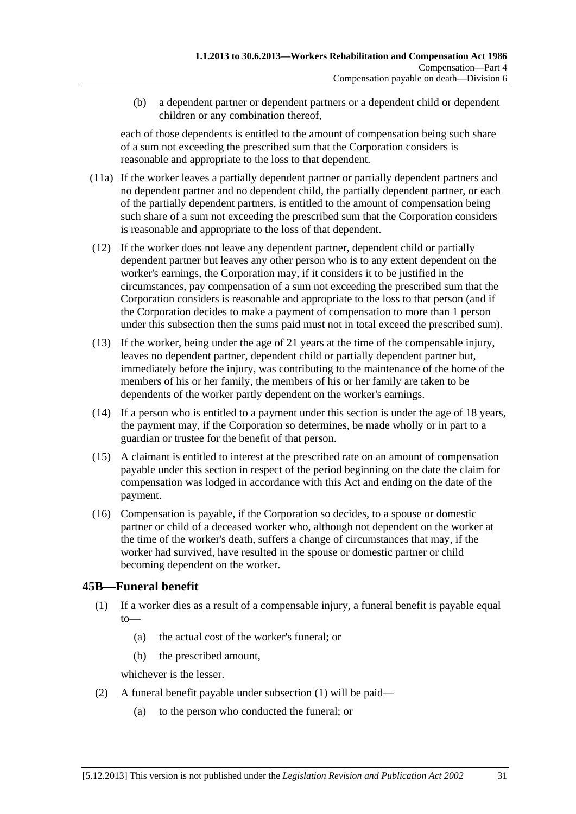<span id="page-66-0"></span> (b) a dependent partner or dependent partners or a dependent child or dependent children or any combination thereof,

each of those dependents is entitled to the amount of compensation being such share of a sum not exceeding the prescribed sum that the Corporation considers is reasonable and appropriate to the loss to that dependent.

- (11a) If the worker leaves a partially dependent partner or partially dependent partners and no dependent partner and no dependent child, the partially dependent partner, or each of the partially dependent partners, is entitled to the amount of compensation being such share of a sum not exceeding the prescribed sum that the Corporation considers is reasonable and appropriate to the loss of that dependent.
- (12) If the worker does not leave any dependent partner, dependent child or partially dependent partner but leaves any other person who is to any extent dependent on the worker's earnings, the Corporation may, if it considers it to be justified in the circumstances, pay compensation of a sum not exceeding the prescribed sum that the Corporation considers is reasonable and appropriate to the loss to that person (and if the Corporation decides to make a payment of compensation to more than 1 person under this subsection then the sums paid must not in total exceed the prescribed sum).
- (13) If the worker, being under the age of 21 years at the time of the compensable injury, leaves no dependent partner, dependent child or partially dependent partner but, immediately before the injury, was contributing to the maintenance of the home of the members of his or her family, the members of his or her family are taken to be dependents of the worker partly dependent on the worker's earnings.
- (14) If a person who is entitled to a payment under this section is under the age of 18 years, the payment may, if the Corporation so determines, be made wholly or in part to a guardian or trustee for the benefit of that person.
- (15) A claimant is entitled to interest at the prescribed rate on an amount of compensation payable under this section in respect of the period beginning on the date the claim for compensation was lodged in accordance with this Act and ending on the date of the payment.
- (16) Compensation is payable, if the Corporation so decides, to a spouse or domestic partner or child of a deceased worker who, although not dependent on the worker at the time of the worker's death, suffers a change of circumstances that may, if the worker had survived, have resulted in the spouse or domestic partner or child becoming dependent on the worker.

### **45B—Funeral benefit**

- (1) If a worker dies as a result of a compensable injury, a funeral benefit is payable equal to—
	- (a) the actual cost of the worker's funeral; or
	- (b) the prescribed amount,

whichever is the lesser.

- (2) A funeral benefit payable under [subsection \(1\)](#page-66-0) will be paid—
	- (a) to the person who conducted the funeral; or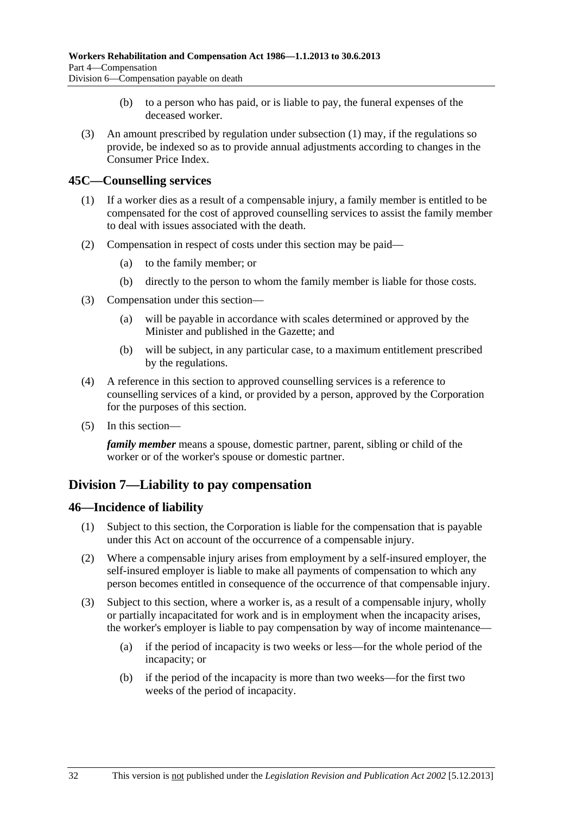- (b) to a person who has paid, or is liable to pay, the funeral expenses of the deceased worker.
- <span id="page-67-0"></span> (3) An amount prescribed by regulation under [subsection \(1\)](#page-66-0) may, if the regulations so provide, be indexed so as to provide annual adjustments according to changes in the Consumer Price Index.

#### **45C—Counselling services**

- (1) If a worker dies as a result of a compensable injury, a family member is entitled to be compensated for the cost of approved counselling services to assist the family member to deal with issues associated with the death.
- (2) Compensation in respect of costs under this section may be paid—
	- (a) to the family member; or
	- (b) directly to the person to whom the family member is liable for those costs.
- (3) Compensation under this section—
	- (a) will be payable in accordance with scales determined or approved by the Minister and published in the Gazette; and
	- (b) will be subject, in any particular case, to a maximum entitlement prescribed by the regulations.
- (4) A reference in this section to approved counselling services is a reference to counselling services of a kind, or provided by a person, approved by the Corporation for the purposes of this section.
- (5) In this section—

*family member* means a spouse, domestic partner, parent, sibling or child of the worker or of the worker's spouse or domestic partner.

### **Division 7—Liability to pay compensation**

#### **46—Incidence of liability**

- (1) Subject to this section, the Corporation is liable for the compensation that is payable under this Act on account of the occurrence of a compensable injury.
- (2) Where a compensable injury arises from employment by a self-insured employer, the self-insured employer is liable to make all payments of compensation to which any person becomes entitled in consequence of the occurrence of that compensable injury.
- (3) Subject to this section, where a worker is, as a result of a compensable injury, wholly or partially incapacitated for work and is in employment when the incapacity arises, the worker's employer is liable to pay compensation by way of income maintenance—
	- (a) if the period of incapacity is two weeks or less—for the whole period of the incapacity; or
	- (b) if the period of the incapacity is more than two weeks—for the first two weeks of the period of incapacity.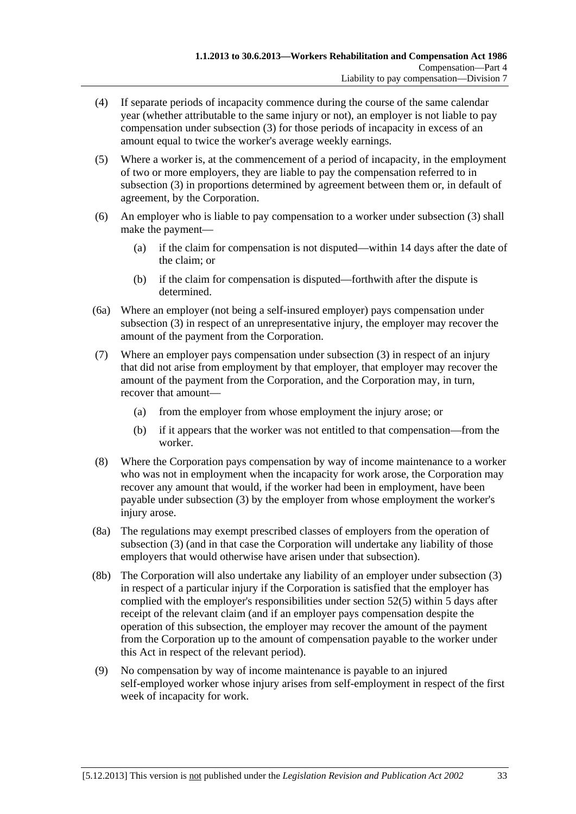- (4) If separate periods of incapacity commence during the course of the same calendar year (whether attributable to the same injury or not), an employer is not liable to pay compensation under [subsection \(3\)](#page-67-0) for those periods of incapacity in excess of an amount equal to twice the worker's average weekly earnings.
- (5) Where a worker is, at the commencement of a period of incapacity, in the employment of two or more employers, they are liable to pay the compensation referred to in [subsection \(3\)](#page-67-0) in proportions determined by agreement between them or, in default of agreement, by the Corporation.
- (6) An employer who is liable to pay compensation to a worker under [subsection \(3\)](#page-67-0) shall make the payment—
	- (a) if the claim for compensation is not disputed—within 14 days after the date of the claim; or
	- (b) if the claim for compensation is disputed—forthwith after the dispute is determined.
- (6a) Where an employer (not being a self-insured employer) pays compensation under [subsection \(3\)](#page-67-0) in respect of an unrepresentative injury, the employer may recover the amount of the payment from the Corporation.
- (7) Where an employer pays compensation under [subsection \(3\)](#page-67-0) in respect of an injury that did not arise from employment by that employer, that employer may recover the amount of the payment from the Corporation, and the Corporation may, in turn, recover that amount—
	- (a) from the employer from whose employment the injury arose; or
	- (b) if it appears that the worker was not entitled to that compensation—from the worker.
- (8) Where the Corporation pays compensation by way of income maintenance to a worker who was not in employment when the incapacity for work arose, the Corporation may recover any amount that would, if the worker had been in employment, have been payable under [subsection \(3\)](#page-67-0) by the employer from whose employment the worker's injury arose.
- (8a) The regulations may exempt prescribed classes of employers from the operation of [subsection \(3\)](#page-67-0) (and in that case the Corporation will undertake any liability of those employers that would otherwise have arisen under that subsection).
- (8b) The Corporation will also undertake any liability of an employer under [subsection \(3\)](#page-67-0)  in respect of a particular injury if the Corporation is satisfied that the employer has complied with the employer's responsibilities under [section 52\(5\)](#page-74-0) within 5 days after receipt of the relevant claim (and if an employer pays compensation despite the operation of this subsection, the employer may recover the amount of the payment from the Corporation up to the amount of compensation payable to the worker under this Act in respect of the relevant period).
- (9) No compensation by way of income maintenance is payable to an injured self-employed worker whose injury arises from self-employment in respect of the first week of incapacity for work.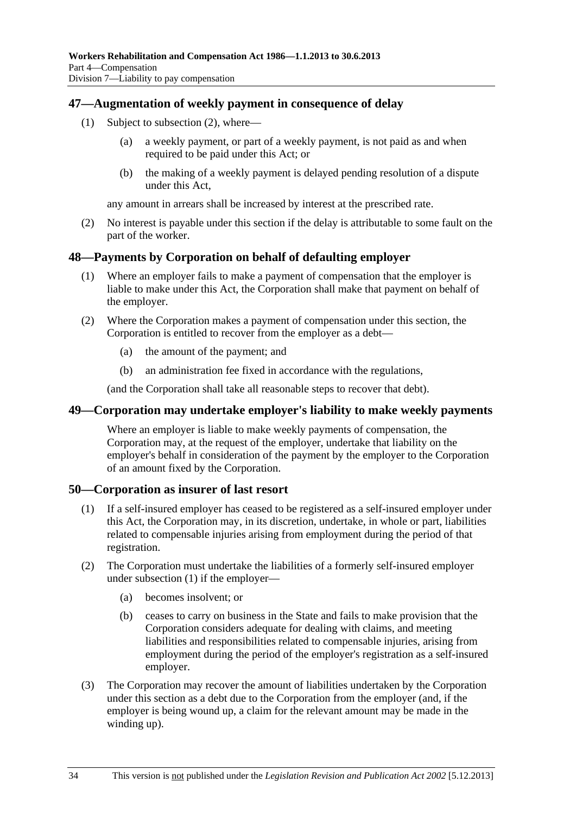#### <span id="page-69-0"></span>**47—Augmentation of weekly payment in consequence of delay**

- (1) Subject to [subsection \(2\),](#page-69-0) where—
	- (a) a weekly payment, or part of a weekly payment, is not paid as and when required to be paid under this Act; or
	- (b) the making of a weekly payment is delayed pending resolution of a dispute under this Act,

any amount in arrears shall be increased by interest at the prescribed rate.

 (2) No interest is payable under this section if the delay is attributable to some fault on the part of the worker.

#### **48—Payments by Corporation on behalf of defaulting employer**

- (1) Where an employer fails to make a payment of compensation that the employer is liable to make under this Act, the Corporation shall make that payment on behalf of the employer.
- (2) Where the Corporation makes a payment of compensation under this section, the Corporation is entitled to recover from the employer as a debt—
	- (a) the amount of the payment; and
	- (b) an administration fee fixed in accordance with the regulations,

(and the Corporation shall take all reasonable steps to recover that debt).

#### **49—Corporation may undertake employer's liability to make weekly payments**

Where an employer is liable to make weekly payments of compensation, the Corporation may, at the request of the employer, undertake that liability on the employer's behalf in consideration of the payment by the employer to the Corporation of an amount fixed by the Corporation.

#### **50—Corporation as insurer of last resort**

- (1) If a self-insured employer has ceased to be registered as a self-insured employer under this Act, the Corporation may, in its discretion, undertake, in whole or part, liabilities related to compensable injuries arising from employment during the period of that registration.
- (2) The Corporation must undertake the liabilities of a formerly self-insured employer under [subsection \(1\)](#page-69-0) if the employer—
	- (a) becomes insolvent; or
	- (b) ceases to carry on business in the State and fails to make provision that the Corporation considers adequate for dealing with claims, and meeting liabilities and responsibilities related to compensable injuries, arising from employment during the period of the employer's registration as a self-insured employer.
- (3) The Corporation may recover the amount of liabilities undertaken by the Corporation under this section as a debt due to the Corporation from the employer (and, if the employer is being wound up, a claim for the relevant amount may be made in the winding up).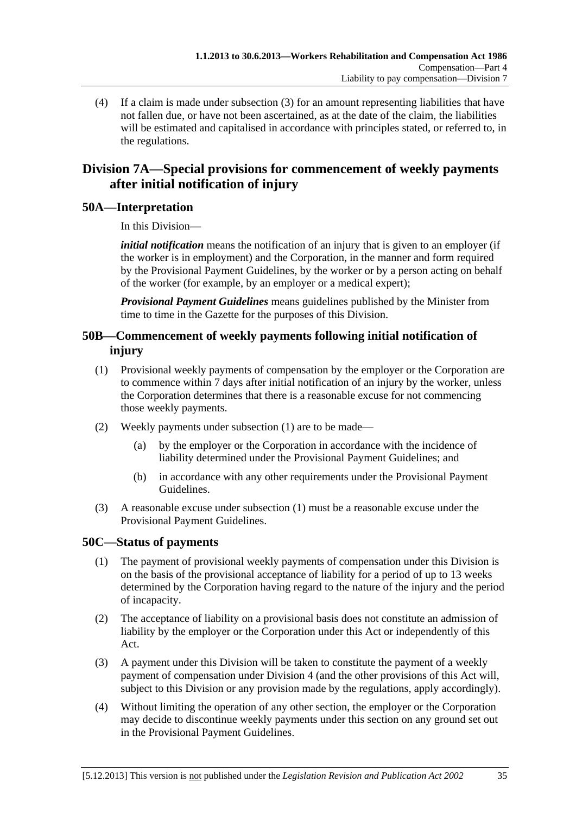<span id="page-70-0"></span> (4) If a claim is made under [subsection \(3\)](#page-69-0) for an amount representing liabilities that have not fallen due, or have not been ascertained, as at the date of the claim, the liabilities will be estimated and capitalised in accordance with principles stated, or referred to, in the regulations.

## **Division 7A—Special provisions for commencement of weekly payments after initial notification of injury**

#### **50A—Interpretation**

In this Division—

*initial notification* means the notification of an injury that is given to an employer (if the worker is in employment) and the Corporation, in the manner and form required by the Provisional Payment Guidelines, by the worker or by a person acting on behalf of the worker (for example, by an employer or a medical expert);

*Provisional Payment Guidelines* means guidelines published by the Minister from time to time in the Gazette for the purposes of this Division.

### **50B—Commencement of weekly payments following initial notification of injury**

- (1) Provisional weekly payments of compensation by the employer or the Corporation are to commence within 7 days after initial notification of an injury by the worker, unless the Corporation determines that there is a reasonable excuse for not commencing those weekly payments.
- (2) Weekly payments under [subsection \(1\)](#page-70-0) are to be made—
	- (a) by the employer or the Corporation in accordance with the incidence of liability determined under the Provisional Payment Guidelines; and
	- (b) in accordance with any other requirements under the Provisional Payment Guidelines.
- (3) A reasonable excuse under [subsection \(1\)](#page-70-0) must be a reasonable excuse under the Provisional Payment Guidelines.

### **50C—Status of payments**

- (1) The payment of provisional weekly payments of compensation under this Division is on the basis of the provisional acceptance of liability for a period of up to 13 weeks determined by the Corporation having regard to the nature of the injury and the period of incapacity.
- (2) The acceptance of liability on a provisional basis does not constitute an admission of liability by the employer or the Corporation under this Act or independently of this Act.
- (3) A payment under this Division will be taken to constitute the payment of a weekly payment of compensation under [Division 4](#page-42-0) (and the other provisions of this Act will, subject to this Division or any provision made by the regulations, apply accordingly).
- (4) Without limiting the operation of any other section, the employer or the Corporation may decide to discontinue weekly payments under this section on any ground set out in the Provisional Payment Guidelines.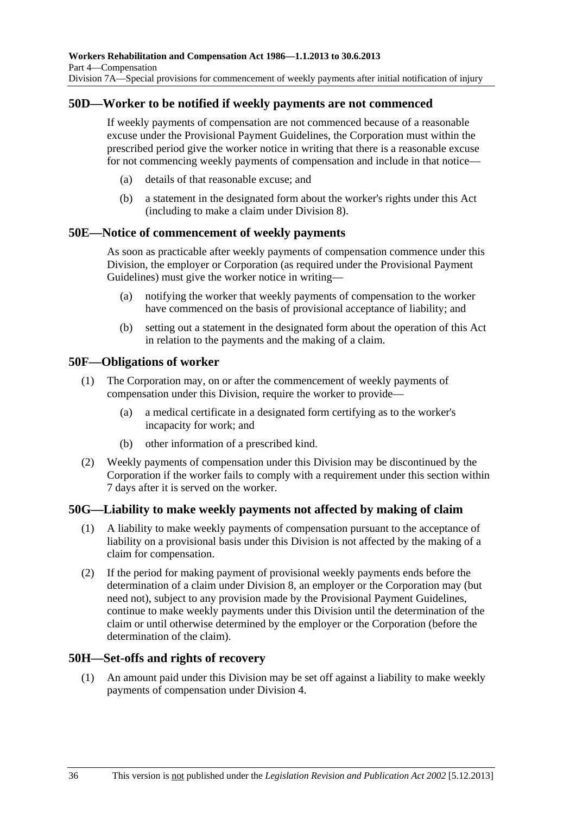#### **50D—Worker to be notified if weekly payments are not commenced**

If weekly payments of compensation are not commenced because of a reasonable excuse under the Provisional Payment Guidelines, the Corporation must within the prescribed period give the worker notice in writing that there is a reasonable excuse for not commencing weekly payments of compensation and include in that notice—

- (a) details of that reasonable excuse; and
- (b) a statement in the designated form about the worker's rights under this Act (including to make a claim under [Division 8\)](#page-72-0).

#### **50E—Notice of commencement of weekly payments**

As soon as practicable after weekly payments of compensation commence under this Division, the employer or Corporation (as required under the Provisional Payment Guidelines) must give the worker notice in writing—

- (a) notifying the worker that weekly payments of compensation to the worker have commenced on the basis of provisional acceptance of liability; and
- (b) setting out a statement in the designated form about the operation of this Act in relation to the payments and the making of a claim.

#### **50F—Obligations of worker**

- (1) The Corporation may, on or after the commencement of weekly payments of compensation under this Division, require the worker to provide—
	- (a) a medical certificate in a designated form certifying as to the worker's incapacity for work; and
	- (b) other information of a prescribed kind.
- (2) Weekly payments of compensation under this Division may be discontinued by the Corporation if the worker fails to comply with a requirement under this section within 7 days after it is served on the worker.

#### **50G—Liability to make weekly payments not affected by making of claim**

- (1) A liability to make weekly payments of compensation pursuant to the acceptance of liability on a provisional basis under this Division is not affected by the making of a claim for compensation.
- (2) If the period for making payment of provisional weekly payments ends before the determination of a claim under [Division 8,](#page-72-0) an employer or the Corporation may (but need not), subject to any provision made by the Provisional Payment Guidelines, continue to make weekly payments under this Division until the determination of the claim or until otherwise determined by the employer or the Corporation (before the determination of the claim).

#### **50H—Set-offs and rights of recovery**

 (1) An amount paid under this Division may be set off against a liability to make weekly payments of compensation under [Division 4](#page-42-0).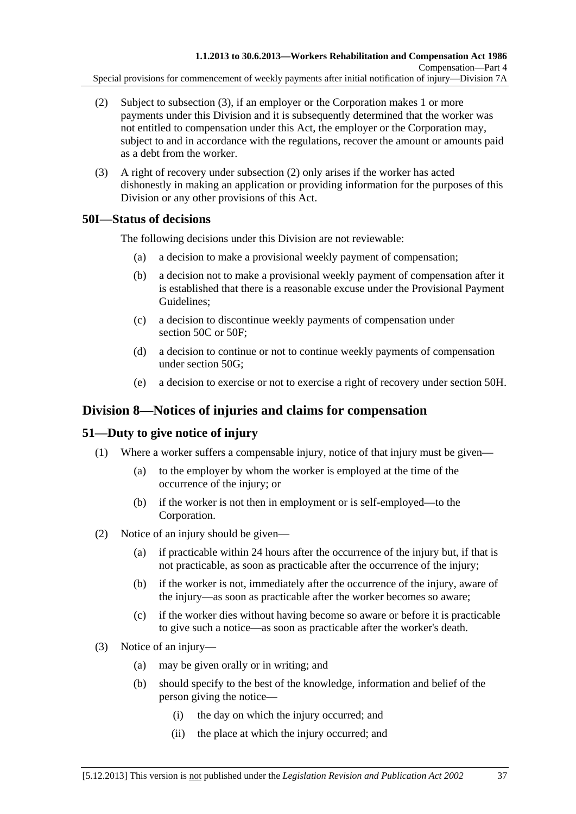- <span id="page-72-0"></span> (2) Subject to [subsection \(3\),](#page-72-0) if an employer or the Corporation makes 1 or more payments under this Division and it is subsequently determined that the worker was not entitled to compensation under this Act, the employer or the Corporation may, subject to and in accordance with the regulations, recover the amount or amounts paid as a debt from the worker.
- (3) A right of recovery under [subsection \(2\)](#page-72-0) only arises if the worker has acted dishonestly in making an application or providing information for the purposes of this Division or any other provisions of this Act.

# **50I—Status of decisions**

The following decisions under this Division are not reviewable:

- (a) a decision to make a provisional weekly payment of compensation;
- (b) a decision not to make a provisional weekly payment of compensation after it is established that there is a reasonable excuse under the Provisional Payment Guidelines;
- (c) a decision to discontinue weekly payments of compensation under [section 50C](#page-70-0) or [50F](#page-71-0);
- (d) a decision to continue or not to continue weekly payments of compensation under [section 50G;](#page-71-0)
- (e) a decision to exercise or not to exercise a right of recovery under [section 50H.](#page-71-0)

# **Division 8—Notices of injuries and claims for compensation**

# **51—Duty to give notice of injury**

- (1) Where a worker suffers a compensable injury, notice of that injury must be given—
	- (a) to the employer by whom the worker is employed at the time of the occurrence of the injury; or
	- (b) if the worker is not then in employment or is self-employed—to the Corporation.
- (2) Notice of an injury should be given—
	- (a) if practicable within 24 hours after the occurrence of the injury but, if that is not practicable, as soon as practicable after the occurrence of the injury;
	- (b) if the worker is not, immediately after the occurrence of the injury, aware of the injury—as soon as practicable after the worker becomes so aware;
	- (c) if the worker dies without having become so aware or before it is practicable to give such a notice—as soon as practicable after the worker's death.
- (3) Notice of an injury—
	- (a) may be given orally or in writing; and
	- (b) should specify to the best of the knowledge, information and belief of the person giving the notice—
		- (i) the day on which the injury occurred; and
		- (ii) the place at which the injury occurred; and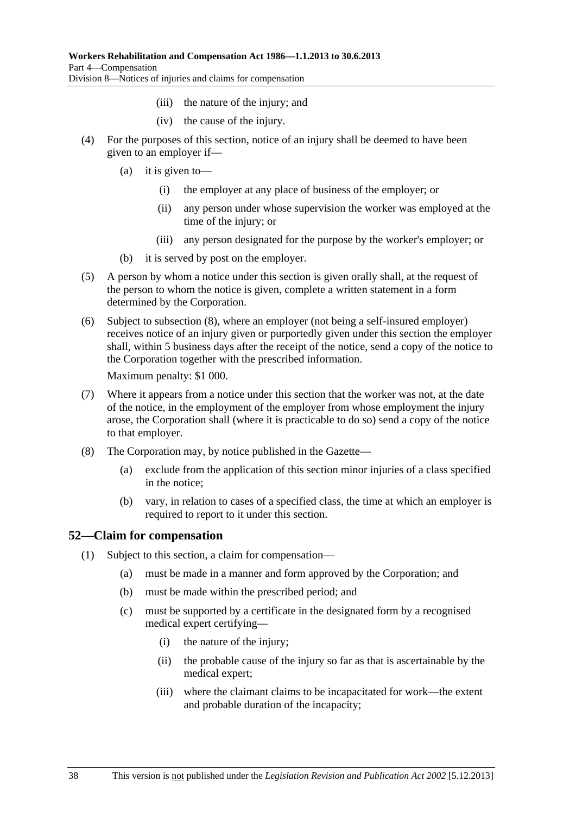- (iii) the nature of the injury; and
- (iv) the cause of the injury.
- <span id="page-73-0"></span> (4) For the purposes of this section, notice of an injury shall be deemed to have been given to an employer if—
	- (a) it is given to—
		- (i) the employer at any place of business of the employer; or
		- (ii) any person under whose supervision the worker was employed at the time of the injury; or
		- (iii) any person designated for the purpose by the worker's employer; or
	- (b) it is served by post on the employer.
- (5) A person by whom a notice under this section is given orally shall, at the request of the person to whom the notice is given, complete a written statement in a form determined by the Corporation.
- (6) Subject to [subsection \(8\),](#page-73-0) where an employer (not being a self-insured employer) receives notice of an injury given or purportedly given under this section the employer shall, within 5 business days after the receipt of the notice, send a copy of the notice to the Corporation together with the prescribed information.

Maximum penalty: \$1 000.

- (7) Where it appears from a notice under this section that the worker was not, at the date of the notice, in the employment of the employer from whose employment the injury arose, the Corporation shall (where it is practicable to do so) send a copy of the notice to that employer.
- (8) The Corporation may, by notice published in the Gazette—
	- (a) exclude from the application of this section minor injuries of a class specified in the notice;
	- (b) vary, in relation to cases of a specified class, the time at which an employer is required to report to it under this section.

### **52—Claim for compensation**

- (1) Subject to this section, a claim for compensation—
	- (a) must be made in a manner and form approved by the Corporation; and
	- (b) must be made within the prescribed period; and
	- (c) must be supported by a certificate in the designated form by a recognised medical expert certifying—
		- (i) the nature of the injury;
		- (ii) the probable cause of the injury so far as that is ascertainable by the medical expert;
		- (iii) where the claimant claims to be incapacitated for work—the extent and probable duration of the incapacity;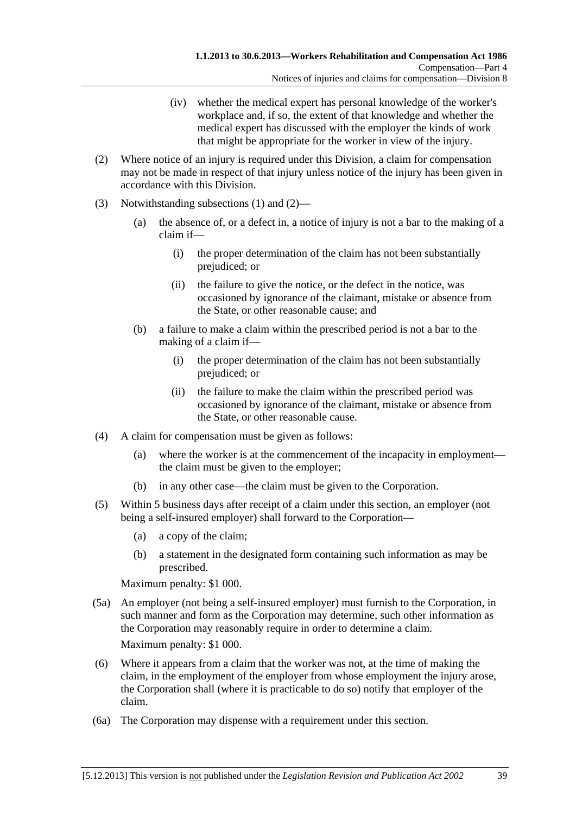- (iv) whether the medical expert has personal knowledge of the worker's workplace and, if so, the extent of that knowledge and whether the medical expert has discussed with the employer the kinds of work that might be appropriate for the worker in view of the injury.
- <span id="page-74-0"></span> (2) Where notice of an injury is required under this Division, a claim for compensation may not be made in respect of that injury unless notice of the injury has been given in accordance with this Division.
- (3) Notwithstanding [subsections \(1\)](#page-73-0) and [\(2\)](#page-74-0)
	- (a) the absence of, or a defect in, a notice of injury is not a bar to the making of a claim if—
		- (i) the proper determination of the claim has not been substantially prejudiced; or
		- (ii) the failure to give the notice, or the defect in the notice, was occasioned by ignorance of the claimant, mistake or absence from the State, or other reasonable cause; and
	- (b) a failure to make a claim within the prescribed period is not a bar to the making of a claim if—
		- (i) the proper determination of the claim has not been substantially prejudiced; or
		- (ii) the failure to make the claim within the prescribed period was occasioned by ignorance of the claimant, mistake or absence from the State, or other reasonable cause.
- (4) A claim for compensation must be given as follows:
	- (a) where the worker is at the commencement of the incapacity in employment the claim must be given to the employer;
	- (b) in any other case—the claim must be given to the Corporation.
- (5) Within 5 business days after receipt of a claim under this section, an employer (not being a self-insured employer) shall forward to the Corporation—
	- (a) a copy of the claim;
	- (b) a statement in the designated form containing such information as may be prescribed.

Maximum penalty: \$1 000.

 (5a) An employer (not being a self-insured employer) must furnish to the Corporation, in such manner and form as the Corporation may determine, such other information as the Corporation may reasonably require in order to determine a claim.

Maximum penalty: \$1 000.

- (6) Where it appears from a claim that the worker was not, at the time of making the claim, in the employment of the employer from whose employment the injury arose, the Corporation shall (where it is practicable to do so) notify that employer of the claim.
- (6a) The Corporation may dispense with a requirement under this section.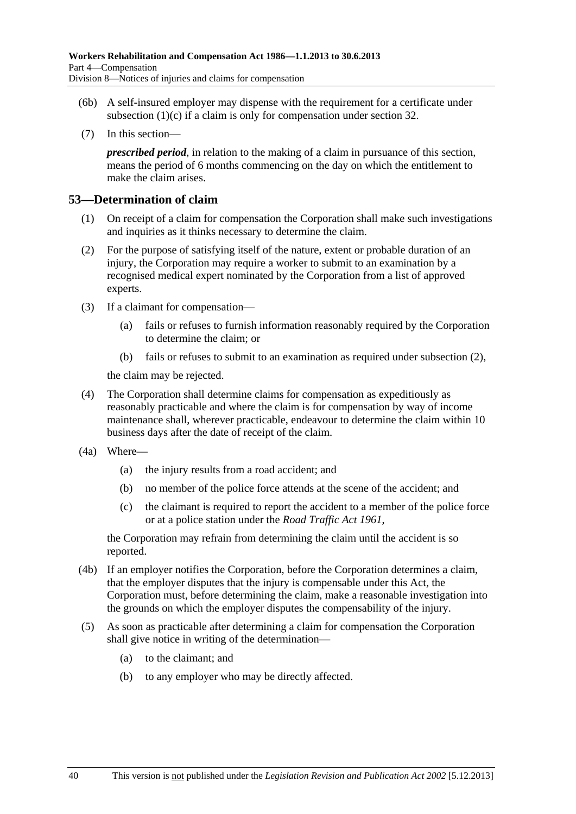- <span id="page-75-0"></span> (6b) A self-insured employer may dispense with the requirement for a certificate under subsection  $(1)(c)$  if a claim is only for compensation under [section 32](#page-38-0).
- (7) In this section—

*prescribed period*, in relation to the making of a claim in pursuance of this section, means the period of 6 months commencing on the day on which the entitlement to make the claim arises.

### **53—Determination of claim**

- (1) On receipt of a claim for compensation the Corporation shall make such investigations and inquiries as it thinks necessary to determine the claim.
- (2) For the purpose of satisfying itself of the nature, extent or probable duration of an injury, the Corporation may require a worker to submit to an examination by a recognised medical expert nominated by the Corporation from a list of approved experts.
- (3) If a claimant for compensation—
	- (a) fails or refuses to furnish information reasonably required by the Corporation to determine the claim; or
	- (b) fails or refuses to submit to an examination as required under [subsection \(2\),](#page-75-0)

the claim may be rejected.

- (4) The Corporation shall determine claims for compensation as expeditiously as reasonably practicable and where the claim is for compensation by way of income maintenance shall, wherever practicable, endeavour to determine the claim within 10 business days after the date of receipt of the claim.
- (4a) Where—
	- (a) the injury results from a road accident; and
	- (b) no member of the police force attends at the scene of the accident; and
	- (c) the claimant is required to report the accident to a member of the police force or at a police station under the *[Road Traffic Act 1961](http://www.legislation.sa.gov.au/index.aspx?action=legref&type=act&legtitle=Road%20Traffic%20Act%201961)*,

the Corporation may refrain from determining the claim until the accident is so reported.

- (4b) If an employer notifies the Corporation, before the Corporation determines a claim, that the employer disputes that the injury is compensable under this Act, the Corporation must, before determining the claim, make a reasonable investigation into the grounds on which the employer disputes the compensability of the injury.
- (5) As soon as practicable after determining a claim for compensation the Corporation shall give notice in writing of the determination—
	- (a) to the claimant; and
	- (b) to any employer who may be directly affected.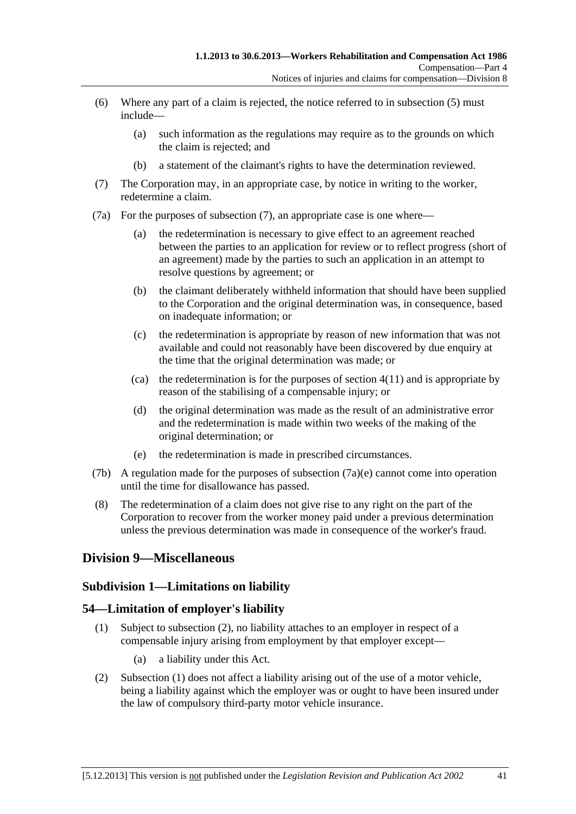- <span id="page-76-0"></span> (6) Where any part of a claim is rejected, the notice referred to in [subsection \(5\)](#page-75-0) must include—
	- (a) such information as the regulations may require as to the grounds on which the claim is rejected; and
	- (b) a statement of the claimant's rights to have the determination reviewed.
- (7) The Corporation may, in an appropriate case, by notice in writing to the worker, redetermine a claim.
- (7a) For the purposes of [subsection \(7\),](#page-76-0) an appropriate case is one where—
	- (a) the redetermination is necessary to give effect to an agreement reached between the parties to an application for review or to reflect progress (short of an agreement) made by the parties to such an application in an attempt to resolve questions by agreement; or
	- (b) the claimant deliberately withheld information that should have been supplied to the Corporation and the original determination was, in consequence, based on inadequate information; or
	- (c) the redetermination is appropriate by reason of new information that was not available and could not reasonably have been discovered by due enquiry at the time that the original determination was made; or
	- (ca) the redetermination is for the purposes of section  $4(11)$  and is appropriate by reason of the stabilising of a compensable injury; or
	- (d) the original determination was made as the result of an administrative error and the redetermination is made within two weeks of the making of the original determination; or
	- (e) the redetermination is made in prescribed circumstances.
- (7b) A regulation made for the purposes of [subsection \(7a\)\(e\)](#page-76-0) cannot come into operation until the time for disallowance has passed.
- (8) The redetermination of a claim does not give rise to any right on the part of the Corporation to recover from the worker money paid under a previous determination unless the previous determination was made in consequence of the worker's fraud.

# **Division 9—Miscellaneous**

### **Subdivision 1—Limitations on liability**

### **54—Limitation of employer's liability**

- (1) Subject to [subsection \(2\),](#page-76-0) no liability attaches to an employer in respect of a compensable injury arising from employment by that employer except—
	- (a) a liability under this Act.
- (2) [Subsection \(1\)](#page-76-0) does not affect a liability arising out of the use of a motor vehicle, being a liability against which the employer was or ought to have been insured under the law of compulsory third-party motor vehicle insurance.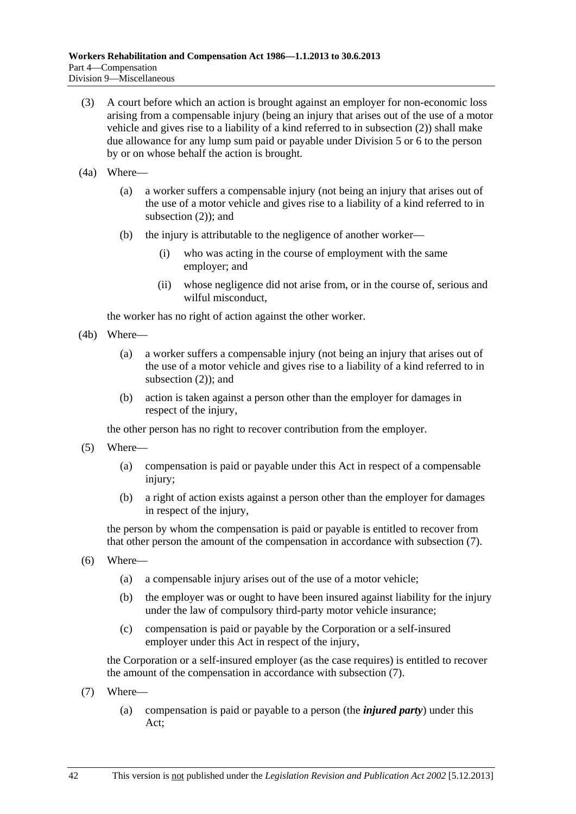- <span id="page-77-0"></span> (3) A court before which an action is brought against an employer for non-economic loss arising from a compensable injury (being an injury that arises out of the use of a motor vehicle and gives rise to a liability of a kind referred to in [subsection \(2\)\)](#page-76-0) shall make due allowance for any lump sum paid or payable under [Division 5](#page-58-0) or [6](#page-61-0) to the person by or on whose behalf the action is brought.
- (4a) Where—
	- (a) a worker suffers a compensable injury (not being an injury that arises out of the use of a motor vehicle and gives rise to a liability of a kind referred to in [subsection \(2\)](#page-76-0)); and
	- (b) the injury is attributable to the negligence of another worker—
		- (i) who was acting in the course of employment with the same employer; and
		- (ii) whose negligence did not arise from, or in the course of, serious and wilful misconduct,

the worker has no right of action against the other worker.

- (4b) Where—
	- (a) a worker suffers a compensable injury (not being an injury that arises out of the use of a motor vehicle and gives rise to a liability of a kind referred to in [subsection \(2\)](#page-76-0)); and
	- (b) action is taken against a person other than the employer for damages in respect of the injury,

the other person has no right to recover contribution from the employer.

- (5) Where—
	- (a) compensation is paid or payable under this Act in respect of a compensable injury;
	- (b) a right of action exists against a person other than the employer for damages in respect of the injury,

the person by whom the compensation is paid or payable is entitled to recover from that other person the amount of the compensation in accordance with [subsection \(7\).](#page-77-0)

- (6) Where—
	- (a) a compensable injury arises out of the use of a motor vehicle;
	- (b) the employer was or ought to have been insured against liability for the injury under the law of compulsory third-party motor vehicle insurance;
	- (c) compensation is paid or payable by the Corporation or a self-insured employer under this Act in respect of the injury,

the Corporation or a self-insured employer (as the case requires) is entitled to recover the amount of the compensation in accordance with [subsection \(7\).](#page-77-0)

- (7) Where—
	- (a) compensation is paid or payable to a person (the *injured party*) under this Act;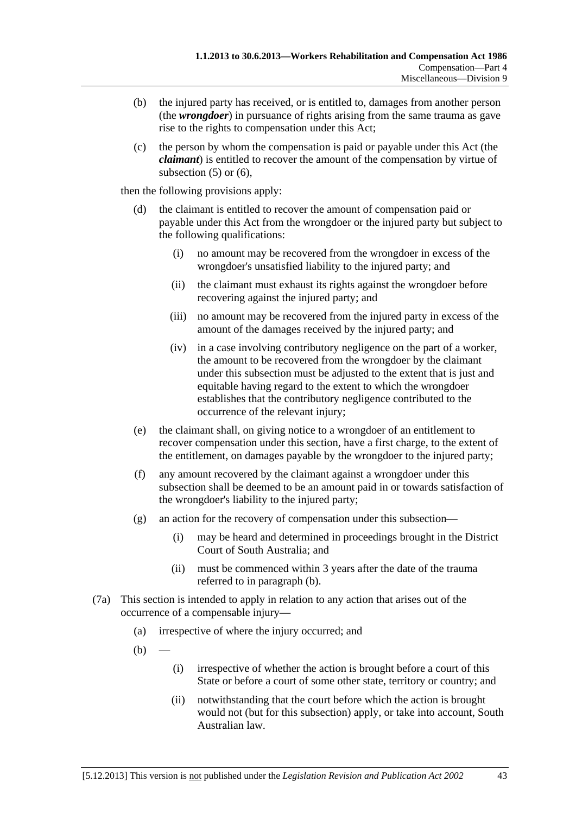- <span id="page-78-0"></span> (b) the injured party has received, or is entitled to, damages from another person (the *wrongdoer*) in pursuance of rights arising from the same trauma as gave rise to the rights to compensation under this Act;
- (c) the person by whom the compensation is paid or payable under this Act (the *claimant*) is entitled to recover the amount of the compensation by virtue of subsection  $(5)$  or  $(6)$ ,

then the following provisions apply:

- (d) the claimant is entitled to recover the amount of compensation paid or payable under this Act from the wrongdoer or the injured party but subject to the following qualifications:
	- (i) no amount may be recovered from the wrongdoer in excess of the wrongdoer's unsatisfied liability to the injured party; and
	- (ii) the claimant must exhaust its rights against the wrongdoer before recovering against the injured party; and
	- (iii) no amount may be recovered from the injured party in excess of the amount of the damages received by the injured party; and
	- (iv) in a case involving contributory negligence on the part of a worker, the amount to be recovered from the wrongdoer by the claimant under this subsection must be adjusted to the extent that is just and equitable having regard to the extent to which the wrongdoer establishes that the contributory negligence contributed to the occurrence of the relevant injury;
- (e) the claimant shall, on giving notice to a wrongdoer of an entitlement to recover compensation under this section, have a first charge, to the extent of the entitlement, on damages payable by the wrongdoer to the injured party;
- (f) any amount recovered by the claimant against a wrongdoer under this subsection shall be deemed to be an amount paid in or towards satisfaction of the wrongdoer's liability to the injured party;
- (g) an action for the recovery of compensation under this subsection—
	- (i) may be heard and determined in proceedings brought in the District Court of South Australia; and
	- (ii) must be commenced within 3 years after the date of the trauma referred to in [paragraph \(b\)](#page-78-0).
- (7a) This section is intended to apply in relation to any action that arises out of the occurrence of a compensable injury—
	- (a) irrespective of where the injury occurred; and
	- $(b)$ 
		- (i) irrespective of whether the action is brought before a court of this State or before a court of some other state, territory or country; and
		- (ii) notwithstanding that the court before which the action is brought would not (but for this subsection) apply, or take into account, South Australian law.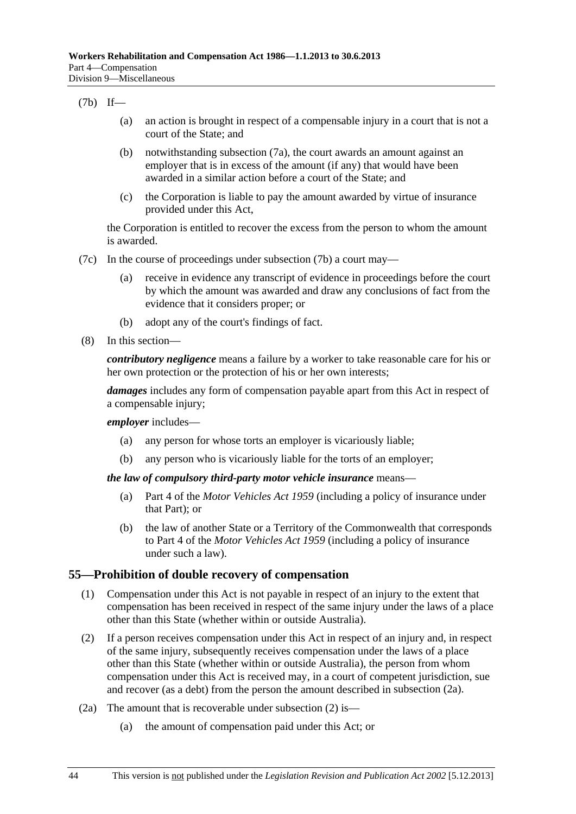#### <span id="page-79-0"></span>(7b) If—

- (a) an action is brought in respect of a compensable injury in a court that is not a court of the State; and
- (b) notwithstanding [subsection \(7a\)](#page-78-0), the court awards an amount against an employer that is in excess of the amount (if any) that would have been awarded in a similar action before a court of the State; and
- (c) the Corporation is liable to pay the amount awarded by virtue of insurance provided under this Act,

the Corporation is entitled to recover the excess from the person to whom the amount is awarded.

- (7c) In the course of proceedings under [subsection \(7b\)](#page-79-0) a court may—
	- (a) receive in evidence any transcript of evidence in proceedings before the court by which the amount was awarded and draw any conclusions of fact from the evidence that it considers proper; or
	- (b) adopt any of the court's findings of fact.
- (8) In this section—

*contributory negligence* means a failure by a worker to take reasonable care for his or her own protection or the protection of his or her own interests;

*damages* includes any form of compensation payable apart from this Act in respect of a compensable injury;

*employer* includes—

- (a) any person for whose torts an employer is vicariously liable;
- (b) any person who is vicariously liable for the torts of an employer;

#### *the law of compulsory third-party motor vehicle insurance* means—

- (a) Part 4 of the *[Motor Vehicles Act 1959](http://www.legislation.sa.gov.au/index.aspx?action=legref&type=act&legtitle=Motor%20Vehicles%20Act%201959)* (including a policy of insurance under that Part); or
- (b) the law of another State or a Territory of the Commonwealth that corresponds to Part 4 of the *[Motor Vehicles Act 1959](http://www.legislation.sa.gov.au/index.aspx?action=legref&type=act&legtitle=Motor%20Vehicles%20Act%201959)* (including a policy of insurance under such a law).

### **55—Prohibition of double recovery of compensation**

- (1) Compensation under this Act is not payable in respect of an injury to the extent that compensation has been received in respect of the same injury under the laws of a place other than this State (whether within or outside Australia).
- (2) If a person receives compensation under this Act in respect of an injury and, in respect of the same injury, subsequently receives compensation under the laws of a place other than this State (whether within or outside Australia), the person from whom compensation under this Act is received may, in a court of competent jurisdiction, sue and recover (as a debt) from the person the amount described in [subsection \(2a\).](#page-79-0)
- (2a) The amount that is recoverable under [subsection \(2\)](#page-79-0) is—
	- (a) the amount of compensation paid under this Act; or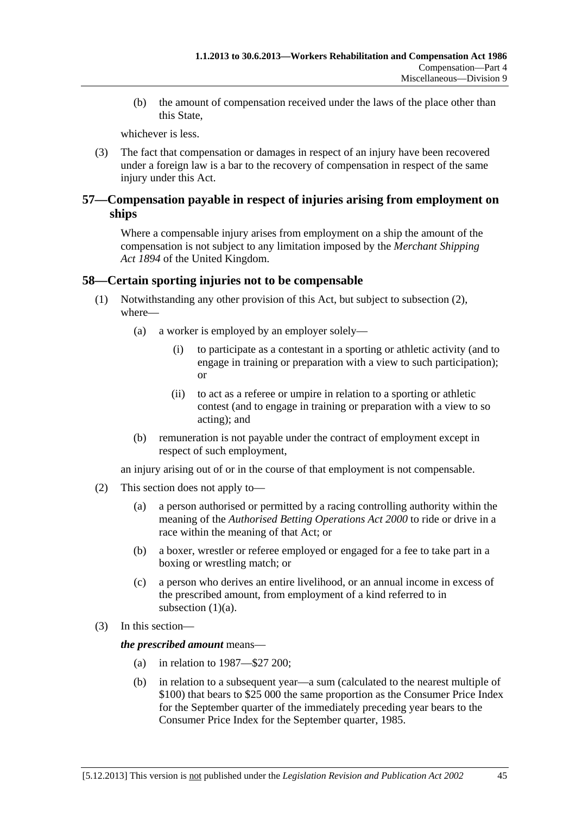<span id="page-80-0"></span> (b) the amount of compensation received under the laws of the place other than this State,

whichever is less.

 (3) The fact that compensation or damages in respect of an injury have been recovered under a foreign law is a bar to the recovery of compensation in respect of the same injury under this Act.

# **57—Compensation payable in respect of injuries arising from employment on ships**

Where a compensable injury arises from employment on a ship the amount of the compensation is not subject to any limitation imposed by the *Merchant Shipping Act 1894* of the United Kingdom.

# **58—Certain sporting injuries not to be compensable**

- (1) Notwithstanding any other provision of this Act, but subject to [subsection \(2\),](#page-80-0) where—
	- (a) a worker is employed by an employer solely—
		- (i) to participate as a contestant in a sporting or athletic activity (and to engage in training or preparation with a view to such participation); or
		- (ii) to act as a referee or umpire in relation to a sporting or athletic contest (and to engage in training or preparation with a view to so acting); and
	- (b) remuneration is not payable under the contract of employment except in respect of such employment,

an injury arising out of or in the course of that employment is not compensable.

- (2) This section does not apply to—
	- (a) a person authorised or permitted by a racing controlling authority within the meaning of the *[Authorised Betting Operations Act 2000](http://www.legislation.sa.gov.au/index.aspx?action=legref&type=act&legtitle=Authorised%20Betting%20Operations%20Act%202000)* to ride or drive in a race within the meaning of that Act; or
	- (b) a boxer, wrestler or referee employed or engaged for a fee to take part in a boxing or wrestling match; or
	- (c) a person who derives an entire livelihood, or an annual income in excess of the prescribed amount, from employment of a kind referred to in subsection  $(1)(a)$ .
- (3) In this section—

*the prescribed amount* means—

- (a) in relation to 1987—\$27 200;
- (b) in relation to a subsequent year—a sum (calculated to the nearest multiple of \$100) that bears to \$25 000 the same proportion as the Consumer Price Index for the September quarter of the immediately preceding year bears to the Consumer Price Index for the September quarter, 1985.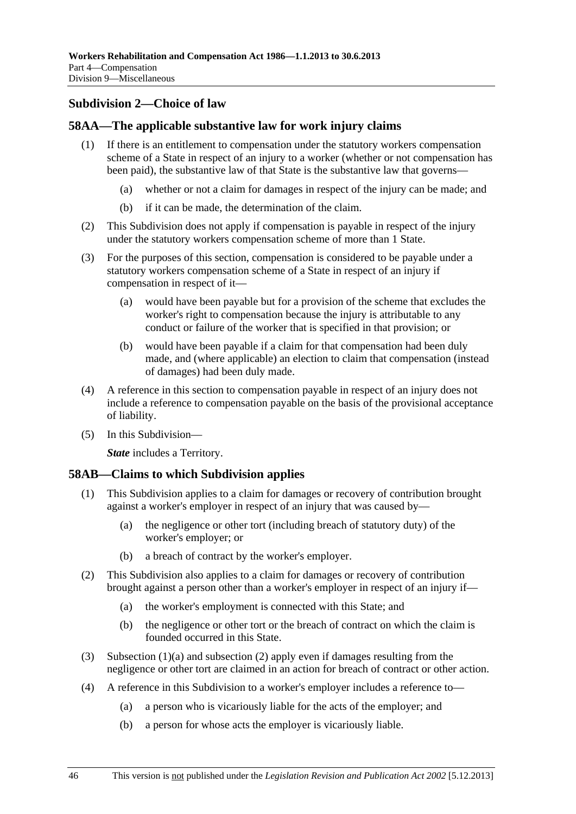# <span id="page-81-0"></span>**Subdivision 2—Choice of law**

# **58AA—The applicable substantive law for work injury claims**

- (1) If there is an entitlement to compensation under the statutory workers compensation scheme of a State in respect of an injury to a worker (whether or not compensation has been paid), the substantive law of that State is the substantive law that governs—
	- (a) whether or not a claim for damages in respect of the injury can be made; and
	- (b) if it can be made, the determination of the claim.
- (2) This Subdivision does not apply if compensation is payable in respect of the injury under the statutory workers compensation scheme of more than 1 State.
- (3) For the purposes of this section, compensation is considered to be payable under a statutory workers compensation scheme of a State in respect of an injury if compensation in respect of it—
	- (a) would have been payable but for a provision of the scheme that excludes the worker's right to compensation because the injury is attributable to any conduct or failure of the worker that is specified in that provision; or
	- (b) would have been payable if a claim for that compensation had been duly made, and (where applicable) an election to claim that compensation (instead of damages) had been duly made.
- (4) A reference in this section to compensation payable in respect of an injury does not include a reference to compensation payable on the basis of the provisional acceptance of liability.
- (5) In this Subdivision—

*State* includes a Territory.

### **58AB—Claims to which Subdivision applies**

- (1) This Subdivision applies to a claim for damages or recovery of contribution brought against a worker's employer in respect of an injury that was caused by—
	- (a) the negligence or other tort (including breach of statutory duty) of the worker's employer; or
	- (b) a breach of contract by the worker's employer.
- (2) This Subdivision also applies to a claim for damages or recovery of contribution brought against a person other than a worker's employer in respect of an injury if—
	- (a) the worker's employment is connected with this State; and
	- (b) the negligence or other tort or the breach of contract on which the claim is founded occurred in this State.
- (3) Subsection  $(1)(a)$  and subsection  $(2)$  apply even if damages resulting from the negligence or other tort are claimed in an action for breach of contract or other action.
- (4) A reference in this Subdivision to a worker's employer includes a reference to—
	- (a) a person who is vicariously liable for the acts of the employer; and
	- (b) a person for whose acts the employer is vicariously liable.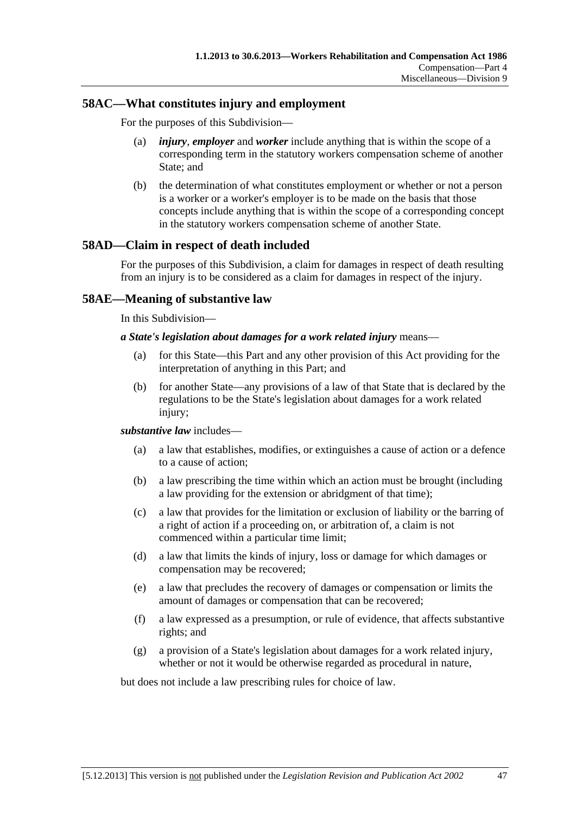# **58AC—What constitutes injury and employment**

For the purposes of this Subdivision—

- (a) *injury*, *employer* and *worker* include anything that is within the scope of a corresponding term in the statutory workers compensation scheme of another State; and
- (b) the determination of what constitutes employment or whether or not a person is a worker or a worker's employer is to be made on the basis that those concepts include anything that is within the scope of a corresponding concept in the statutory workers compensation scheme of another State.

# **58AD—Claim in respect of death included**

For the purposes of this Subdivision, a claim for damages in respect of death resulting from an injury is to be considered as a claim for damages in respect of the injury.

# **58AE—Meaning of substantive law**

In this Subdivision—

#### *a State's legislation about damages for a work related injury* means—

- (a) for this State—this Part and any other provision of this Act providing for the interpretation of anything in this Part; and
- (b) for another State—any provisions of a law of that State that is declared by the regulations to be the State's legislation about damages for a work related injury;

#### *substantive law* includes—

- (a) a law that establishes, modifies, or extinguishes a cause of action or a defence to a cause of action;
- (b) a law prescribing the time within which an action must be brought (including a law providing for the extension or abridgment of that time);
- (c) a law that provides for the limitation or exclusion of liability or the barring of a right of action if a proceeding on, or arbitration of, a claim is not commenced within a particular time limit;
- (d) a law that limits the kinds of injury, loss or damage for which damages or compensation may be recovered;
- (e) a law that precludes the recovery of damages or compensation or limits the amount of damages or compensation that can be recovered;
- (f) a law expressed as a presumption, or rule of evidence, that affects substantive rights; and
- (g) a provision of a State's legislation about damages for a work related injury, whether or not it would be otherwise regarded as procedural in nature,

but does not include a law prescribing rules for choice of law.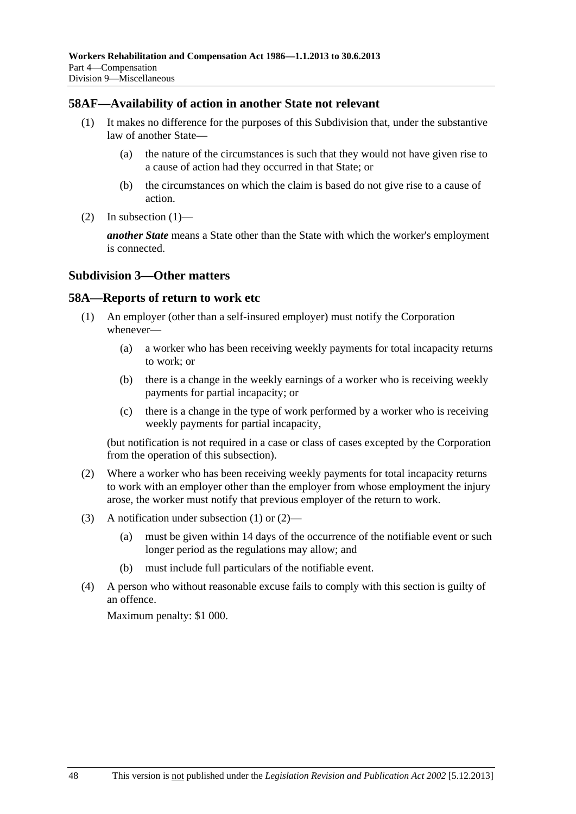# <span id="page-83-0"></span>**58AF—Availability of action in another State not relevant**

- (1) It makes no difference for the purposes of this Subdivision that, under the substantive law of another State—
	- (a) the nature of the circumstances is such that they would not have given rise to a cause of action had they occurred in that State; or
	- (b) the circumstances on which the claim is based do not give rise to a cause of action.
- (2) In subsection  $(1)$ —

*another State* means a State other than the State with which the worker's employment is connected.

### **Subdivision 3—Other matters**

### **58A—Reports of return to work etc**

- (1) An employer (other than a self-insured employer) must notify the Corporation whenever—
	- (a) a worker who has been receiving weekly payments for total incapacity returns to work; or
	- (b) there is a change in the weekly earnings of a worker who is receiving weekly payments for partial incapacity; or
	- (c) there is a change in the type of work performed by a worker who is receiving weekly payments for partial incapacity,

(but notification is not required in a case or class of cases excepted by the Corporation from the operation of this subsection).

- (2) Where a worker who has been receiving weekly payments for total incapacity returns to work with an employer other than the employer from whose employment the injury arose, the worker must notify that previous employer of the return to work.
- (3) A notification under [subsection \(1\)](#page-83-0) or [\(2\)](#page-83-0)
	- (a) must be given within 14 days of the occurrence of the notifiable event or such longer period as the regulations may allow; and
	- (b) must include full particulars of the notifiable event.
- (4) A person who without reasonable excuse fails to comply with this section is guilty of an offence.

Maximum penalty: \$1 000.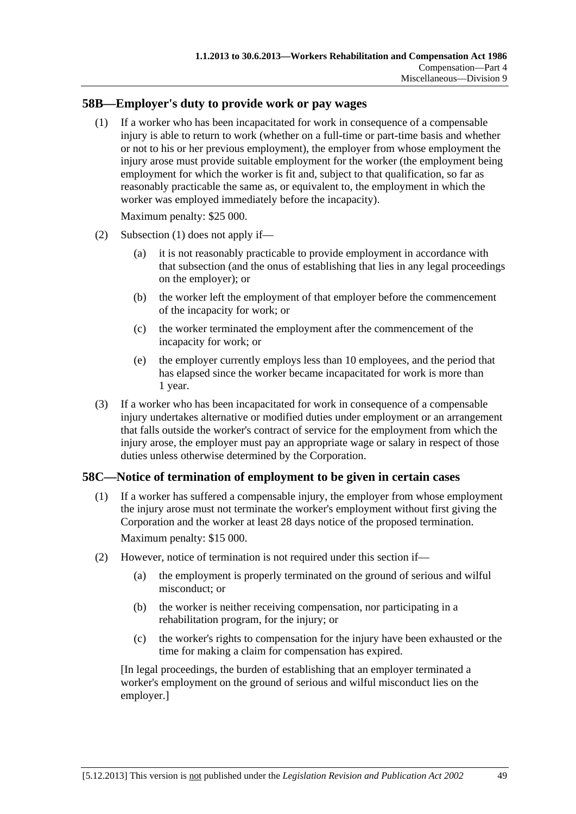# <span id="page-84-0"></span>**58B—Employer's duty to provide work or pay wages**

 (1) If a worker who has been incapacitated for work in consequence of a compensable injury is able to return to work (whether on a full-time or part-time basis and whether or not to his or her previous employment), the employer from whose employment the injury arose must provide suitable employment for the worker (the employment being employment for which the worker is fit and, subject to that qualification, so far as reasonably practicable the same as, or equivalent to, the employment in which the worker was employed immediately before the incapacity).

Maximum penalty: \$25 000.

- (2) [Subsection \(1\)](#page-84-0) does not apply if—
	- (a) it is not reasonably practicable to provide employment in accordance with that subsection (and the onus of establishing that lies in any legal proceedings on the employer); or
	- (b) the worker left the employment of that employer before the commencement of the incapacity for work; or
	- (c) the worker terminated the employment after the commencement of the incapacity for work; or
	- (e) the employer currently employs less than 10 employees, and the period that has elapsed since the worker became incapacitated for work is more than 1 year.
- (3) If a worker who has been incapacitated for work in consequence of a compensable injury undertakes alternative or modified duties under employment or an arrangement that falls outside the worker's contract of service for the employment from which the injury arose, the employer must pay an appropriate wage or salary in respect of those duties unless otherwise determined by the Corporation.

# **58C—Notice of termination of employment to be given in certain cases**

 (1) If a worker has suffered a compensable injury, the employer from whose employment the injury arose must not terminate the worker's employment without first giving the Corporation and the worker at least 28 days notice of the proposed termination.

Maximum penalty: \$15 000.

- (2) However, notice of termination is not required under this section if—
	- (a) the employment is properly terminated on the ground of serious and wilful misconduct; or
	- (b) the worker is neither receiving compensation, nor participating in a rehabilitation program, for the injury; or
	- (c) the worker's rights to compensation for the injury have been exhausted or the time for making a claim for compensation has expired.

[In legal proceedings, the burden of establishing that an employer terminated a worker's employment on the ground of serious and wilful misconduct lies on the employer.]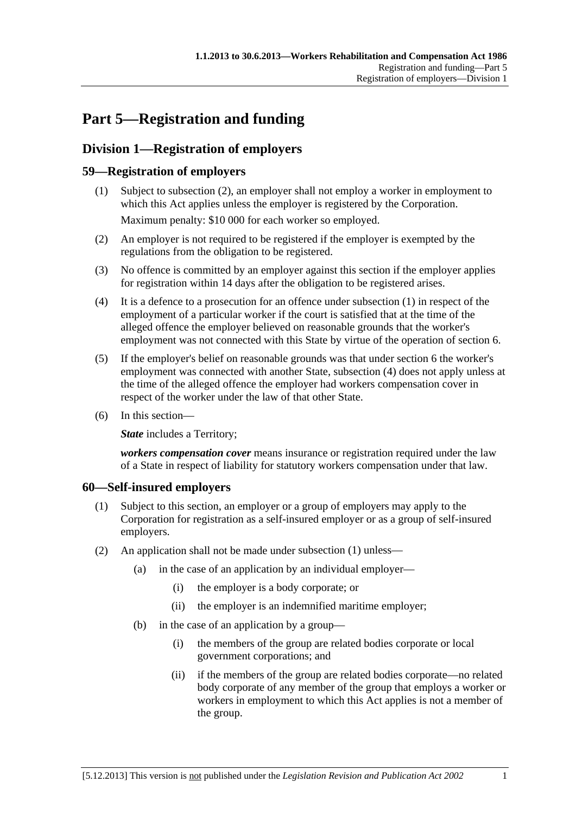# <span id="page-86-0"></span>**Part 5—Registration and funding**

# **Division 1—Registration of employers**

# **59—Registration of employers**

- (1) Subject to [subsection \(2\),](#page-86-0) an employer shall not employ a worker in employment to which this Act applies unless the employer is registered by the Corporation. Maximum penalty: \$10 000 for each worker so employed.
- (2) An employer is not required to be registered if the employer is exempted by the regulations from the obligation to be registered.
- (3) No offence is committed by an employer against this section if the employer applies for registration within 14 days after the obligation to be registered arises.
- (4) It is a defence to a prosecution for an offence under [subsection \(1\)](#page-86-0) in respect of the employment of a particular worker if the court is satisfied that at the time of the alleged offence the employer believed on reasonable grounds that the worker's employment was not connected with this State by virtue of the operation of [section 6](#page-22-0).
- (5) If the employer's belief on reasonable grounds was that under [section 6](#page-22-0) the worker's employment was connected with another State, [subsection \(4\)](#page-86-0) does not apply unless at the time of the alleged offence the employer had workers compensation cover in respect of the worker under the law of that other State.
- (6) In this section—

**State** includes a Territory;

*workers compensation cover* means insurance or registration required under the law of a State in respect of liability for statutory workers compensation under that law.

# **60—Self-insured employers**

- (1) Subject to this section, an employer or a group of employers may apply to the Corporation for registration as a self-insured employer or as a group of self-insured employers.
- (2) An application shall not be made under [subsection \(1\)](#page-86-0) unless—
	- (a) in the case of an application by an individual employer—
		- (i) the employer is a body corporate; or
		- (ii) the employer is an indemnified maritime employer;
	- (b) in the case of an application by a group—
		- (i) the members of the group are related bodies corporate or local government corporations; and
		- (ii) if the members of the group are related bodies corporate—no related body corporate of any member of the group that employs a worker or workers in employment to which this Act applies is not a member of the group.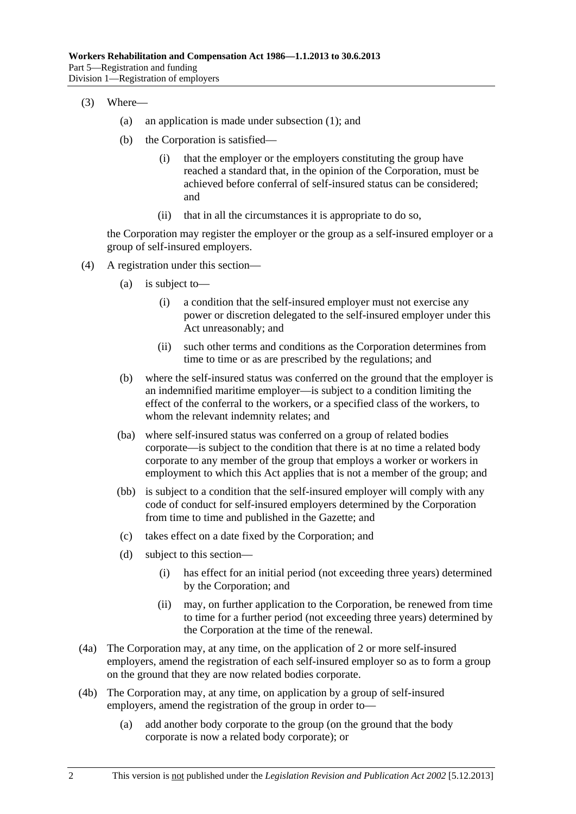- (3) Where—
	- (a) an application is made under [subsection \(1\)](#page-86-0); and
	- (b) the Corporation is satisfied—
		- (i) that the employer or the employers constituting the group have reached a standard that, in the opinion of the Corporation, must be achieved before conferral of self-insured status can be considered; and
		- (ii) that in all the circumstances it is appropriate to do so,

the Corporation may register the employer or the group as a self-insured employer or a group of self-insured employers.

- (4) A registration under this section—
	- (a) is subject to—
		- (i) a condition that the self-insured employer must not exercise any power or discretion delegated to the self-insured employer under this Act unreasonably; and
		- (ii) such other terms and conditions as the Corporation determines from time to time or as are prescribed by the regulations; and
	- (b) where the self-insured status was conferred on the ground that the employer is an indemnified maritime employer—is subject to a condition limiting the effect of the conferral to the workers, or a specified class of the workers, to whom the relevant indemnity relates; and
	- (ba) where self-insured status was conferred on a group of related bodies corporate—is subject to the condition that there is at no time a related body corporate to any member of the group that employs a worker or workers in employment to which this Act applies that is not a member of the group; and
	- (bb) is subject to a condition that the self-insured employer will comply with any code of conduct for self-insured employers determined by the Corporation from time to time and published in the Gazette; and
	- (c) takes effect on a date fixed by the Corporation; and
	- (d) subject to this section—
		- (i) has effect for an initial period (not exceeding three years) determined by the Corporation; and
		- (ii) may, on further application to the Corporation, be renewed from time to time for a further period (not exceeding three years) determined by the Corporation at the time of the renewal.
- (4a) The Corporation may, at any time, on the application of 2 or more self-insured employers, amend the registration of each self-insured employer so as to form a group on the ground that they are now related bodies corporate.
- (4b) The Corporation may, at any time, on application by a group of self-insured employers, amend the registration of the group in order to—
	- (a) add another body corporate to the group (on the ground that the body corporate is now a related body corporate); or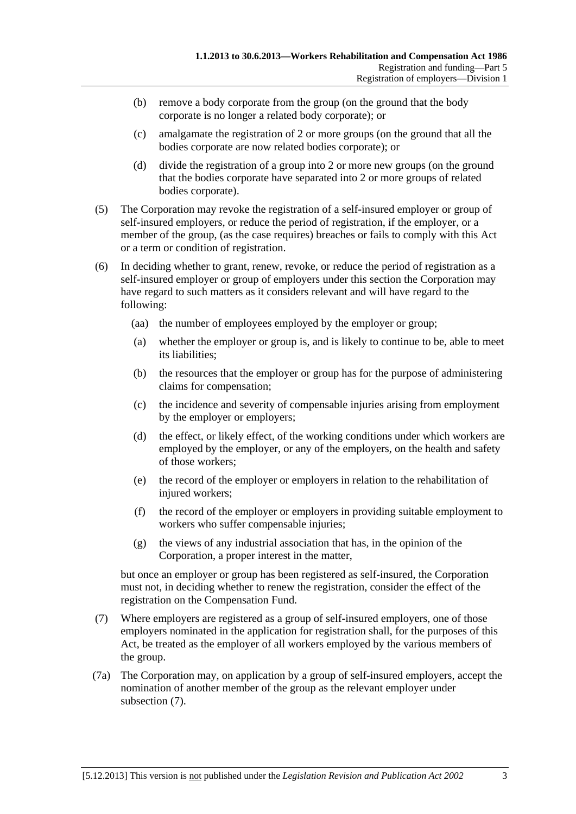- <span id="page-88-0"></span> (b) remove a body corporate from the group (on the ground that the body corporate is no longer a related body corporate); or
- (c) amalgamate the registration of 2 or more groups (on the ground that all the bodies corporate are now related bodies corporate); or
- (d) divide the registration of a group into 2 or more new groups (on the ground that the bodies corporate have separated into 2 or more groups of related bodies corporate).
- (5) The Corporation may revoke the registration of a self-insured employer or group of self-insured employers, or reduce the period of registration, if the employer, or a member of the group, (as the case requires) breaches or fails to comply with this Act or a term or condition of registration.
- (6) In deciding whether to grant, renew, revoke, or reduce the period of registration as a self-insured employer or group of employers under this section the Corporation may have regard to such matters as it considers relevant and will have regard to the following:
	- (aa) the number of employees employed by the employer or group;
	- (a) whether the employer or group is, and is likely to continue to be, able to meet its liabilities;
	- (b) the resources that the employer or group has for the purpose of administering claims for compensation;
	- (c) the incidence and severity of compensable injuries arising from employment by the employer or employers;
	- (d) the effect, or likely effect, of the working conditions under which workers are employed by the employer, or any of the employers, on the health and safety of those workers;
	- (e) the record of the employer or employers in relation to the rehabilitation of injured workers;
	- (f) the record of the employer or employers in providing suitable employment to workers who suffer compensable injuries;
	- (g) the views of any industrial association that has, in the opinion of the Corporation, a proper interest in the matter,

but once an employer or group has been registered as self-insured, the Corporation must not, in deciding whether to renew the registration, consider the effect of the registration on the Compensation Fund.

- (7) Where employers are registered as a group of self-insured employers, one of those employers nominated in the application for registration shall, for the purposes of this Act, be treated as the employer of all workers employed by the various members of the group.
- (7a) The Corporation may, on application by a group of self-insured employers, accept the nomination of another member of the group as the relevant employer under [subsection \(7\).](#page-88-0)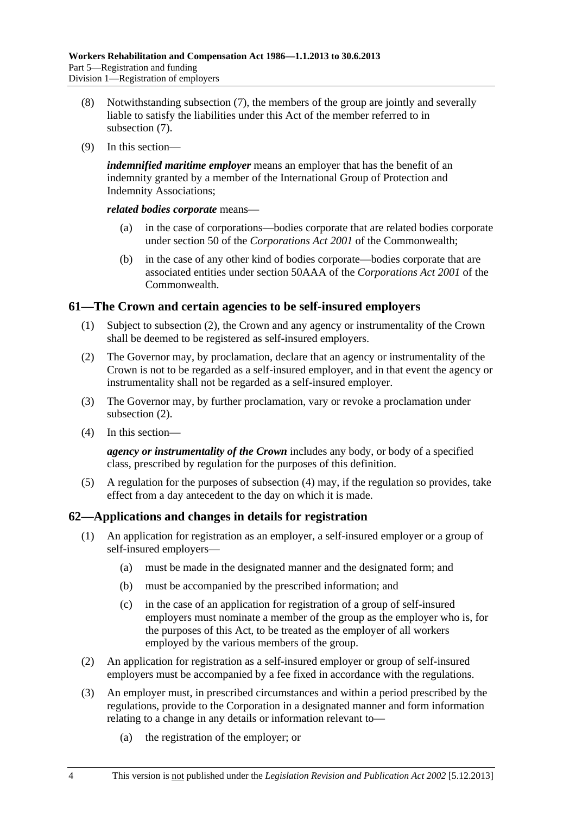- <span id="page-89-0"></span> (8) Notwithstanding [subsection \(7\)](#page-88-0), the members of the group are jointly and severally liable to satisfy the liabilities under this Act of the member referred to in [subsection \(7\).](#page-88-0)
- (9) In this section—

*indemnified maritime employer* means an employer that has the benefit of an indemnity granted by a member of the International Group of Protection and Indemnity Associations;

*related bodies corporate* means—

- (a) in the case of corporations—bodies corporate that are related bodies corporate under section 50 of the *Corporations Act 2001* of the Commonwealth;
- (b) in the case of any other kind of bodies corporate—bodies corporate that are associated entities under section 50AAA of the *Corporations Act 2001* of the **Commonwealth**

# **61—The Crown and certain agencies to be self-insured employers**

- (1) Subject to [subsection \(2\),](#page-89-0) the Crown and any agency or instrumentality of the Crown shall be deemed to be registered as self-insured employers.
- (2) The Governor may, by proclamation, declare that an agency or instrumentality of the Crown is not to be regarded as a self-insured employer, and in that event the agency or instrumentality shall not be regarded as a self-insured employer.
- (3) The Governor may, by further proclamation, vary or revoke a proclamation under [subsection \(2\).](#page-89-0)
- (4) In this section—

*agency or instrumentality of the Crown* includes any body, or body of a specified class, prescribed by regulation for the purposes of this definition.

 (5) A regulation for the purposes of [subsection \(4\)](#page-89-0) may, if the regulation so provides, take effect from a day antecedent to the day on which it is made.

# **62—Applications and changes in details for registration**

- (1) An application for registration as an employer, a self-insured employer or a group of self-insured employers—
	- (a) must be made in the designated manner and the designated form; and
	- (b) must be accompanied by the prescribed information; and
	- (c) in the case of an application for registration of a group of self-insured employers must nominate a member of the group as the employer who is, for the purposes of this Act, to be treated as the employer of all workers employed by the various members of the group.
- (2) An application for registration as a self-insured employer or group of self-insured employers must be accompanied by a fee fixed in accordance with the regulations.
- (3) An employer must, in prescribed circumstances and within a period prescribed by the regulations, provide to the Corporation in a designated manner and form information relating to a change in any details or information relevant to—
	- (a) the registration of the employer; or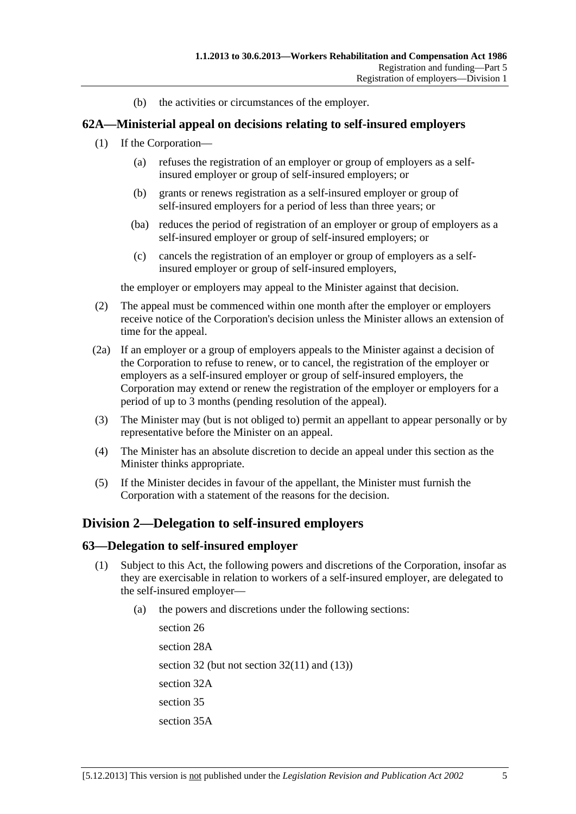(b) the activities or circumstances of the employer.

# <span id="page-90-0"></span>**62A—Ministerial appeal on decisions relating to self-insured employers**

- (1) If the Corporation—
	- (a) refuses the registration of an employer or group of employers as a selfinsured employer or group of self-insured employers; or
	- (b) grants or renews registration as a self-insured employer or group of self-insured employers for a period of less than three years; or
	- (ba) reduces the period of registration of an employer or group of employers as a self-insured employer or group of self-insured employers; or
	- (c) cancels the registration of an employer or group of employers as a selfinsured employer or group of self-insured employers,

the employer or employers may appeal to the Minister against that decision.

- (2) The appeal must be commenced within one month after the employer or employers receive notice of the Corporation's decision unless the Minister allows an extension of time for the appeal.
- (2a) If an employer or a group of employers appeals to the Minister against a decision of the Corporation to refuse to renew, or to cancel, the registration of the employer or employers as a self-insured employer or group of self-insured employers, the Corporation may extend or renew the registration of the employer or employers for a period of up to 3 months (pending resolution of the appeal).
- (3) The Minister may (but is not obliged to) permit an appellant to appear personally or by representative before the Minister on an appeal.
- (4) The Minister has an absolute discretion to decide an appeal under this section as the Minister thinks appropriate.
- (5) If the Minister decides in favour of the appellant, the Minister must furnish the Corporation with a statement of the reasons for the decision.

# **Division 2—Delegation to self-insured employers**

### **63—Delegation to self-insured employer**

- (1) Subject to this Act, the following powers and discretions of the Corporation, insofar as they are exercisable in relation to workers of a self-insured employer, are delegated to the self-insured employer—
	- (a) the powers and discretions under the following sections:

[section 26](#page-30-0) [section 28A](#page-31-0)  [section 32](#page-38-0) (but not section  $32(11)$  and  $(13)$ ) [section 32A](#page-41-0)  [section 35](#page-42-0) [section 35A](#page-44-0)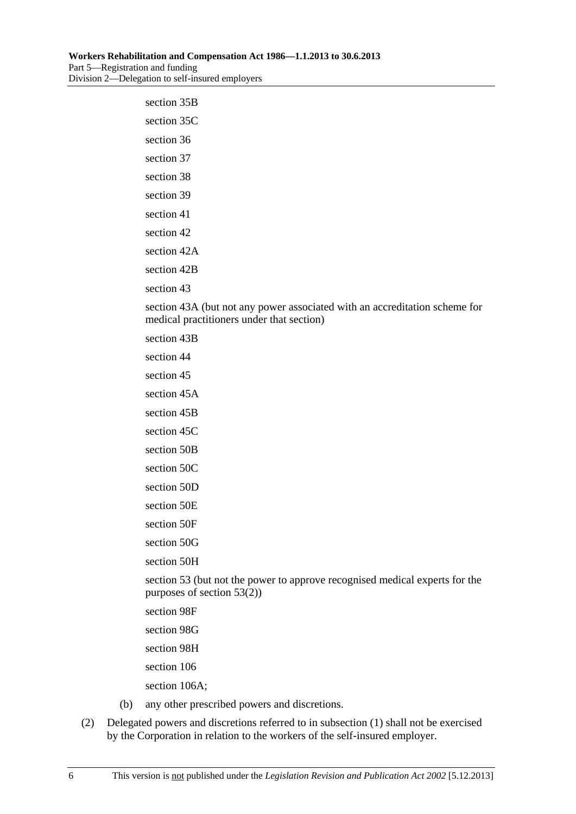# [section 35B](#page-45-0)  [section 35C](#page-46-0)  [section 36](#page-47-0) [section 37](#page-53-0) [section 38](#page-54-0) [section 39](#page-54-0) [section 41](#page-56-0) [section 42](#page-56-0) section 42A section 42B [section 43](#page-58-0)

[section 43A](#page-59-0) (but not any power associated with an accreditation scheme for medical practitioners under that section)

[section 43B](#page-60-0) 

[section 44](#page-61-0)

[section 45](#page-63-0)

[section 45A](#page-64-0) 

[section 45B](#page-66-0) 

[section 45C](#page-67-0) 

[section 50B](#page-70-0) 

[section 50C](#page-70-0) 

[section 50D](#page-71-0) 

[section 50E](#page-71-0)

[section 50F](#page-71-0) 

[section 50G](#page-71-0) 

[section 50H](#page-71-0) 

[section 53](#page-75-0) (but not the power to approve recognised medical experts for the purposes of [section 53\(2\)\)](#page-75-0)

[section 98F](#page-135-0) 

[section 98G](#page-135-0) 

[section 98H](#page-136-0) 

[section 106](#page-145-0)

[section 106A](#page-145-0);

- (b) any other prescribed powers and discretions.
- (2) Delegated powers and discretions referred to in [subsection \(1\)](#page-90-0) shall not be exercised by the Corporation in relation to the workers of the self-insured employer.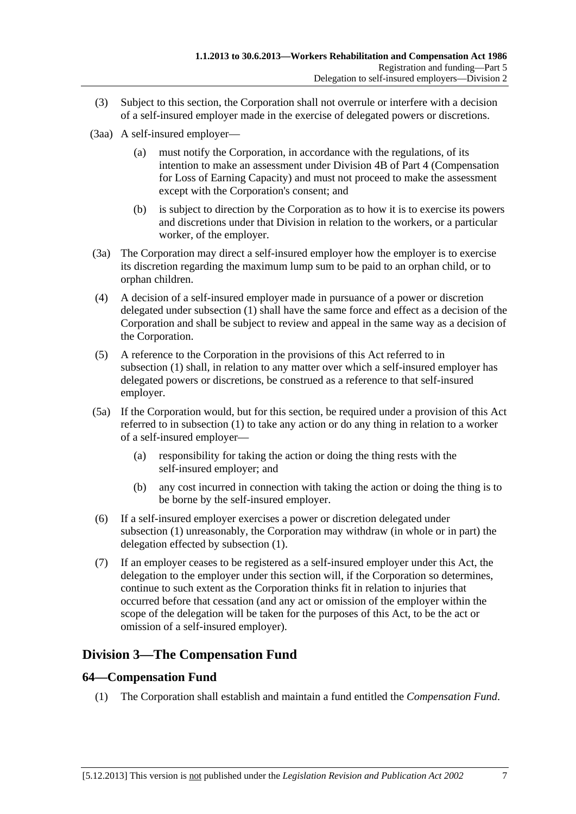- (3) Subject to this section, the Corporation shall not overrule or interfere with a decision of a self-insured employer made in the exercise of delegated powers or discretions.
- (3aa) A self-insured employer—
	- (a) must notify the Corporation, in accordance with the regulations, of its intention to make an assessment under Division 4B of [Part 4](#page-36-0) (Compensation for Loss of Earning Capacity) and must not proceed to make the assessment except with the Corporation's consent; and
	- (b) is subject to direction by the Corporation as to how it is to exercise its powers and discretions under that Division in relation to the workers, or a particular worker, of the employer.
- (3a) The Corporation may direct a self-insured employer how the employer is to exercise its discretion regarding the maximum lump sum to be paid to an orphan child, or to orphan children.
- (4) A decision of a self-insured employer made in pursuance of a power or discretion delegated under [subsection \(1\)](#page-90-0) shall have the same force and effect as a decision of the Corporation and shall be subject to review and appeal in the same way as a decision of the Corporation.
- (5) A reference to the Corporation in the provisions of this Act referred to in [subsection \(1\)](#page-90-0) shall, in relation to any matter over which a self-insured employer has delegated powers or discretions, be construed as a reference to that self-insured employer.
- (5a) If the Corporation would, but for this section, be required under a provision of this Act referred to in [subsection \(1\)](#page-90-0) to take any action or do any thing in relation to a worker of a self-insured employer—
	- (a) responsibility for taking the action or doing the thing rests with the self-insured employer; and
	- (b) any cost incurred in connection with taking the action or doing the thing is to be borne by the self-insured employer.
- (6) If a self-insured employer exercises a power or discretion delegated under [subsection \(1\)](#page-90-0) unreasonably, the Corporation may withdraw (in whole or in part) the delegation effected by [subsection \(1\).](#page-90-0)
- (7) If an employer ceases to be registered as a self-insured employer under this Act, the delegation to the employer under this section will, if the Corporation so determines, continue to such extent as the Corporation thinks fit in relation to injuries that occurred before that cessation (and any act or omission of the employer within the scope of the delegation will be taken for the purposes of this Act, to be the act or omission of a self-insured employer).

# **Division 3—The Compensation Fund**

# **64—Compensation Fund**

(1) The Corporation shall establish and maintain a fund entitled the *Compensation Fund*.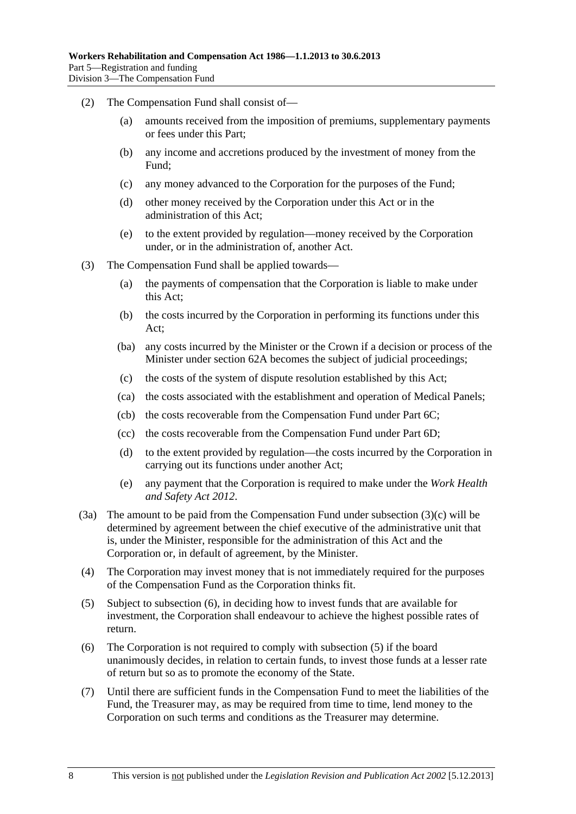- <span id="page-93-0"></span> (2) The Compensation Fund shall consist of—
	- (a) amounts received from the imposition of premiums, supplementary payments or fees under this Part;
	- (b) any income and accretions produced by the investment of money from the Fund;
	- (c) any money advanced to the Corporation for the purposes of the Fund;
	- (d) other money received by the Corporation under this Act or in the administration of this Act;
	- (e) to the extent provided by regulation—money received by the Corporation under, or in the administration of, another Act.
- (3) The Compensation Fund shall be applied towards—
	- (a) the payments of compensation that the Corporation is liable to make under this Act;
	- (b) the costs incurred by the Corporation in performing its functions under this Act;
	- (ba) any costs incurred by the Minister or the Crown if a decision or process of the Minister under [section 62A](#page-90-0) becomes the subject of judicial proceedings;
	- (c) the costs of the system of dispute resolution established by this Act;
	- (ca) the costs associated with the establishment and operation of Medical Panels;
	- (cb) the costs recoverable from the Compensation Fund under [Part 6C](#page-132-0);
	- (cc) the costs recoverable from the Compensation Fund under [Part 6D](#page-138-0);
	- (d) to the extent provided by regulation—the costs incurred by the Corporation in carrying out its functions under another Act;
	- (e) any payment that the Corporation is required to make under the *[Work Health](http://www.legislation.sa.gov.au/index.aspx?action=legref&type=act&legtitle=Work%20Health%20and%20Safety%20Act%202012)  [and Safety Act 2012](http://www.legislation.sa.gov.au/index.aspx?action=legref&type=act&legtitle=Work%20Health%20and%20Safety%20Act%202012)*.
- (3a) The amount to be paid from the Compensation Fund under [subsection \(3\)\(c\)](#page-93-0) will be determined by agreement between the chief executive of the administrative unit that is, under the Minister, responsible for the administration of this Act and the Corporation or, in default of agreement, by the Minister.
- (4) The Corporation may invest money that is not immediately required for the purposes of the Compensation Fund as the Corporation thinks fit.
- (5) Subject to [subsection \(6\),](#page-93-0) in deciding how to invest funds that are available for investment, the Corporation shall endeavour to achieve the highest possible rates of return.
- (6) The Corporation is not required to comply with [subsection \(5\)](#page-93-0) if the board unanimously decides, in relation to certain funds, to invest those funds at a lesser rate of return but so as to promote the economy of the State.
- (7) Until there are sufficient funds in the Compensation Fund to meet the liabilities of the Fund, the Treasurer may, as may be required from time to time, lend money to the Corporation on such terms and conditions as the Treasurer may determine.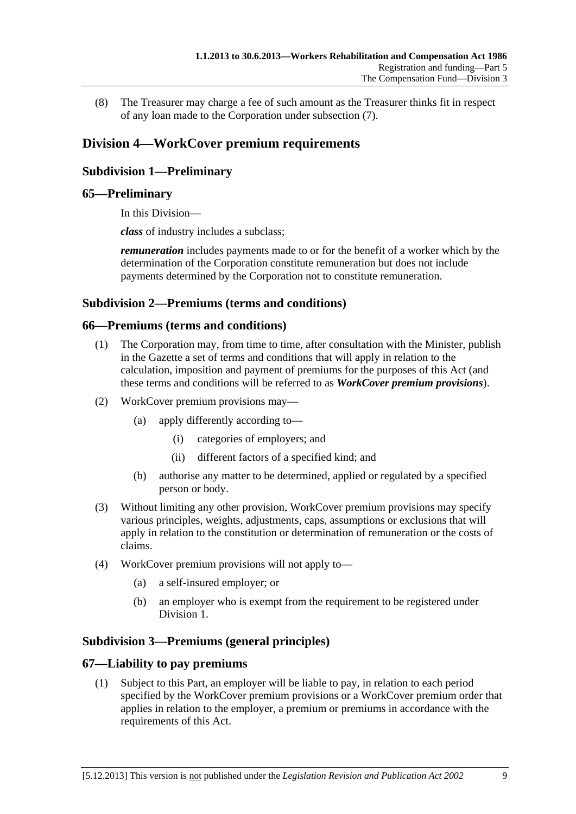(8) The Treasurer may charge a fee of such amount as the Treasurer thinks fit in respect of any loan made to the Corporation under [subsection \(7\)](#page-93-0).

# **Division 4—WorkCover premium requirements**

# **Subdivision 1—Preliminary**

# **65—Preliminary**

In this Division—

*class* of industry includes a subclass;

*remuneration* includes payments made to or for the benefit of a worker which by the determination of the Corporation constitute remuneration but does not include payments determined by the Corporation not to constitute remuneration.

### **Subdivision 2—Premiums (terms and conditions)**

### **66—Premiums (terms and conditions)**

- (1) The Corporation may, from time to time, after consultation with the Minister, publish in the Gazette a set of terms and conditions that will apply in relation to the calculation, imposition and payment of premiums for the purposes of this Act (and these terms and conditions will be referred to as *WorkCover premium provisions*).
- (2) WorkCover premium provisions may—
	- (a) apply differently according to—
		- (i) categories of employers; and
		- (ii) different factors of a specified kind; and
	- (b) authorise any matter to be determined, applied or regulated by a specified person or body.
- (3) Without limiting any other provision, WorkCover premium provisions may specify various principles, weights, adjustments, caps, assumptions or exclusions that will apply in relation to the constitution or determination of remuneration or the costs of claims.
- (4) WorkCover premium provisions will not apply to—
	- (a) a self-insured employer; or
	- (b) an employer who is exempt from the requirement to be registered under Division 1.

# **Subdivision 3—Premiums (general principles)**

### **67—Liability to pay premiums**

 (1) Subject to this Part, an employer will be liable to pay, in relation to each period specified by the WorkCover premium provisions or a WorkCover premium order that applies in relation to the employer, a premium or premiums in accordance with the requirements of this Act.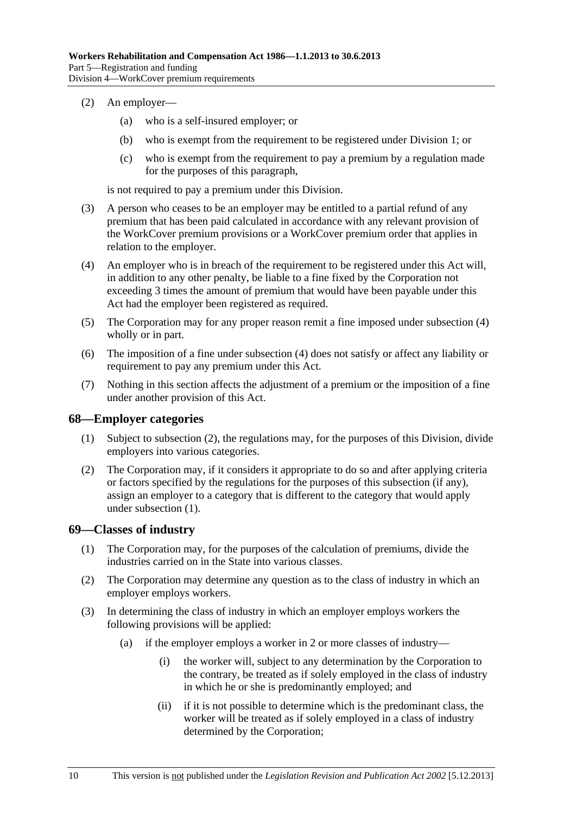- <span id="page-95-0"></span> (2) An employer—
	- (a) who is a self-insured employer; or
	- (b) who is exempt from the requirement to be registered under Division 1; or
	- (c) who is exempt from the requirement to pay a premium by a regulation made for the purposes of this paragraph,

is not required to pay a premium under this Division.

- (3) A person who ceases to be an employer may be entitled to a partial refund of any premium that has been paid calculated in accordance with any relevant provision of the WorkCover premium provisions or a WorkCover premium order that applies in relation to the employer.
- (4) An employer who is in breach of the requirement to be registered under this Act will, in addition to any other penalty, be liable to a fine fixed by the Corporation not exceeding 3 times the amount of premium that would have been payable under this Act had the employer been registered as required.
- (5) The Corporation may for any proper reason remit a fine imposed under [subsection \(4\)](#page-95-0)  wholly or in part.
- (6) The imposition of a fine under [subsection \(4\)](#page-95-0) does not satisfy or affect any liability or requirement to pay any premium under this Act.
- (7) Nothing in this section affects the adjustment of a premium or the imposition of a fine under another provision of this Act.

### **68—Employer categories**

- (1) Subject to [subsection \(2\),](#page-95-0) the regulations may, for the purposes of this Division, divide employers into various categories.
- (2) The Corporation may, if it considers it appropriate to do so and after applying criteria or factors specified by the regulations for the purposes of this subsection (if any), assign an employer to a category that is different to the category that would apply under [subsection \(1\).](#page-95-0)

### **69—Classes of industry**

- (1) The Corporation may, for the purposes of the calculation of premiums, divide the industries carried on in the State into various classes.
- (2) The Corporation may determine any question as to the class of industry in which an employer employs workers.
- (3) In determining the class of industry in which an employer employs workers the following provisions will be applied:
	- (a) if the employer employs a worker in 2 or more classes of industry—
		- (i) the worker will, subject to any determination by the Corporation to the contrary, be treated as if solely employed in the class of industry in which he or she is predominantly employed; and
		- (ii) if it is not possible to determine which is the predominant class, the worker will be treated as if solely employed in a class of industry determined by the Corporation;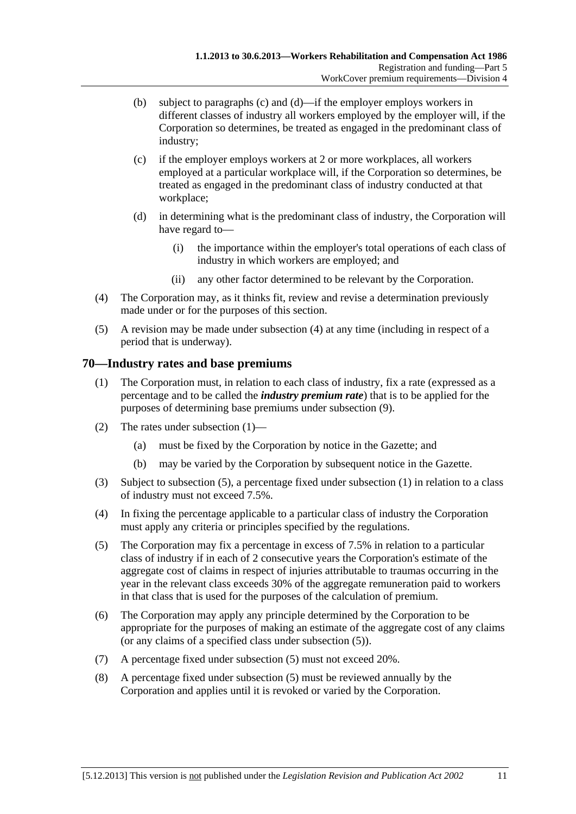- <span id="page-96-0"></span> (b) subject to [paragraphs \(c\)](#page-96-0) and [\(d\)—](#page-96-0)if the employer employs workers in different classes of industry all workers employed by the employer will, if the Corporation so determines, be treated as engaged in the predominant class of industry;
- (c) if the employer employs workers at 2 or more workplaces, all workers employed at a particular workplace will, if the Corporation so determines, be treated as engaged in the predominant class of industry conducted at that workplace;
- (d) in determining what is the predominant class of industry, the Corporation will have regard to—
	- (i) the importance within the employer's total operations of each class of industry in which workers are employed; and
	- (ii) any other factor determined to be relevant by the Corporation.
- (4) The Corporation may, as it thinks fit, review and revise a determination previously made under or for the purposes of this section.
- (5) A revision may be made under [subsection \(4\)](#page-96-0) at any time (including in respect of a period that is underway).

### **70—Industry rates and base premiums**

- (1) The Corporation must, in relation to each class of industry, fix a rate (expressed as a percentage and to be called the *industry premium rate*) that is to be applied for the purposes of determining base premiums under [subsection \(9\).](#page-97-0)
- (2) The rates under [subsection \(1\)](#page-96-0)
	- (a) must be fixed by the Corporation by notice in the Gazette; and
	- (b) may be varied by the Corporation by subsequent notice in the Gazette.
- (3) Subject to [subsection \(5\),](#page-96-0) a percentage fixed under [subsection \(1\)](#page-96-0) in relation to a class of industry must not exceed 7.5%.
- (4) In fixing the percentage applicable to a particular class of industry the Corporation must apply any criteria or principles specified by the regulations.
- (5) The Corporation may fix a percentage in excess of 7.5% in relation to a particular class of industry if in each of 2 consecutive years the Corporation's estimate of the aggregate cost of claims in respect of injuries attributable to traumas occurring in the year in the relevant class exceeds 30% of the aggregate remuneration paid to workers in that class that is used for the purposes of the calculation of premium.
- (6) The Corporation may apply any principle determined by the Corporation to be appropriate for the purposes of making an estimate of the aggregate cost of any claims (or any claims of a specified class under [subsection \(5\)](#page-96-0)).
- (7) A percentage fixed under [subsection \(5\)](#page-96-0) must not exceed 20%.
- (8) A percentage fixed under [subsection \(5\)](#page-96-0) must be reviewed annually by the Corporation and applies until it is revoked or varied by the Corporation.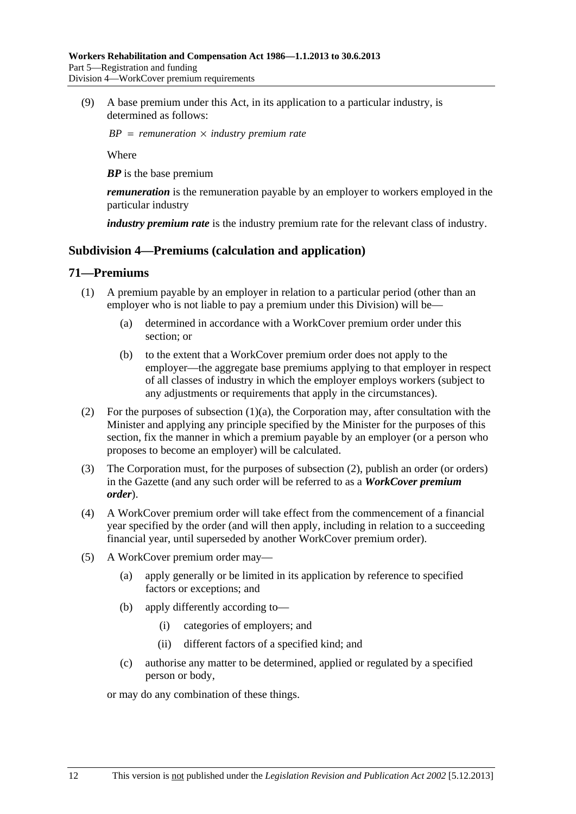<span id="page-97-0"></span> (9) A base premium under this Act, in its application to a particular industry, is determined as follows:

 $BP = remuneration \times industry premium rate$ 

Where

*BP* is the base premium

*remuneration* is the remuneration payable by an employer to workers employed in the particular industry

*industry premium rate* is the industry premium rate for the relevant class of industry.

### **Subdivision 4—Premiums (calculation and application)**

### **71—Premiums**

- (1) A premium payable by an employer in relation to a particular period (other than an employer who is not liable to pay a premium under this Division) will be—
	- (a) determined in accordance with a WorkCover premium order under this section; or
	- (b) to the extent that a WorkCover premium order does not apply to the employer—the aggregate base premiums applying to that employer in respect of all classes of industry in which the employer employs workers (subject to any adjustments or requirements that apply in the circumstances).
- (2) For the purposes of subsection  $(1)(a)$ , the Corporation may, after consultation with the Minister and applying any principle specified by the Minister for the purposes of this section, fix the manner in which a premium payable by an employer (or a person who proposes to become an employer) will be calculated.
- (3) The Corporation must, for the purposes of [subsection \(2\)](#page-97-0), publish an order (or orders) in the Gazette (and any such order will be referred to as a *WorkCover premium order*).
- (4) A WorkCover premium order will take effect from the commencement of a financial year specified by the order (and will then apply, including in relation to a succeeding financial year, until superseded by another WorkCover premium order).
- (5) A WorkCover premium order may—
	- (a) apply generally or be limited in its application by reference to specified factors or exceptions; and
	- (b) apply differently according to—
		- (i) categories of employers; and
		- (ii) different factors of a specified kind; and
	- (c) authorise any matter to be determined, applied or regulated by a specified person or body,

or may do any combination of these things.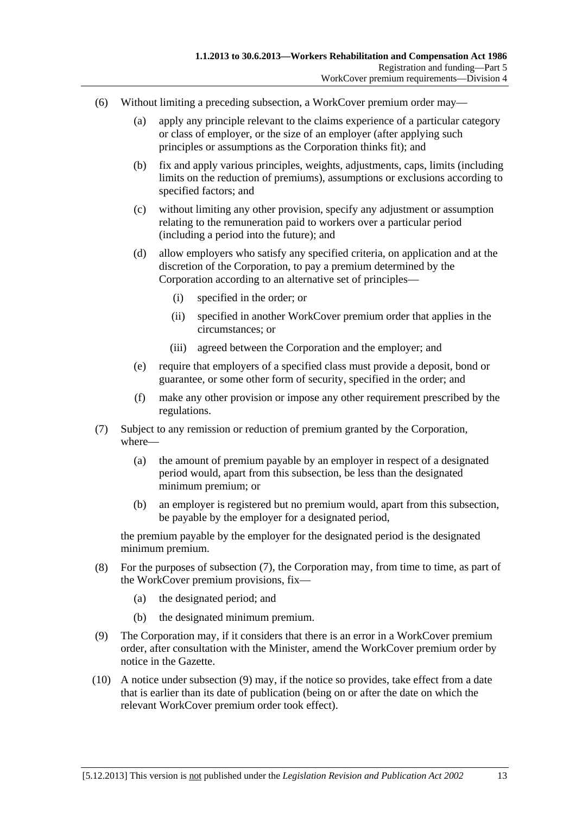- <span id="page-98-0"></span> (6) Without limiting a preceding subsection, a WorkCover premium order may—
	- (a) apply any principle relevant to the claims experience of a particular category or class of employer, or the size of an employer (after applying such principles or assumptions as the Corporation thinks fit); and
	- (b) fix and apply various principles, weights, adjustments, caps, limits (including limits on the reduction of premiums), assumptions or exclusions according to specified factors; and
	- (c) without limiting any other provision, specify any adjustment or assumption relating to the remuneration paid to workers over a particular period (including a period into the future); and
	- (d) allow employers who satisfy any specified criteria, on application and at the discretion of the Corporation, to pay a premium determined by the Corporation according to an alternative set of principles—
		- (i) specified in the order; or
		- (ii) specified in another WorkCover premium order that applies in the circumstances; or
		- (iii) agreed between the Corporation and the employer; and
	- (e) require that employers of a specified class must provide a deposit, bond or guarantee, or some other form of security, specified in the order; and
	- (f) make any other provision or impose any other requirement prescribed by the regulations.
- (7) Subject to any remission or reduction of premium granted by the Corporation, where—
	- (a) the amount of premium payable by an employer in respect of a designated period would, apart from this subsection, be less than the designated minimum premium; or
	- (b) an employer is registered but no premium would, apart from this subsection, be payable by the employer for a designated period,

the premium payable by the employer for the designated period is the designated minimum premium.

- (8) For the purposes of [subsection \(7\),](#page-98-0) the Corporation may, from time to time, as part of the WorkCover premium provisions, fix—
	- (a) the designated period; and
	- (b) the designated minimum premium.
- (9) The Corporation may, if it considers that there is an error in a WorkCover premium order, after consultation with the Minister, amend the WorkCover premium order by notice in the Gazette.
- (10) A notice under [subsection \(9\)](#page-98-0) may, if the notice so provides, take effect from a date that is earlier than its date of publication (being on or after the date on which the relevant WorkCover premium order took effect).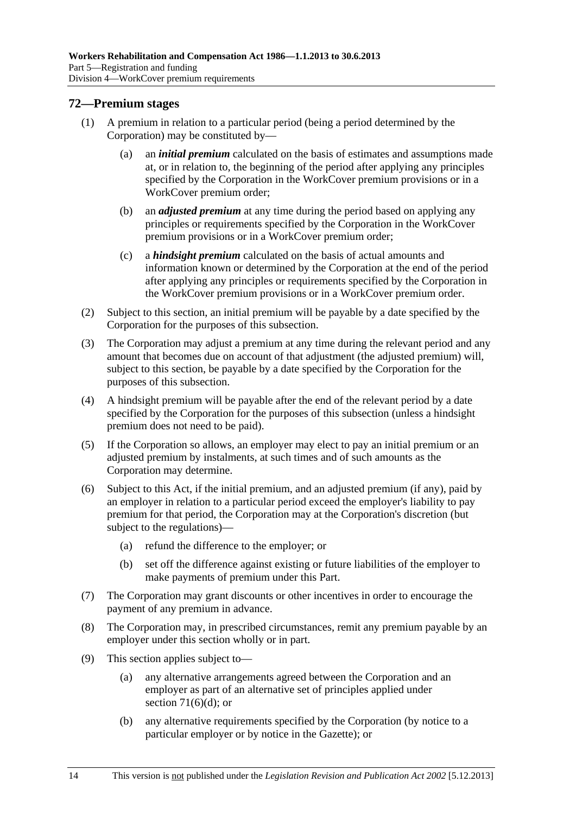# <span id="page-99-0"></span>**72—Premium stages**

- (1) A premium in relation to a particular period (being a period determined by the Corporation) may be constituted by—
	- (a) an *initial premium* calculated on the basis of estimates and assumptions made at, or in relation to, the beginning of the period after applying any principles specified by the Corporation in the WorkCover premium provisions or in a WorkCover premium order;
	- (b) an *adjusted premium* at any time during the period based on applying any principles or requirements specified by the Corporation in the WorkCover premium provisions or in a WorkCover premium order;
	- (c) a *hindsight premium* calculated on the basis of actual amounts and information known or determined by the Corporation at the end of the period after applying any principles or requirements specified by the Corporation in the WorkCover premium provisions or in a WorkCover premium order.
- (2) Subject to this section, an initial premium will be payable by a date specified by the Corporation for the purposes of this subsection.
- (3) The Corporation may adjust a premium at any time during the relevant period and any amount that becomes due on account of that adjustment (the adjusted premium) will, subject to this section, be payable by a date specified by the Corporation for the purposes of this subsection.
- (4) A hindsight premium will be payable after the end of the relevant period by a date specified by the Corporation for the purposes of this subsection (unless a hindsight premium does not need to be paid).
- (5) If the Corporation so allows, an employer may elect to pay an initial premium or an adjusted premium by instalments, at such times and of such amounts as the Corporation may determine.
- (6) Subject to this Act, if the initial premium, and an adjusted premium (if any), paid by an employer in relation to a particular period exceed the employer's liability to pay premium for that period, the Corporation may at the Corporation's discretion (but subject to the regulations)—
	- (a) refund the difference to the employer; or
	- (b) set off the difference against existing or future liabilities of the employer to make payments of premium under this Part.
- (7) The Corporation may grant discounts or other incentives in order to encourage the payment of any premium in advance.
- (8) The Corporation may, in prescribed circumstances, remit any premium payable by an employer under this section wholly or in part.
- (9) This section applies subject to—
	- (a) any alternative arrangements agreed between the Corporation and an employer as part of an alternative set of principles applied under section  $71(6)(d)$ ; or
	- (b) any alternative requirements specified by the Corporation (by notice to a particular employer or by notice in the Gazette); or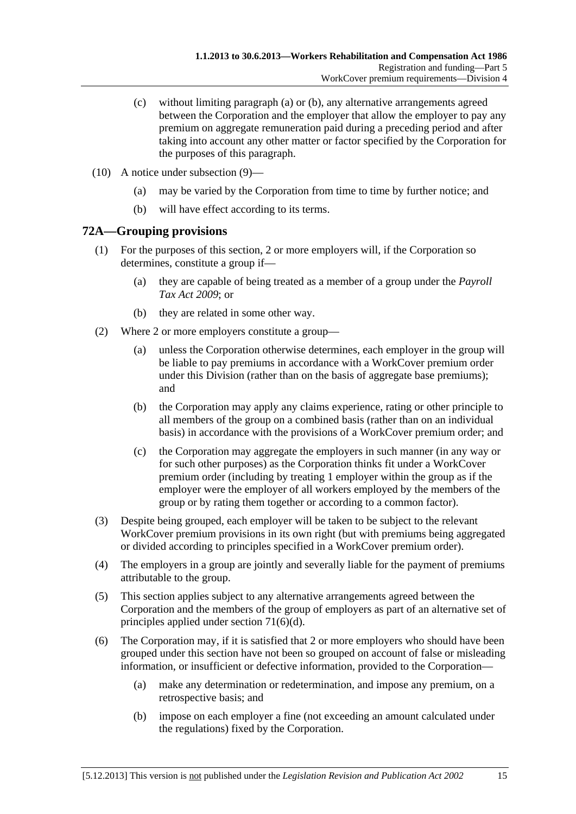- <span id="page-100-0"></span> (c) without limiting [paragraph \(a\)](#page-99-0) or [\(b\)](#page-99-0), any alternative arrangements agreed between the Corporation and the employer that allow the employer to pay any premium on aggregate remuneration paid during a preceding period and after taking into account any other matter or factor specified by the Corporation for the purposes of this paragraph.
- (10) A notice under [subsection \(9\)—](#page-99-0)
	- (a) may be varied by the Corporation from time to time by further notice; and
	- (b) will have effect according to its terms.

# **72A—Grouping provisions**

- (1) For the purposes of this section, 2 or more employers will, if the Corporation so determines, constitute a group if—
	- (a) they are capable of being treated as a member of a group under the *[Payroll](http://www.legislation.sa.gov.au/index.aspx?action=legref&type=act&legtitle=Payroll%20Tax%20Act%202009)  [Tax Act 2009](http://www.legislation.sa.gov.au/index.aspx?action=legref&type=act&legtitle=Payroll%20Tax%20Act%202009)*; or
	- (b) they are related in some other way.
- (2) Where 2 or more employers constitute a group—
	- (a) unless the Corporation otherwise determines, each employer in the group will be liable to pay premiums in accordance with a WorkCover premium order under this Division (rather than on the basis of aggregate base premiums); and
	- (b) the Corporation may apply any claims experience, rating or other principle to all members of the group on a combined basis (rather than on an individual basis) in accordance with the provisions of a WorkCover premium order; and
	- (c) the Corporation may aggregate the employers in such manner (in any way or for such other purposes) as the Corporation thinks fit under a WorkCover premium order (including by treating 1 employer within the group as if the employer were the employer of all workers employed by the members of the group or by rating them together or according to a common factor).
- (3) Despite being grouped, each employer will be taken to be subject to the relevant WorkCover premium provisions in its own right (but with premiums being aggregated or divided according to principles specified in a WorkCover premium order).
- (4) The employers in a group are jointly and severally liable for the payment of premiums attributable to the group.
- (5) This section applies subject to any alternative arrangements agreed between the Corporation and the members of the group of employers as part of an alternative set of principles applied under [section 71\(6\)\(d\).](#page-98-0)
- (6) The Corporation may, if it is satisfied that 2 or more employers who should have been grouped under this section have not been so grouped on account of false or misleading information, or insufficient or defective information, provided to the Corporation—
	- (a) make any determination or redetermination, and impose any premium, on a retrospective basis; and
	- (b) impose on each employer a fine (not exceeding an amount calculated under the regulations) fixed by the Corporation.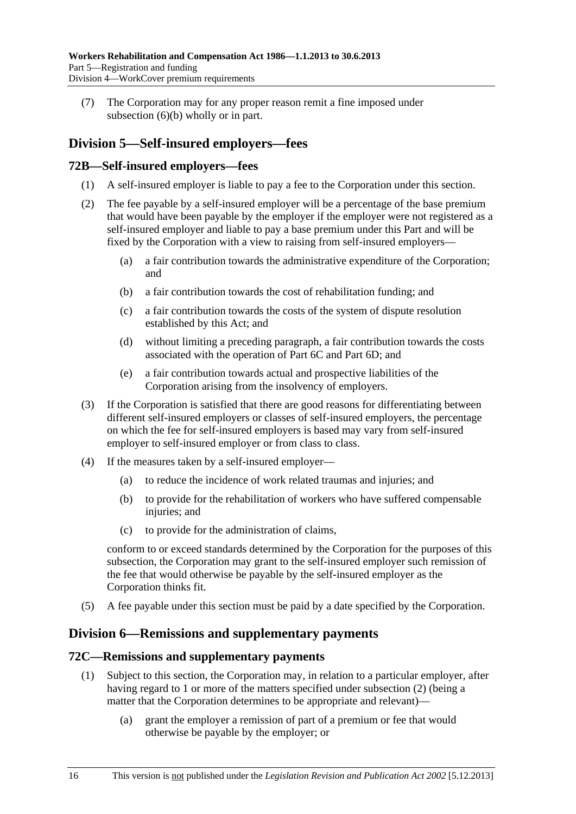<span id="page-101-0"></span> (7) The Corporation may for any proper reason remit a fine imposed under [subsection \(6\)\(b\)](#page-100-0) wholly or in part.

# **Division 5—Self-insured employers—fees**

# **72B—Self-insured employers—fees**

- (1) A self-insured employer is liable to pay a fee to the Corporation under this section.
- (2) The fee payable by a self-insured employer will be a percentage of the base premium that would have been payable by the employer if the employer were not registered as a self-insured employer and liable to pay a base premium under this Part and will be fixed by the Corporation with a view to raising from self-insured employers—
	- (a) a fair contribution towards the administrative expenditure of the Corporation; and
	- (b) a fair contribution towards the cost of rehabilitation funding; and
	- (c) a fair contribution towards the costs of the system of dispute resolution established by this Act; and
	- (d) without limiting a preceding paragraph, a fair contribution towards the costs associated with the operation of Part 6C and Part 6D; and
	- (e) a fair contribution towards actual and prospective liabilities of the Corporation arising from the insolvency of employers.
- (3) If the Corporation is satisfied that there are good reasons for differentiating between different self-insured employers or classes of self-insured employers, the percentage on which the fee for self-insured employers is based may vary from self-insured employer to self-insured employer or from class to class.
- (4) If the measures taken by a self-insured employer—
	- (a) to reduce the incidence of work related traumas and injuries; and
	- (b) to provide for the rehabilitation of workers who have suffered compensable injuries; and
	- (c) to provide for the administration of claims,

conform to or exceed standards determined by the Corporation for the purposes of this subsection, the Corporation may grant to the self-insured employer such remission of the fee that would otherwise be payable by the self-insured employer as the Corporation thinks fit.

(5) A fee payable under this section must be paid by a date specified by the Corporation.

# **Division 6—Remissions and supplementary payments**

### **72C—Remissions and supplementary payments**

- (1) Subject to this section, the Corporation may, in relation to a particular employer, after having regard to 1 or more of the matters specified under [subsection \(2\)](#page-102-0) (being a matter that the Corporation determines to be appropriate and relevant)—
	- (a) grant the employer a remission of part of a premium or fee that would otherwise be payable by the employer; or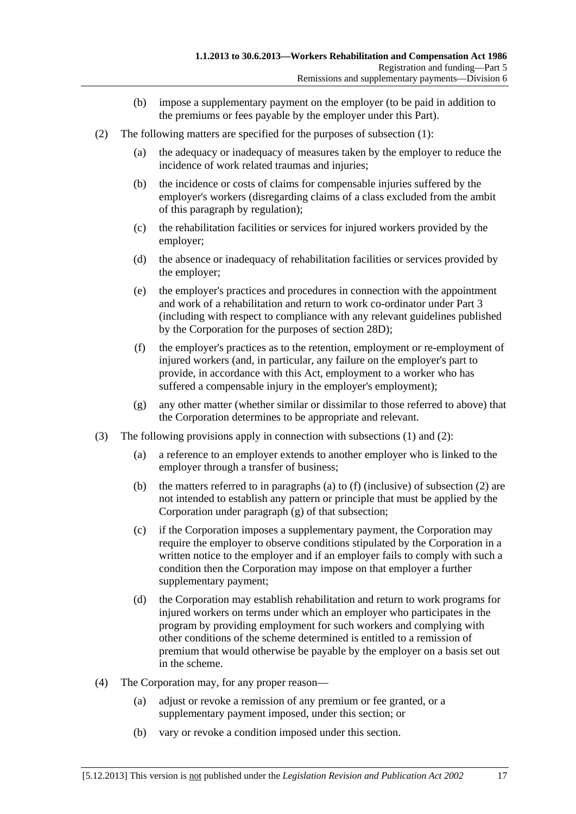- (b) impose a supplementary payment on the employer (to be paid in addition to the premiums or fees payable by the employer under this Part).
- <span id="page-102-0"></span> (2) The following matters are specified for the purposes of [subsection \(1\)](#page-101-0):
	- (a) the adequacy or inadequacy of measures taken by the employer to reduce the incidence of work related traumas and injuries;
	- (b) the incidence or costs of claims for compensable injuries suffered by the employer's workers (disregarding claims of a class excluded from the ambit of this paragraph by regulation);
	- (c) the rehabilitation facilities or services for injured workers provided by the employer;
	- (d) the absence or inadequacy of rehabilitation facilities or services provided by the employer;
	- (e) the employer's practices and procedures in connection with the appointment and work of a rehabilitation and return to work co-ordinator under Part 3 (including with respect to compliance with any relevant guidelines published by the Corporation for the purposes of [section 28D\)](#page-33-0);
	- (f) the employer's practices as to the retention, employment or re-employment of injured workers (and, in particular, any failure on the employer's part to provide, in accordance with this Act, employment to a worker who has suffered a compensable injury in the employer's employment);
	- (g) any other matter (whether similar or dissimilar to those referred to above) that the Corporation determines to be appropriate and relevant.
- (3) The following provisions apply in connection with [subsections \(1\)](#page-101-0) and [\(2\):](#page-102-0)
	- (a) a reference to an employer extends to another employer who is linked to the employer through a transfer of business;
	- (b) the matters referred to in [paragraphs \(a\)](#page-102-0) to [\(f\)](#page-102-0) (inclusive) of [subsection \(2\)](#page-102-0) are not intended to establish any pattern or principle that must be applied by the Corporation under [paragraph \(g\)](#page-102-0) of that subsection;
	- (c) if the Corporation imposes a supplementary payment, the Corporation may require the employer to observe conditions stipulated by the Corporation in a written notice to the employer and if an employer fails to comply with such a condition then the Corporation may impose on that employer a further supplementary payment;
	- (d) the Corporation may establish rehabilitation and return to work programs for injured workers on terms under which an employer who participates in the program by providing employment for such workers and complying with other conditions of the scheme determined is entitled to a remission of premium that would otherwise be payable by the employer on a basis set out in the scheme.
- (4) The Corporation may, for any proper reason—
	- (a) adjust or revoke a remission of any premium or fee granted, or a supplementary payment imposed, under this section; or
	- (b) vary or revoke a condition imposed under this section.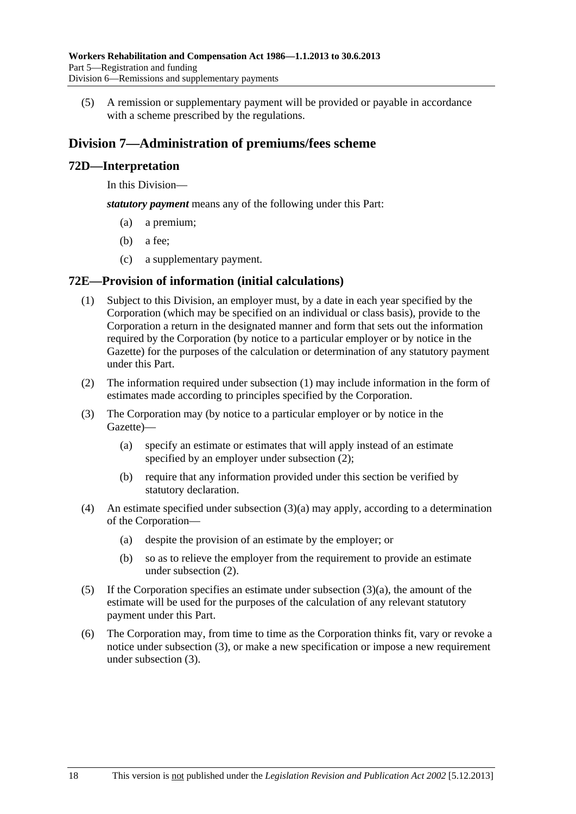<span id="page-103-0"></span> (5) A remission or supplementary payment will be provided or payable in accordance with a scheme prescribed by the regulations.

# **Division 7—Administration of premiums/fees scheme**

# **72D—Interpretation**

In this Division—

*statutory payment* means any of the following under this Part:

- (a) a premium;
- (b) a fee;
- (c) a supplementary payment.

# **72E—Provision of information (initial calculations)**

- (1) Subject to this Division, an employer must, by a date in each year specified by the Corporation (which may be specified on an individual or class basis), provide to the Corporation a return in the designated manner and form that sets out the information required by the Corporation (by notice to a particular employer or by notice in the Gazette) for the purposes of the calculation or determination of any statutory payment under this Part.
- (2) The information required under [subsection \(1\)](#page-103-0) may include information in the form of estimates made according to principles specified by the Corporation.
- (3) The Corporation may (by notice to a particular employer or by notice in the Gazette)—
	- (a) specify an estimate or estimates that will apply instead of an estimate specified by an employer under subsection  $(2)$ ;
	- (b) require that any information provided under this section be verified by statutory declaration.
- (4) An estimate specified under [subsection \(3\)\(a\)](#page-103-0) may apply, according to a determination of the Corporation—
	- (a) despite the provision of an estimate by the employer; or
	- (b) so as to relieve the employer from the requirement to provide an estimate under [subsection \(2\)](#page-103-0).
- (5) If the Corporation specifies an estimate under [subsection \(3\)\(a\)](#page-103-0), the amount of the estimate will be used for the purposes of the calculation of any relevant statutory payment under this Part.
- (6) The Corporation may, from time to time as the Corporation thinks fit, vary or revoke a notice under [subsection \(3\),](#page-103-0) or make a new specification or impose a new requirement under [subsection \(3\).](#page-103-0)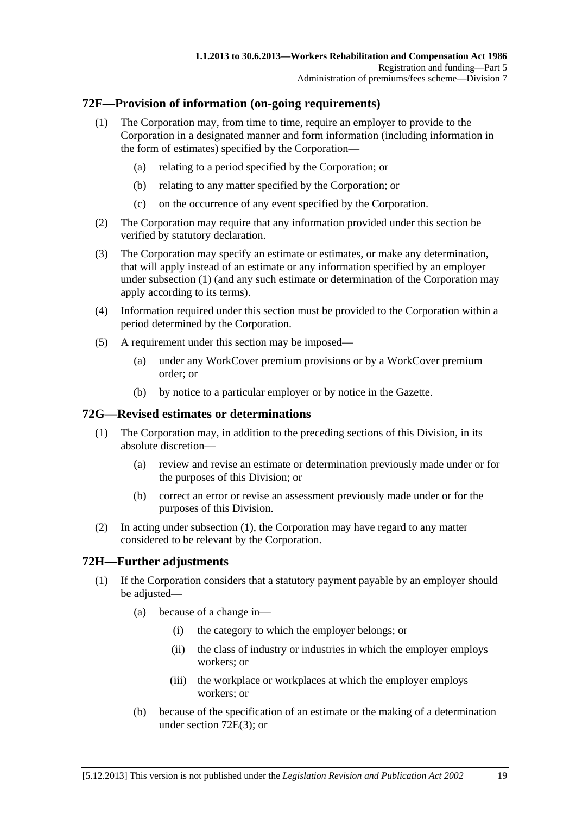# <span id="page-104-0"></span>**72F—Provision of information (on-going requirements)**

- (1) The Corporation may, from time to time, require an employer to provide to the Corporation in a designated manner and form information (including information in the form of estimates) specified by the Corporation—
	- (a) relating to a period specified by the Corporation; or
	- (b) relating to any matter specified by the Corporation; or
	- (c) on the occurrence of any event specified by the Corporation.
- (2) The Corporation may require that any information provided under this section be verified by statutory declaration.
- (3) The Corporation may specify an estimate or estimates, or make any determination, that will apply instead of an estimate or any information specified by an employer under [subsection \(1\)](#page-104-0) (and any such estimate or determination of the Corporation may apply according to its terms).
- (4) Information required under this section must be provided to the Corporation within a period determined by the Corporation.
- (5) A requirement under this section may be imposed—
	- (a) under any WorkCover premium provisions or by a WorkCover premium order; or
	- (b) by notice to a particular employer or by notice in the Gazette.

### **72G—Revised estimates or determinations**

- (1) The Corporation may, in addition to the preceding sections of this Division, in its absolute discretion—
	- (a) review and revise an estimate or determination previously made under or for the purposes of this Division; or
	- (b) correct an error or revise an assessment previously made under or for the purposes of this Division.
- (2) In acting under [subsection \(1\)](#page-104-0), the Corporation may have regard to any matter considered to be relevant by the Corporation.

# **72H—Further adjustments**

- (1) If the Corporation considers that a statutory payment payable by an employer should be adjusted—
	- (a) because of a change in—
		- (i) the category to which the employer belongs; or
		- (ii) the class of industry or industries in which the employer employs workers; or
		- (iii) the workplace or workplaces at which the employer employs workers; or
	- (b) because of the specification of an estimate or the making of a determination under [section 72E\(3\);](#page-103-0) or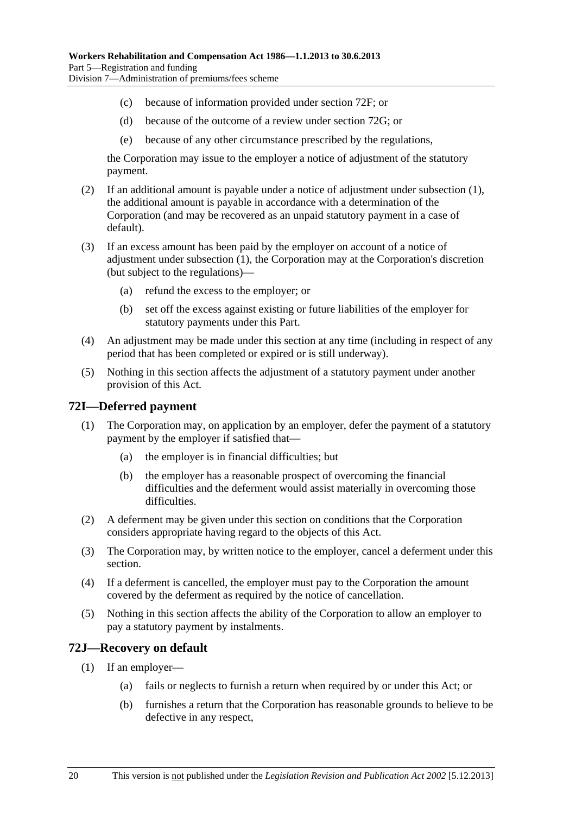- <span id="page-105-0"></span>(c) because of information provided under [section 72F](#page-104-0); or
- (d) because of the outcome of a review under [section 72G](#page-104-0); or
- (e) because of any other circumstance prescribed by the regulations,

the Corporation may issue to the employer a notice of adjustment of the statutory payment.

- (2) If an additional amount is payable under a notice of adjustment under [subsection \(1\)](#page-104-0), the additional amount is payable in accordance with a determination of the Corporation (and may be recovered as an unpaid statutory payment in a case of default).
- (3) If an excess amount has been paid by the employer on account of a notice of adjustment under [subsection \(1\),](#page-104-0) the Corporation may at the Corporation's discretion (but subject to the regulations)—
	- (a) refund the excess to the employer; or
	- (b) set off the excess against existing or future liabilities of the employer for statutory payments under this Part.
- (4) An adjustment may be made under this section at any time (including in respect of any period that has been completed or expired or is still underway).
- (5) Nothing in this section affects the adjustment of a statutory payment under another provision of this Act.

### **72I—Deferred payment**

- (1) The Corporation may, on application by an employer, defer the payment of a statutory payment by the employer if satisfied that—
	- (a) the employer is in financial difficulties; but
	- (b) the employer has a reasonable prospect of overcoming the financial difficulties and the deferment would assist materially in overcoming those difficulties.
- (2) A deferment may be given under this section on conditions that the Corporation considers appropriate having regard to the objects of this Act.
- (3) The Corporation may, by written notice to the employer, cancel a deferment under this section.
- (4) If a deferment is cancelled, the employer must pay to the Corporation the amount covered by the deferment as required by the notice of cancellation.
- (5) Nothing in this section affects the ability of the Corporation to allow an employer to pay a statutory payment by instalments.

### **72J—Recovery on default**

- (1) If an employer—
	- (a) fails or neglects to furnish a return when required by or under this Act; or
	- (b) furnishes a return that the Corporation has reasonable grounds to believe to be defective in any respect,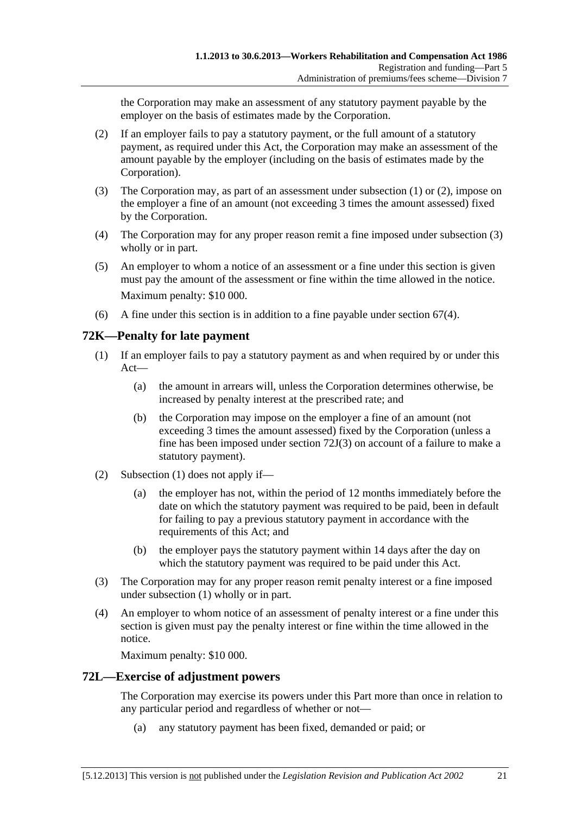<span id="page-106-0"></span>the Corporation may make an assessment of any statutory payment payable by the employer on the basis of estimates made by the Corporation.

- (2) If an employer fails to pay a statutory payment, or the full amount of a statutory payment, as required under this Act, the Corporation may make an assessment of the amount payable by the employer (including on the basis of estimates made by the Corporation).
- (3) The Corporation may, as part of an assessment under [subsection \(1\)](#page-105-0) or [\(2\),](#page-106-0) impose on the employer a fine of an amount (not exceeding 3 times the amount assessed) fixed by the Corporation.
- (4) The Corporation may for any proper reason remit a fine imposed under [subsection \(3\)](#page-106-0)  wholly or in part.
- (5) An employer to whom a notice of an assessment or a fine under this section is given must pay the amount of the assessment or fine within the time allowed in the notice. Maximum penalty: \$10 000.
- (6) A fine under this section is in addition to a fine payable under [section 67\(4\)](#page-95-0).

# **72K—Penalty for late payment**

- (1) If an employer fails to pay a statutory payment as and when required by or under this Act—
	- (a) the amount in arrears will, unless the Corporation determines otherwise, be increased by penalty interest at the prescribed rate; and
	- (b) the Corporation may impose on the employer a fine of an amount (not exceeding 3 times the amount assessed) fixed by the Corporation (unless a fine has been imposed under [section 72J\(3\)](#page-106-0) on account of a failure to make a statutory payment).
- (2) [Subsection \(1\)](#page-106-0) does not apply if—
	- (a) the employer has not, within the period of 12 months immediately before the date on which the statutory payment was required to be paid, been in default for failing to pay a previous statutory payment in accordance with the requirements of this Act; and
	- (b) the employer pays the statutory payment within 14 days after the day on which the statutory payment was required to be paid under this Act.
- (3) The Corporation may for any proper reason remit penalty interest or a fine imposed under [subsection \(1\)](#page-106-0) wholly or in part.
- (4) An employer to whom notice of an assessment of penalty interest or a fine under this section is given must pay the penalty interest or fine within the time allowed in the notice.

Maximum penalty: \$10 000.

# **72L—Exercise of adjustment powers**

The Corporation may exercise its powers under this Part more than once in relation to any particular period and regardless of whether or not—

(a) any statutory payment has been fixed, demanded or paid; or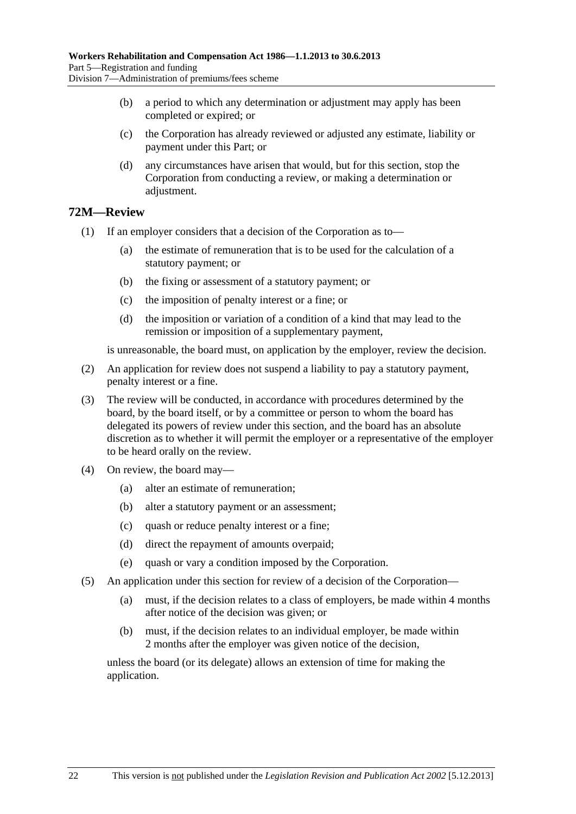- (b) a period to which any determination or adjustment may apply has been completed or expired; or
- (c) the Corporation has already reviewed or adjusted any estimate, liability or payment under this Part; or
- (d) any circumstances have arisen that would, but for this section, stop the Corporation from conducting a review, or making a determination or adjustment.

# **72M—Review**

(1) If an employer considers that a decision of the Corporation as to—

- (a) the estimate of remuneration that is to be used for the calculation of a statutory payment; or
- (b) the fixing or assessment of a statutory payment; or
- (c) the imposition of penalty interest or a fine; or
- (d) the imposition or variation of a condition of a kind that may lead to the remission or imposition of a supplementary payment,

is unreasonable, the board must, on application by the employer, review the decision.

- (2) An application for review does not suspend a liability to pay a statutory payment, penalty interest or a fine.
- (3) The review will be conducted, in accordance with procedures determined by the board, by the board itself, or by a committee or person to whom the board has delegated its powers of review under this section, and the board has an absolute discretion as to whether it will permit the employer or a representative of the employer to be heard orally on the review.
- (4) On review, the board may—
	- (a) alter an estimate of remuneration;
	- (b) alter a statutory payment or an assessment;
	- (c) quash or reduce penalty interest or a fine;
	- (d) direct the repayment of amounts overpaid;
	- (e) quash or vary a condition imposed by the Corporation.
- (5) An application under this section for review of a decision of the Corporation—
	- (a) must, if the decision relates to a class of employers, be made within 4 months after notice of the decision was given; or
	- (b) must, if the decision relates to an individual employer, be made within 2 months after the employer was given notice of the decision,

unless the board (or its delegate) allows an extension of time for making the application.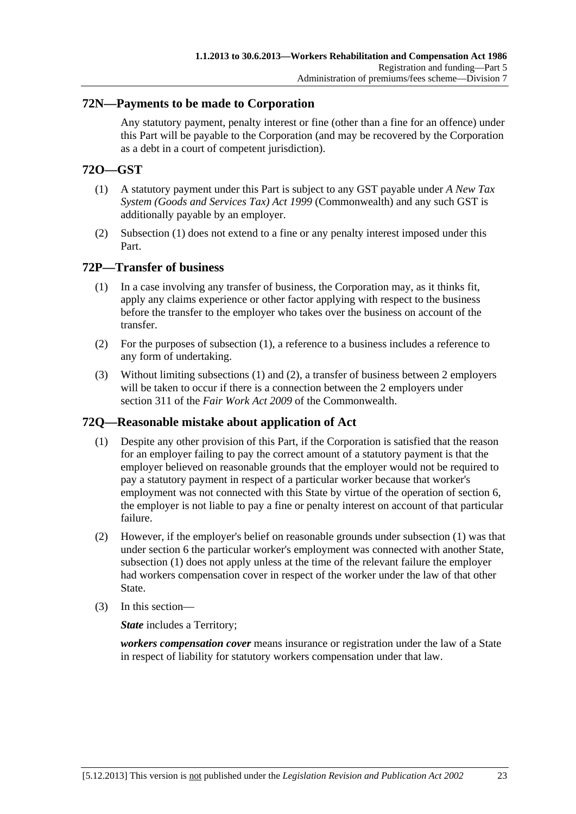## <span id="page-108-0"></span>**72N—Payments to be made to Corporation**

Any statutory payment, penalty interest or fine (other than a fine for an offence) under this Part will be payable to the Corporation (and may be recovered by the Corporation as a debt in a court of competent jurisdiction).

## **72O—GST**

- (1) A statutory payment under this Part is subject to any GST payable under *A New Tax System (Goods and Services Tax) Act 1999* (Commonwealth) and any such GST is additionally payable by an employer.
- (2) [Subsection \(1\)](#page-108-0) does not extend to a fine or any penalty interest imposed under this Part.

#### **72P—Transfer of business**

- (1) In a case involving any transfer of business, the Corporation may, as it thinks fit, apply any claims experience or other factor applying with respect to the business before the transfer to the employer who takes over the business on account of the transfer.
- (2) For the purposes of [subsection \(1\),](#page-108-0) a reference to a business includes a reference to any form of undertaking.
- (3) Without limiting [subsections \(1\)](#page-108-0) and [\(2\),](#page-108-0) a transfer of business between 2 employers will be taken to occur if there is a connection between the 2 employers under section 311 of the *Fair Work Act 2009* of the Commonwealth.

## **72Q—Reasonable mistake about application of Act**

- (1) Despite any other provision of this Part, if the Corporation is satisfied that the reason for an employer failing to pay the correct amount of a statutory payment is that the employer believed on reasonable grounds that the employer would not be required to pay a statutory payment in respect of a particular worker because that worker's employment was not connected with this State by virtue of the operation of [section 6](#page-22-0), the employer is not liable to pay a fine or penalty interest on account of that particular failure.
- (2) However, if the employer's belief on reasonable grounds under [subsection \(1\)](#page-108-0) was that under [section 6](#page-22-0) the particular worker's employment was connected with another State, [subsection \(1\)](#page-108-0) does not apply unless at the time of the relevant failure the employer had workers compensation cover in respect of the worker under the law of that other State.
- (3) In this section—

*State* includes a Territory;

*workers compensation cover* means insurance or registration under the law of a State in respect of liability for statutory workers compensation under that law.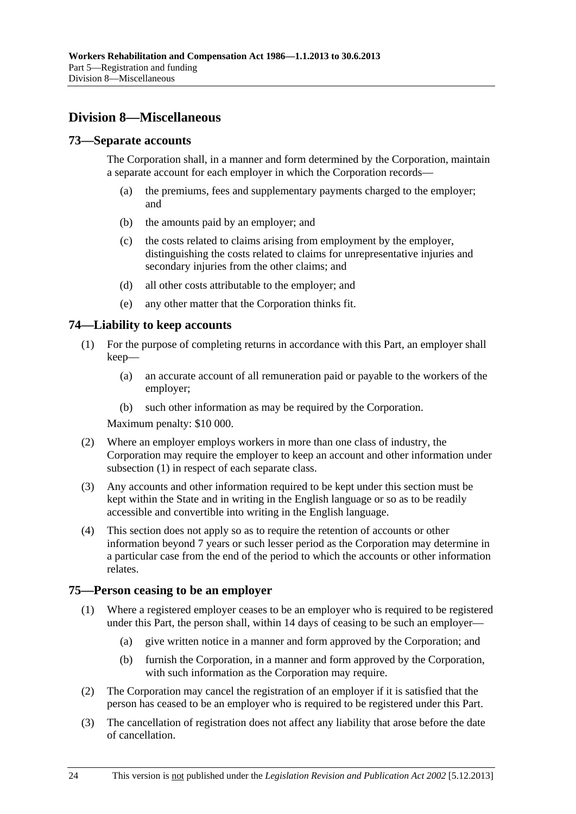## <span id="page-109-0"></span>**Division 8—Miscellaneous**

### **73—Separate accounts**

The Corporation shall, in a manner and form determined by the Corporation, maintain a separate account for each employer in which the Corporation records—

- (a) the premiums, fees and supplementary payments charged to the employer; and
- (b) the amounts paid by an employer; and
- (c) the costs related to claims arising from employment by the employer, distinguishing the costs related to claims for unrepresentative injuries and secondary injuries from the other claims; and
- (d) all other costs attributable to the employer; and
- (e) any other matter that the Corporation thinks fit.

## **74—Liability to keep accounts**

- (1) For the purpose of completing returns in accordance with this Part, an employer shall keep—
	- (a) an accurate account of all remuneration paid or payable to the workers of the employer;
	- (b) such other information as may be required by the Corporation.

Maximum penalty: \$10 000.

- (2) Where an employer employs workers in more than one class of industry, the Corporation may require the employer to keep an account and other information under [subsection \(1\)](#page-109-0) in respect of each separate class.
- (3) Any accounts and other information required to be kept under this section must be kept within the State and in writing in the English language or so as to be readily accessible and convertible into writing in the English language.
- (4) This section does not apply so as to require the retention of accounts or other information beyond 7 years or such lesser period as the Corporation may determine in a particular case from the end of the period to which the accounts or other information relates.

#### **75—Person ceasing to be an employer**

- (1) Where a registered employer ceases to be an employer who is required to be registered under this Part, the person shall, within 14 days of ceasing to be such an employer—
	- (a) give written notice in a manner and form approved by the Corporation; and
	- (b) furnish the Corporation, in a manner and form approved by the Corporation, with such information as the Corporation may require.
- (2) The Corporation may cancel the registration of an employer if it is satisfied that the person has ceased to be an employer who is required to be registered under this Part.
- (3) The cancellation of registration does not affect any liability that arose before the date of cancellation.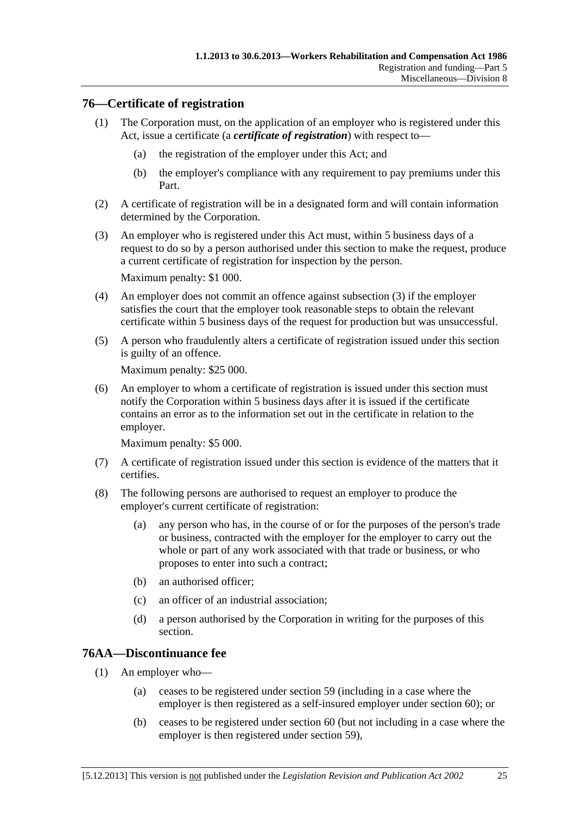## <span id="page-110-0"></span>**76—Certificate of registration**

- (1) The Corporation must, on the application of an employer who is registered under this Act, issue a certificate (a *certificate of registration*) with respect to—
	- (a) the registration of the employer under this Act; and
	- (b) the employer's compliance with any requirement to pay premiums under this Part.
- (2) A certificate of registration will be in a designated form and will contain information determined by the Corporation.
- (3) An employer who is registered under this Act must, within 5 business days of a request to do so by a person authorised under this section to make the request, produce a current certificate of registration for inspection by the person. Maximum penalty: \$1 000.
- (4) An employer does not commit an offence against [subsection \(3\)](#page-110-0) if the employer satisfies the court that the employer took reasonable steps to obtain the relevant certificate within 5 business days of the request for production but was unsuccessful.
- (5) A person who fraudulently alters a certificate of registration issued under this section is guilty of an offence.

Maximum penalty: \$25 000.

 (6) An employer to whom a certificate of registration is issued under this section must notify the Corporation within 5 business days after it is issued if the certificate contains an error as to the information set out in the certificate in relation to the employer.

Maximum penalty: \$5 000.

- (7) A certificate of registration issued under this section is evidence of the matters that it certifies.
- (8) The following persons are authorised to request an employer to produce the employer's current certificate of registration:
	- (a) any person who has, in the course of or for the purposes of the person's trade or business, contracted with the employer for the employer to carry out the whole or part of any work associated with that trade or business, or who proposes to enter into such a contract;
	- (b) an authorised officer;
	- (c) an officer of an industrial association;
	- (d) a person authorised by the Corporation in writing for the purposes of this section.

## **76AA—Discontinuance fee**

- (1) An employer who—
	- (a) ceases to be registered under [section 59](#page-86-0) (including in a case where the employer is then registered as a self-insured employer under [section 60](#page-86-0)); or
	- (b) ceases to be registered under [section 60](#page-86-0) (but not including in a case where the employer is then registered under [section 59](#page-86-0)),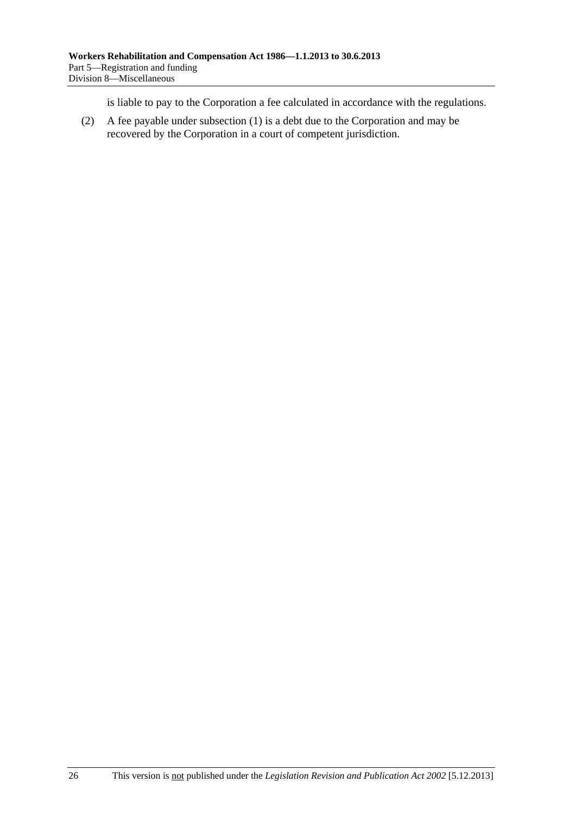is liable to pay to the Corporation a fee calculated in accordance with the regulations.

 (2) A fee payable under [subsection \(1\)](#page-110-0) is a debt due to the Corporation and may be recovered by the Corporation in a court of competent jurisdiction.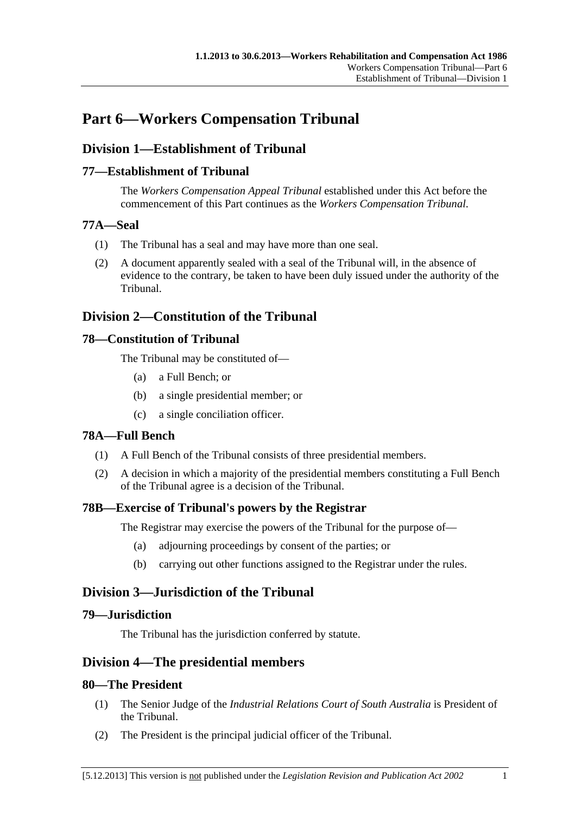# <span id="page-112-0"></span>**Part 6—Workers Compensation Tribunal**

## **Division 1—Establishment of Tribunal**

## **77—Establishment of Tribunal**

The *Workers Compensation Appeal Tribunal* established under this Act before the commencement of this Part continues as the *Workers Compensation Tribunal*.

## **77A—Seal**

- (1) The Tribunal has a seal and may have more than one seal.
- (2) A document apparently sealed with a seal of the Tribunal will, in the absence of evidence to the contrary, be taken to have been duly issued under the authority of the Tribunal.

## **Division 2—Constitution of the Tribunal**

## **78—Constitution of Tribunal**

The Tribunal may be constituted of—

- (a) a Full Bench; or
- (b) a single presidential member; or
- (c) a single conciliation officer.

## **78A—Full Bench**

- (1) A Full Bench of the Tribunal consists of three presidential members.
- (2) A decision in which a majority of the presidential members constituting a Full Bench of the Tribunal agree is a decision of the Tribunal.

## **78B—Exercise of Tribunal's powers by the Registrar**

The Registrar may exercise the powers of the Tribunal for the purpose of—

- (a) adjourning proceedings by consent of the parties; or
- (b) carrying out other functions assigned to the Registrar under the rules.

## **Division 3—Jurisdiction of the Tribunal**

## **79—Jurisdiction**

The Tribunal has the jurisdiction conferred by statute.

## **Division 4—The presidential members**

## **80—The President**

- (1) The Senior Judge of the *Industrial Relations Court of South Australia* is President of the Tribunal.
- (2) The President is the principal judicial officer of the Tribunal.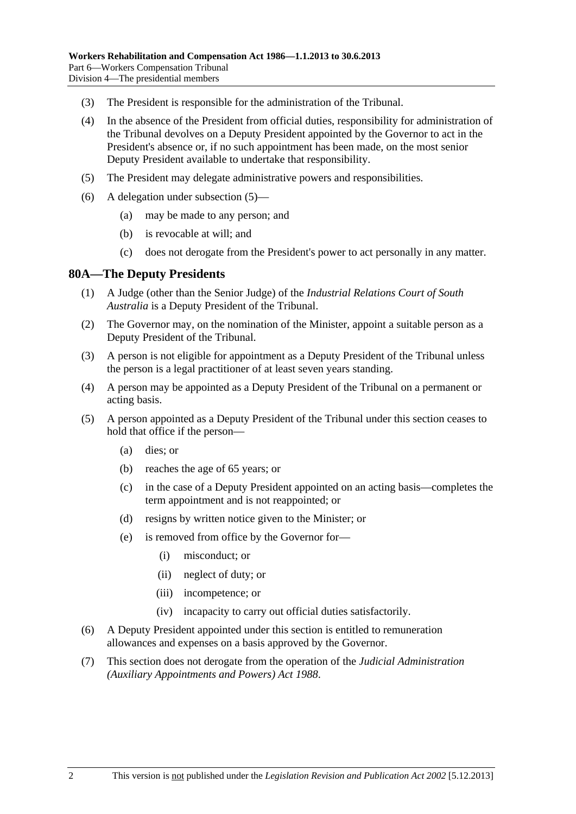- <span id="page-113-0"></span>(3) The President is responsible for the administration of the Tribunal.
- (4) In the absence of the President from official duties, responsibility for administration of the Tribunal devolves on a Deputy President appointed by the Governor to act in the President's absence or, if no such appointment has been made, on the most senior Deputy President available to undertake that responsibility.
- (5) The President may delegate administrative powers and responsibilities.
- (6) A delegation under [subsection \(5\)—](#page-113-0)
	- (a) may be made to any person; and
	- (b) is revocable at will; and
	- (c) does not derogate from the President's power to act personally in any matter.

#### **80A—The Deputy Presidents**

- (1) A Judge (other than the Senior Judge) of the *Industrial Relations Court of South Australia* is a Deputy President of the Tribunal.
- (2) The Governor may, on the nomination of the Minister, appoint a suitable person as a Deputy President of the Tribunal.
- (3) A person is not eligible for appointment as a Deputy President of the Tribunal unless the person is a legal practitioner of at least seven years standing.
- (4) A person may be appointed as a Deputy President of the Tribunal on a permanent or acting basis.
- (5) A person appointed as a Deputy President of the Tribunal under this section ceases to hold that office if the person—
	- (a) dies; or
	- (b) reaches the age of 65 years; or
	- (c) in the case of a Deputy President appointed on an acting basis—completes the term appointment and is not reappointed; or
	- (d) resigns by written notice given to the Minister; or
	- (e) is removed from office by the Governor for—
		- (i) misconduct; or
		- (ii) neglect of duty; or
		- (iii) incompetence; or
		- (iv) incapacity to carry out official duties satisfactorily.
- (6) A Deputy President appointed under this section is entitled to remuneration allowances and expenses on a basis approved by the Governor.
- (7) This section does not derogate from the operation of the *[Judicial Administration](http://www.legislation.sa.gov.au/index.aspx?action=legref&type=act&legtitle=Judicial%20Administration%20(Auxiliary%20Appointments%20and%20Powers)%20Act%201988)  [\(Auxiliary Appointments and Powers\) Act 1988](http://www.legislation.sa.gov.au/index.aspx?action=legref&type=act&legtitle=Judicial%20Administration%20(Auxiliary%20Appointments%20and%20Powers)%20Act%201988)*.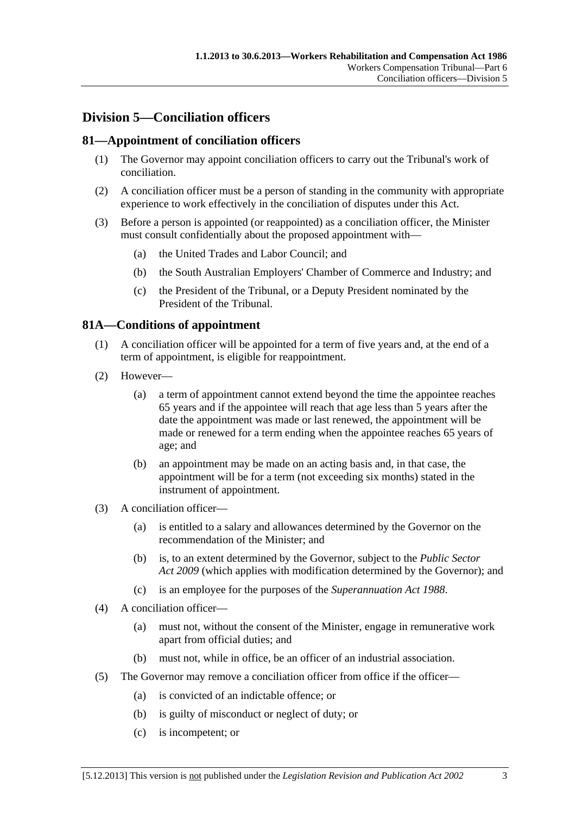## <span id="page-114-0"></span>**Division 5—Conciliation officers**

## **81—Appointment of conciliation officers**

- (1) The Governor may appoint conciliation officers to carry out the Tribunal's work of conciliation.
- (2) A conciliation officer must be a person of standing in the community with appropriate experience to work effectively in the conciliation of disputes under this Act.
- (3) Before a person is appointed (or reappointed) as a conciliation officer, the Minister must consult confidentially about the proposed appointment with—
	- (a) the United Trades and Labor Council; and
	- (b) the South Australian Employers' Chamber of Commerce and Industry; and
	- (c) the President of the Tribunal, or a Deputy President nominated by the President of the Tribunal.

## **81A—Conditions of appointment**

- (1) A conciliation officer will be appointed for a term of five years and, at the end of a term of appointment, is eligible for reappointment.
- (2) However—
	- (a) a term of appointment cannot extend beyond the time the appointee reaches 65 years and if the appointee will reach that age less than 5 years after the date the appointment was made or last renewed, the appointment will be made or renewed for a term ending when the appointee reaches 65 years of age; and
	- (b) an appointment may be made on an acting basis and, in that case, the appointment will be for a term (not exceeding six months) stated in the instrument of appointment.
- (3) A conciliation officer—
	- (a) is entitled to a salary and allowances determined by the Governor on the recommendation of the Minister; and
	- (b) is, to an extent determined by the Governor, subject to the *[Public Sector](http://www.legislation.sa.gov.au/index.aspx?action=legref&type=act&legtitle=Public%20Sector%20Act%202009)  [Act 2009](http://www.legislation.sa.gov.au/index.aspx?action=legref&type=act&legtitle=Public%20Sector%20Act%202009)* (which applies with modification determined by the Governor); and
	- (c) is an employee for the purposes of the *[Superannuation Act 1988](http://www.legislation.sa.gov.au/index.aspx?action=legref&type=act&legtitle=Superannuation%20Act%201988)*.
- (4) A conciliation officer—
	- (a) must not, without the consent of the Minister, engage in remunerative work apart from official duties; and
	- (b) must not, while in office, be an officer of an industrial association.
- (5) The Governor may remove a conciliation officer from office if the officer—
	- (a) is convicted of an indictable offence; or
	- (b) is guilty of misconduct or neglect of duty; or
	- (c) is incompetent; or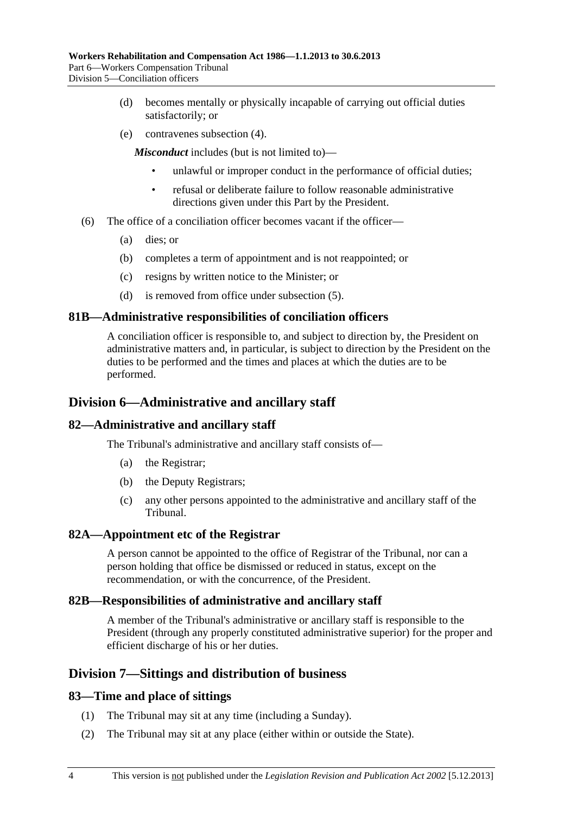- (d) becomes mentally or physically incapable of carrying out official duties satisfactorily; or
- (e) contravenes [subsection \(4\).](#page-114-0)

*Misconduct* includes (but is not limited to)—

- unlawful or improper conduct in the performance of official duties;
- refusal or deliberate failure to follow reasonable administrative directions given under this Part by the President.
- (6) The office of a conciliation officer becomes vacant if the officer—
	- (a) dies; or
	- (b) completes a term of appointment and is not reappointed; or
	- (c) resigns by written notice to the Minister; or
	- (d) is removed from office under [subsection \(5\).](#page-114-0)

#### **81B—Administrative responsibilities of conciliation officers**

A conciliation officer is responsible to, and subject to direction by, the President on administrative matters and, in particular, is subject to direction by the President on the duties to be performed and the times and places at which the duties are to be performed.

### **Division 6—Administrative and ancillary staff**

#### **82—Administrative and ancillary staff**

The Tribunal's administrative and ancillary staff consists of—

- (a) the Registrar;
- (b) the Deputy Registrars;
- (c) any other persons appointed to the administrative and ancillary staff of the Tribunal.

#### **82A—Appointment etc of the Registrar**

A person cannot be appointed to the office of Registrar of the Tribunal, nor can a person holding that office be dismissed or reduced in status, except on the recommendation, or with the concurrence, of the President.

#### **82B—Responsibilities of administrative and ancillary staff**

A member of the Tribunal's administrative or ancillary staff is responsible to the President (through any properly constituted administrative superior) for the proper and efficient discharge of his or her duties.

## **Division 7—Sittings and distribution of business**

#### **83—Time and place of sittings**

- (1) The Tribunal may sit at any time (including a Sunday).
- (2) The Tribunal may sit at any place (either within or outside the State).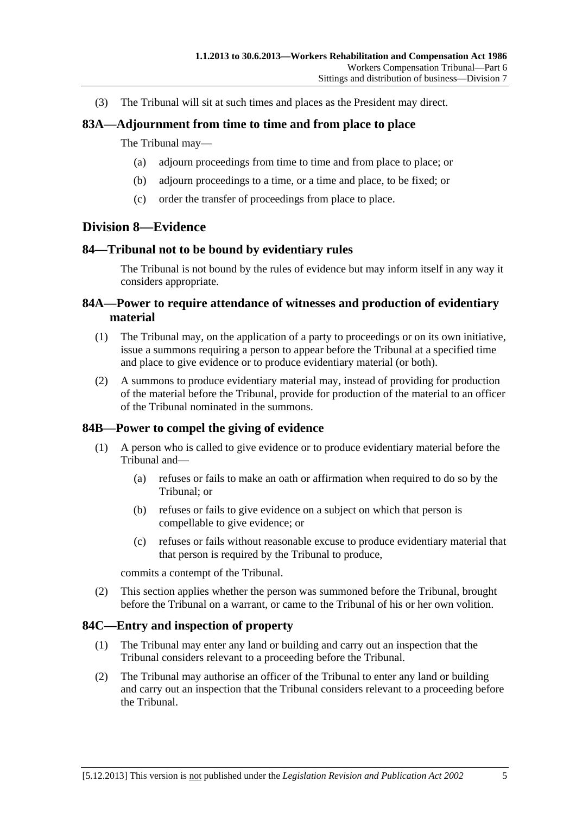(3) The Tribunal will sit at such times and places as the President may direct.

### **83A—Adjournment from time to time and from place to place**

#### The Tribunal may—

- (a) adjourn proceedings from time to time and from place to place; or
- (b) adjourn proceedings to a time, or a time and place, to be fixed; or
- (c) order the transfer of proceedings from place to place.

## **Division 8—Evidence**

#### **84—Tribunal not to be bound by evidentiary rules**

The Tribunal is not bound by the rules of evidence but may inform itself in any way it considers appropriate.

### **84A—Power to require attendance of witnesses and production of evidentiary material**

- (1) The Tribunal may, on the application of a party to proceedings or on its own initiative, issue a summons requiring a person to appear before the Tribunal at a specified time and place to give evidence or to produce evidentiary material (or both).
- (2) A summons to produce evidentiary material may, instead of providing for production of the material before the Tribunal, provide for production of the material to an officer of the Tribunal nominated in the summons.

## **84B—Power to compel the giving of evidence**

- (1) A person who is called to give evidence or to produce evidentiary material before the Tribunal and—
	- (a) refuses or fails to make an oath or affirmation when required to do so by the Tribunal; or
	- (b) refuses or fails to give evidence on a subject on which that person is compellable to give evidence; or
	- (c) refuses or fails without reasonable excuse to produce evidentiary material that that person is required by the Tribunal to produce,

commits a contempt of the Tribunal.

 (2) This section applies whether the person was summoned before the Tribunal, brought before the Tribunal on a warrant, or came to the Tribunal of his or her own volition.

#### **84C—Entry and inspection of property**

- (1) The Tribunal may enter any land or building and carry out an inspection that the Tribunal considers relevant to a proceeding before the Tribunal.
- (2) The Tribunal may authorise an officer of the Tribunal to enter any land or building and carry out an inspection that the Tribunal considers relevant to a proceeding before the Tribunal.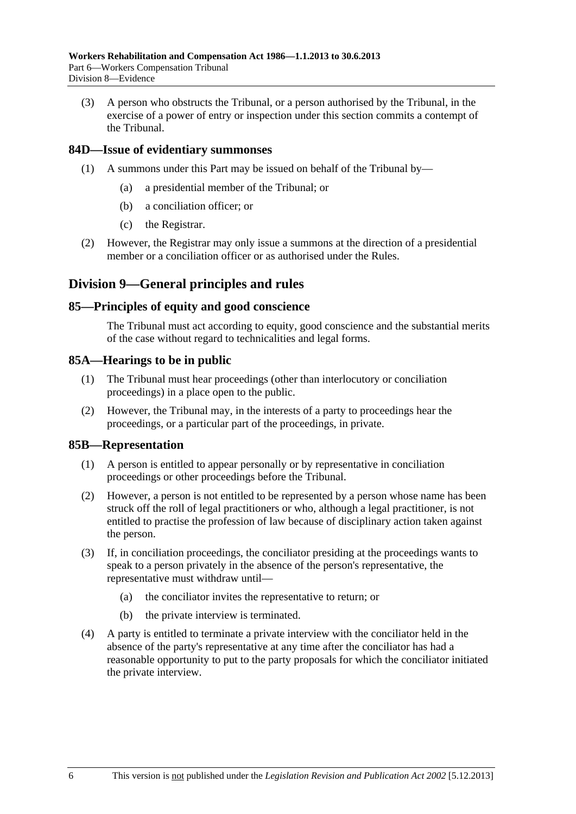(3) A person who obstructs the Tribunal, or a person authorised by the Tribunal, in the exercise of a power of entry or inspection under this section commits a contempt of the Tribunal.

## **84D—Issue of evidentiary summonses**

- (1) A summons under this Part may be issued on behalf of the Tribunal by—
	- (a) a presidential member of the Tribunal; or
	- (b) a conciliation officer; or
	- (c) the Registrar.
- (2) However, the Registrar may only issue a summons at the direction of a presidential member or a conciliation officer or as authorised under the Rules.

## **Division 9—General principles and rules**

#### **85—Principles of equity and good conscience**

The Tribunal must act according to equity, good conscience and the substantial merits of the case without regard to technicalities and legal forms.

#### **85A—Hearings to be in public**

- (1) The Tribunal must hear proceedings (other than interlocutory or conciliation proceedings) in a place open to the public.
- (2) However, the Tribunal may, in the interests of a party to proceedings hear the proceedings, or a particular part of the proceedings, in private.

#### **85B—Representation**

- (1) A person is entitled to appear personally or by representative in conciliation proceedings or other proceedings before the Tribunal.
- (2) However, a person is not entitled to be represented by a person whose name has been struck off the roll of legal practitioners or who, although a legal practitioner, is not entitled to practise the profession of law because of disciplinary action taken against the person.
- (3) If, in conciliation proceedings, the conciliator presiding at the proceedings wants to speak to a person privately in the absence of the person's representative, the representative must withdraw until—
	- (a) the conciliator invites the representative to return; or
	- (b) the private interview is terminated.
- (4) A party is entitled to terminate a private interview with the conciliator held in the absence of the party's representative at any time after the conciliator has had a reasonable opportunity to put to the party proposals for which the conciliator initiated the private interview.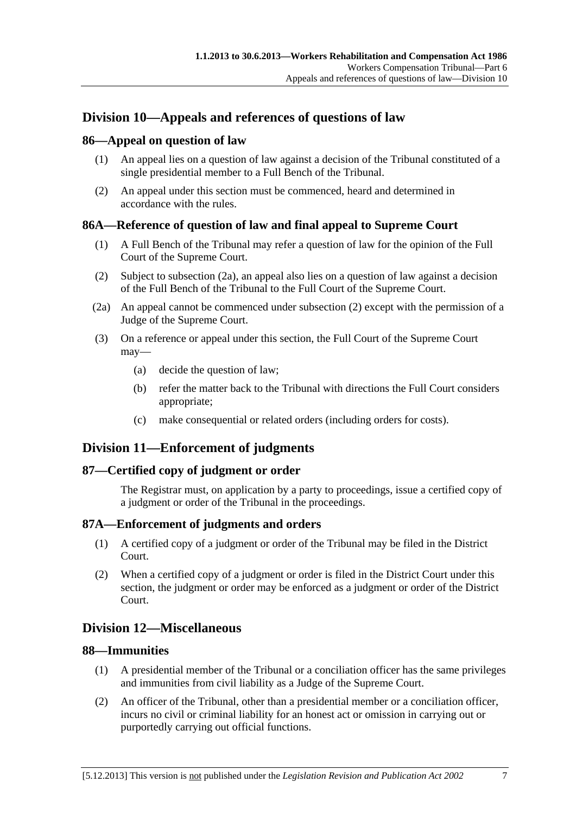## <span id="page-118-0"></span>**Division 10—Appeals and references of questions of law**

## **86—Appeal on question of law**

- (1) An appeal lies on a question of law against a decision of the Tribunal constituted of a single presidential member to a Full Bench of the Tribunal.
- (2) An appeal under this section must be commenced, heard and determined in accordance with the rules.

## **86A—Reference of question of law and final appeal to Supreme Court**

- (1) A Full Bench of the Tribunal may refer a question of law for the opinion of the Full Court of the Supreme Court.
- (2) Subject to [subsection \(2a\),](#page-118-0) an appeal also lies on a question of law against a decision of the Full Bench of the Tribunal to the Full Court of the Supreme Court.
- (2a) An appeal cannot be commenced under [subsection \(2\)](#page-118-0) except with the permission of a Judge of the Supreme Court.
- (3) On a reference or appeal under this section, the Full Court of the Supreme Court may—
	- (a) decide the question of law;
	- (b) refer the matter back to the Tribunal with directions the Full Court considers appropriate;
	- (c) make consequential or related orders (including orders for costs).

## **Division 11—Enforcement of judgments**

## **87—Certified copy of judgment or order**

The Registrar must, on application by a party to proceedings, issue a certified copy of a judgment or order of the Tribunal in the proceedings.

## **87A—Enforcement of judgments and orders**

- (1) A certified copy of a judgment or order of the Tribunal may be filed in the District Court.
- (2) When a certified copy of a judgment or order is filed in the District Court under this section, the judgment or order may be enforced as a judgment or order of the District Court.

## **Division 12—Miscellaneous**

## **88—Immunities**

- (1) A presidential member of the Tribunal or a conciliation officer has the same privileges and immunities from civil liability as a Judge of the Supreme Court.
- (2) An officer of the Tribunal, other than a presidential member or a conciliation officer, incurs no civil or criminal liability for an honest act or omission in carrying out or purportedly carrying out official functions.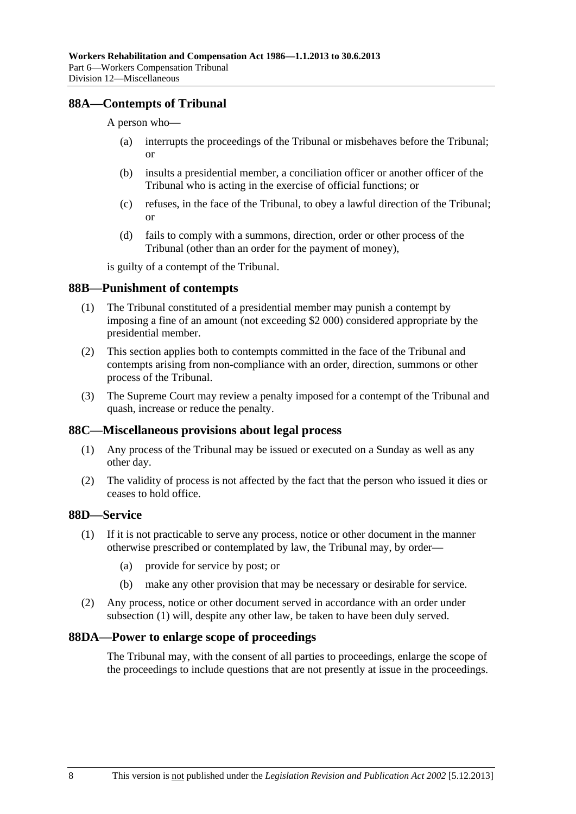## <span id="page-119-0"></span>**88A—Contempts of Tribunal**

A person who—

- (a) interrupts the proceedings of the Tribunal or misbehaves before the Tribunal; or
- (b) insults a presidential member, a conciliation officer or another officer of the Tribunal who is acting in the exercise of official functions; or
- (c) refuses, in the face of the Tribunal, to obey a lawful direction of the Tribunal; or
- (d) fails to comply with a summons, direction, order or other process of the Tribunal (other than an order for the payment of money),

is guilty of a contempt of the Tribunal.

#### **88B—Punishment of contempts**

- (1) The Tribunal constituted of a presidential member may punish a contempt by imposing a fine of an amount (not exceeding \$2 000) considered appropriate by the presidential member.
- (2) This section applies both to contempts committed in the face of the Tribunal and contempts arising from non-compliance with an order, direction, summons or other process of the Tribunal.
- (3) The Supreme Court may review a penalty imposed for a contempt of the Tribunal and quash, increase or reduce the penalty.

#### **88C—Miscellaneous provisions about legal process**

- (1) Any process of the Tribunal may be issued or executed on a Sunday as well as any other day.
- (2) The validity of process is not affected by the fact that the person who issued it dies or ceases to hold office.

## **88D—Service**

- (1) If it is not practicable to serve any process, notice or other document in the manner otherwise prescribed or contemplated by law, the Tribunal may, by order—
	- (a) provide for service by post; or
	- (b) make any other provision that may be necessary or desirable for service.
- (2) Any process, notice or other document served in accordance with an order under [subsection \(1\)](#page-119-0) will, despite any other law, be taken to have been duly served.

#### **88DA—Power to enlarge scope of proceedings**

The Tribunal may, with the consent of all parties to proceedings, enlarge the scope of the proceedings to include questions that are not presently at issue in the proceedings.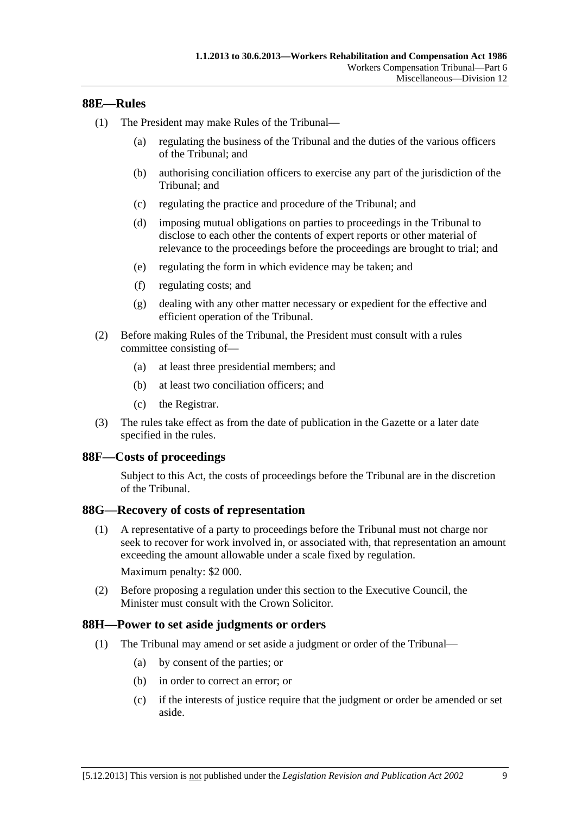### <span id="page-120-0"></span>**88E—Rules**

- (1) The President may make Rules of the Tribunal—
	- (a) regulating the business of the Tribunal and the duties of the various officers of the Tribunal; and
	- (b) authorising conciliation officers to exercise any part of the jurisdiction of the Tribunal; and
	- (c) regulating the practice and procedure of the Tribunal; and
	- (d) imposing mutual obligations on parties to proceedings in the Tribunal to disclose to each other the contents of expert reports or other material of relevance to the proceedings before the proceedings are brought to trial; and
	- (e) regulating the form in which evidence may be taken; and
	- (f) regulating costs; and
	- (g) dealing with any other matter necessary or expedient for the effective and efficient operation of the Tribunal.
- (2) Before making Rules of the Tribunal, the President must consult with a rules committee consisting of—
	- (a) at least three presidential members; and
	- (b) at least two conciliation officers; and
	- (c) the Registrar.
- (3) The rules take effect as from the date of publication in the Gazette or a later date specified in the rules.

#### **88F—Costs of proceedings**

Subject to this Act, the costs of proceedings before the Tribunal are in the discretion of the Tribunal.

#### **88G—Recovery of costs of representation**

 (1) A representative of a party to proceedings before the Tribunal must not charge nor seek to recover for work involved in, or associated with, that representation an amount exceeding the amount allowable under a scale fixed by regulation.

Maximum penalty: \$2 000.

 (2) Before proposing a regulation under this section to the Executive Council, the Minister must consult with the Crown Solicitor.

#### **88H—Power to set aside judgments or orders**

- (1) The Tribunal may amend or set aside a judgment or order of the Tribunal—
	- (a) by consent of the parties; or
	- (b) in order to correct an error; or
	- (c) if the interests of justice require that the judgment or order be amended or set aside.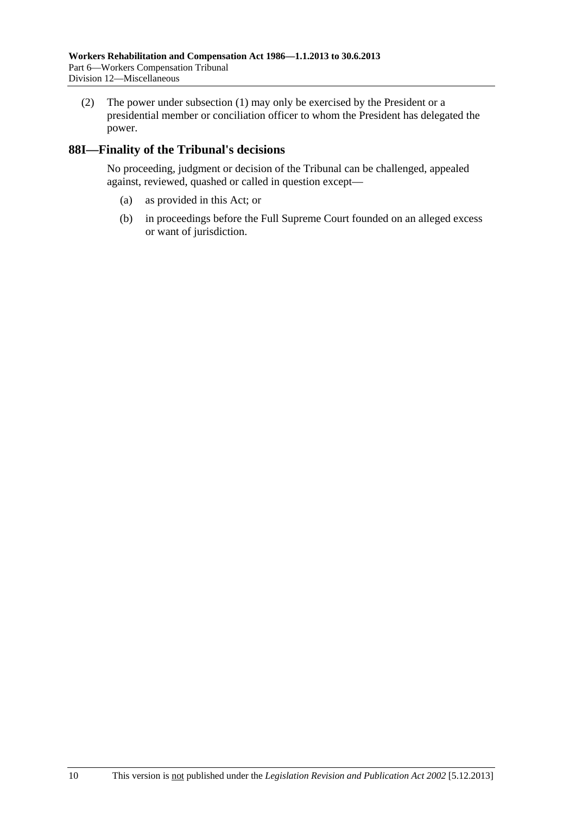(2) The power under [subsection \(1\)](#page-120-0) may only be exercised by the President or a presidential member or conciliation officer to whom the President has delegated the power.

## **88I—Finality of the Tribunal's decisions**

No proceeding, judgment or decision of the Tribunal can be challenged, appealed against, reviewed, quashed or called in question except—

- (a) as provided in this Act; or
- (b) in proceedings before the Full Supreme Court founded on an alleged excess or want of jurisdiction.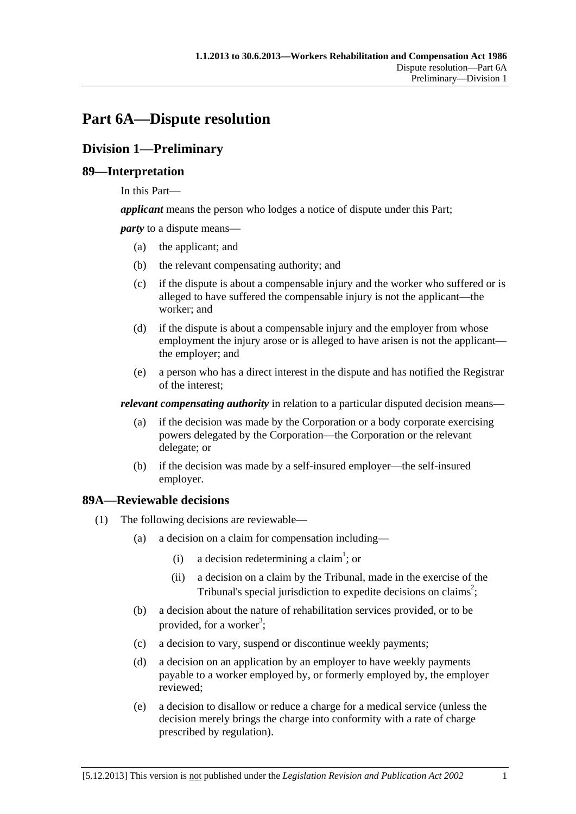# <span id="page-122-0"></span>**Part 6A—Dispute resolution**

## **Division 1—Preliminary**

## **89—Interpretation**

In this Part—

*applicant* means the person who lodges a notice of dispute under this Part;

*party* to a dispute means—

- (a) the applicant; and
- (b) the relevant compensating authority; and
- (c) if the dispute is about a compensable injury and the worker who suffered or is alleged to have suffered the compensable injury is not the applicant—the worker; and
- (d) if the dispute is about a compensable injury and the employer from whose employment the injury arose or is alleged to have arisen is not the applicant the employer; and
- (e) a person who has a direct interest in the dispute and has notified the Registrar of the interest;

*relevant compensating authority* in relation to a particular disputed decision means—

- (a) if the decision was made by the Corporation or a body corporate exercising powers delegated by the Corporation—the Corporation or the relevant delegate; or
- (b) if the decision was made by a self-insured employer—the self-insured employer.

## **89A—Reviewable decisions**

- (1) The following decisions are reviewable—
	- (a) a decision on a claim for compensation including—
		- (i) a decision redetermining a claim<sup>1</sup>; or
			- (ii) a decision on a claim by the Tribunal, made in the exercise of the Tribunal's special jurisdiction to expedite decisions on claims<sup>2</sup>;
	- (b) a decision about the nature of rehabilitation services provided, or to be provided, for a worker<sup>3</sup>;
	- (c) a decision to vary, suspend or discontinue weekly payments;
	- (d) a decision on an application by an employer to have weekly payments payable to a worker employed by, or formerly employed by, the employer reviewed;
	- (e) a decision to disallow or reduce a charge for a medical service (unless the decision merely brings the charge into conformity with a rate of charge prescribed by regulation).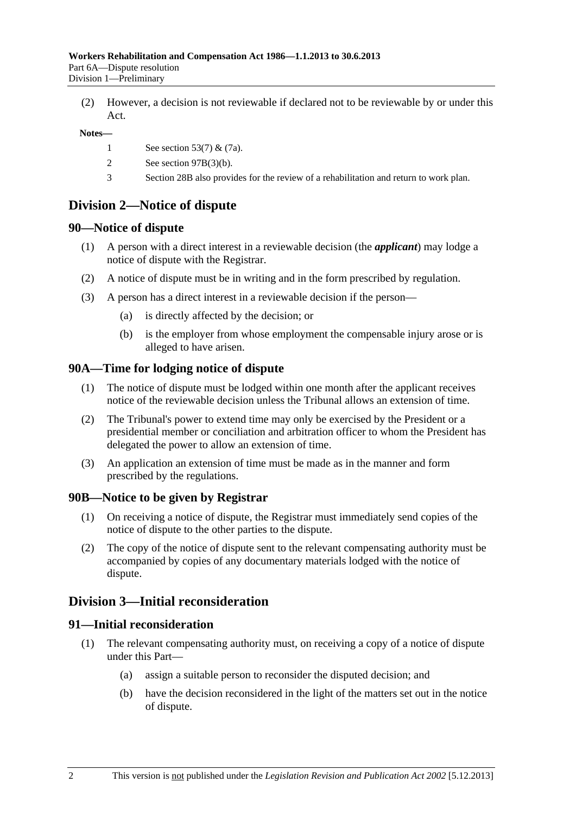(2) However, a decision is not reviewable if declared not to be reviewable by or under this Act.

#### **Notes—**

- 1 See [section 53\(7\)](#page-76-0) & [\(7a\).](#page-76-0)
- 2 See [section 97B\(3\)\(b\)](#page-130-0).
- 3 [Section 28B](#page-32-0) also provides for the review of a rehabilitation and return to work plan.

## **Division 2—Notice of dispute**

#### **90—Notice of dispute**

- (1) A person with a direct interest in a reviewable decision (the *applicant*) may lodge a notice of dispute with the Registrar.
- (2) A notice of dispute must be in writing and in the form prescribed by regulation.
- (3) A person has a direct interest in a reviewable decision if the person—
	- (a) is directly affected by the decision; or
	- (b) is the employer from whose employment the compensable injury arose or is alleged to have arisen.

#### **90A—Time for lodging notice of dispute**

- (1) The notice of dispute must be lodged within one month after the applicant receives notice of the reviewable decision unless the Tribunal allows an extension of time.
- (2) The Tribunal's power to extend time may only be exercised by the President or a presidential member or conciliation and arbitration officer to whom the President has delegated the power to allow an extension of time.
- (3) An application an extension of time must be made as in the manner and form prescribed by the regulations.

#### **90B—Notice to be given by Registrar**

- (1) On receiving a notice of dispute, the Registrar must immediately send copies of the notice of dispute to the other parties to the dispute.
- (2) The copy of the notice of dispute sent to the relevant compensating authority must be accompanied by copies of any documentary materials lodged with the notice of dispute.

## **Division 3—Initial reconsideration**

## **91—Initial reconsideration**

- (1) The relevant compensating authority must, on receiving a copy of a notice of dispute under this Part—
	- (a) assign a suitable person to reconsider the disputed decision; and
	- (b) have the decision reconsidered in the light of the matters set out in the notice of dispute.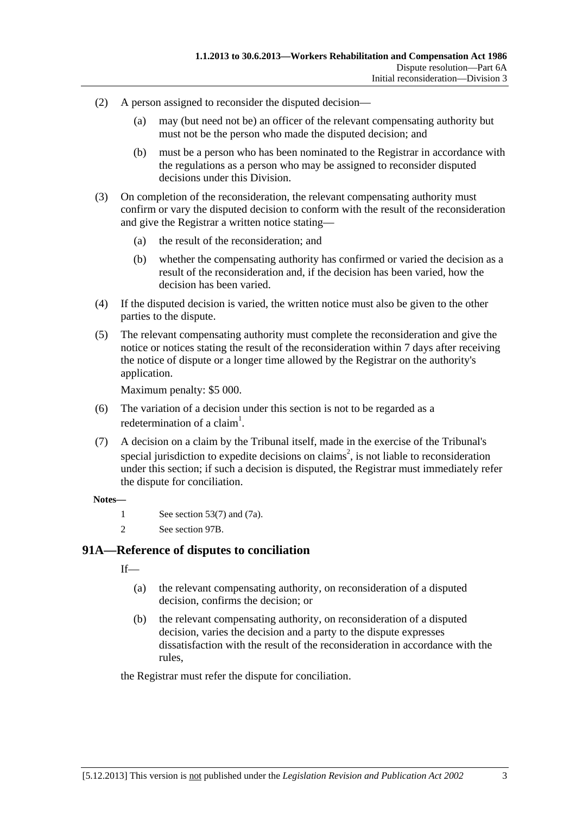- (2) A person assigned to reconsider the disputed decision—
	- (a) may (but need not be) an officer of the relevant compensating authority but must not be the person who made the disputed decision; and
	- (b) must be a person who has been nominated to the Registrar in accordance with the regulations as a person who may be assigned to reconsider disputed decisions under this Division.
- (3) On completion of the reconsideration, the relevant compensating authority must confirm or vary the disputed decision to conform with the result of the reconsideration and give the Registrar a written notice stating—
	- (a) the result of the reconsideration; and
	- (b) whether the compensating authority has confirmed or varied the decision as a result of the reconsideration and, if the decision has been varied, how the decision has been varied.
- (4) If the disputed decision is varied, the written notice must also be given to the other parties to the dispute.
- (5) The relevant compensating authority must complete the reconsideration and give the notice or notices stating the result of the reconsideration within 7 days after receiving the notice of dispute or a longer time allowed by the Registrar on the authority's application.

Maximum penalty: \$5 000.

- (6) The variation of a decision under this section is not to be regarded as a redetermination of a claim<sup>1</sup>.
- (7) A decision on a claim by the Tribunal itself, made in the exercise of the Tribunal's special jurisdiction to expedite decisions on claims<sup>2</sup>, is not liable to reconsideration under this section; if such a decision is disputed, the Registrar must immediately refer the dispute for conciliation.

#### **Notes—**

- 1 See [section 53\(7\)](#page-76-0) and [\(7a\)](#page-76-0).
- 2 See [section 97B.](#page-130-0)

## **91A—Reference of disputes to conciliation**

 $If$ <sub>—</sub>

- (a) the relevant compensating authority, on reconsideration of a disputed decision, confirms the decision; or
- (b) the relevant compensating authority, on reconsideration of a disputed decision, varies the decision and a party to the dispute expresses dissatisfaction with the result of the reconsideration in accordance with the rules,

the Registrar must refer the dispute for conciliation.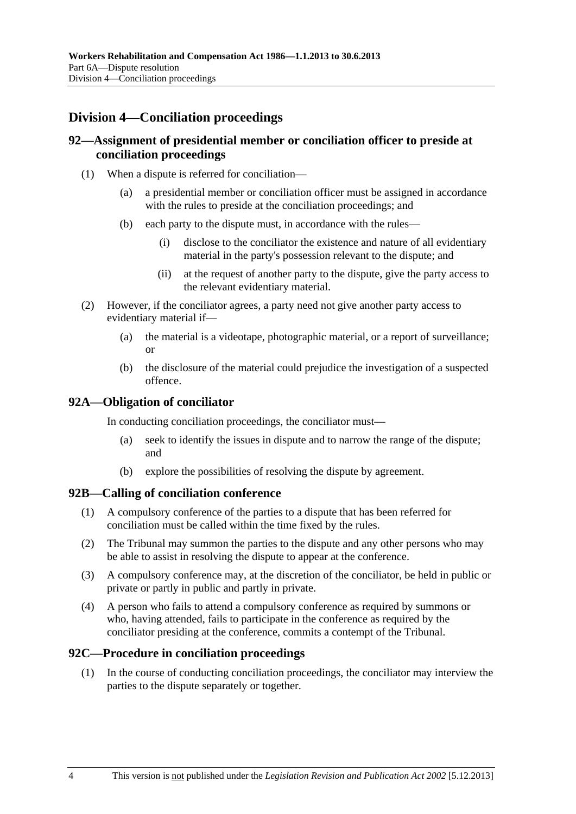## **Division 4—Conciliation proceedings**

## **92—Assignment of presidential member or conciliation officer to preside at conciliation proceedings**

- (1) When a dispute is referred for conciliation—
	- (a) a presidential member or conciliation officer must be assigned in accordance with the rules to preside at the conciliation proceedings; and
	- (b) each party to the dispute must, in accordance with the rules—
		- (i) disclose to the conciliator the existence and nature of all evidentiary material in the party's possession relevant to the dispute; and
		- (ii) at the request of another party to the dispute, give the party access to the relevant evidentiary material.
- (2) However, if the conciliator agrees, a party need not give another party access to evidentiary material if—
	- (a) the material is a videotape, photographic material, or a report of surveillance; or
	- (b) the disclosure of the material could prejudice the investigation of a suspected offence.

### **92A—Obligation of conciliator**

In conducting conciliation proceedings, the conciliator must—

- (a) seek to identify the issues in dispute and to narrow the range of the dispute; and
- (b) explore the possibilities of resolving the dispute by agreement.

#### **92B—Calling of conciliation conference**

- (1) A compulsory conference of the parties to a dispute that has been referred for conciliation must be called within the time fixed by the rules.
- (2) The Tribunal may summon the parties to the dispute and any other persons who may be able to assist in resolving the dispute to appear at the conference.
- (3) A compulsory conference may, at the discretion of the conciliator, be held in public or private or partly in public and partly in private.
- (4) A person who fails to attend a compulsory conference as required by summons or who, having attended, fails to participate in the conference as required by the conciliator presiding at the conference, commits a contempt of the Tribunal.

#### **92C—Procedure in conciliation proceedings**

 (1) In the course of conducting conciliation proceedings, the conciliator may interview the parties to the dispute separately or together.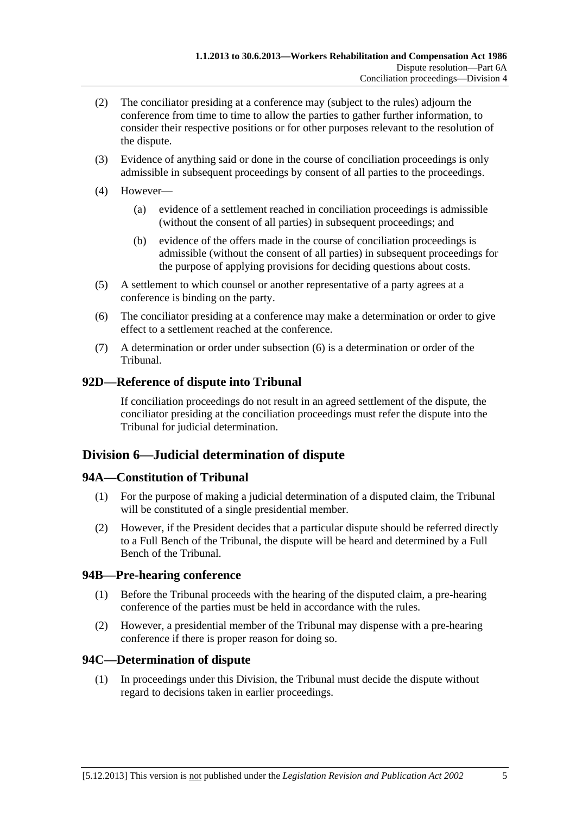- <span id="page-126-0"></span> (2) The conciliator presiding at a conference may (subject to the rules) adjourn the conference from time to time to allow the parties to gather further information, to consider their respective positions or for other purposes relevant to the resolution of the dispute.
- (3) Evidence of anything said or done in the course of conciliation proceedings is only admissible in subsequent proceedings by consent of all parties to the proceedings.
- (4) However—
	- (a) evidence of a settlement reached in conciliation proceedings is admissible (without the consent of all parties) in subsequent proceedings; and
	- (b) evidence of the offers made in the course of conciliation proceedings is admissible (without the consent of all parties) in subsequent proceedings for the purpose of applying provisions for deciding questions about costs.
- (5) A settlement to which counsel or another representative of a party agrees at a conference is binding on the party.
- (6) The conciliator presiding at a conference may make a determination or order to give effect to a settlement reached at the conference.
- (7) A determination or order under [subsection \(6\)](#page-126-0) is a determination or order of the Tribunal.

## **92D—Reference of dispute into Tribunal**

If conciliation proceedings do not result in an agreed settlement of the dispute, the conciliator presiding at the conciliation proceedings must refer the dispute into the Tribunal for judicial determination.

## **Division 6—Judicial determination of dispute**

## **94A—Constitution of Tribunal**

- (1) For the purpose of making a judicial determination of a disputed claim, the Tribunal will be constituted of a single presidential member.
- (2) However, if the President decides that a particular dispute should be referred directly to a Full Bench of the Tribunal, the dispute will be heard and determined by a Full Bench of the Tribunal.

## **94B—Pre-hearing conference**

- (1) Before the Tribunal proceeds with the hearing of the disputed claim, a pre-hearing conference of the parties must be held in accordance with the rules.
- (2) However, a presidential member of the Tribunal may dispense with a pre-hearing conference if there is proper reason for doing so.

## **94C—Determination of dispute**

 (1) In proceedings under this Division, the Tribunal must decide the dispute without regard to decisions taken in earlier proceedings.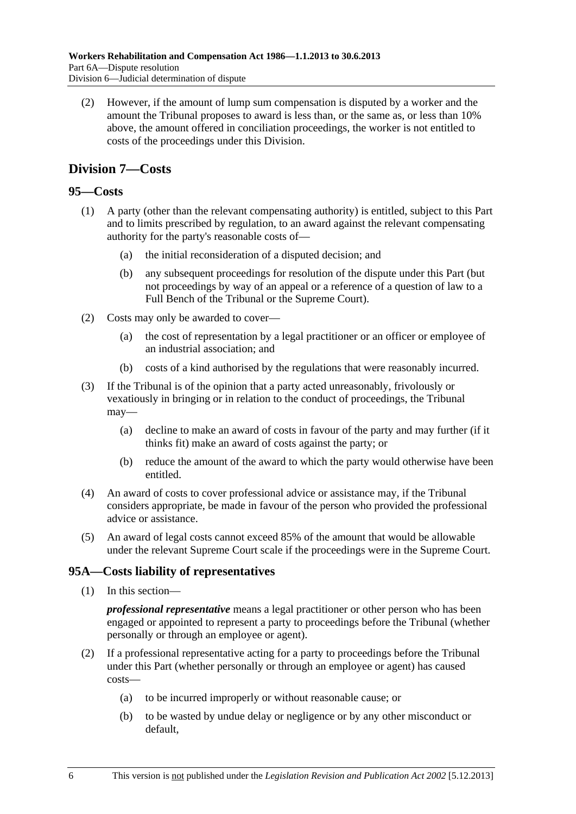<span id="page-127-0"></span> (2) However, if the amount of lump sum compensation is disputed by a worker and the amount the Tribunal proposes to award is less than, or the same as, or less than 10% above, the amount offered in conciliation proceedings, the worker is not entitled to costs of the proceedings under this Division.

## **Division 7—Costs**

## **95—Costs**

- (1) A party (other than the relevant compensating authority) is entitled, subject to this Part and to limits prescribed by regulation, to an award against the relevant compensating authority for the party's reasonable costs of—
	- (a) the initial reconsideration of a disputed decision; and
	- (b) any subsequent proceedings for resolution of the dispute under this Part (but not proceedings by way of an appeal or a reference of a question of law to a Full Bench of the Tribunal or the Supreme Court).
- (2) Costs may only be awarded to cover—
	- (a) the cost of representation by a legal practitioner or an officer or employee of an industrial association; and
	- (b) costs of a kind authorised by the regulations that were reasonably incurred.
- (3) If the Tribunal is of the opinion that a party acted unreasonably, frivolously or vexatiously in bringing or in relation to the conduct of proceedings, the Tribunal may—
	- (a) decline to make an award of costs in favour of the party and may further (if it thinks fit) make an award of costs against the party; or
	- (b) reduce the amount of the award to which the party would otherwise have been entitled.
- (4) An award of costs to cover professional advice or assistance may, if the Tribunal considers appropriate, be made in favour of the person who provided the professional advice or assistance.
- (5) An award of legal costs cannot exceed 85% of the amount that would be allowable under the relevant Supreme Court scale if the proceedings were in the Supreme Court.

## **95A—Costs liability of representatives**

(1) In this section—

*professional representative* means a legal practitioner or other person who has been engaged or appointed to represent a party to proceedings before the Tribunal (whether personally or through an employee or agent).

- (2) If a professional representative acting for a party to proceedings before the Tribunal under this Part (whether personally or through an employee or agent) has caused costs—
	- (a) to be incurred improperly or without reasonable cause; or
	- (b) to be wasted by undue delay or negligence or by any other misconduct or default,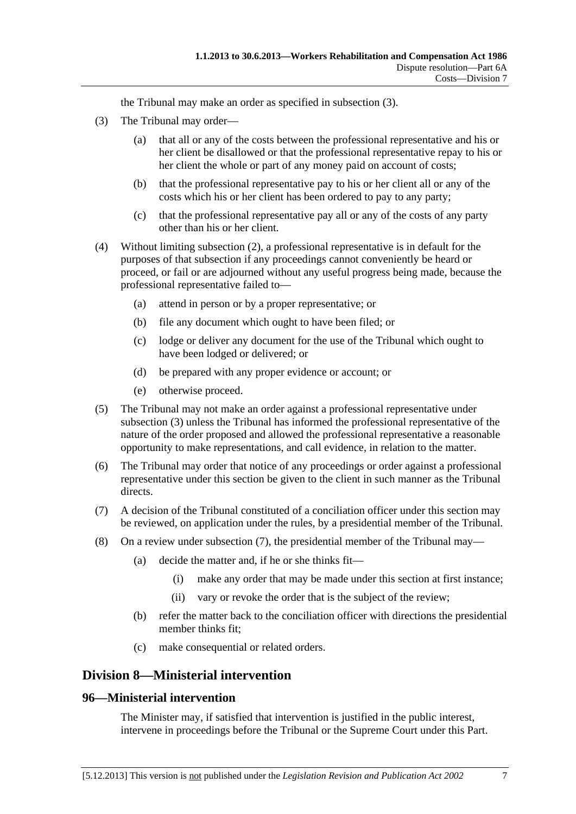the Tribunal may make an order as specified in [subsection \(3\)](#page-128-0).

- <span id="page-128-0"></span> (3) The Tribunal may order—
	- (a) that all or any of the costs between the professional representative and his or her client be disallowed or that the professional representative repay to his or her client the whole or part of any money paid on account of costs;
	- (b) that the professional representative pay to his or her client all or any of the costs which his or her client has been ordered to pay to any party;
	- (c) that the professional representative pay all or any of the costs of any party other than his or her client.
- (4) Without limiting [subsection \(2\),](#page-127-0) a professional representative is in default for the purposes of that subsection if any proceedings cannot conveniently be heard or proceed, or fail or are adjourned without any useful progress being made, because the professional representative failed to—
	- (a) attend in person or by a proper representative; or
	- (b) file any document which ought to have been filed; or
	- (c) lodge or deliver any document for the use of the Tribunal which ought to have been lodged or delivered; or
	- (d) be prepared with any proper evidence or account; or
	- (e) otherwise proceed.
- (5) The Tribunal may not make an order against a professional representative under [subsection \(3\)](#page-128-0) unless the Tribunal has informed the professional representative of the nature of the order proposed and allowed the professional representative a reasonable opportunity to make representations, and call evidence, in relation to the matter.
- (6) The Tribunal may order that notice of any proceedings or order against a professional representative under this section be given to the client in such manner as the Tribunal directs.
- (7) A decision of the Tribunal constituted of a conciliation officer under this section may be reviewed, on application under the rules, by a presidential member of the Tribunal.
- (8) On a review under [subsection \(7\),](#page-128-0) the presidential member of the Tribunal may—
	- (a) decide the matter and, if he or she thinks fit—
		- (i) make any order that may be made under this section at first instance;
		- (ii) vary or revoke the order that is the subject of the review;
	- (b) refer the matter back to the conciliation officer with directions the presidential member thinks fit;
	- (c) make consequential or related orders.

## **Division 8—Ministerial intervention**

#### **96—Ministerial intervention**

The Minister may, if satisfied that intervention is justified in the public interest, intervene in proceedings before the Tribunal or the Supreme Court under this Part.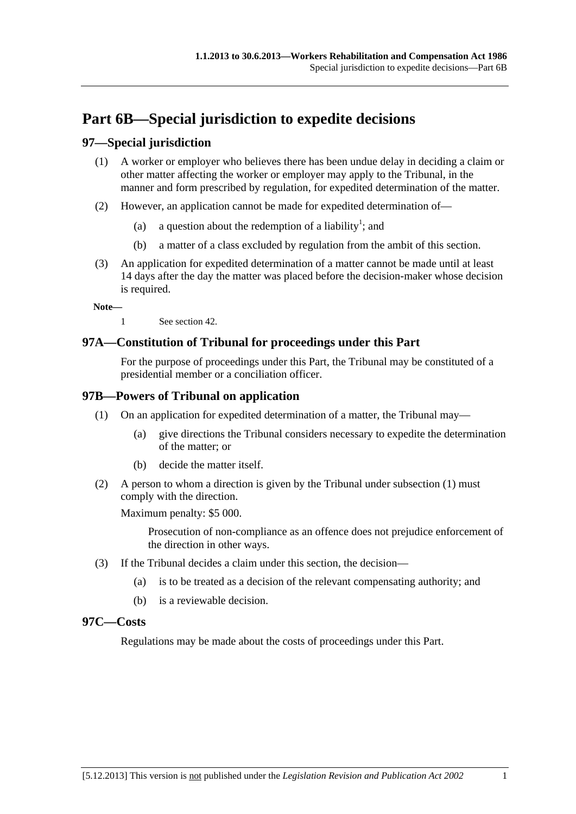# <span id="page-130-0"></span>**Part 6B—Special jurisdiction to expedite decisions**

## **97—Special jurisdiction**

- (1) A worker or employer who believes there has been undue delay in deciding a claim or other matter affecting the worker or employer may apply to the Tribunal, in the manner and form prescribed by regulation, for expedited determination of the matter.
- (2) However, an application cannot be made for expedited determination of—
	- (a) a question about the redemption of a liability<sup>1</sup>; and
		- (b) a matter of a class excluded by regulation from the ambit of this section.
- (3) An application for expedited determination of a matter cannot be made until at least 14 days after the day the matter was placed before the decision-maker whose decision is required.

**Note—** 

1 See [section 42](#page-56-0).

## **97A—Constitution of Tribunal for proceedings under this Part**

For the purpose of proceedings under this Part, the Tribunal may be constituted of a presidential member or a conciliation officer.

## **97B—Powers of Tribunal on application**

- (1) On an application for expedited determination of a matter, the Tribunal may—
	- (a) give directions the Tribunal considers necessary to expedite the determination of the matter; or
	- (b) decide the matter itself.
- (2) A person to whom a direction is given by the Tribunal under [subsection \(1\)](#page-130-0) must comply with the direction.

Maximum penalty: \$5 000.

Prosecution of non-compliance as an offence does not prejudice enforcement of the direction in other ways.

- (3) If the Tribunal decides a claim under this section, the decision—
	- (a) is to be treated as a decision of the relevant compensating authority; and
	- (b) is a reviewable decision.

#### **97C—Costs**

Regulations may be made about the costs of proceedings under this Part.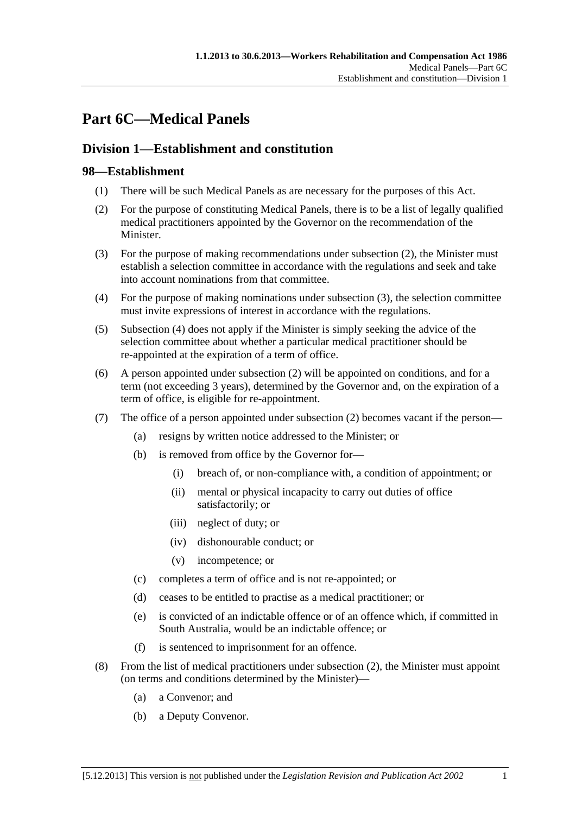# <span id="page-132-0"></span>**Part 6C—Medical Panels**

## **Division 1—Establishment and constitution**

## **98—Establishment**

- (1) There will be such Medical Panels as are necessary for the purposes of this Act.
- (2) For the purpose of constituting Medical Panels, there is to be a list of legally qualified medical practitioners appointed by the Governor on the recommendation of the Minister.
- (3) For the purpose of making recommendations under [subsection \(2\)](#page-132-0), the Minister must establish a selection committee in accordance with the regulations and seek and take into account nominations from that committee.
- (4) For the purpose of making nominations under [subsection \(3\)](#page-132-0), the selection committee must invite expressions of interest in accordance with the regulations.
- (5) [Subsection \(4\)](#page-132-0) does not apply if the Minister is simply seeking the advice of the selection committee about whether a particular medical practitioner should be re-appointed at the expiration of a term of office.
- (6) A person appointed under [subsection \(2\)](#page-132-0) will be appointed on conditions, and for a term (not exceeding 3 years), determined by the Governor and, on the expiration of a term of office, is eligible for re-appointment.
- (7) The office of a person appointed under [subsection \(2\)](#page-132-0) becomes vacant if the person—
	- (a) resigns by written notice addressed to the Minister; or
	- (b) is removed from office by the Governor for—
		- (i) breach of, or non-compliance with, a condition of appointment; or
		- (ii) mental or physical incapacity to carry out duties of office satisfactorily; or
		- (iii) neglect of duty; or
		- (iv) dishonourable conduct; or
		- (v) incompetence; or
	- (c) completes a term of office and is not re-appointed; or
	- (d) ceases to be entitled to practise as a medical practitioner; or
	- (e) is convicted of an indictable offence or of an offence which, if committed in South Australia, would be an indictable offence; or
	- (f) is sentenced to imprisonment for an offence.
- (8) From the list of medical practitioners under [subsection \(2\)](#page-132-0), the Minister must appoint (on terms and conditions determined by the Minister)—
	- (a) a Convenor; and
	- (b) a Deputy Convenor.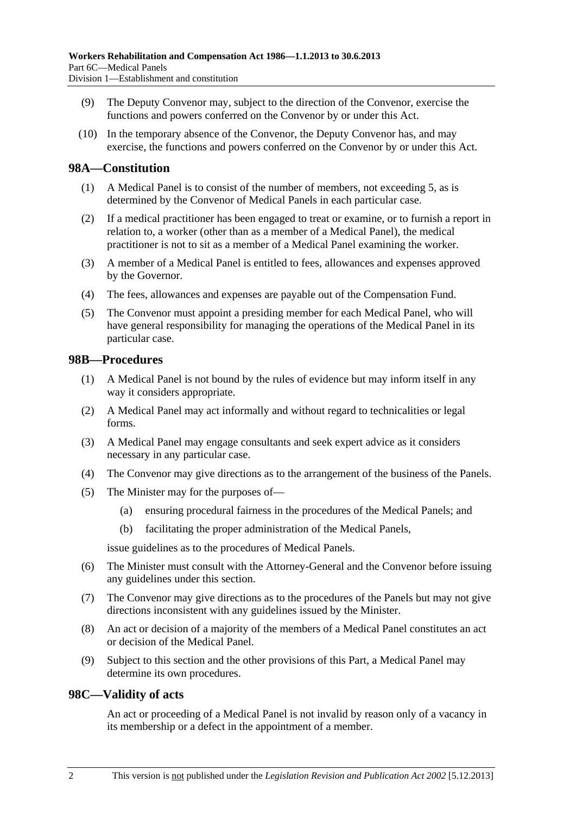- (9) The Deputy Convenor may, subject to the direction of the Convenor, exercise the functions and powers conferred on the Convenor by or under this Act.
- (10) In the temporary absence of the Convenor, the Deputy Convenor has, and may exercise, the functions and powers conferred on the Convenor by or under this Act.

### **98A—Constitution**

- (1) A Medical Panel is to consist of the number of members, not exceeding 5, as is determined by the Convenor of Medical Panels in each particular case.
- (2) If a medical practitioner has been engaged to treat or examine, or to furnish a report in relation to, a worker (other than as a member of a Medical Panel), the medical practitioner is not to sit as a member of a Medical Panel examining the worker.
- (3) A member of a Medical Panel is entitled to fees, allowances and expenses approved by the Governor.
- (4) The fees, allowances and expenses are payable out of the Compensation Fund.
- (5) The Convenor must appoint a presiding member for each Medical Panel, who will have general responsibility for managing the operations of the Medical Panel in its particular case.

### **98B—Procedures**

- (1) A Medical Panel is not bound by the rules of evidence but may inform itself in any way it considers appropriate.
- (2) A Medical Panel may act informally and without regard to technicalities or legal forms.
- (3) A Medical Panel may engage consultants and seek expert advice as it considers necessary in any particular case.
- (4) The Convenor may give directions as to the arrangement of the business of the Panels.
- (5) The Minister may for the purposes of—
	- (a) ensuring procedural fairness in the procedures of the Medical Panels; and
	- (b) facilitating the proper administration of the Medical Panels,

issue guidelines as to the procedures of Medical Panels.

- (6) The Minister must consult with the Attorney-General and the Convenor before issuing any guidelines under this section.
- (7) The Convenor may give directions as to the procedures of the Panels but may not give directions inconsistent with any guidelines issued by the Minister.
- (8) An act or decision of a majority of the members of a Medical Panel constitutes an act or decision of the Medical Panel.
- (9) Subject to this section and the other provisions of this Part, a Medical Panel may determine its own procedures.

#### **98C—Validity of acts**

An act or proceeding of a Medical Panel is not invalid by reason only of a vacancy in its membership or a defect in the appointment of a member.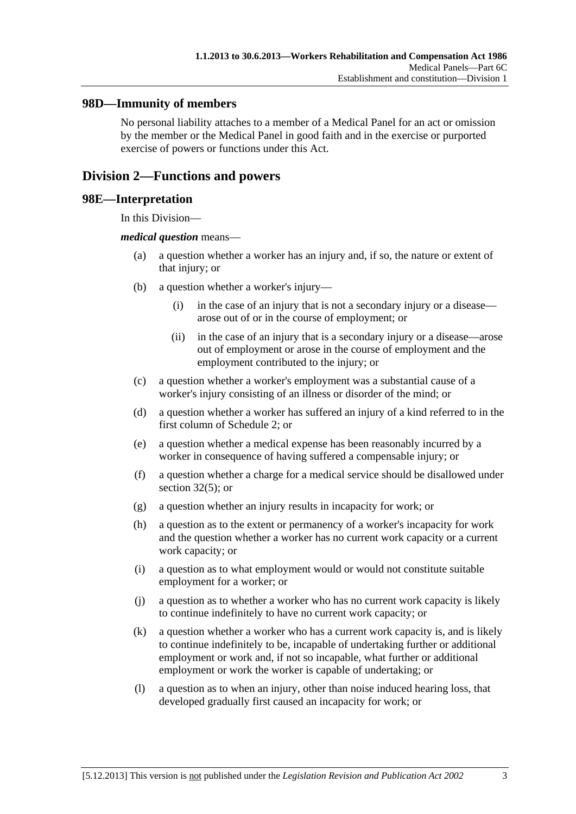### **98D—Immunity of members**

No personal liability attaches to a member of a Medical Panel for an act or omission by the member or the Medical Panel in good faith and in the exercise or purported exercise of powers or functions under this Act.

## **Division 2—Functions and powers**

#### **98E—Interpretation**

In this Division—

#### *medical question* means—

- (a) a question whether a worker has an injury and, if so, the nature or extent of that injury; or
- (b) a question whether a worker's injury—
	- (i) in the case of an injury that is not a secondary injury or a disease arose out of or in the course of employment; or
	- (ii) in the case of an injury that is a secondary injury or a disease—arose out of employment or arose in the course of employment and the employment contributed to the injury; or
- (c) a question whether a worker's employment was a substantial cause of a worker's injury consisting of an illness or disorder of the mind; or
- (d) a question whether a worker has suffered an injury of a kind referred to in the first column of [Schedule 2](#page-163-0); or
- (e) a question whether a medical expense has been reasonably incurred by a worker in consequence of having suffered a compensable injury; or
- (f) a question whether a charge for a medical service should be disallowed under [section 32\(5\);](#page-39-0) or
- (g) a question whether an injury results in incapacity for work; or
- (h) a question as to the extent or permanency of a worker's incapacity for work and the question whether a worker has no current work capacity or a current work capacity; or
- (i) a question as to what employment would or would not constitute suitable employment for a worker; or
- (j) a question as to whether a worker who has no current work capacity is likely to continue indefinitely to have no current work capacity; or
- (k) a question whether a worker who has a current work capacity is, and is likely to continue indefinitely to be, incapable of undertaking further or additional employment or work and, if not so incapable, what further or additional employment or work the worker is capable of undertaking; or
- (l) a question as to when an injury, other than noise induced hearing loss, that developed gradually first caused an incapacity for work; or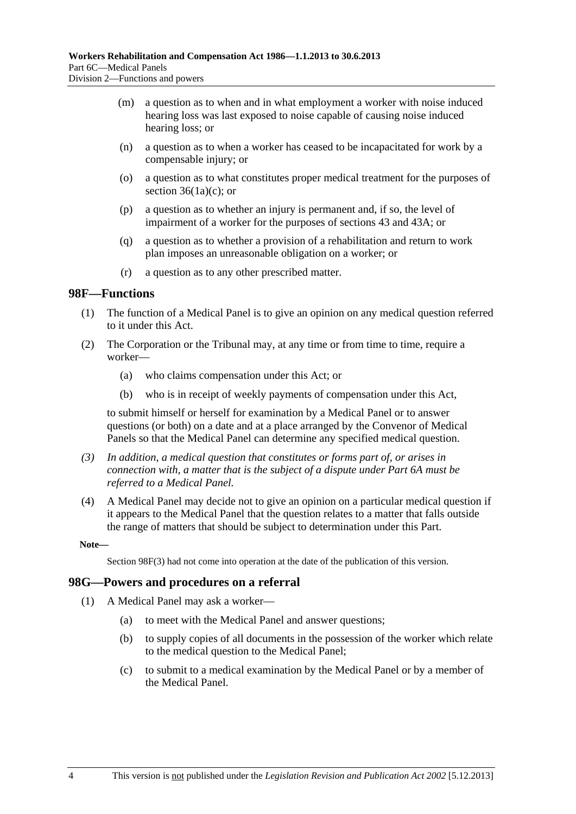- <span id="page-135-0"></span> (m) a question as to when and in what employment a worker with noise induced hearing loss was last exposed to noise capable of causing noise induced hearing loss; or
- (n) a question as to when a worker has ceased to be incapacitated for work by a compensable injury; or
- (o) a question as to what constitutes proper medical treatment for the purposes of section  $36(1a)(c)$ ; or
- (p) a question as to whether an injury is permanent and, if so, the level of impairment of a worker for the purposes of [sections 43](#page-58-0) and [43A](#page-59-0); or
- (q) a question as to whether a provision of a rehabilitation and return to work plan imposes an unreasonable obligation on a worker; or
- (r) a question as to any other prescribed matter.

#### **98F—Functions**

- (1) The function of a Medical Panel is to give an opinion on any medical question referred to it under this Act.
- (2) The Corporation or the Tribunal may, at any time or from time to time, require a worker—
	- (a) who claims compensation under this Act; or
	- (b) who is in receipt of weekly payments of compensation under this Act,

to submit himself or herself for examination by a Medical Panel or to answer questions (or both) on a date and at a place arranged by the Convenor of Medical Panels so that the Medical Panel can determine any specified medical question.

- *(3) In addition, a medical question that constitutes or forms part of, or arises in connection with, a matter that is the subject of a dispute under [Part 6A](#page-122-0) must be referred to a Medical Panel.*
- (4) A Medical Panel may decide not to give an opinion on a particular medical question if it appears to the Medical Panel that the question relates to a matter that falls outside the range of matters that should be subject to determination under this Part.

**Note—** 

Section 98F(3) had not come into operation at the date of the publication of this version.

#### **98G—Powers and procedures on a referral**

- (1) A Medical Panel may ask a worker—
	- (a) to meet with the Medical Panel and answer questions;
	- (b) to supply copies of all documents in the possession of the worker which relate to the medical question to the Medical Panel;
	- (c) to submit to a medical examination by the Medical Panel or by a member of the Medical Panel.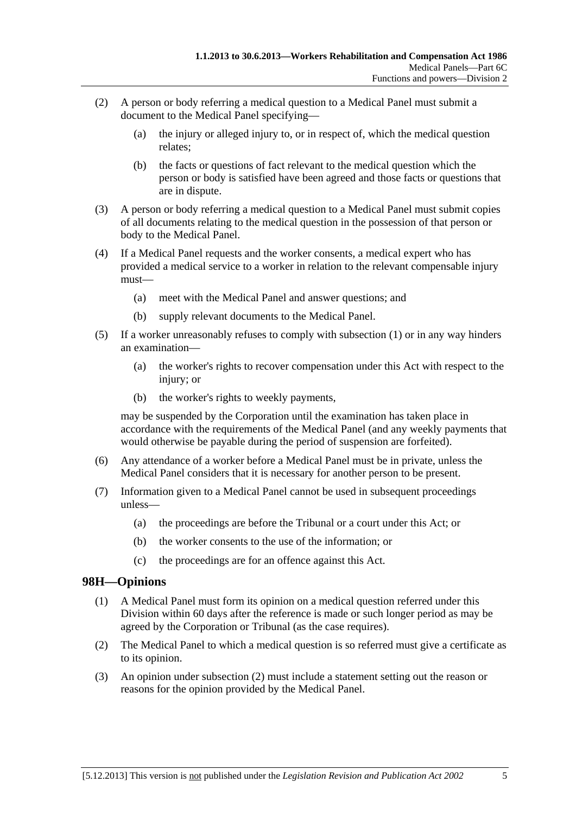- <span id="page-136-0"></span> (2) A person or body referring a medical question to a Medical Panel must submit a document to the Medical Panel specifying—
	- (a) the injury or alleged injury to, or in respect of, which the medical question relates;
	- (b) the facts or questions of fact relevant to the medical question which the person or body is satisfied have been agreed and those facts or questions that are in dispute.
- (3) A person or body referring a medical question to a Medical Panel must submit copies of all documents relating to the medical question in the possession of that person or body to the Medical Panel.
- (4) If a Medical Panel requests and the worker consents, a medical expert who has provided a medical service to a worker in relation to the relevant compensable injury must—
	- (a) meet with the Medical Panel and answer questions; and
	- (b) supply relevant documents to the Medical Panel.
- (5) If a worker unreasonably refuses to comply with [subsection \(1\)](#page-135-0) or in any way hinders an examination—
	- (a) the worker's rights to recover compensation under this Act with respect to the injury; or
	- (b) the worker's rights to weekly payments,

may be suspended by the Corporation until the examination has taken place in accordance with the requirements of the Medical Panel (and any weekly payments that would otherwise be payable during the period of suspension are forfeited).

- (6) Any attendance of a worker before a Medical Panel must be in private, unless the Medical Panel considers that it is necessary for another person to be present.
- (7) Information given to a Medical Panel cannot be used in subsequent proceedings unless—
	- (a) the proceedings are before the Tribunal or a court under this Act; or
	- (b) the worker consents to the use of the information; or
	- (c) the proceedings are for an offence against this Act.

## **98H—Opinions**

- (1) A Medical Panel must form its opinion on a medical question referred under this Division within 60 days after the reference is made or such longer period as may be agreed by the Corporation or Tribunal (as the case requires).
- (2) The Medical Panel to which a medical question is so referred must give a certificate as to its opinion.
- (3) An opinion under [subsection \(2\)](#page-136-0) must include a statement setting out the reason or reasons for the opinion provided by the Medical Panel.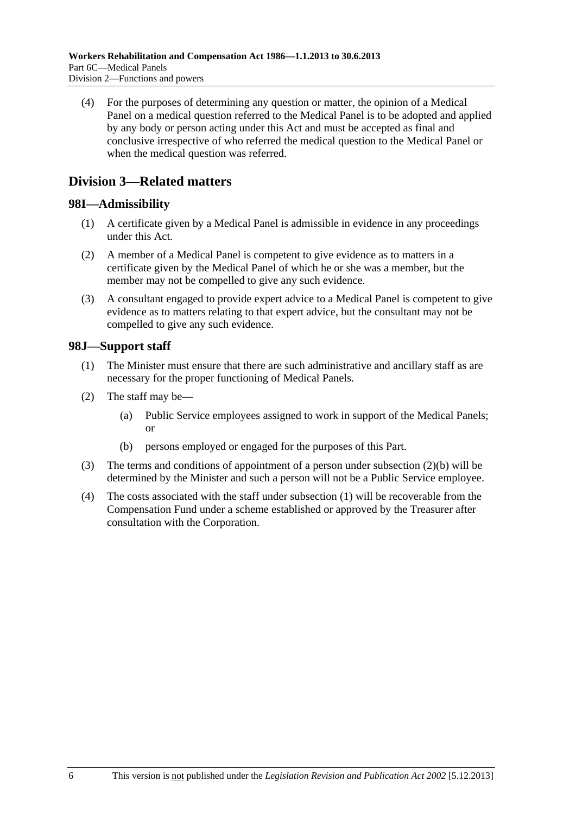<span id="page-137-0"></span> (4) For the purposes of determining any question or matter, the opinion of a Medical Panel on a medical question referred to the Medical Panel is to be adopted and applied by any body or person acting under this Act and must be accepted as final and conclusive irrespective of who referred the medical question to the Medical Panel or when the medical question was referred.

## **Division 3—Related matters**

## **98I—Admissibility**

- (1) A certificate given by a Medical Panel is admissible in evidence in any proceedings under this Act.
- (2) A member of a Medical Panel is competent to give evidence as to matters in a certificate given by the Medical Panel of which he or she was a member, but the member may not be compelled to give any such evidence.
- (3) A consultant engaged to provide expert advice to a Medical Panel is competent to give evidence as to matters relating to that expert advice, but the consultant may not be compelled to give any such evidence.

## **98J—Support staff**

- (1) The Minister must ensure that there are such administrative and ancillary staff as are necessary for the proper functioning of Medical Panels.
- (2) The staff may be—
	- (a) Public Service employees assigned to work in support of the Medical Panels; or
	- (b) persons employed or engaged for the purposes of this Part.
- (3) The terms and conditions of appointment of a person under [subsection \(2\)\(b\)](#page-137-0) will be determined by the Minister and such a person will not be a Public Service employee.
- (4) The costs associated with the staff under [subsection \(1\)](#page-137-0) will be recoverable from the Compensation Fund under a scheme established or approved by the Treasurer after consultation with the Corporation.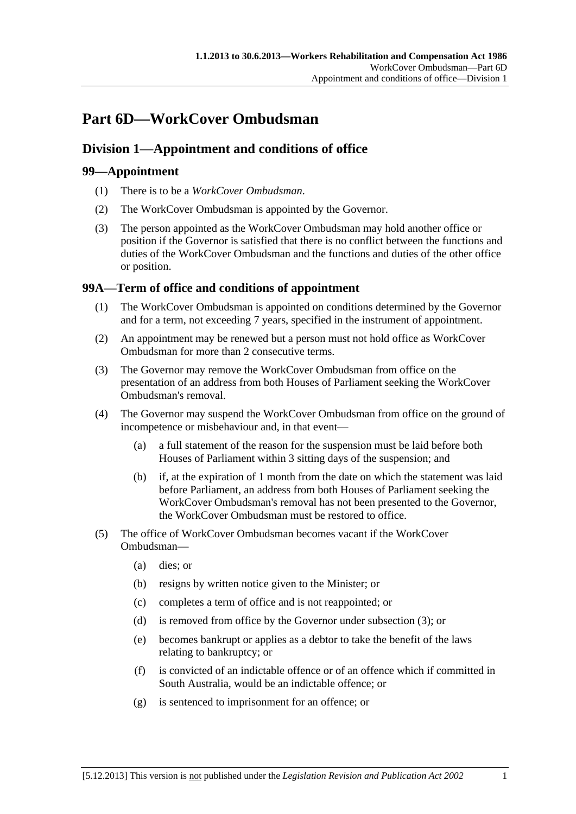# <span id="page-138-0"></span>**Part 6D—WorkCover Ombudsman**

## **Division 1—Appointment and conditions of office**

## **99—Appointment**

- (1) There is to be a *WorkCover Ombudsman*.
- (2) The WorkCover Ombudsman is appointed by the Governor.
- (3) The person appointed as the WorkCover Ombudsman may hold another office or position if the Governor is satisfied that there is no conflict between the functions and duties of the WorkCover Ombudsman and the functions and duties of the other office or position.

## **99A—Term of office and conditions of appointment**

- (1) The WorkCover Ombudsman is appointed on conditions determined by the Governor and for a term, not exceeding 7 years, specified in the instrument of appointment.
- (2) An appointment may be renewed but a person must not hold office as WorkCover Ombudsman for more than 2 consecutive terms.
- (3) The Governor may remove the WorkCover Ombudsman from office on the presentation of an address from both Houses of Parliament seeking the WorkCover Ombudsman's removal.
- (4) The Governor may suspend the WorkCover Ombudsman from office on the ground of incompetence or misbehaviour and, in that event—
	- (a) a full statement of the reason for the suspension must be laid before both Houses of Parliament within 3 sitting days of the suspension; and
	- (b) if, at the expiration of 1 month from the date on which the statement was laid before Parliament, an address from both Houses of Parliament seeking the WorkCover Ombudsman's removal has not been presented to the Governor, the WorkCover Ombudsman must be restored to office.
- (5) The office of WorkCover Ombudsman becomes vacant if the WorkCover Ombudsman—
	- (a) dies; or
	- (b) resigns by written notice given to the Minister; or
	- (c) completes a term of office and is not reappointed; or
	- (d) is removed from office by the Governor under [subsection \(3\)](#page-138-0); or
	- (e) becomes bankrupt or applies as a debtor to take the benefit of the laws relating to bankruptcy; or
	- (f) is convicted of an indictable offence or of an offence which if committed in South Australia, would be an indictable offence; or
	- (g) is sentenced to imprisonment for an offence; or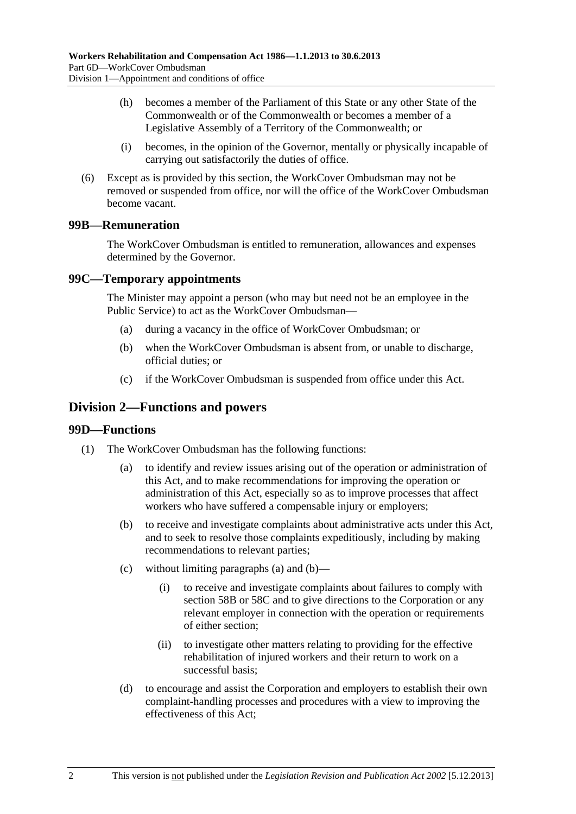- <span id="page-139-0"></span> (h) becomes a member of the Parliament of this State or any other State of the Commonwealth or of the Commonwealth or becomes a member of a Legislative Assembly of a Territory of the Commonwealth; or
- (i) becomes, in the opinion of the Governor, mentally or physically incapable of carrying out satisfactorily the duties of office.
- (6) Except as is provided by this section, the WorkCover Ombudsman may not be removed or suspended from office, nor will the office of the WorkCover Ombudsman become vacant.

### **99B—Remuneration**

The WorkCover Ombudsman is entitled to remuneration, allowances and expenses determined by the Governor.

#### **99C—Temporary appointments**

The Minister may appoint a person (who may but need not be an employee in the Public Service) to act as the WorkCover Ombudsman—

- (a) during a vacancy in the office of WorkCover Ombudsman; or
- (b) when the WorkCover Ombudsman is absent from, or unable to discharge, official duties; or
- (c) if the WorkCover Ombudsman is suspended from office under this Act.

## **Division 2—Functions and powers**

#### **99D—Functions**

- (1) The WorkCover Ombudsman has the following functions:
	- (a) to identify and review issues arising out of the operation or administration of this Act, and to make recommendations for improving the operation or administration of this Act, especially so as to improve processes that affect workers who have suffered a compensable injury or employers;
	- (b) to receive and investigate complaints about administrative acts under this Act, and to seek to resolve those complaints expeditiously, including by making recommendations to relevant parties;
	- (c) without limiting [paragraphs \(a\)](#page-139-0) and [\(b\)](#page-139-0)
		- (i) to receive and investigate complaints about failures to comply with [section 58B](#page-84-0) or [58C](#page-84-0) and to give directions to the Corporation or any relevant employer in connection with the operation or requirements of either section;
		- (ii) to investigate other matters relating to providing for the effective rehabilitation of injured workers and their return to work on a successful basis;
	- (d) to encourage and assist the Corporation and employers to establish their own complaint-handling processes and procedures with a view to improving the effectiveness of this Act;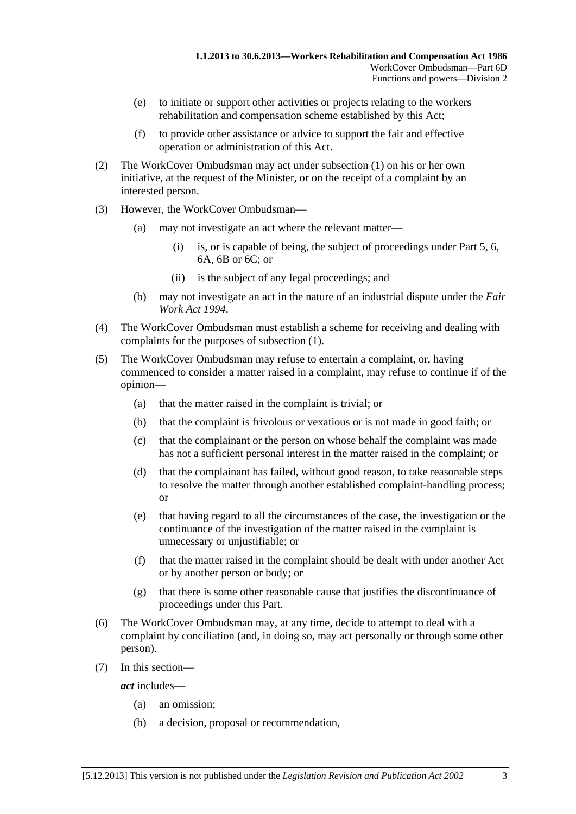- (e) to initiate or support other activities or projects relating to the workers rehabilitation and compensation scheme established by this Act;
- (f) to provide other assistance or advice to support the fair and effective operation or administration of this Act.
- (2) The WorkCover Ombudsman may act under [subsection \(1\)](#page-139-0) on his or her own initiative, at the request of the Minister, or on the receipt of a complaint by an interested person.
- (3) However, the WorkCover Ombudsman—
	- (a) may not investigate an act where the relevant matter—
		- (i) is, or is capable of being, the subject of proceedings under [Part 5,](#page-86-0) [6](#page-112-0), [6A](#page-122-0), [6B](#page-130-0) or 6C; or
		- (ii) is the subject of any legal proceedings; and
	- (b) may not investigate an act in the nature of an industrial dispute under the *[Fair](http://www.legislation.sa.gov.au/index.aspx?action=legref&type=act&legtitle=Fair%20Work%20Act%201994)  [Work Act 1994](http://www.legislation.sa.gov.au/index.aspx?action=legref&type=act&legtitle=Fair%20Work%20Act%201994)*.
- (4) The WorkCover Ombudsman must establish a scheme for receiving and dealing with complaints for the purposes of [subsection \(1\)](#page-139-0).
- (5) The WorkCover Ombudsman may refuse to entertain a complaint, or, having commenced to consider a matter raised in a complaint, may refuse to continue if of the opinion—
	- (a) that the matter raised in the complaint is trivial; or
	- (b) that the complaint is frivolous or vexatious or is not made in good faith; or
	- (c) that the complainant or the person on whose behalf the complaint was made has not a sufficient personal interest in the matter raised in the complaint; or
	- (d) that the complainant has failed, without good reason, to take reasonable steps to resolve the matter through another established complaint-handling process; or
	- (e) that having regard to all the circumstances of the case, the investigation or the continuance of the investigation of the matter raised in the complaint is unnecessary or unjustifiable; or
	- (f) that the matter raised in the complaint should be dealt with under another Act or by another person or body; or
	- (g) that there is some other reasonable cause that justifies the discontinuance of proceedings under this Part.
- (6) The WorkCover Ombudsman may, at any time, decide to attempt to deal with a complaint by conciliation (and, in doing so, may act personally or through some other person).
- (7) In this section—

*act* includes—

- (a) an omission;
- (b) a decision, proposal or recommendation,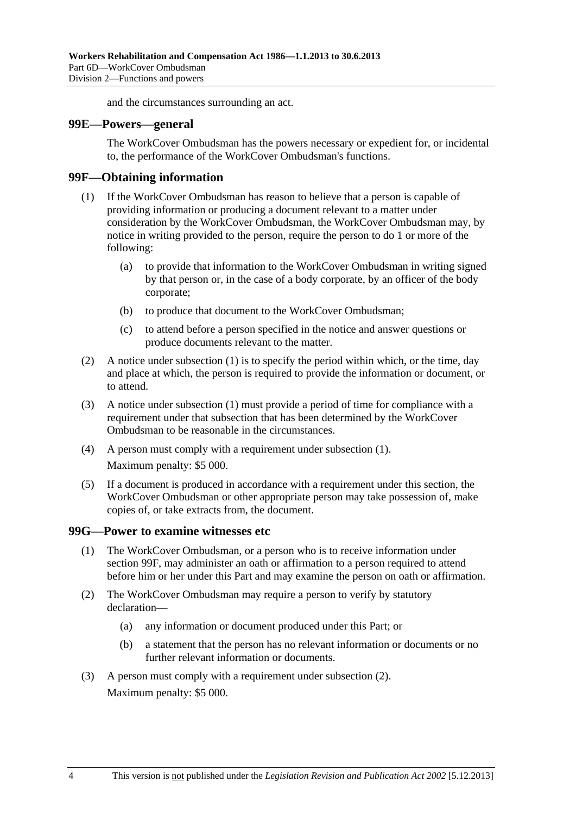and the circumstances surrounding an act.

#### <span id="page-141-0"></span>**99E—Powers—general**

The WorkCover Ombudsman has the powers necessary or expedient for, or incidental to, the performance of the WorkCover Ombudsman's functions.

#### **99F—Obtaining information**

- (1) If the WorkCover Ombudsman has reason to believe that a person is capable of providing information or producing a document relevant to a matter under consideration by the WorkCover Ombudsman, the WorkCover Ombudsman may, by notice in writing provided to the person, require the person to do 1 or more of the following:
	- (a) to provide that information to the WorkCover Ombudsman in writing signed by that person or, in the case of a body corporate, by an officer of the body corporate;
	- (b) to produce that document to the WorkCover Ombudsman;
	- (c) to attend before a person specified in the notice and answer questions or produce documents relevant to the matter.
- (2) A notice under [subsection \(1\)](#page-141-0) is to specify the period within which, or the time, day and place at which, the person is required to provide the information or document, or to attend.
- (3) A notice under [subsection \(1\)](#page-141-0) must provide a period of time for compliance with a requirement under that subsection that has been determined by the WorkCover Ombudsman to be reasonable in the circumstances.
- (4) A person must comply with a requirement under [subsection \(1\).](#page-141-0) Maximum penalty: \$5 000.
- (5) If a document is produced in accordance with a requirement under this section, the WorkCover Ombudsman or other appropriate person may take possession of, make copies of, or take extracts from, the document.

#### **99G—Power to examine witnesses etc**

- (1) The WorkCover Ombudsman, or a person who is to receive information under [section 99F](#page-141-0), may administer an oath or affirmation to a person required to attend before him or her under this Part and may examine the person on oath or affirmation.
- (2) The WorkCover Ombudsman may require a person to verify by statutory declaration—
	- (a) any information or document produced under this Part; or
	- (b) a statement that the person has no relevant information or documents or no further relevant information or documents.
- (3) A person must comply with a requirement under [subsection \(2\).](#page-141-0) Maximum penalty: \$5 000.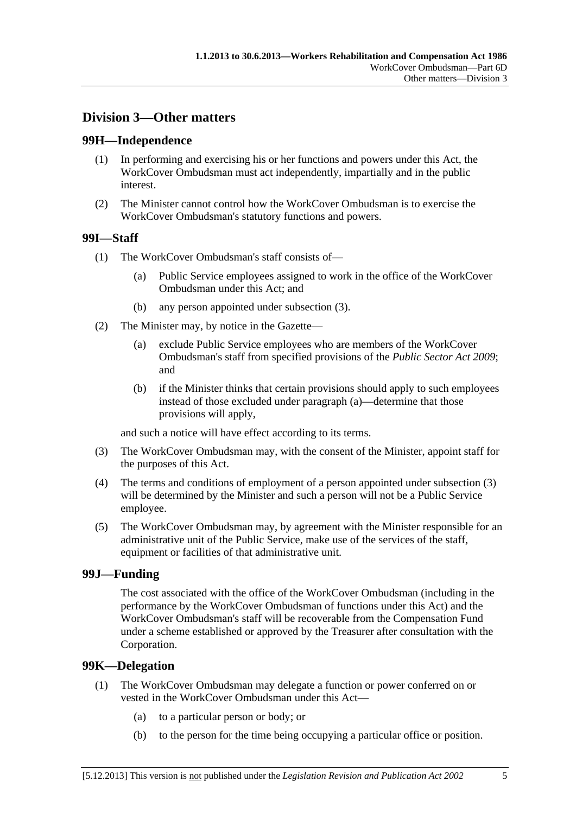## <span id="page-142-0"></span>**Division 3—Other matters**

## **99H—Independence**

- (1) In performing and exercising his or her functions and powers under this Act, the WorkCover Ombudsman must act independently, impartially and in the public interest.
- (2) The Minister cannot control how the WorkCover Ombudsman is to exercise the WorkCover Ombudsman's statutory functions and powers.

## **99I—Staff**

- (1) The WorkCover Ombudsman's staff consists of—
	- (a) Public Service employees assigned to work in the office of the WorkCover Ombudsman under this Act; and
	- (b) any person appointed under [subsection \(3\).](#page-142-0)
- (2) The Minister may, by notice in the Gazette—
	- (a) exclude Public Service employees who are members of the WorkCover Ombudsman's staff from specified provisions of the *[Public Sector Act 2009](http://www.legislation.sa.gov.au/index.aspx?action=legref&type=act&legtitle=Public%20Sector%20Act%202009)*; and
	- (b) if the Minister thinks that certain provisions should apply to such employees instead of those excluded under [paragraph \(a\)—](#page-142-0)determine that those provisions will apply,

and such a notice will have effect according to its terms.

- (3) The WorkCover Ombudsman may, with the consent of the Minister, appoint staff for the purposes of this Act.
- (4) The terms and conditions of employment of a person appointed under [subsection \(3\)](#page-142-0) will be determined by the Minister and such a person will not be a Public Service employee.
- (5) The WorkCover Ombudsman may, by agreement with the Minister responsible for an administrative unit of the Public Service, make use of the services of the staff, equipment or facilities of that administrative unit.

## **99J—Funding**

The cost associated with the office of the WorkCover Ombudsman (including in the performance by the WorkCover Ombudsman of functions under this Act) and the WorkCover Ombudsman's staff will be recoverable from the Compensation Fund under a scheme established or approved by the Treasurer after consultation with the Corporation.

## **99K—Delegation**

- (1) The WorkCover Ombudsman may delegate a function or power conferred on or vested in the WorkCover Ombudsman under this Act—
	- (a) to a particular person or body; or
	- (b) to the person for the time being occupying a particular office or position.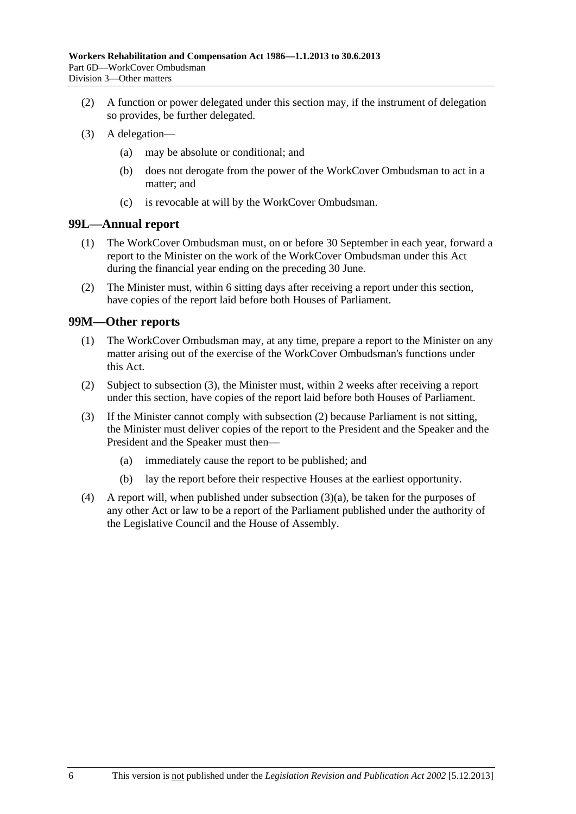- <span id="page-143-0"></span> (2) A function or power delegated under this section may, if the instrument of delegation so provides, be further delegated.
- (3) A delegation—
	- (a) may be absolute or conditional; and
	- (b) does not derogate from the power of the WorkCover Ombudsman to act in a matter; and
	- (c) is revocable at will by the WorkCover Ombudsman.

## **99L—Annual report**

- (1) The WorkCover Ombudsman must, on or before 30 September in each year, forward a report to the Minister on the work of the WorkCover Ombudsman under this Act during the financial year ending on the preceding 30 June.
- (2) The Minister must, within 6 sitting days after receiving a report under this section, have copies of the report laid before both Houses of Parliament.

#### **99M—Other reports**

- (1) The WorkCover Ombudsman may, at any time, prepare a report to the Minister on any matter arising out of the exercise of the WorkCover Ombudsman's functions under this Act.
- (2) Subject to [subsection \(3\),](#page-143-0) the Minister must, within 2 weeks after receiving a report under this section, have copies of the report laid before both Houses of Parliament.
- (3) If the Minister cannot comply with [subsection \(2\)](#page-143-0) because Parliament is not sitting, the Minister must deliver copies of the report to the President and the Speaker and the President and the Speaker must then—
	- (a) immediately cause the report to be published; and
	- (b) lay the report before their respective Houses at the earliest opportunity.
- (4) A report will, when published under [subsection \(3\)\(a\),](#page-143-0) be taken for the purposes of any other Act or law to be a report of the Parliament published under the authority of the Legislative Council and the House of Assembly.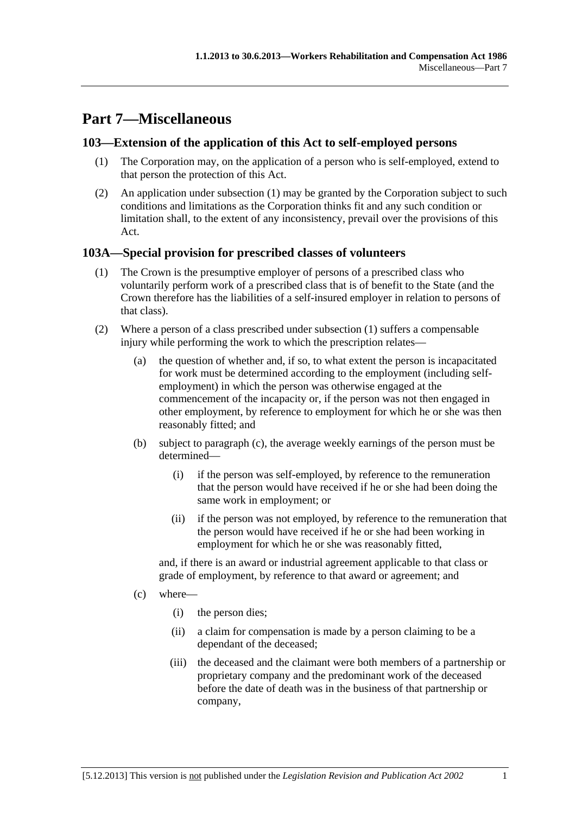# <span id="page-144-0"></span>**Part 7—Miscellaneous**

# **103—Extension of the application of this Act to self-employed persons**

- (1) The Corporation may, on the application of a person who is self-employed, extend to that person the protection of this Act.
- (2) An application under [subsection \(1\)](#page-144-0) may be granted by the Corporation subject to such conditions and limitations as the Corporation thinks fit and any such condition or limitation shall, to the extent of any inconsistency, prevail over the provisions of this Act.

# **103A—Special provision for prescribed classes of volunteers**

- (1) The Crown is the presumptive employer of persons of a prescribed class who voluntarily perform work of a prescribed class that is of benefit to the State (and the Crown therefore has the liabilities of a self-insured employer in relation to persons of that class).
- (2) Where a person of a class prescribed under [subsection \(1\)](#page-144-0) suffers a compensable injury while performing the work to which the prescription relates—
	- (a) the question of whether and, if so, to what extent the person is incapacitated for work must be determined according to the employment (including selfemployment) in which the person was otherwise engaged at the commencement of the incapacity or, if the person was not then engaged in other employment, by reference to employment for which he or she was then reasonably fitted; and
	- (b) subject to [paragraph \(c\)](#page-144-0), the average weekly earnings of the person must be determined—
		- (i) if the person was self-employed, by reference to the remuneration that the person would have received if he or she had been doing the same work in employment; or
		- (ii) if the person was not employed, by reference to the remuneration that the person would have received if he or she had been working in employment for which he or she was reasonably fitted,

and, if there is an award or industrial agreement applicable to that class or grade of employment, by reference to that award or agreement; and

- (c) where—
	- (i) the person dies;
	- (ii) a claim for compensation is made by a person claiming to be a dependant of the deceased;
	- (iii) the deceased and the claimant were both members of a partnership or proprietary company and the predominant work of the deceased before the date of death was in the business of that partnership or company,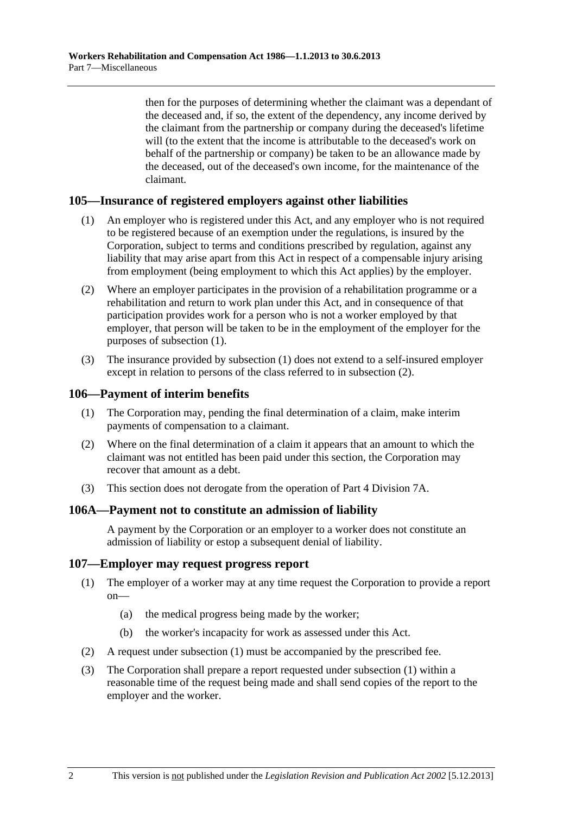<span id="page-145-0"></span>then for the purposes of determining whether the claimant was a dependant of the deceased and, if so, the extent of the dependency, any income derived by the claimant from the partnership or company during the deceased's lifetime will (to the extent that the income is attributable to the deceased's work on behalf of the partnership or company) be taken to be an allowance made by the deceased, out of the deceased's own income, for the maintenance of the claimant.

## **105—Insurance of registered employers against other liabilities**

- (1) An employer who is registered under this Act, and any employer who is not required to be registered because of an exemption under the regulations, is insured by the Corporation, subject to terms and conditions prescribed by regulation, against any liability that may arise apart from this Act in respect of a compensable injury arising from employment (being employment to which this Act applies) by the employer.
- (2) Where an employer participates in the provision of a rehabilitation programme or a rehabilitation and return to work plan under this Act, and in consequence of that participation provides work for a person who is not a worker employed by that employer, that person will be taken to be in the employment of the employer for the purposes of [subsection \(1\).](#page-145-0)
- (3) The insurance provided by [subsection \(1\)](#page-145-0) does not extend to a self-insured employer except in relation to persons of the class referred to in [subsection \(2\).](#page-145-0)

### **106—Payment of interim benefits**

- (1) The Corporation may, pending the final determination of a claim, make interim payments of compensation to a claimant.
- (2) Where on the final determination of a claim it appears that an amount to which the claimant was not entitled has been paid under this section, the Corporation may recover that amount as a debt.
- (3) This section does not derogate from the operation of [Part 4 Division 7A.](#page-70-0)

### **106A—Payment not to constitute an admission of liability**

A payment by the Corporation or an employer to a worker does not constitute an admission of liability or estop a subsequent denial of liability.

### **107—Employer may request progress report**

- (1) The employer of a worker may at any time request the Corporation to provide a report on—
	- (a) the medical progress being made by the worker;
	- (b) the worker's incapacity for work as assessed under this Act.
- (2) A request under [subsection \(1\)](#page-145-0) must be accompanied by the prescribed fee.
- (3) The Corporation shall prepare a report requested under [subsection \(1\)](#page-145-0) within a reasonable time of the request being made and shall send copies of the report to the employer and the worker.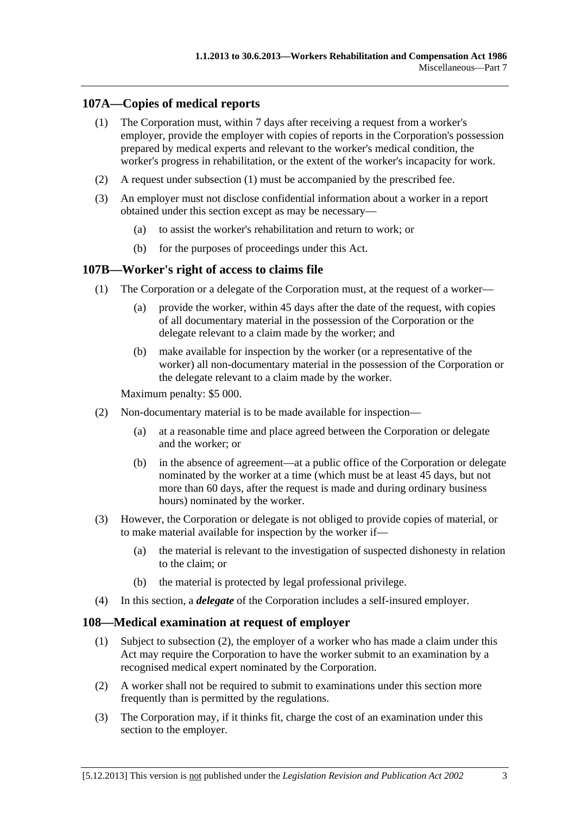# <span id="page-146-0"></span>**107A—Copies of medical reports**

- (1) The Corporation must, within 7 days after receiving a request from a worker's employer, provide the employer with copies of reports in the Corporation's possession prepared by medical experts and relevant to the worker's medical condition, the worker's progress in rehabilitation, or the extent of the worker's incapacity for work.
- (2) A request under [subsection \(1\)](#page-146-0) must be accompanied by the prescribed fee.
- (3) An employer must not disclose confidential information about a worker in a report obtained under this section except as may be necessary—
	- (a) to assist the worker's rehabilitation and return to work; or
	- (b) for the purposes of proceedings under this Act.

### **107B—Worker's right of access to claims file**

- (1) The Corporation or a delegate of the Corporation must, at the request of a worker—
	- (a) provide the worker, within 45 days after the date of the request, with copies of all documentary material in the possession of the Corporation or the delegate relevant to a claim made by the worker; and
	- (b) make available for inspection by the worker (or a representative of the worker) all non-documentary material in the possession of the Corporation or the delegate relevant to a claim made by the worker.

Maximum penalty: \$5 000.

- (2) Non-documentary material is to be made available for inspection—
	- (a) at a reasonable time and place agreed between the Corporation or delegate and the worker; or
	- (b) in the absence of agreement—at a public office of the Corporation or delegate nominated by the worker at a time (which must be at least 45 days, but not more than 60 days, after the request is made and during ordinary business hours) nominated by the worker.
- (3) However, the Corporation or delegate is not obliged to provide copies of material, or to make material available for inspection by the worker if—
	- (a) the material is relevant to the investigation of suspected dishonesty in relation to the claim; or
	- (b) the material is protected by legal professional privilege.
- (4) In this section, a *delegate* of the Corporation includes a self-insured employer.

### **108—Medical examination at request of employer**

- (1) Subject to [subsection \(2\),](#page-146-0) the employer of a worker who has made a claim under this Act may require the Corporation to have the worker submit to an examination by a recognised medical expert nominated by the Corporation.
- (2) A worker shall not be required to submit to examinations under this section more frequently than is permitted by the regulations.
- (3) The Corporation may, if it thinks fit, charge the cost of an examination under this section to the employer.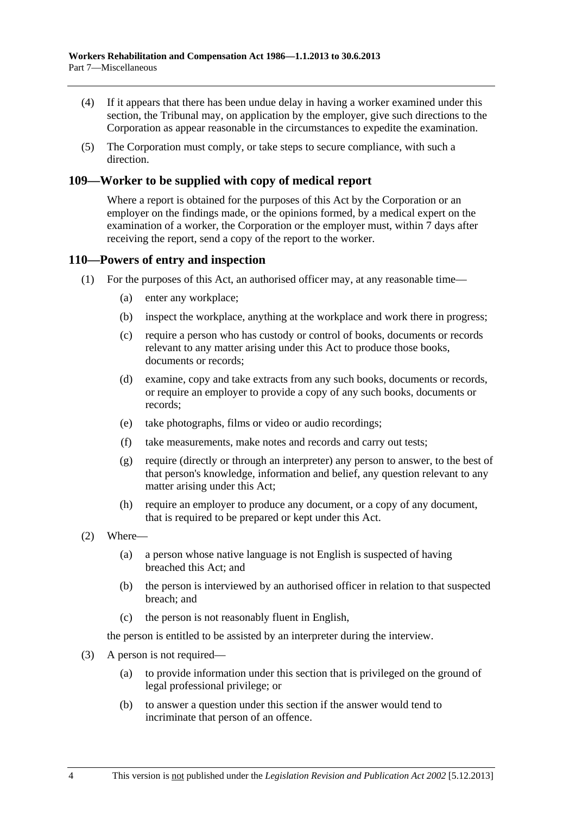- (4) If it appears that there has been undue delay in having a worker examined under this section, the Tribunal may, on application by the employer, give such directions to the Corporation as appear reasonable in the circumstances to expedite the examination.
- (5) The Corporation must comply, or take steps to secure compliance, with such a direction.

### **109—Worker to be supplied with copy of medical report**

Where a report is obtained for the purposes of this Act by the Corporation or an employer on the findings made, or the opinions formed, by a medical expert on the examination of a worker, the Corporation or the employer must, within 7 days after receiving the report, send a copy of the report to the worker.

### **110—Powers of entry and inspection**

- (1) For the purposes of this Act, an authorised officer may, at any reasonable time—
	- (a) enter any workplace;
	- (b) inspect the workplace, anything at the workplace and work there in progress;
	- (c) require a person who has custody or control of books, documents or records relevant to any matter arising under this Act to produce those books, documents or records;
	- (d) examine, copy and take extracts from any such books, documents or records, or require an employer to provide a copy of any such books, documents or records;
	- (e) take photographs, films or video or audio recordings;
	- (f) take measurements, make notes and records and carry out tests;
	- (g) require (directly or through an interpreter) any person to answer, to the best of that person's knowledge, information and belief, any question relevant to any matter arising under this Act;
	- (h) require an employer to produce any document, or a copy of any document, that is required to be prepared or kept under this Act.
- (2) Where—
	- (a) a person whose native language is not English is suspected of having breached this Act; and
	- (b) the person is interviewed by an authorised officer in relation to that suspected breach; and
	- (c) the person is not reasonably fluent in English,

the person is entitled to be assisted by an interpreter during the interview.

- (3) A person is not required—
	- (a) to provide information under this section that is privileged on the ground of legal professional privilege; or
	- (b) to answer a question under this section if the answer would tend to incriminate that person of an offence.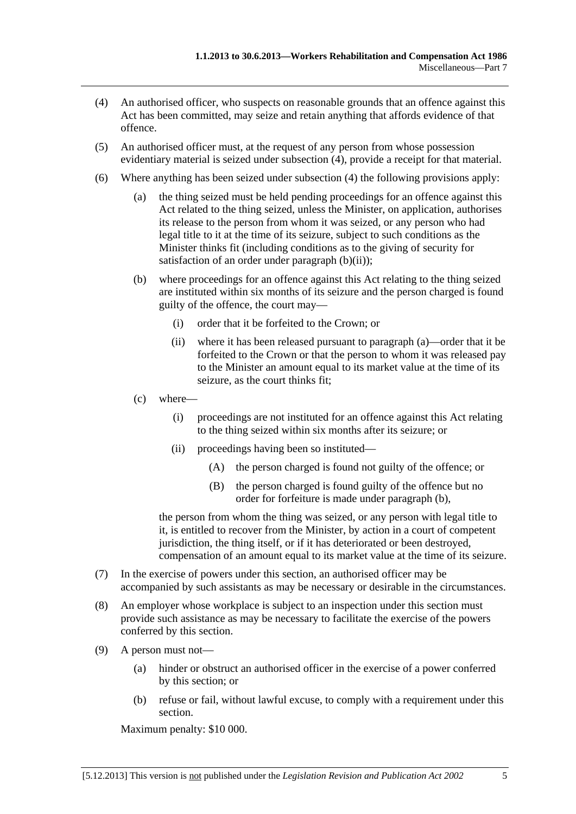- <span id="page-148-0"></span> (4) An authorised officer, who suspects on reasonable grounds that an offence against this Act has been committed, may seize and retain anything that affords evidence of that offence.
- (5) An authorised officer must, at the request of any person from whose possession evidentiary material is seized under [subsection \(4\),](#page-148-0) provide a receipt for that material.
- (6) Where anything has been seized under [subsection \(4\)](#page-148-0) the following provisions apply:
	- (a) the thing seized must be held pending proceedings for an offence against this Act related to the thing seized, unless the Minister, on application, authorises its release to the person from whom it was seized, or any person who had legal title to it at the time of its seizure, subject to such conditions as the Minister thinks fit (including conditions as to the giving of security for satisfaction of an order under [paragraph \(b\)\(ii\)](#page-148-0));
	- (b) where proceedings for an offence against this Act relating to the thing seized are instituted within six months of its seizure and the person charged is found guilty of the offence, the court may—
		- (i) order that it be forfeited to the Crown; or
		- (ii) where it has been released pursuant to [paragraph \(a\)—](#page-148-0)order that it be forfeited to the Crown or that the person to whom it was released pay to the Minister an amount equal to its market value at the time of its seizure, as the court thinks fit;
	- (c) where—
		- (i) proceedings are not instituted for an offence against this Act relating to the thing seized within six months after its seizure; or
		- (ii) proceedings having been so instituted—
			- (A) the person charged is found not guilty of the offence; or
			- (B) the person charged is found guilty of the offence but no order for forfeiture is made under [paragraph \(b\)](#page-148-0),

the person from whom the thing was seized, or any person with legal title to it, is entitled to recover from the Minister, by action in a court of competent jurisdiction, the thing itself, or if it has deteriorated or been destroyed, compensation of an amount equal to its market value at the time of its seizure.

- (7) In the exercise of powers under this section, an authorised officer may be accompanied by such assistants as may be necessary or desirable in the circumstances.
- (8) An employer whose workplace is subject to an inspection under this section must provide such assistance as may be necessary to facilitate the exercise of the powers conferred by this section.
- (9) A person must not—
	- (a) hinder or obstruct an authorised officer in the exercise of a power conferred by this section; or
	- (b) refuse or fail, without lawful excuse, to comply with a requirement under this section.

Maximum penalty: \$10 000.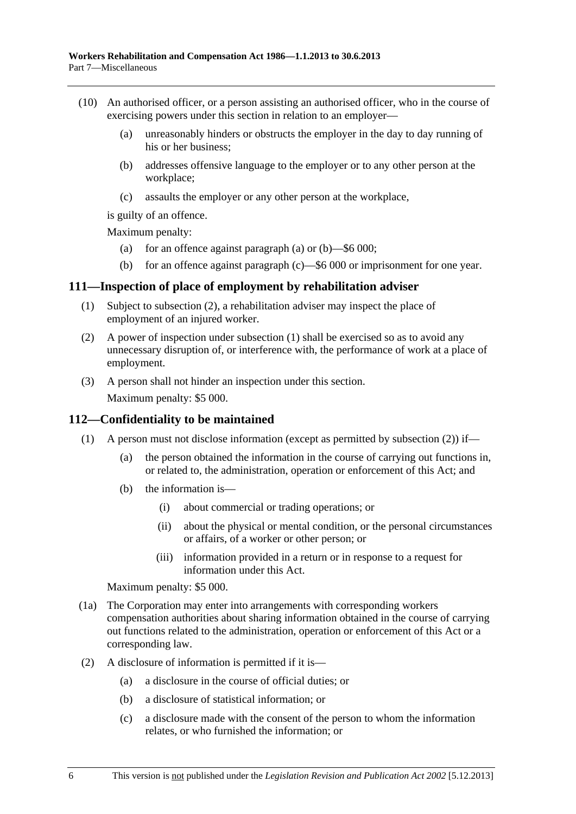- <span id="page-149-0"></span> (10) An authorised officer, or a person assisting an authorised officer, who in the course of exercising powers under this section in relation to an employer—
	- (a) unreasonably hinders or obstructs the employer in the day to day running of his or her business;
	- (b) addresses offensive language to the employer or to any other person at the workplace;
	- (c) assaults the employer or any other person at the workplace,

is guilty of an offence.

Maximum penalty:

- (a) for an offence against [paragraph \(a\)](#page-149-0) or  $(b)$ —\$6 000;
- (b) for an offence against [paragraph \(c\)—](#page-149-0)\$6 000 or imprisonment for one year.

### **111—Inspection of place of employment by rehabilitation adviser**

- (1) Subject to [subsection \(2\),](#page-149-0) a rehabilitation adviser may inspect the place of employment of an injured worker.
- (2) A power of inspection under [subsection \(1\)](#page-149-0) shall be exercised so as to avoid any unnecessary disruption of, or interference with, the performance of work at a place of employment.
- (3) A person shall not hinder an inspection under this section.

Maximum penalty: \$5 000.

### **112—Confidentiality to be maintained**

- (1) A person must not disclose information (except as permitted by subsection  $(2)$ ) if—
	- (a) the person obtained the information in the course of carrying out functions in, or related to, the administration, operation or enforcement of this Act; and
	- (b) the information is—
		- (i) about commercial or trading operations; or
		- (ii) about the physical or mental condition, or the personal circumstances or affairs, of a worker or other person; or
		- (iii) information provided in a return or in response to a request for information under this Act.

Maximum penalty: \$5 000.

- (1a) The Corporation may enter into arrangements with corresponding workers compensation authorities about sharing information obtained in the course of carrying out functions related to the administration, operation or enforcement of this Act or a corresponding law.
- (2) A disclosure of information is permitted if it is—
	- (a) a disclosure in the course of official duties; or
	- (b) a disclosure of statistical information; or
	- (c) a disclosure made with the consent of the person to whom the information relates, or who furnished the information; or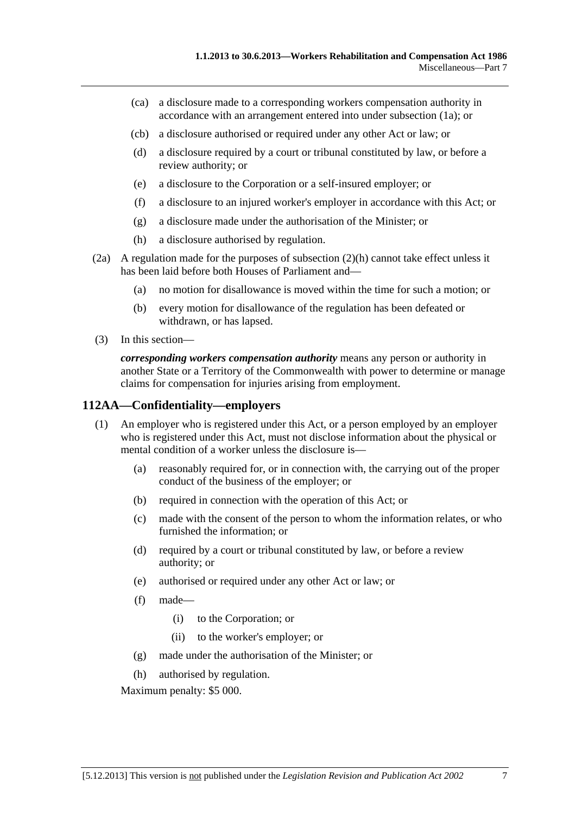- <span id="page-150-0"></span> (ca) a disclosure made to a corresponding workers compensation authority in accordance with an arrangement entered into under [subsection \(1a\);](#page-149-0) or
- (cb) a disclosure authorised or required under any other Act or law; or
- (d) a disclosure required by a court or tribunal constituted by law, or before a review authority; or
- (e) a disclosure to the Corporation or a self-insured employer; or
- (f) a disclosure to an injured worker's employer in accordance with this Act; or
- (g) a disclosure made under the authorisation of the Minister; or
- (h) a disclosure authorised by regulation.
- (2a) A regulation made for the purposes of [subsection \(2\)\(h\)](#page-150-0) cannot take effect unless it has been laid before both Houses of Parliament and—
	- (a) no motion for disallowance is moved within the time for such a motion; or
	- (b) every motion for disallowance of the regulation has been defeated or withdrawn, or has lapsed.
- (3) In this section—

*corresponding workers compensation authority* means any person or authority in another State or a Territory of the Commonwealth with power to determine or manage claims for compensation for injuries arising from employment.

## **112AA—Confidentiality—employers**

- (1) An employer who is registered under this Act, or a person employed by an employer who is registered under this Act, must not disclose information about the physical or mental condition of a worker unless the disclosure is—
	- (a) reasonably required for, or in connection with, the carrying out of the proper conduct of the business of the employer; or
	- (b) required in connection with the operation of this Act; or
	- (c) made with the consent of the person to whom the information relates, or who furnished the information; or
	- (d) required by a court or tribunal constituted by law, or before a review authority; or
	- (e) authorised or required under any other Act or law; or
	- (f) made—
		- (i) to the Corporation; or
		- (ii) to the worker's employer; or
	- (g) made under the authorisation of the Minister; or
	- (h) authorised by regulation.

Maximum penalty: \$5 000.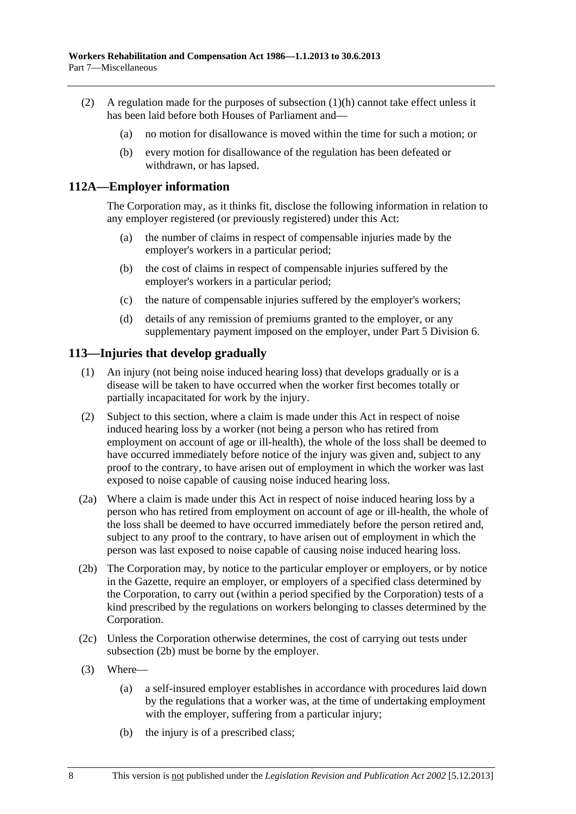- <span id="page-151-0"></span> (2) A regulation made for the purposes of [subsection \(1\)\(h\)](#page-150-0) cannot take effect unless it has been laid before both Houses of Parliament and—
	- (a) no motion for disallowance is moved within the time for such a motion; or
	- (b) every motion for disallowance of the regulation has been defeated or withdrawn, or has lapsed.

### **112A—Employer information**

The Corporation may, as it thinks fit, disclose the following information in relation to any employer registered (or previously registered) under this Act:

- (a) the number of claims in respect of compensable injuries made by the employer's workers in a particular period;
- (b) the cost of claims in respect of compensable injuries suffered by the employer's workers in a particular period;
- (c) the nature of compensable injuries suffered by the employer's workers;
- (d) details of any remission of premiums granted to the employer, or any supplementary payment imposed on the employer, under Part 5 Division 6.

### **113—Injuries that develop gradually**

- (1) An injury (not being noise induced hearing loss) that develops gradually or is a disease will be taken to have occurred when the worker first becomes totally or partially incapacitated for work by the injury.
- (2) Subject to this section, where a claim is made under this Act in respect of noise induced hearing loss by a worker (not being a person who has retired from employment on account of age or ill-health), the whole of the loss shall be deemed to have occurred immediately before notice of the injury was given and, subject to any proof to the contrary, to have arisen out of employment in which the worker was last exposed to noise capable of causing noise induced hearing loss.
- (2a) Where a claim is made under this Act in respect of noise induced hearing loss by a person who has retired from employment on account of age or ill-health, the whole of the loss shall be deemed to have occurred immediately before the person retired and, subject to any proof to the contrary, to have arisen out of employment in which the person was last exposed to noise capable of causing noise induced hearing loss.
- (2b) The Corporation may, by notice to the particular employer or employers, or by notice in the Gazette, require an employer, or employers of a specified class determined by the Corporation, to carry out (within a period specified by the Corporation) tests of a kind prescribed by the regulations on workers belonging to classes determined by the Corporation.
- (2c) Unless the Corporation otherwise determines, the cost of carrying out tests under [subsection \(2b\)](#page-151-0) must be borne by the employer.
- (3) Where—
	- (a) a self-insured employer establishes in accordance with procedures laid down by the regulations that a worker was, at the time of undertaking employment with the employer, suffering from a particular injury;
	- (b) the injury is of a prescribed class;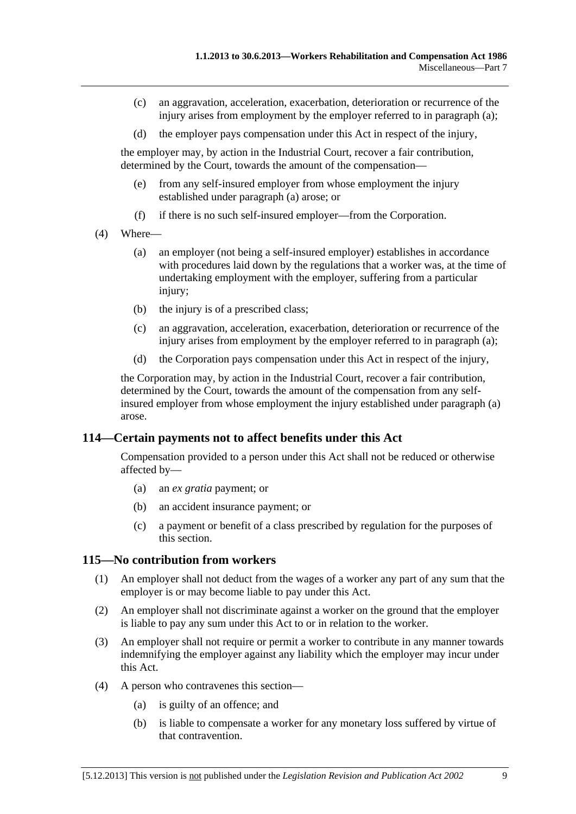- <span id="page-152-0"></span> (c) an aggravation, acceleration, exacerbation, deterioration or recurrence of the injury arises from employment by the employer referred to in [paragraph \(a\);](#page-151-0)
- (d) the employer pays compensation under this Act in respect of the injury,

the employer may, by action in the Industrial Court, recover a fair contribution, determined by the Court, towards the amount of the compensation—

- (e) from any self-insured employer from whose employment the injury established under [paragraph \(a\)](#page-151-0) arose; or
- (f) if there is no such self-insured employer—from the Corporation.
- (4) Where—
	- (a) an employer (not being a self-insured employer) establishes in accordance with procedures laid down by the regulations that a worker was, at the time of undertaking employment with the employer, suffering from a particular injury;
	- (b) the injury is of a prescribed class;
	- (c) an aggravation, acceleration, exacerbation, deterioration or recurrence of the injury arises from employment by the employer referred to in [paragraph \(a\);](#page-152-0)
	- (d) the Corporation pays compensation under this Act in respect of the injury,

the Corporation may, by action in the Industrial Court, recover a fair contribution, determined by the Court, towards the amount of the compensation from any selfinsured employer from whose employment the injury established under [paragraph \(a\)](#page-152-0)  arose.

### **114—Certain payments not to affect benefits under this Act**

Compensation provided to a person under this Act shall not be reduced or otherwise affected by—

- (a) an *ex gratia* payment; or
- (b) an accident insurance payment; or
- (c) a payment or benefit of a class prescribed by regulation for the purposes of this section.

### **115—No contribution from workers**

- (1) An employer shall not deduct from the wages of a worker any part of any sum that the employer is or may become liable to pay under this Act.
- (2) An employer shall not discriminate against a worker on the ground that the employer is liable to pay any sum under this Act to or in relation to the worker.
- (3) An employer shall not require or permit a worker to contribute in any manner towards indemnifying the employer against any liability which the employer may incur under this Act.
- (4) A person who contravenes this section—
	- (a) is guilty of an offence; and
	- (b) is liable to compensate a worker for any monetary loss suffered by virtue of that contravention.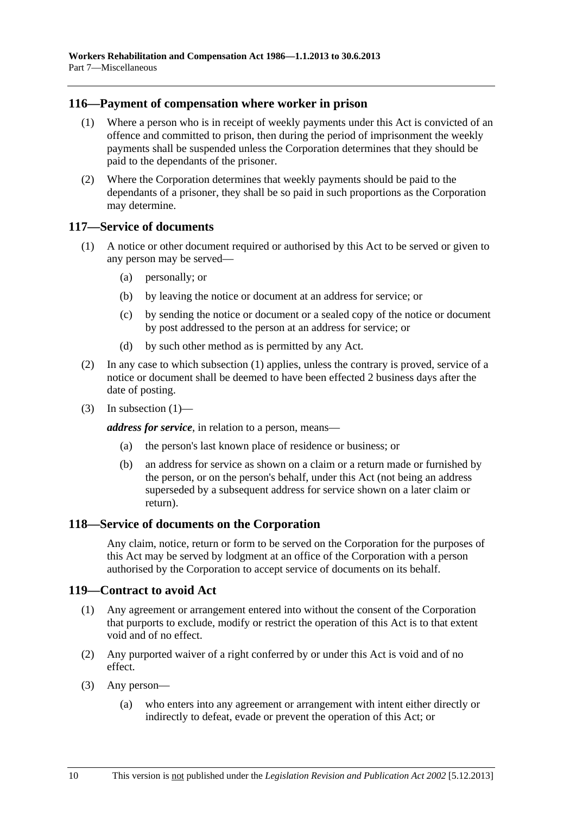### <span id="page-153-0"></span>**116—Payment of compensation where worker in prison**

- (1) Where a person who is in receipt of weekly payments under this Act is convicted of an offence and committed to prison, then during the period of imprisonment the weekly payments shall be suspended unless the Corporation determines that they should be paid to the dependants of the prisoner.
- (2) Where the Corporation determines that weekly payments should be paid to the dependants of a prisoner, they shall be so paid in such proportions as the Corporation may determine.

### **117—Service of documents**

- (1) A notice or other document required or authorised by this Act to be served or given to any person may be served—
	- (a) personally; or
	- (b) by leaving the notice or document at an address for service; or
	- (c) by sending the notice or document or a sealed copy of the notice or document by post addressed to the person at an address for service; or
	- (d) by such other method as is permitted by any Act.
- (2) In any case to which [subsection \(1\)](#page-153-0) applies, unless the contrary is proved, service of a notice or document shall be deemed to have been effected 2 business days after the date of posting.
- (3) In subsection  $(1)$ —

*address for service*, in relation to a person, means—

- (a) the person's last known place of residence or business; or
- (b) an address for service as shown on a claim or a return made or furnished by the person, or on the person's behalf, under this Act (not being an address superseded by a subsequent address for service shown on a later claim or return).

### **118—Service of documents on the Corporation**

Any claim, notice, return or form to be served on the Corporation for the purposes of this Act may be served by lodgment at an office of the Corporation with a person authorised by the Corporation to accept service of documents on its behalf.

### **119—Contract to avoid Act**

- (1) Any agreement or arrangement entered into without the consent of the Corporation that purports to exclude, modify or restrict the operation of this Act is to that extent void and of no effect.
- (2) Any purported waiver of a right conferred by or under this Act is void and of no effect.
- (3) Any person—
	- (a) who enters into any agreement or arrangement with intent either directly or indirectly to defeat, evade or prevent the operation of this Act; or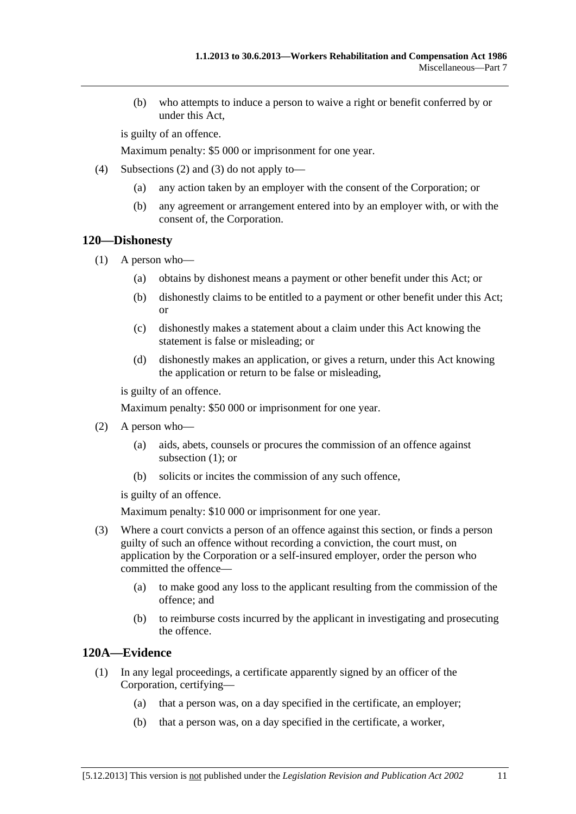<span id="page-154-0"></span> (b) who attempts to induce a person to waive a right or benefit conferred by or under this Act,

is guilty of an offence.

Maximum penalty: \$5 000 or imprisonment for one year.

- (4) [Subsections \(2\)](#page-153-0) and [\(3\)](#page-153-0) do not apply to—
	- (a) any action taken by an employer with the consent of the Corporation; or
	- (b) any agreement or arrangement entered into by an employer with, or with the consent of, the Corporation.

### **120—Dishonesty**

- (1) A person who—
	- (a) obtains by dishonest means a payment or other benefit under this Act; or
	- (b) dishonestly claims to be entitled to a payment or other benefit under this Act; or
	- (c) dishonestly makes a statement about a claim under this Act knowing the statement is false or misleading; or
	- (d) dishonestly makes an application, or gives a return, under this Act knowing the application or return to be false or misleading,

is guilty of an offence.

Maximum penalty: \$50 000 or imprisonment for one year.

- (2) A person who—
	- (a) aids, abets, counsels or procures the commission of an offence against subsection  $(1)$ ; or
	- (b) solicits or incites the commission of any such offence,

is guilty of an offence.

Maximum penalty: \$10 000 or imprisonment for one year.

- (3) Where a court convicts a person of an offence against this section, or finds a person guilty of such an offence without recording a conviction, the court must, on application by the Corporation or a self-insured employer, order the person who committed the offence—
	- (a) to make good any loss to the applicant resulting from the commission of the offence; and
	- (b) to reimburse costs incurred by the applicant in investigating and prosecuting the offence.

### **120A—Evidence**

- (1) In any legal proceedings, a certificate apparently signed by an officer of the Corporation, certifying—
	- (a) that a person was, on a day specified in the certificate, an employer;
	- (b) that a person was, on a day specified in the certificate, a worker,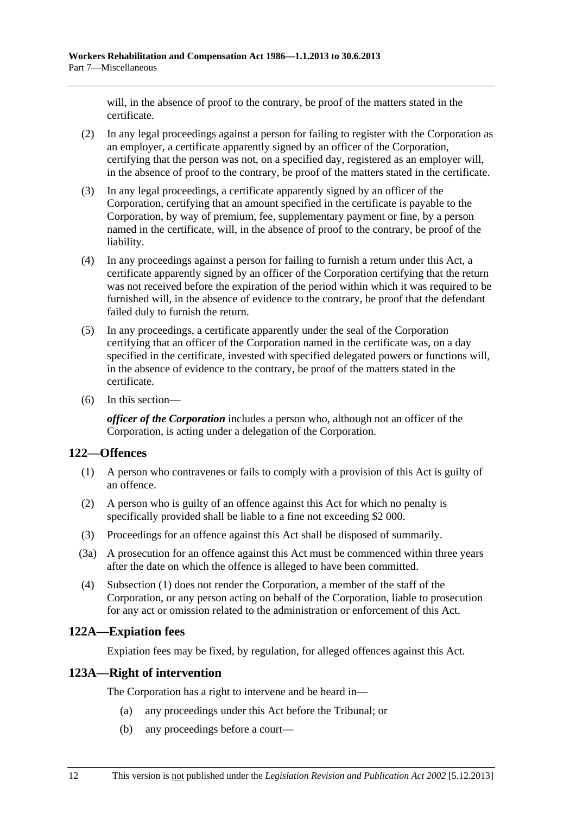<span id="page-155-0"></span>will, in the absence of proof to the contrary, be proof of the matters stated in the certificate.

- (2) In any legal proceedings against a person for failing to register with the Corporation as an employer, a certificate apparently signed by an officer of the Corporation, certifying that the person was not, on a specified day, registered as an employer will, in the absence of proof to the contrary, be proof of the matters stated in the certificate.
- (3) In any legal proceedings, a certificate apparently signed by an officer of the Corporation, certifying that an amount specified in the certificate is payable to the Corporation, by way of premium, fee, supplementary payment or fine, by a person named in the certificate, will, in the absence of proof to the contrary, be proof of the liability.
- (4) In any proceedings against a person for failing to furnish a return under this Act, a certificate apparently signed by an officer of the Corporation certifying that the return was not received before the expiration of the period within which it was required to be furnished will, in the absence of evidence to the contrary, be proof that the defendant failed duly to furnish the return.
- (5) In any proceedings, a certificate apparently under the seal of the Corporation certifying that an officer of the Corporation named in the certificate was, on a day specified in the certificate, invested with specified delegated powers or functions will, in the absence of evidence to the contrary, be proof of the matters stated in the certificate.
- (6) In this section—

*officer of the Corporation* includes a person who, although not an officer of the Corporation, is acting under a delegation of the Corporation.

## **122—Offences**

- (1) A person who contravenes or fails to comply with a provision of this Act is guilty of an offence.
- (2) A person who is guilty of an offence against this Act for which no penalty is specifically provided shall be liable to a fine not exceeding \$2 000.
- (3) Proceedings for an offence against this Act shall be disposed of summarily.
- (3a) A prosecution for an offence against this Act must be commenced within three years after the date on which the offence is alleged to have been committed.
- (4) [Subsection \(1\)](#page-155-0) does not render the Corporation, a member of the staff of the Corporation, or any person acting on behalf of the Corporation, liable to prosecution for any act or omission related to the administration or enforcement of this Act.

# **122A—Expiation fees**

Expiation fees may be fixed, by regulation, for alleged offences against this Act.

## **123A—Right of intervention**

The Corporation has a right to intervene and be heard in—

- (a) any proceedings under this Act before the Tribunal; or
- (b) any proceedings before a court—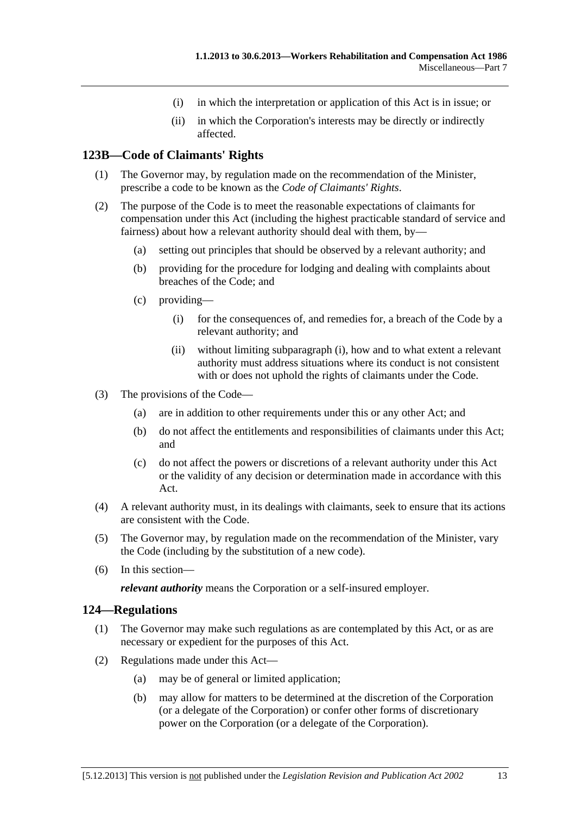- (i) in which the interpretation or application of this Act is in issue; or
- (ii) in which the Corporation's interests may be directly or indirectly affected.

## <span id="page-156-0"></span>**123B—Code of Claimants' Rights**

- (1) The Governor may, by regulation made on the recommendation of the Minister, prescribe a code to be known as the *Code of Claimants' Rights*.
- (2) The purpose of the Code is to meet the reasonable expectations of claimants for compensation under this Act (including the highest practicable standard of service and fairness) about how a relevant authority should deal with them, by—
	- (a) setting out principles that should be observed by a relevant authority; and
	- (b) providing for the procedure for lodging and dealing with complaints about breaches of the Code; and
	- (c) providing—
		- (i) for the consequences of, and remedies for, a breach of the Code by a relevant authority; and
		- (ii) without limiting [subparagraph \(i\)](#page-156-0), how and to what extent a relevant authority must address situations where its conduct is not consistent with or does not uphold the rights of claimants under the Code.
- (3) The provisions of the Code—
	- (a) are in addition to other requirements under this or any other Act; and
	- (b) do not affect the entitlements and responsibilities of claimants under this Act; and
	- (c) do not affect the powers or discretions of a relevant authority under this Act or the validity of any decision or determination made in accordance with this Act.
- (4) A relevant authority must, in its dealings with claimants, seek to ensure that its actions are consistent with the Code.
- (5) The Governor may, by regulation made on the recommendation of the Minister, vary the Code (including by the substitution of a new code).
- (6) In this section—

*relevant authority* means the Corporation or a self-insured employer.

### **124—Regulations**

- (1) The Governor may make such regulations as are contemplated by this Act, or as are necessary or expedient for the purposes of this Act.
- (2) Regulations made under this Act—
	- (a) may be of general or limited application;
	- (b) may allow for matters to be determined at the discretion of the Corporation (or a delegate of the Corporation) or confer other forms of discretionary power on the Corporation (or a delegate of the Corporation).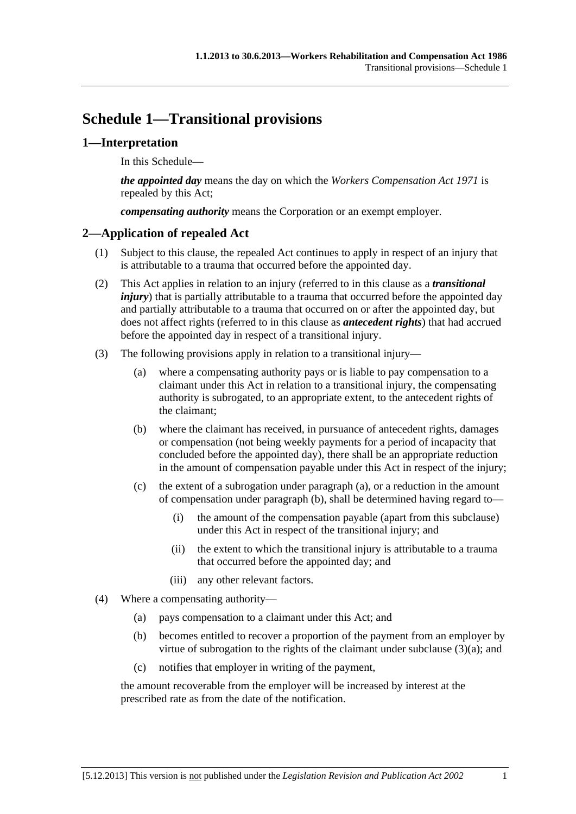# <span id="page-158-0"></span>**Schedule 1—Transitional provisions**

## **1—Interpretation**

In this Schedule—

*the appointed day* means the day on which the *[Workers Compensation Act 1971](http://www.legislation.sa.gov.au/index.aspx?action=legref&type=act&legtitle=Workers%20Compensation%20Act%201971)* is repealed by this Act;

*compensating authority* means the Corporation or an exempt employer.

# **2—Application of repealed Act**

- (1) Subject to this clause, the repealed Act continues to apply in respect of an injury that is attributable to a trauma that occurred before the appointed day.
- (2) This Act applies in relation to an injury (referred to in this clause as a *transitional injury*) that is partially attributable to a trauma that occurred before the appointed day and partially attributable to a trauma that occurred on or after the appointed day, but does not affect rights (referred to in this clause as *antecedent rights*) that had accrued before the appointed day in respect of a transitional injury.
- (3) The following provisions apply in relation to a transitional injury—
	- (a) where a compensating authority pays or is liable to pay compensation to a claimant under this Act in relation to a transitional injury, the compensating authority is subrogated, to an appropriate extent, to the antecedent rights of the claimant;
	- (b) where the claimant has received, in pursuance of antecedent rights, damages or compensation (not being weekly payments for a period of incapacity that concluded before the appointed day), there shall be an appropriate reduction in the amount of compensation payable under this Act in respect of the injury;
	- (c) the extent of a subrogation under [paragraph \(a\),](#page-158-0) or a reduction in the amount of compensation under [paragraph \(b\)](#page-158-0), shall be determined having regard to—
		- (i) the amount of the compensation payable (apart from this subclause) under this Act in respect of the transitional injury; and
		- (ii) the extent to which the transitional injury is attributable to a trauma that occurred before the appointed day; and
		- (iii) any other relevant factors.
- (4) Where a compensating authority—
	- (a) pays compensation to a claimant under this Act; and
	- (b) becomes entitled to recover a proportion of the payment from an employer by virtue of subrogation to the rights of the claimant under subclause  $(3)(a)$ ; and
	- (c) notifies that employer in writing of the payment,

the amount recoverable from the employer will be increased by interest at the prescribed rate as from the date of the notification.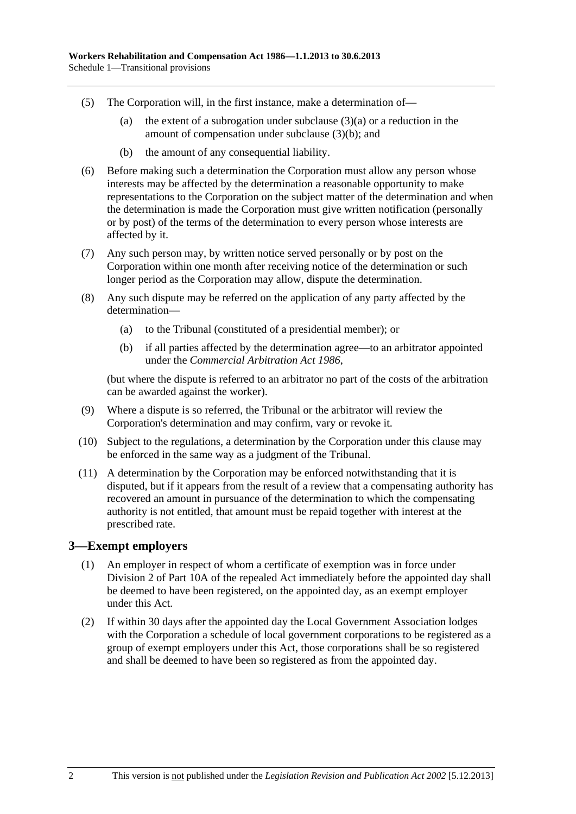- (5) The Corporation will, in the first instance, make a determination of—
	- (a) the extent of a subrogation under subclause  $(3)(a)$  or a reduction in the amount of compensation under [subclause \(3\)\(b\)](#page-158-0); and
	- (b) the amount of any consequential liability.
- (6) Before making such a determination the Corporation must allow any person whose interests may be affected by the determination a reasonable opportunity to make representations to the Corporation on the subject matter of the determination and when the determination is made the Corporation must give written notification (personally or by post) of the terms of the determination to every person whose interests are affected by it.
- (7) Any such person may, by written notice served personally or by post on the Corporation within one month after receiving notice of the determination or such longer period as the Corporation may allow, dispute the determination.
- (8) Any such dispute may be referred on the application of any party affected by the determination—
	- (a) to the Tribunal (constituted of a presidential member); or
	- (b) if all parties affected by the determination agree—to an arbitrator appointed under the *[Commercial Arbitration Act 1986](http://www.legislation.sa.gov.au/index.aspx?action=legref&type=act&legtitle=Commercial%20Arbitration%20Act%201986)*,

(but where the dispute is referred to an arbitrator no part of the costs of the arbitration can be awarded against the worker).

- (9) Where a dispute is so referred, the Tribunal or the arbitrator will review the Corporation's determination and may confirm, vary or revoke it.
- (10) Subject to the regulations, a determination by the Corporation under this clause may be enforced in the same way as a judgment of the Tribunal.
- (11) A determination by the Corporation may be enforced notwithstanding that it is disputed, but if it appears from the result of a review that a compensating authority has recovered an amount in pursuance of the determination to which the compensating authority is not entitled, that amount must be repaid together with interest at the prescribed rate.

### **3—Exempt employers**

- (1) An employer in respect of whom a certificate of exemption was in force under Division 2 of Part 10A of the repealed Act immediately before the appointed day shall be deemed to have been registered, on the appointed day, as an exempt employer under this Act.
- (2) If within 30 days after the appointed day the Local Government Association lodges with the Corporation a schedule of local government corporations to be registered as a group of exempt employers under this Act, those corporations shall be so registered and shall be deemed to have been so registered as from the appointed day.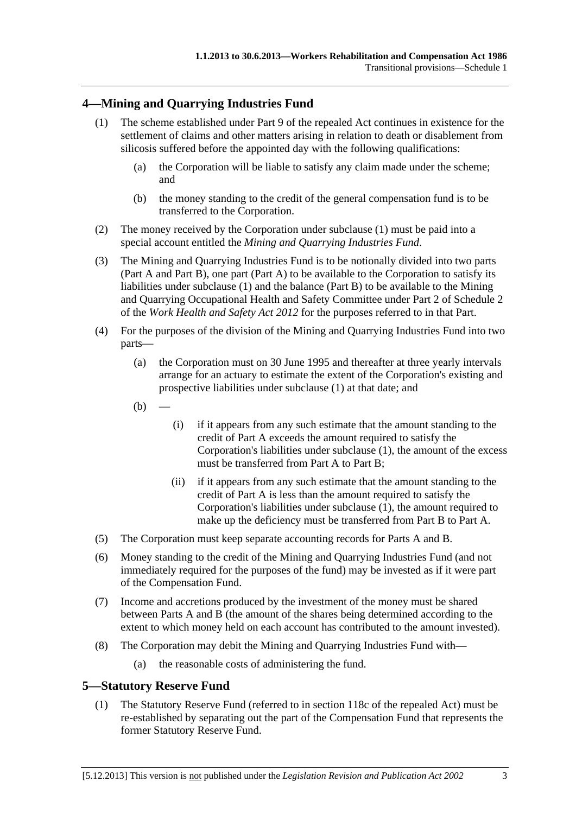# <span id="page-160-0"></span>**4—Mining and Quarrying Industries Fund**

- (1) The scheme established under Part 9 of the repealed Act continues in existence for the settlement of claims and other matters arising in relation to death or disablement from silicosis suffered before the appointed day with the following qualifications:
	- (a) the Corporation will be liable to satisfy any claim made under the scheme; and
	- (b) the money standing to the credit of the general compensation fund is to be transferred to the Corporation.
- (2) The money received by the Corporation under [subclause \(1\)](#page-160-0) must be paid into a special account entitled the *Mining and Quarrying Industries Fund*.
- (3) The Mining and Quarrying Industries Fund is to be notionally divided into two parts (Part A and Part B), one part (Part A) to be available to the Corporation to satisfy its liabilities under [subclause \(1\)](#page-160-0) and the balance (Part B) to be available to the Mining and Quarrying Occupational Health and Safety Committee under Part 2 of Schedule 2 of the *[Work Health and Safety Act 2012](http://www.legislation.sa.gov.au/index.aspx?action=legref&type=act&legtitle=Work%20Health%20and%20Safety%20Act%202012)* for the purposes referred to in that Part.
- (4) For the purposes of the division of the Mining and Quarrying Industries Fund into two parts—
	- (a) the Corporation must on 30 June 1995 and thereafter at three yearly intervals arrange for an actuary to estimate the extent of the Corporation's existing and prospective liabilities under [subclause \(1\)](#page-160-0) at that date; and
	- $(b)$
- (i) if it appears from any such estimate that the amount standing to the credit of Part A exceeds the amount required to satisfy the Corporation's liabilities under [subclause \(1\),](#page-160-0) the amount of the excess must be transferred from Part A to Part B;
- (ii) if it appears from any such estimate that the amount standing to the credit of Part A is less than the amount required to satisfy the Corporation's liabilities under [subclause \(1\),](#page-160-0) the amount required to make up the deficiency must be transferred from Part B to Part A.
- (5) The Corporation must keep separate accounting records for Parts A and B.
- (6) Money standing to the credit of the Mining and Quarrying Industries Fund (and not immediately required for the purposes of the fund) may be invested as if it were part of the Compensation Fund.
- (7) Income and accretions produced by the investment of the money must be shared between Parts A and B (the amount of the shares being determined according to the extent to which money held on each account has contributed to the amount invested).
- (8) The Corporation may debit the Mining and Quarrying Industries Fund with—
	- (a) the reasonable costs of administering the fund.

### **5—Statutory Reserve Fund**

 (1) The Statutory Reserve Fund (referred to in section 118c of the repealed Act) must be re-established by separating out the part of the Compensation Fund that represents the former Statutory Reserve Fund.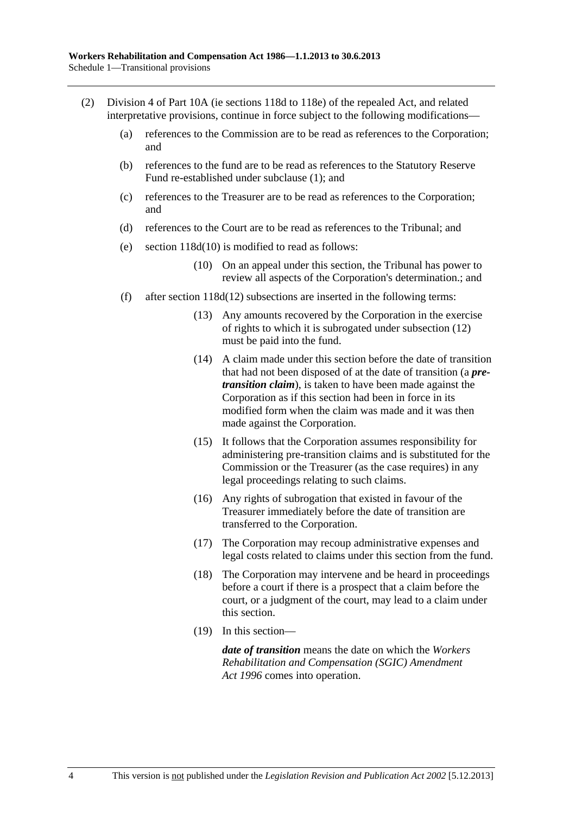- (2) Division 4 of Part 10A (ie sections 118d to 118e) of the repealed Act, and related interpretative provisions, continue in force subject to the following modifications—
	- (a) references to the Commission are to be read as references to the Corporation; and
	- (b) references to the fund are to be read as references to the Statutory Reserve Fund re-established under [subclause \(1\);](#page-160-0) and
	- (c) references to the Treasurer are to be read as references to the Corporation; and
	- (d) references to the Court are to be read as references to the Tribunal; and
	- (e) section 118d(10) is modified to read as follows:
		- (10) On an appeal under this section, the Tribunal has power to review all aspects of the Corporation's determination.; and
	- (f) after section 118d(12) subsections are inserted in the following terms:
		- (13) Any amounts recovered by the Corporation in the exercise of rights to which it is subrogated under subsection (12) must be paid into the fund.
		- (14) A claim made under this section before the date of transition that had not been disposed of at the date of transition (a *pretransition claim*), is taken to have been made against the Corporation as if this section had been in force in its modified form when the claim was made and it was then made against the Corporation.
		- (15) It follows that the Corporation assumes responsibility for administering pre-transition claims and is substituted for the Commission or the Treasurer (as the case requires) in any legal proceedings relating to such claims.
		- (16) Any rights of subrogation that existed in favour of the Treasurer immediately before the date of transition are transferred to the Corporation.
		- (17) The Corporation may recoup administrative expenses and legal costs related to claims under this section from the fund.
		- (18) The Corporation may intervene and be heard in proceedings before a court if there is a prospect that a claim before the court, or a judgment of the court, may lead to a claim under this section.
		- (19) In this section—

*date of transition* means the date on which the *[Workers](http://www.legislation.sa.gov.au/index.aspx?action=legref&type=act&legtitle=Workers%20Rehabilitation%20and%20Compensation%20(SGIC)%20Amendment%20Act%201996)  [Rehabilitation and Compensation \(SGIC\) Amendment](http://www.legislation.sa.gov.au/index.aspx?action=legref&type=act&legtitle=Workers%20Rehabilitation%20and%20Compensation%20(SGIC)%20Amendment%20Act%201996)  [Act 1996](http://www.legislation.sa.gov.au/index.aspx?action=legref&type=act&legtitle=Workers%20Rehabilitation%20and%20Compensation%20(SGIC)%20Amendment%20Act%201996)* comes into operation.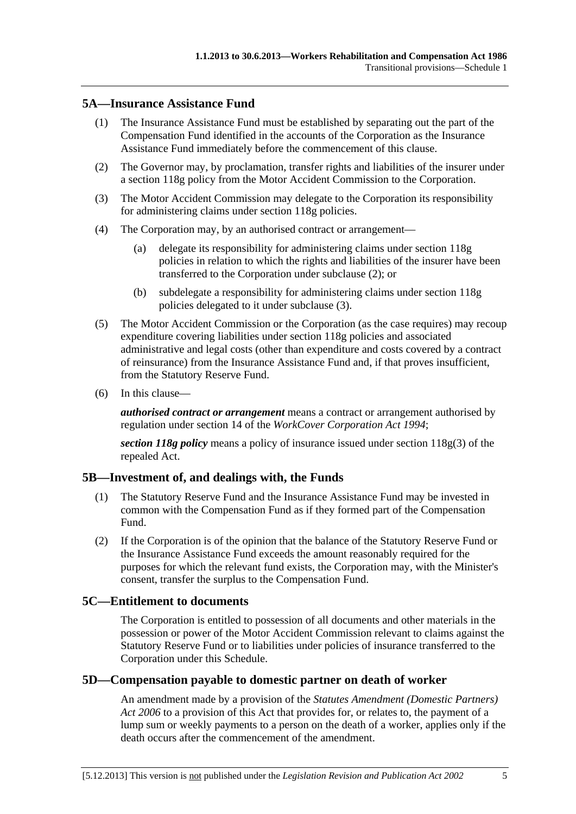### <span id="page-162-0"></span>**5A—Insurance Assistance Fund**

- (1) The Insurance Assistance Fund must be established by separating out the part of the Compensation Fund identified in the accounts of the Corporation as the Insurance Assistance Fund immediately before the commencement of this clause.
- (2) The Governor may, by proclamation, transfer rights and liabilities of the insurer under a section 118g policy from the Motor Accident Commission to the Corporation.
- (3) The Motor Accident Commission may delegate to the Corporation its responsibility for administering claims under section 118g policies.
- (4) The Corporation may, by an authorised contract or arrangement—
	- (a) delegate its responsibility for administering claims under section 118g policies in relation to which the rights and liabilities of the insurer have been transferred to the Corporation under [subclause \(2\)](#page-162-0); or
	- (b) subdelegate a responsibility for administering claims under section 118g policies delegated to it under [subclause \(3\)](#page-162-0).
- (5) The Motor Accident Commission or the Corporation (as the case requires) may recoup expenditure covering liabilities under section 118g policies and associated administrative and legal costs (other than expenditure and costs covered by a contract of reinsurance) from the Insurance Assistance Fund and, if that proves insufficient, from the Statutory Reserve Fund.
- (6) In this clause—

*authorised contract or arrangement* means a contract or arrangement authorised by regulation under section 14 of the *[WorkCover Corporation Act 1994](http://www.legislation.sa.gov.au/index.aspx?action=legref&type=act&legtitle=WorkCover%20Corporation%20Act%201994)*;

*section 118g policy* means a policy of insurance issued under section 118g(3) of the repealed Act.

## **5B—Investment of, and dealings with, the Funds**

- (1) The Statutory Reserve Fund and the Insurance Assistance Fund may be invested in common with the Compensation Fund as if they formed part of the Compensation Fund.
- (2) If the Corporation is of the opinion that the balance of the Statutory Reserve Fund or the Insurance Assistance Fund exceeds the amount reasonably required for the purposes for which the relevant fund exists, the Corporation may, with the Minister's consent, transfer the surplus to the Compensation Fund.

### **5C—Entitlement to documents**

The Corporation is entitled to possession of all documents and other materials in the possession or power of the Motor Accident Commission relevant to claims against the Statutory Reserve Fund or to liabilities under policies of insurance transferred to the Corporation under this Schedule.

### **5D—Compensation payable to domestic partner on death of worker**

An amendment made by a provision of the *[Statutes Amendment \(Domestic Partners\)](http://www.legislation.sa.gov.au/index.aspx?action=legref&type=act&legtitle=Statutes%20Amendment%20(Domestic%20Partners)%20Act%202006)  [Act 2006](http://www.legislation.sa.gov.au/index.aspx?action=legref&type=act&legtitle=Statutes%20Amendment%20(Domestic%20Partners)%20Act%202006)* to a provision of this Act that provides for, or relates to, the payment of a lump sum or weekly payments to a person on the death of a worker, applies only if the death occurs after the commencement of the amendment.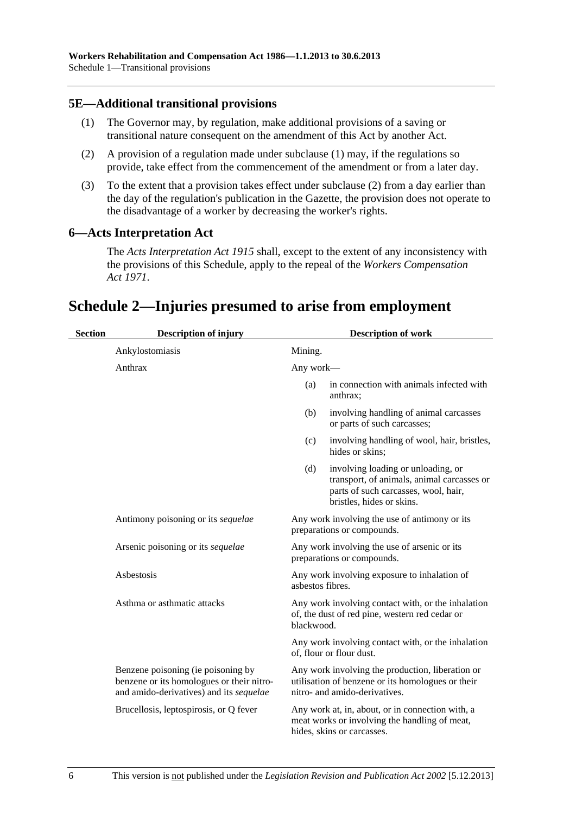### <span id="page-163-0"></span>**5E—Additional transitional provisions**

- (1) The Governor may, by regulation, make additional provisions of a saving or transitional nature consequent on the amendment of this Act by another Act.
- (2) A provision of a regulation made under [subclause \(1\)](#page-163-0) may, if the regulations so provide, take effect from the commencement of the amendment or from a later day.
- (3) To the extent that a provision takes effect under [subclause \(2\)](#page-163-0) from a day earlier than the day of the regulation's publication in the Gazette, the provision does not operate to the disadvantage of a worker by decreasing the worker's rights.

### **6—Acts Interpretation Act**

The *[Acts Interpretation Act 1915](http://www.legislation.sa.gov.au/index.aspx?action=legref&type=act&legtitle=Acts%20Interpretation%20Act%201915)* shall, except to the extent of any inconsistency with the provisions of this Schedule, apply to the repeal of the *[Workers Compensation](http://www.legislation.sa.gov.au/index.aspx?action=legref&type=act&legtitle=Workers%20Compensation%20Act%201971)  [Act 1971](http://www.legislation.sa.gov.au/index.aspx?action=legref&type=act&legtitle=Workers%20Compensation%20Act%201971)*.

# **Schedule 2—Injuries presumed to arise from employment**

| <b>Section</b> | <b>Description of injury</b>                                                                                               | <b>Description of work</b>                                                                                                                                                             |                                                                                                                                                       |
|----------------|----------------------------------------------------------------------------------------------------------------------------|----------------------------------------------------------------------------------------------------------------------------------------------------------------------------------------|-------------------------------------------------------------------------------------------------------------------------------------------------------|
|                | Ankylostomiasis                                                                                                            | Mining.                                                                                                                                                                                |                                                                                                                                                       |
|                | Anthrax                                                                                                                    | Any work-                                                                                                                                                                              |                                                                                                                                                       |
|                |                                                                                                                            | (a)                                                                                                                                                                                    | in connection with animals infected with<br>anthrax:                                                                                                  |
|                |                                                                                                                            | (b)                                                                                                                                                                                    | involving handling of animal carcasses<br>or parts of such carcasses;                                                                                 |
|                |                                                                                                                            | (c)                                                                                                                                                                                    | involving handling of wool, hair, bristles,<br>hides or skins;                                                                                        |
|                |                                                                                                                            | (d)                                                                                                                                                                                    | involving loading or unloading, or<br>transport, of animals, animal carcasses or<br>parts of such carcasses, wool, hair,<br>bristles, hides or skins. |
|                | Antimony poisoning or its sequelae                                                                                         | Any work involving the use of antimony or its<br>preparations or compounds.                                                                                                            |                                                                                                                                                       |
|                | Arsenic poisoning or its sequelae                                                                                          |                                                                                                                                                                                        | Any work involving the use of arsenic or its<br>preparations or compounds.                                                                            |
|                | Asbestosis                                                                                                                 | Any work involving exposure to inhalation of<br>asbestos fibres.<br>Any work involving contact with, or the inhalation<br>of, the dust of red pine, western red cedar or<br>blackwood. |                                                                                                                                                       |
|                | Asthma or asthmatic attacks                                                                                                |                                                                                                                                                                                        |                                                                                                                                                       |
|                |                                                                                                                            |                                                                                                                                                                                        | Any work involving contact with, or the inhalation<br>of, flour or flour dust.                                                                        |
|                | Benzene poisoning (ie poisoning by<br>benzene or its homologues or their nitro-<br>and amido-derivatives) and its sequelae |                                                                                                                                                                                        | Any work involving the production, liberation or<br>utilisation of benzene or its homologues or their<br>nitro- and amido-derivatives.                |
|                | Brucellosis, leptospirosis, or Q fever                                                                                     |                                                                                                                                                                                        | Any work at, in, about, or in connection with, a<br>meat works or involving the handling of meat,<br>hides, skins or carcasses.                       |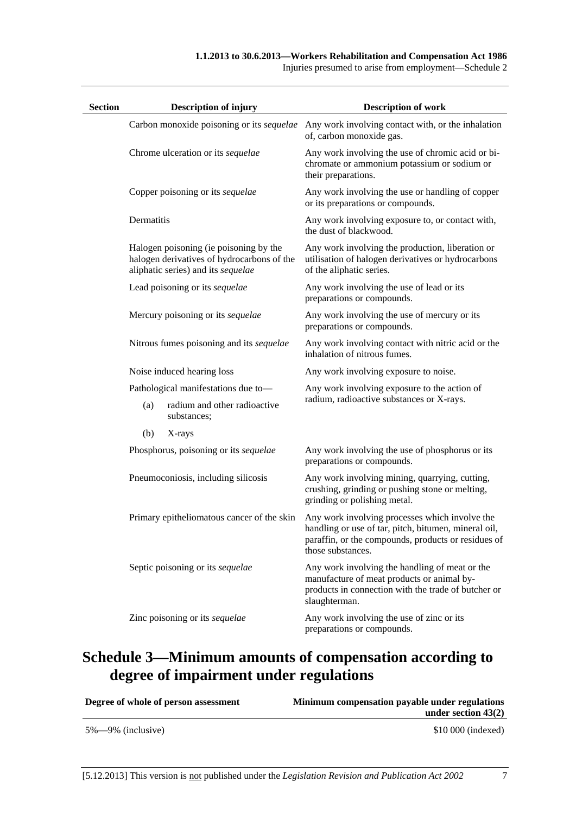|  | Injuries presumed to arise from employment—Schedule 2 |  |
|--|-------------------------------------------------------|--|
|  |                                                       |  |

| <b>Section</b> |            | <b>Description of injury</b>                                                                                               | <b>Description of work</b>                                                                                                                                                         |
|----------------|------------|----------------------------------------------------------------------------------------------------------------------------|------------------------------------------------------------------------------------------------------------------------------------------------------------------------------------|
|                |            |                                                                                                                            | Carbon monoxide poisoning or its <i>sequelae</i> Any work involving contact with, or the inhalation<br>of, carbon monoxide gas.                                                    |
|                |            | Chrome ulceration or its sequelae                                                                                          | Any work involving the use of chromic acid or bi-<br>chromate or ammonium potassium or sodium or<br>their preparations.                                                            |
|                |            | Copper poisoning or its sequelae                                                                                           | Any work involving the use or handling of copper<br>or its preparations or compounds.                                                                                              |
|                | Dermatitis |                                                                                                                            | Any work involving exposure to, or contact with,<br>the dust of blackwood.                                                                                                         |
|                |            | Halogen poisoning (ie poisoning by the<br>halogen derivatives of hydrocarbons of the<br>aliphatic series) and its sequelae | Any work involving the production, liberation or<br>utilisation of halogen derivatives or hydrocarbons<br>of the aliphatic series.                                                 |
|                |            | Lead poisoning or its sequelae                                                                                             | Any work involving the use of lead or its<br>preparations or compounds.                                                                                                            |
|                |            | Mercury poisoning or its sequelae                                                                                          | Any work involving the use of mercury or its<br>preparations or compounds.                                                                                                         |
|                |            | Nitrous fumes poisoning and its sequelae                                                                                   | Any work involving contact with nitric acid or the<br>inhalation of nitrous fumes.                                                                                                 |
|                |            | Noise induced hearing loss                                                                                                 | Any work involving exposure to noise.                                                                                                                                              |
|                |            | Pathological manifestations due to-                                                                                        | Any work involving exposure to the action of                                                                                                                                       |
|                | (a)        | radium and other radioactive<br>substances;                                                                                | radium, radioactive substances or X-rays.                                                                                                                                          |
|                | (b)        | X-rays                                                                                                                     |                                                                                                                                                                                    |
|                |            | Phosphorus, poisoning or its sequelae                                                                                      | Any work involving the use of phosphorus or its<br>preparations or compounds.                                                                                                      |
|                |            | Pneumoconiosis, including silicosis                                                                                        | Any work involving mining, quarrying, cutting,<br>crushing, grinding or pushing stone or melting,<br>grinding or polishing metal.                                                  |
|                |            | Primary epitheliomatous cancer of the skin                                                                                 | Any work involving processes which involve the<br>handling or use of tar, pitch, bitumen, mineral oil,<br>paraffin, or the compounds, products or residues of<br>those substances. |
|                |            | Septic poisoning or its sequelae                                                                                           | Any work involving the handling of meat or the<br>manufacture of meat products or animal by-<br>products in connection with the trade of butcher or<br>slaughterman.               |
|                |            | Zinc poisoning or its sequelae                                                                                             | Any work involving the use of zinc or its<br>preparations or compounds.                                                                                                            |

# **Schedule 3—Minimum amounts of compensation according to degree of impairment under regulations**

| Degree of whole of person assessment | Minimum compensation payable under regulations |  |
|--------------------------------------|------------------------------------------------|--|
|                                      | under section $43(2)$                          |  |
| $5\% - 9\%$ (inclusive)              | $$10\,000$ (indexed)                           |  |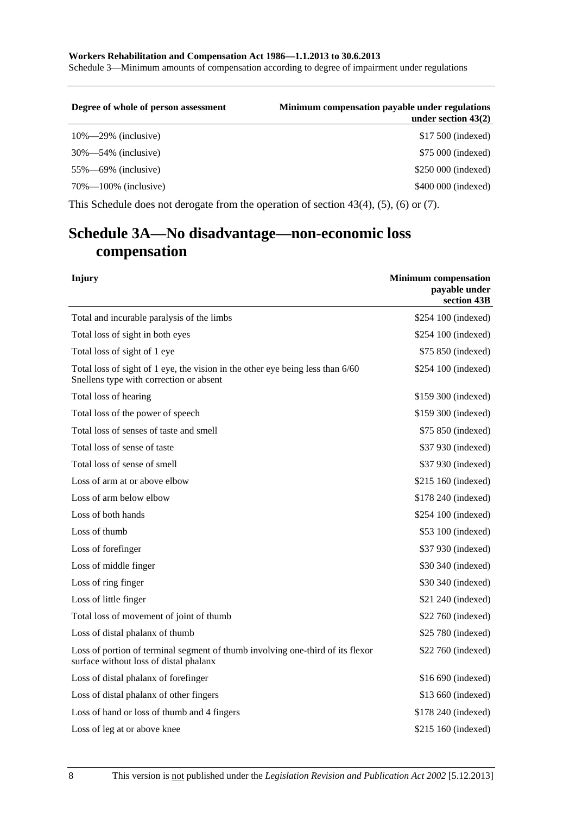**Workers Rehabilitation and Compensation Act 1986—1.1.2013 to 30.6.2013**  Schedule 3—Minimum amounts of compensation according to degree of impairment under regulations

| Degree of whole of person assessment                                                             | Minimum compensation payable under regulations<br>under section $43(2)$ |  |  |
|--------------------------------------------------------------------------------------------------|-------------------------------------------------------------------------|--|--|
| $10\% - 29\%$ (inclusive)                                                                        | \$17,500 (indexed)                                                      |  |  |
| $30\% - 54\%$ (inclusive)                                                                        | \$75 000 (indexed)                                                      |  |  |
| $55\%$ —69% (inclusive)                                                                          | \$250 000 (indexed)                                                     |  |  |
| $70\% - 100\%$ (inclusive)                                                                       | \$400 000 (indexed)                                                     |  |  |
| This Schedule does not derogate from the operation of section $43(4)$ , $(5)$ , $(6)$ or $(7)$ . |                                                                         |  |  |

# **Schedule 3A—No disadvantage—non-economic loss compensation**

| Injury                                                                                                                    | <b>Minimum</b> compensation<br>payable under<br>section 43B |
|---------------------------------------------------------------------------------------------------------------------------|-------------------------------------------------------------|
| Total and incurable paralysis of the limbs                                                                                | \$254 100 (indexed)                                         |
| Total loss of sight in both eyes                                                                                          | \$254 100 (indexed)                                         |
| Total loss of sight of 1 eye                                                                                              | \$75 850 (indexed)                                          |
| Total loss of sight of 1 eye, the vision in the other eye being less than 6/60<br>Snellens type with correction or absent | \$254 100 (indexed)                                         |
| Total loss of hearing                                                                                                     | \$159 300 (indexed)                                         |
| Total loss of the power of speech                                                                                         | \$159 300 (indexed)                                         |
| Total loss of senses of taste and smell                                                                                   | \$75 850 (indexed)                                          |
| Total loss of sense of taste                                                                                              | \$37 930 (indexed)                                          |
| Total loss of sense of smell                                                                                              | \$37 930 (indexed)                                          |
| Loss of arm at or above elbow                                                                                             | \$215 160 (indexed)                                         |
| Loss of arm below elbow                                                                                                   | \$178 240 (indexed)                                         |
| Loss of both hands                                                                                                        | \$254 100 (indexed)                                         |
| Loss of thumb                                                                                                             | \$53 100 (indexed)                                          |
| Loss of forefinger                                                                                                        | \$37 930 (indexed)                                          |
| Loss of middle finger                                                                                                     | \$30 340 (indexed)                                          |
| Loss of ring finger                                                                                                       | \$30 340 (indexed)                                          |
| Loss of little finger                                                                                                     | \$21 240 (indexed)                                          |
| Total loss of movement of joint of thumb                                                                                  | \$22 760 (indexed)                                          |
| Loss of distal phalanx of thumb                                                                                           | \$25 780 (indexed)                                          |
| Loss of portion of terminal segment of thumb involving one-third of its flexor<br>surface without loss of distal phalanx  | \$22 760 (indexed)                                          |
| Loss of distal phalanx of forefinger                                                                                      | \$16 690 (indexed)                                          |
| Loss of distal phalanx of other fingers                                                                                   | \$13 660 (indexed)                                          |
| Loss of hand or loss of thumb and 4 fingers                                                                               | \$178 240 (indexed)                                         |
| Loss of leg at or above knee                                                                                              | \$215 160 (indexed)                                         |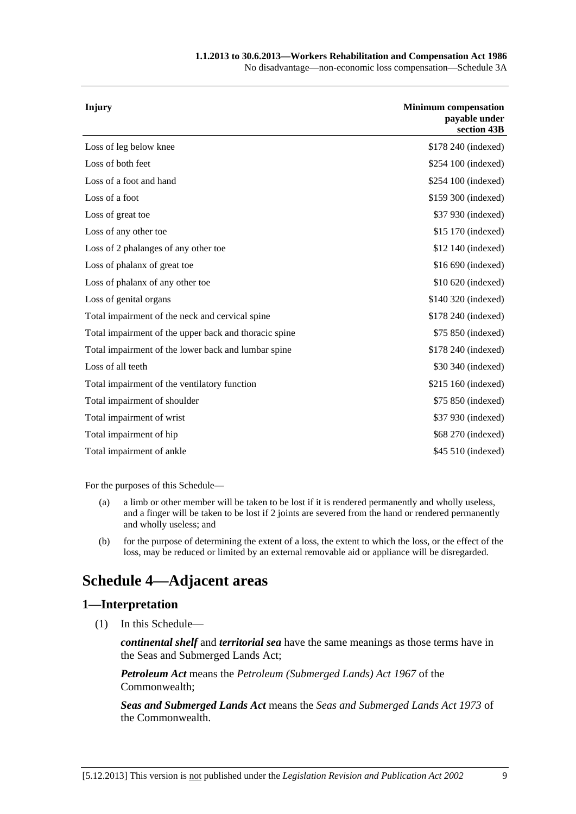#### **1.1.2013 to 30.6.2013—Workers Rehabilitation and Compensation Act 1986**

No disadvantage—non-economic loss compensation—Schedule 3A

| <b>Minimum</b> compensation<br>payable under<br>section 43B |
|-------------------------------------------------------------|
| \$178 240 (indexed)                                         |
| \$254 100 (indexed)                                         |
| \$254 100 (indexed)                                         |
| \$159 300 (indexed)                                         |
| \$37 930 (indexed)                                          |
| \$15 170 (indexed)                                          |
| \$12 140 (indexed)                                          |
| \$16 690 (indexed)                                          |
| \$10 620 (indexed)                                          |
| \$140 320 (indexed)                                         |
| \$178 240 (indexed)                                         |
| \$75 850 (indexed)                                          |
| \$178 240 (indexed)                                         |
| \$30 340 (indexed)                                          |
| \$215 160 (indexed)                                         |
| \$75 850 (indexed)                                          |
| \$37 930 (indexed)                                          |
| \$68 270 (indexed)                                          |
| \$45 510 (indexed)                                          |
|                                                             |

For the purposes of this Schedule—

- (a) a limb or other member will be taken to be lost if it is rendered permanently and wholly useless, and a finger will be taken to be lost if 2 joints are severed from the hand or rendered permanently and wholly useless; and
- (b) for the purpose of determining the extent of a loss, the extent to which the loss, or the effect of the loss, may be reduced or limited by an external removable aid or appliance will be disregarded.

# **Schedule 4—Adjacent areas**

### **1—Interpretation**

(1) In this Schedule—

*continental shelf* and *territorial sea* have the same meanings as those terms have in the Seas and Submerged Lands Act;

*Petroleum Act* means the *Petroleum (Submerged Lands) Act 1967* of the Commonwealth;

*Seas and Submerged Lands Act* means the *Seas and Submerged Lands Act 1973* of the Commonwealth.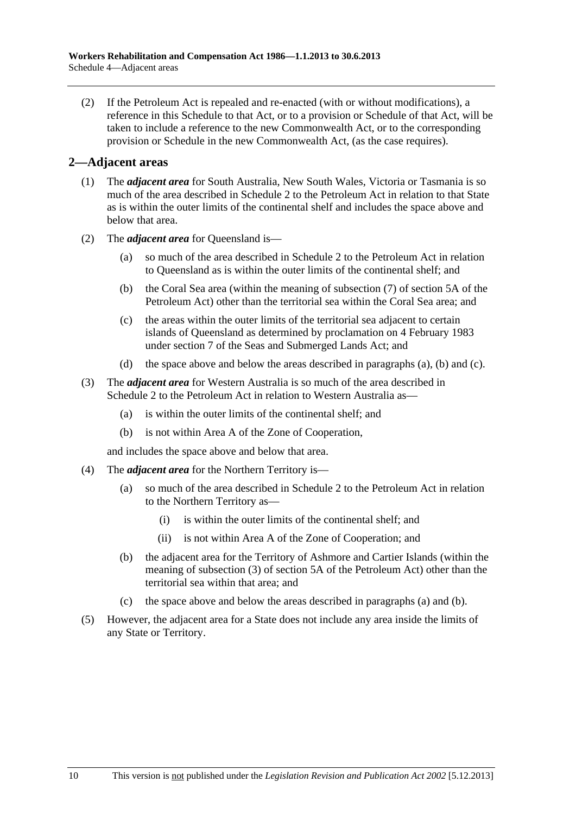<span id="page-167-0"></span> (2) If the Petroleum Act is repealed and re-enacted (with or without modifications), a reference in this Schedule to that Act, or to a provision or Schedule of that Act, will be taken to include a reference to the new Commonwealth Act, or to the corresponding provision or Schedule in the new Commonwealth Act, (as the case requires).

### **2—Adjacent areas**

- (1) The *adjacent area* for South Australia, New South Wales, Victoria or Tasmania is so much of the area described in Schedule 2 to the Petroleum Act in relation to that State as is within the outer limits of the continental shelf and includes the space above and below that area.
- (2) The *adjacent area* for Queensland is—
	- (a) so much of the area described in Schedule 2 to the Petroleum Act in relation to Queensland as is within the outer limits of the continental shelf; and
	- (b) the Coral Sea area (within the meaning of subsection (7) of section 5A of the Petroleum Act) other than the territorial sea within the Coral Sea area; and
	- (c) the areas within the outer limits of the territorial sea adjacent to certain islands of Queensland as determined by proclamation on 4 February 1983 under section 7 of the Seas and Submerged Lands Act; and
	- (d) the space above and below the areas described in [paragraphs \(a\), \(b\)](#page-167-0) and [\(c\).](#page-167-0)
- (3) The *adjacent area* for Western Australia is so much of the area described in Schedule 2 to the Petroleum Act in relation to Western Australia as—
	- (a) is within the outer limits of the continental shelf; and
	- (b) is not within Area A of the Zone of Cooperation,

and includes the space above and below that area.

- (4) The *adjacent area* for the Northern Territory is—
	- (a) so much of the area described in Schedule 2 to the Petroleum Act in relation to the Northern Territory as—
		- (i) is within the outer limits of the continental shelf; and
		- (ii) is not within Area A of the Zone of Cooperation; and
	- (b) the adjacent area for the Territory of Ashmore and Cartier Islands (within the meaning of subsection (3) of section 5A of the Petroleum Act) other than the territorial sea within that area; and
	- (c) the space above and below the areas described in [paragraphs \(a\)](#page-167-0) and [\(b\)](#page-167-0).
- (5) However, the adjacent area for a State does not include any area inside the limits of any State or Territory.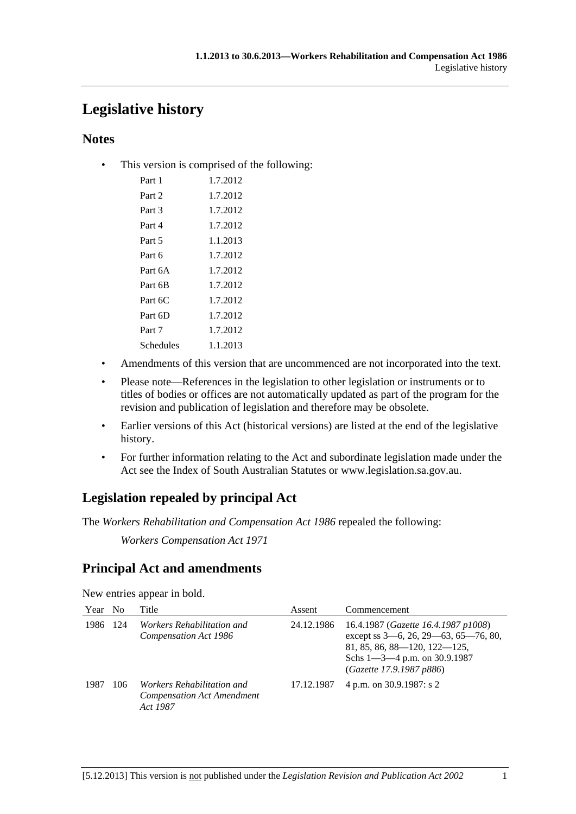# **Legislative history**

# **Notes**

• This version is comprised of the following:

| Part 1    | 1.7.2012 |
|-----------|----------|
| Part 2    | 1.7.2012 |
| Part 3    | 1.7.2012 |
| Part 4    | 1.7.2012 |
| Part 5    | 1.1.2013 |
| Part 6    | 1.7.2012 |
| Part 6A   | 1.7.2012 |
| Part 6B   | 1.7.2012 |
| Part 6C   | 1.7.2012 |
| Part 6D   | 1.7.2012 |
| Part 7    | 1.7.2012 |
| Schedules | 1.1.2013 |

- Amendments of this version that are uncommenced are not incorporated into the text.
- Please note—References in the legislation to other legislation or instruments or to titles of bodies or offices are not automatically updated as part of the program for the revision and publication of legislation and therefore may be obsolete.
- Earlier versions of this Act (historical versions) are listed at the end of the legislative history.
- For further information relating to the Act and subordinate legislation made under the Act see the Index of South Australian Statutes or www.legislation.sa.gov.au.

# **Legislation repealed by principal Act**

The *Workers Rehabilitation and Compensation Act 1986* repealed the following:

*Workers Compensation Act 1971*

# **Principal Act and amendments**

New entries appear in bold.

| Year | N <sub>0</sub> | Title                                                                              | Assent     | Commencement                                                                                                                                                                  |
|------|----------------|------------------------------------------------------------------------------------|------------|-------------------------------------------------------------------------------------------------------------------------------------------------------------------------------|
| 1986 | -124           | <i>Workers Rehabilitation and</i><br>Compensation Act 1986                         | 24.12.1986 | 16.4.1987 (Gazette 16.4.1987 p1008)<br>except ss 3-6, 26, 29-63, 65-76, 80,<br>81, 85, 86, 88-120, 122-125,<br>Schs $1 - 3 - 4$ p.m. on 30.9.1987<br>(Gazette 17.9.1987 p886) |
| 1987 | 106            | <i>Workers Rehabilitation and</i><br><b>Compensation Act Amendment</b><br>Act 1987 | 17.12.1987 | 4 p.m. on 30.9.1987: s 2                                                                                                                                                      |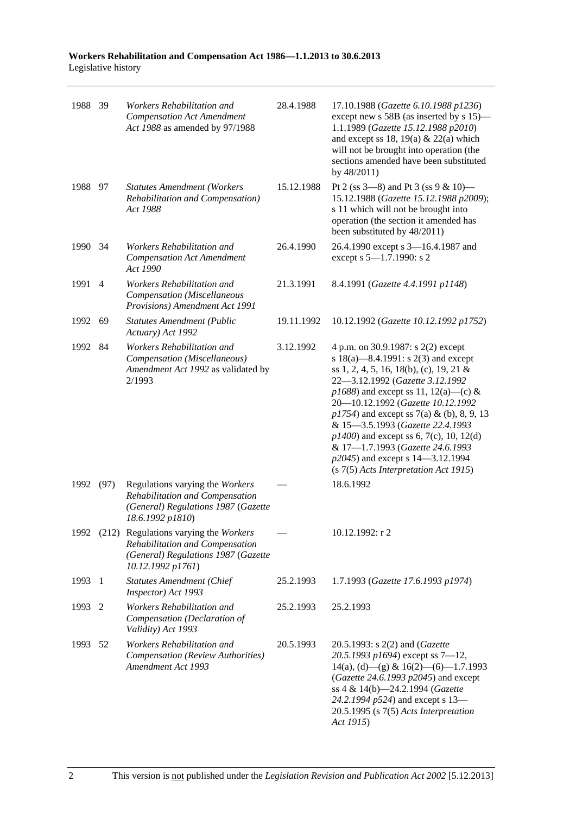| Workers Rehabilitation and Compensation Act 1986–1.1.2013 to 30.6.2013 |  |  |
|------------------------------------------------------------------------|--|--|
| Legislative history                                                    |  |  |
|                                                                        |  |  |

| 1988 39 |      | Workers Rehabilitation and<br><b>Compensation Act Amendment</b><br>Act 1988 as amended by 97/1988                                         | 28.4.1988  | 17.10.1988 (Gazette 6.10.1988 p1236)<br>except new s 58B (as inserted by s 15)—<br>1.1.1989 (Gazette 15.12.1988 p2010)<br>and except ss 18, 19(a) & 22(a) which<br>will not be brought into operation (the<br>sections amended have been substituted<br>by 48/2011)                                                                                                                                                                                                                          |
|---------|------|-------------------------------------------------------------------------------------------------------------------------------------------|------------|----------------------------------------------------------------------------------------------------------------------------------------------------------------------------------------------------------------------------------------------------------------------------------------------------------------------------------------------------------------------------------------------------------------------------------------------------------------------------------------------|
| 1988 97 |      | <b>Statutes Amendment (Workers</b><br>Rehabilitation and Compensation)<br>Act 1988                                                        | 15.12.1988 | Pt 2 (ss $3-8$ ) and Pt 3 (ss $9 & 10$ )<br>15.12.1988 (Gazette 15.12.1988 p2009);<br>s 11 which will not be brought into<br>operation (the section it amended has<br>been substituted by 48/2011)                                                                                                                                                                                                                                                                                           |
| 1990    | 34   | Workers Rehabilitation and<br><b>Compensation Act Amendment</b><br>Act 1990                                                               | 26.4.1990  | 26.4.1990 except s 3-16.4.1987 and<br>except s 5-1.7.1990: s 2                                                                                                                                                                                                                                                                                                                                                                                                                               |
| 1991    | 4    | Workers Rehabilitation and<br>Compensation (Miscellaneous<br>Provisions) Amendment Act 1991                                               | 21.3.1991  | 8.4.1991 (Gazette 4.4.1991 p1148)                                                                                                                                                                                                                                                                                                                                                                                                                                                            |
| 1992    | 69   | <b>Statutes Amendment (Public</b><br>Actuary) Act 1992                                                                                    | 19.11.1992 | 10.12.1992 (Gazette 10.12.1992 p1752)                                                                                                                                                                                                                                                                                                                                                                                                                                                        |
| 1992    | 84   | Workers Rehabilitation and<br>Compensation (Miscellaneous)<br>Amendment Act 1992 as validated by<br>2/1993                                | 3.12.1992  | 4 p.m. on 30.9.1987: s 2(2) except<br>s 18(a)—8.4.1991: s 2(3) and except<br>ss 1, 2, 4, 5, 16, 18(b), (c), 19, 21 &<br>22-3.12.1992 (Gazette 3.12.1992<br>$p1688$ ) and except ss 11, 12(a)—(c) &<br>20-10.12.1992 (Gazette 10.12.1992<br>$p1754$ ) and except ss 7(a) & (b), 8, 9, 13<br>& 15-3.5.1993 (Gazette 22.4.1993<br>$p1400$ ) and except ss 6, 7(c), 10, 12(d)<br>& 17-1.7.1993 (Gazette 24.6.1993<br>p2045) and except s 14–3.12.1994<br>$(s 7(5)$ Acts Interpretation Act 1915) |
| 1992    | (97) | Regulations varying the Workers<br>Rehabilitation and Compensation<br>(General) Regulations 1987 (Gazette<br>18.6.1992 p1810)             |            | 18.6.1992                                                                                                                                                                                                                                                                                                                                                                                                                                                                                    |
|         |      | 1992 (212) Regulations varying the Workers<br>Rehabilitation and Compensation<br>(General) Regulations 1987 (Gazette<br>10.12.1992 p1761) |            | 10.12.1992: r 2                                                                                                                                                                                                                                                                                                                                                                                                                                                                              |
| 1993    | -1   | <b>Statutes Amendment (Chief</b><br>Inspector) Act 1993                                                                                   | 25.2.1993  | 1.7.1993 (Gazette 17.6.1993 p1974)                                                                                                                                                                                                                                                                                                                                                                                                                                                           |
| 1993    | 2    | Workers Rehabilitation and<br>Compensation (Declaration of<br>Validity) Act 1993                                                          | 25.2.1993  | 25.2.1993                                                                                                                                                                                                                                                                                                                                                                                                                                                                                    |
| 1993    | 52   | Workers Rehabilitation and<br>Compensation (Review Authorities)<br>Amendment Act 1993                                                     | 20.5.1993  | 20.5.1993: s 2(2) and ( <i>Gazette</i><br>20.5.1993 p1694) except ss $7-12$ ,<br>$14(a)$ , (d) - (g) & $16(2)$ - (6) - 1.7.1993<br>(Gazette 24.6.1993 p2045) and except<br>ss 4 & 14(b)-24.2.1994 (Gazette<br>24.2.1994 p524) and except s 13-<br>$20.5.1995$ (s $7(5)$ Acts Interpretation<br>Act 1915)                                                                                                                                                                                     |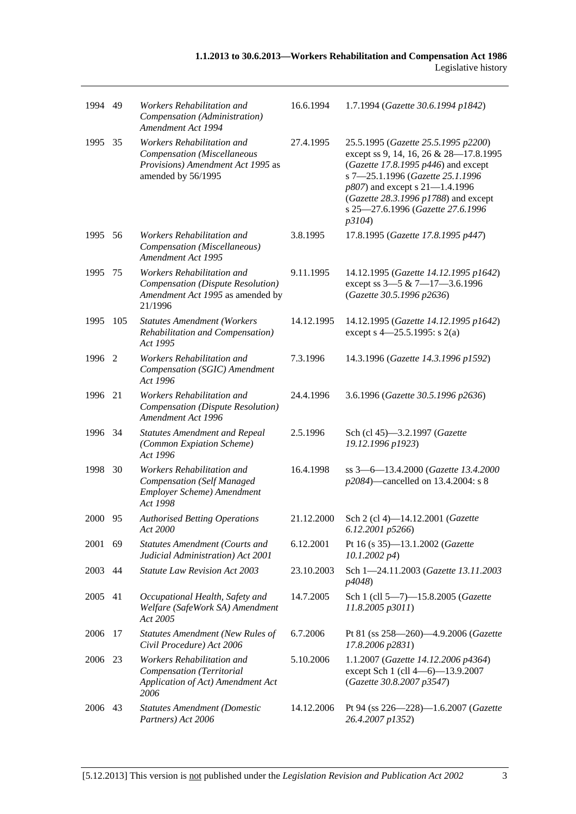| 1994    | 49  | Workers Rehabilitation and<br>Compensation (Administration)<br>Amendment Act 1994                                    | 16.6.1994  | 1.7.1994 (Gazette 30.6.1994 p1842)                                                                                                                                                                                                                                                   |
|---------|-----|----------------------------------------------------------------------------------------------------------------------|------------|--------------------------------------------------------------------------------------------------------------------------------------------------------------------------------------------------------------------------------------------------------------------------------------|
| 1995    | 35  | Workers Rehabilitation and<br>Compensation (Miscellaneous<br>Provisions) Amendment Act 1995 as<br>amended by 56/1995 | 27.4.1995  | 25.5.1995 (Gazette 25.5.1995 p2200)<br>except ss 9, 14, 16, 26 & 28-17.8.1995<br>(Gazette 17.8.1995 $p446$ ) and except<br>s 7-25.1.1996 (Gazette 25.1.1996<br>p807) and except s 21-1.4.1996<br>(Gazette 28.3.1996 p1788) and except<br>s 25-27.6.1996 (Gazette 27.6.1996<br>p3104) |
| 1995    | 56  | Workers Rehabilitation and<br>Compensation (Miscellaneous)<br>Amendment Act 1995                                     | 3.8.1995   | 17.8.1995 (Gazette 17.8.1995 p447)                                                                                                                                                                                                                                                   |
| 1995    | 75  | Workers Rehabilitation and<br>Compensation (Dispute Resolution)<br>Amendment Act 1995 as amended by<br>21/1996       | 9.11.1995  | 14.12.1995 (Gazette 14.12.1995 p1642)<br>except ss $3-5$ & $7-17-3.6.1996$<br>(Gazette 30.5.1996 p2636)                                                                                                                                                                              |
| 1995    | 105 | <b>Statutes Amendment (Workers</b><br>Rehabilitation and Compensation)<br>Act 1995                                   | 14.12.1995 | 14.12.1995 (Gazette 14.12.1995 p1642)<br>except s $4 - 25.5.1995$ : s $2(a)$                                                                                                                                                                                                         |
| 1996 2  |     | Workers Rehabilitation and<br>Compensation (SGIC) Amendment<br>Act 1996                                              | 7.3.1996   | 14.3.1996 (Gazette 14.3.1996 p1592)                                                                                                                                                                                                                                                  |
| 1996    | 21  | Workers Rehabilitation and<br><b>Compensation</b> (Dispute Resolution)<br>Amendment Act 1996                         | 24.4.1996  | 3.6.1996 (Gazette 30.5.1996 p2636)                                                                                                                                                                                                                                                   |
| 1996    | 34  | <b>Statutes Amendment and Repeal</b><br>(Common Expiation Scheme)<br>Act 1996                                        | 2.5.1996   | Sch (cl 45)-3.2.1997 (Gazette<br>19.12.1996 p1923)                                                                                                                                                                                                                                   |
| 1998    | 30  | Workers Rehabilitation and<br><b>Compensation</b> (Self Managed<br>Employer Scheme) Amendment<br>Act 1998            | 16.4.1998  | ss 3-6-13.4.2000 (Gazette 13.4.2000<br>p2084)—cancelled on 13.4.2004: s 8                                                                                                                                                                                                            |
| 2000    | 95  | <b>Authorised Betting Operations</b><br>Act 2000                                                                     | 21.12.2000 | Sch 2 (cl 4)-14.12.2001 (Gazette<br>6.12.2001 p5266)                                                                                                                                                                                                                                 |
| 2001    | 69  | Statutes Amendment (Courts and<br>Judicial Administration) Act 2001                                                  | 6.12.2001  | Pt 16 (s 35)-13.1.2002 (Gazette<br>$10.1.2002\ p4)$                                                                                                                                                                                                                                  |
| 2003    | 44  | <b>Statute Law Revision Act 2003</b>                                                                                 | 23.10.2003 | Sch 1-24.11.2003 (Gazette 13.11.2003<br>p4048)                                                                                                                                                                                                                                       |
| 2005    | 41  | Occupational Health, Safety and<br>Welfare (SafeWork SA) Amendment<br>Act 2005                                       | 14.7.2005  | Sch 1 (cll 5-7)-15.8.2005 (Gazette<br>$11.8.2005$ $p3011$ )                                                                                                                                                                                                                          |
| 2006    | 17  | <b>Statutes Amendment (New Rules of</b><br>Civil Procedure) Act 2006                                                 | 6.7.2006   | Pt 81 (ss 258-260)-4.9.2006 (Gazette<br>17.8.2006 p2831)                                                                                                                                                                                                                             |
| 2006 23 |     | Workers Rehabilitation and<br>Compensation (Territorial<br>Application of Act) Amendment Act<br>2006                 | 5.10.2006  | 1.1.2007 (Gazette 14.12.2006 p4364)<br>except Sch 1 (cll 4-6)-13.9.2007<br>(Gazette 30.8.2007 p3547)                                                                                                                                                                                 |
| 2006    | 43  | <b>Statutes Amendment (Domestic</b><br>Partners) Act 2006                                                            | 14.12.2006 | Pt 94 (ss 226-228)-1.6.2007 (Gazette<br>26.4.2007 p1352)                                                                                                                                                                                                                             |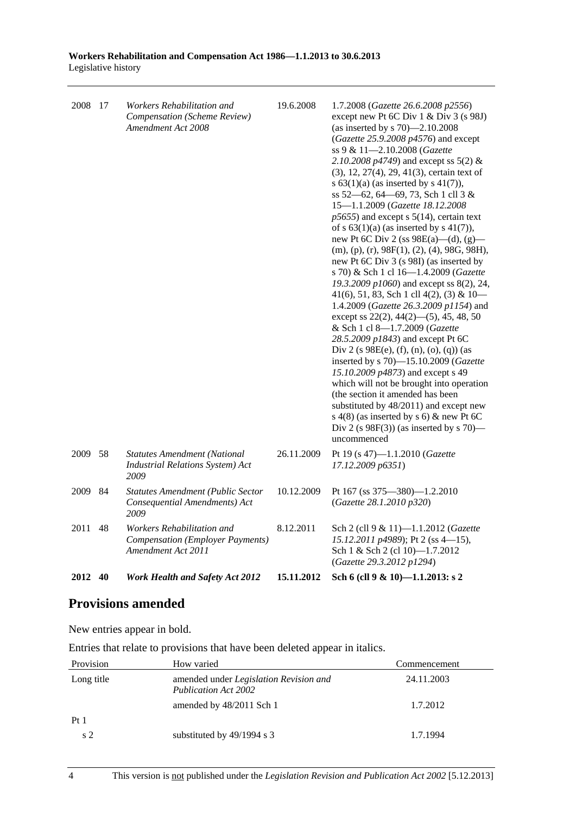| 2008 17 |    | Workers Rehabilitation and<br>Compensation (Scheme Review)<br>Amendment Act 2008            | 19.6.2008  | 1.7.2008 (Gazette 26.6.2008 p2556)<br>except new Pt 6C Div 1 & Div 3 (s 98J)<br>(as inserted by s $70$ )-2.10.2008<br>(Gazette 25.9.2008 p4576) and except<br>ss 9 & 11-2.10.2008 (Gazette<br>2.10.2008 $p4749$ ) and except ss 5(2) &<br>(3), 12, 27(4), 29, 41(3), certain text of<br>s $63(1)(a)$ (as inserted by s 41(7)),<br>ss 52–62, 64–69, 73, Sch 1 cll 3 &<br>15-1.1.2009 (Gazette 18.12.2008<br>$p5655$ ) and except s 5(14), certain text<br>of s $63(1)(a)$ (as inserted by s $41(7)$ ),<br>new Pt 6C Div 2 (ss $98E(a)$ —(d), (g)—<br>$(m), (p), (r), 98F(1), (2), (4), 98G, 98H),$<br>new Pt 6C Div 3 (s 98I) (as inserted by<br>s 70) & Sch 1 cl 16-1.4.2009 (Gazette<br>19.3.2009 p1060) and except ss 8(2), 24,<br>41(6), 51, 83, Sch 1 cll 4(2), (3) & $10-$<br>1.4.2009 (Gazette 26.3.2009 p1154) and<br>except ss $22(2)$ , $44(2)$ — $(5)$ , $45$ , $48$ , $50$<br>& Sch 1 cl 8-1.7.2009 (Gazette<br>28.5.2009 p1843) and except Pt 6C<br>Div 2 (s $98E(e)$ , (f), (n), (o), (q)) (as<br>inserted by s 70)-15.10.2009 (Gazette<br>15.10.2009 p4873) and except s 49<br>which will not be brought into operation<br>(the section it amended has been<br>substituted by 48/2011) and except new<br>s $4(8)$ (as inserted by s 6) & new Pt 6C<br>Div 2 (s $98F(3)$ ) (as inserted by s 70)—<br>uncommenced |
|---------|----|---------------------------------------------------------------------------------------------|------------|-------------------------------------------------------------------------------------------------------------------------------------------------------------------------------------------------------------------------------------------------------------------------------------------------------------------------------------------------------------------------------------------------------------------------------------------------------------------------------------------------------------------------------------------------------------------------------------------------------------------------------------------------------------------------------------------------------------------------------------------------------------------------------------------------------------------------------------------------------------------------------------------------------------------------------------------------------------------------------------------------------------------------------------------------------------------------------------------------------------------------------------------------------------------------------------------------------------------------------------------------------------------------------------------------------------------------------|
| 2009    | 58 | <b>Statutes Amendment (National</b><br><b>Industrial Relations System)</b> Act<br>2009      | 26.11.2009 | Pt 19 (s 47)-1.1.2010 (Gazette<br>17.12.2009 p6351)                                                                                                                                                                                                                                                                                                                                                                                                                                                                                                                                                                                                                                                                                                                                                                                                                                                                                                                                                                                                                                                                                                                                                                                                                                                                           |
| 2009    | 84 | <b>Statutes Amendment (Public Sector</b><br>Consequential Amendments) Act<br>2009           | 10.12.2009 | Pt 167 (ss 375-380)-1.2.2010<br>(Gazette 28.1.2010 p320)                                                                                                                                                                                                                                                                                                                                                                                                                                                                                                                                                                                                                                                                                                                                                                                                                                                                                                                                                                                                                                                                                                                                                                                                                                                                      |
| 2011    | 48 | Workers Rehabilitation and<br><b>Compensation (Employer Payments)</b><br>Amendment Act 2011 | 8.12.2011  | Sch 2 (cll 9 & 11)-1.1.2012 (Gazette<br>15.12.2011 p4989); Pt 2 (ss 4-15),<br>Sch 1 & Sch 2 (cl 10)-1.7.2012<br>(Gazette 29.3.2012 p1294)                                                                                                                                                                                                                                                                                                                                                                                                                                                                                                                                                                                                                                                                                                                                                                                                                                                                                                                                                                                                                                                                                                                                                                                     |
| 2012    | 40 | <b>Work Health and Safety Act 2012</b>                                                      | 15.11.2012 | Sch 6 (cll 9 & 10)-1.1.2013: s 2                                                                                                                                                                                                                                                                                                                                                                                                                                                                                                                                                                                                                                                                                                                                                                                                                                                                                                                                                                                                                                                                                                                                                                                                                                                                                              |

# **Provisions amended**

New entries appear in bold.

Entries that relate to provisions that have been deleted appear in italics.

| Provision      | How varied                                                            | Commencement |
|----------------|-----------------------------------------------------------------------|--------------|
| Long title     | amended under Legislation Revision and<br><b>Publication Act 2002</b> | 24.11.2003   |
|                | amended by 48/2011 Sch 1                                              | 1.7.2012     |
| Pt1            |                                                                       |              |
| s <sub>2</sub> | substituted by 49/1994 s 3                                            | 1.7.1994     |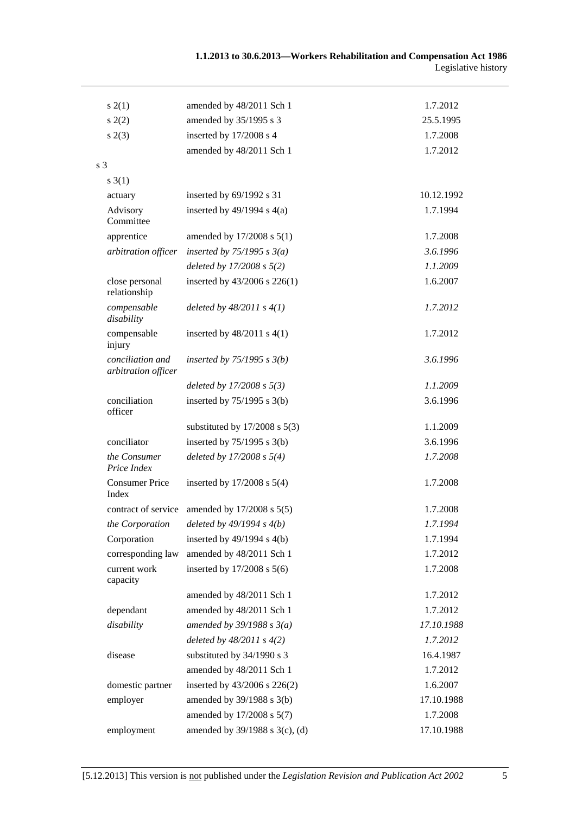| s(2(1))                                 | amended by 48/2011 Sch 1                          | 1.7.2012   |
|-----------------------------------------|---------------------------------------------------|------------|
| s(2)                                    | amended by 35/1995 s 3                            | 25.5.1995  |
| s(2(3))                                 | inserted by 17/2008 s 4                           | 1.7.2008   |
|                                         | amended by 48/2011 Sch 1                          | 1.7.2012   |
| s 3                                     |                                                   |            |
| $s \; 3(1)$                             |                                                   |            |
| actuary                                 | inserted by 69/1992 s 31                          | 10.12.1992 |
| Advisory<br>Committee                   | inserted by $49/1994$ s $4(a)$                    | 1.7.1994   |
| apprentice                              | amended by $17/2008$ s $5(1)$                     | 1.7.2008   |
| arbitration officer                     | inserted by $75/1995$ s $3(a)$                    | 3.6.1996   |
|                                         | deleted by $17/2008 s 5(2)$                       | 1.1.2009   |
| close personal<br>relationship          | inserted by 43/2006 s 226(1)                      | 1.6.2007   |
| compensable<br>disability               | deleted by $48/2011 s 4(1)$                       | 1.7.2012   |
| compensable<br>injury                   | inserted by $48/2011$ s $4(1)$                    | 1.7.2012   |
| conciliation and<br>arbitration officer | inserted by $75/1995$ s $3(b)$                    | 3.6.1996   |
|                                         | deleted by $17/2008 s 5(3)$                       | 1.1.2009   |
| conciliation<br>officer                 | inserted by $75/1995$ s 3(b)                      | 3.6.1996   |
|                                         | substituted by $17/2008$ s $5(3)$                 | 1.1.2009   |
| conciliator                             | inserted by $75/1995$ s 3(b)                      | 3.6.1996   |
| the Consumer<br>Price Index             | deleted by $17/2008 s 5(4)$                       | 1.7.2008   |
| <b>Consumer Price</b><br>Index          | inserted by $17/2008$ s $5(4)$                    | 1.7.2008   |
|                                         | contract of service amended by $17/2008$ s $5(5)$ | 1.7.2008   |
|                                         | the Corporation deleted by $49/1994 s 4(b)$       | 1.7.1994   |
| Corporation                             | inserted by $49/1994$ s $4(b)$                    | 1.7.1994   |
| corresponding law                       | amended by 48/2011 Sch 1                          | 1.7.2012   |
| current work<br>capacity                | inserted by $17/2008$ s $5(6)$                    | 1.7.2008   |
|                                         | amended by 48/2011 Sch 1                          | 1.7.2012   |
| dependant                               | amended by 48/2011 Sch 1                          | 1.7.2012   |
| disability                              | amended by $39/1988 s 3(a)$                       | 17.10.1988 |
|                                         | deleted by $48/2011 s 4(2)$                       | 1.7.2012   |
| disease                                 | substituted by 34/1990 s 3                        | 16.4.1987  |
|                                         | amended by 48/2011 Sch 1                          | 1.7.2012   |
| domestic partner                        | inserted by 43/2006 s 226(2)                      | 1.6.2007   |
| employer                                | amended by 39/1988 s 3(b)                         | 17.10.1988 |
|                                         | amended by 17/2008 s 5(7)                         | 1.7.2008   |
| employment                              | amended by 39/1988 s 3(c), (d)                    | 17.10.1988 |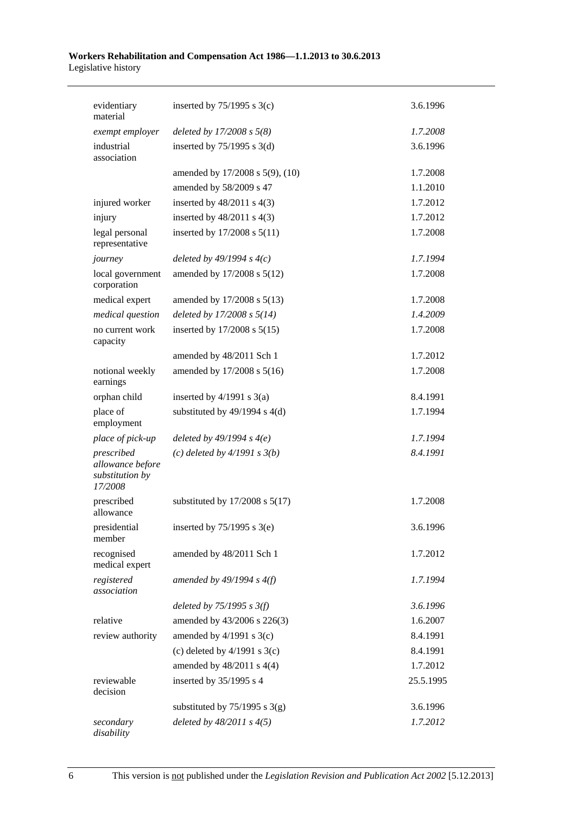#### **Workers Rehabilitation and Compensation Act 1986—1.1.2013 to 30.6.2013**  Legislative history

| evidentiary<br>material                                      | inserted by $75/1995$ s 3(c)       | 3.6.1996  |
|--------------------------------------------------------------|------------------------------------|-----------|
| exempt employer                                              | deleted by $17/2008 s 5(8)$        | 1.7.2008  |
| industrial<br>association                                    | inserted by $75/1995$ s 3(d)       | 3.6.1996  |
|                                                              | amended by 17/2008 s 5(9), (10)    | 1.7.2008  |
|                                                              | amended by 58/2009 s 47            | 1.1.2010  |
| injured worker                                               | inserted by $48/2011$ s $4(3)$     | 1.7.2012  |
| injury                                                       | inserted by $48/2011$ s $4(3)$     | 1.7.2012  |
| legal personal<br>representative                             | inserted by $17/2008$ s $5(11)$    | 1.7.2008  |
| journey                                                      | deleted by $49/1994 s 4(c)$        | 1.7.1994  |
| local government<br>corporation                              | amended by 17/2008 s 5(12)         | 1.7.2008  |
| medical expert                                               | amended by 17/2008 s 5(13)         | 1.7.2008  |
| medical question                                             | deleted by $17/2008 s 5(14)$       | 1.4.2009  |
| no current work<br>capacity                                  | inserted by $17/2008$ s $5(15)$    | 1.7.2008  |
|                                                              | amended by 48/2011 Sch 1           | 1.7.2012  |
| notional weekly<br>earnings                                  | amended by 17/2008 s 5(16)         | 1.7.2008  |
| orphan child                                                 | inserted by $4/1991$ s $3(a)$      | 8.4.1991  |
| place of<br>employment                                       | substituted by $49/1994$ s $4(d)$  | 1.7.1994  |
| place of pick-up                                             | deleted by $49/1994 s 4(e)$        | 1.7.1994  |
| prescribed<br>allowance before<br>substitution by<br>17/2008 | (c) deleted by $4/1991 s 3(b)$     | 8.4.1991  |
| prescribed<br>allowance                                      | substituted by $17/2008$ s $5(17)$ | 1.7.2008  |
| presidential<br>member                                       | inserted by $75/1995$ s $3(e)$     | 3.6.1996  |
| recognised<br>medical expert                                 | amended by 48/2011 Sch 1           | 1.7.2012  |
| registered<br>association                                    | amended by $49/1994 s 4(f)$        | 1.7.1994  |
|                                                              | deleted by $75/1995$ s $3(f)$      | 3.6.1996  |
| relative                                                     | amended by 43/2006 s 226(3)        | 1.6.2007  |
| review authority                                             | amended by $4/1991$ s $3(c)$       | 8.4.1991  |
|                                                              | (c) deleted by $4/1991$ s $3(c)$   | 8.4.1991  |
|                                                              | amended by $48/2011$ s $4(4)$      | 1.7.2012  |
| reviewable<br>decision                                       | inserted by 35/1995 s 4            | 25.5.1995 |
|                                                              | substituted by $75/1995$ s 3(g)    | 3.6.1996  |
| secondary<br>disability                                      | deleted by $48/2011 s 4(5)$        | 1.7.2012  |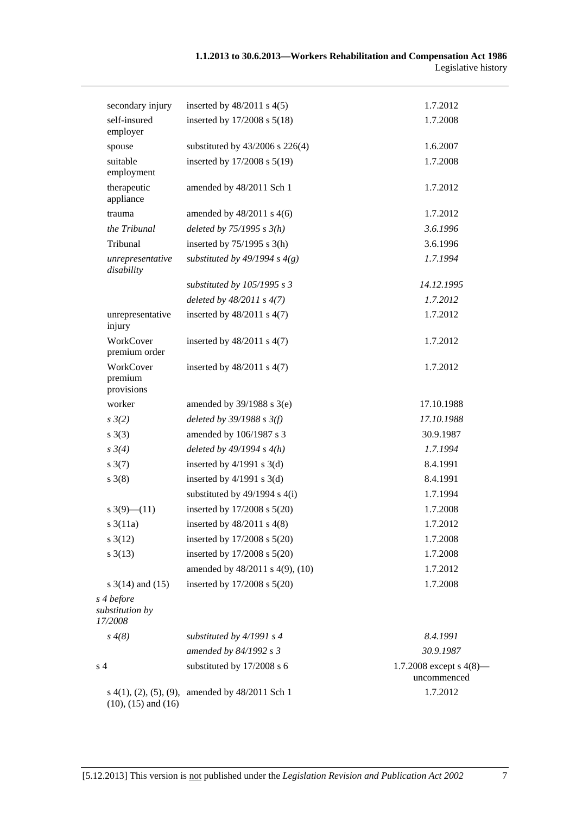| secondary injury                                     | inserted by $48/2011$ s $4(5)$    | 1.7.2012                                  |
|------------------------------------------------------|-----------------------------------|-------------------------------------------|
| self-insured<br>employer                             | inserted by 17/2008 s 5(18)       | 1.7.2008                                  |
| spouse                                               | substituted by 43/2006 s 226(4)   | 1.6.2007                                  |
| suitable<br>employment                               | inserted by 17/2008 s 5(19)       | 1.7.2008                                  |
| therapeutic<br>appliance                             | amended by 48/2011 Sch 1          | 1.7.2012                                  |
| trauma                                               | amended by $48/2011$ s $4(6)$     | 1.7.2012                                  |
| the Tribunal                                         | deleted by $75/1995 s 3(h)$       | 3.6.1996                                  |
| Tribunal                                             | inserted by $75/1995$ s 3(h)      | 3.6.1996                                  |
| unrepresentative<br>disability                       | substituted by 49/1994 s $4(g)$   | 1.7.1994                                  |
|                                                      | substituted by $105/1995 s 3$     | 14.12.1995                                |
|                                                      | deleted by $48/2011 s 4(7)$       | 1.7.2012                                  |
| unrepresentative<br>injury                           | inserted by $48/2011$ s $4(7)$    | 1.7.2012                                  |
| WorkCover<br>premium order                           | inserted by $48/2011$ s $4(7)$    | 1.7.2012                                  |
| WorkCover<br>premium<br>provisions                   | inserted by $48/2011$ s $4(7)$    | 1.7.2012                                  |
| worker                                               | amended by $39/1988$ s $3(e)$     | 17.10.1988                                |
| $s \frac{3}{2}$                                      | deleted by $39/1988$ s $3(f)$     | 17.10.1988                                |
| s(3)                                                 | amended by 106/1987 s 3           | 30.9.1987                                 |
| $s \, 3(4)$                                          | deleted by $49/1994 s 4(h)$       | 1.7.1994                                  |
| $s \frac{3(7)}{2}$                                   | inserted by $4/1991$ s $3(d)$     | 8.4.1991                                  |
| $s \; 3(8)$                                          | inserted by $4/1991$ s $3(d)$     | 8.4.1991                                  |
|                                                      | substituted by $49/1994$ s $4(i)$ | 1.7.1994                                  |
| $s \frac{3(9)-(11)}{2}$                              | inserted by 17/2008 s 5(20)       | 1.7.2008                                  |
| $s \frac{3(11a)}{2}$                                 | inserted by $48/2011$ s $4(8)$    | 1.7.2012                                  |
| $s \frac{3(12)}{2}$                                  | inserted by 17/2008 s 5(20)       | 1.7.2008                                  |
| $s \frac{3(13)}{2}$                                  | inserted by 17/2008 s 5(20)       | 1.7.2008                                  |
|                                                      | amended by 48/2011 s 4(9), (10)   | 1.7.2012                                  |
| s $3(14)$ and $(15)$                                 | inserted by 17/2008 s 5(20)       | 1.7.2008                                  |
| s 4 before<br>substitution by<br>17/2008             |                                   |                                           |
| $s \, 4(8)$                                          | substituted by $4/1991 s 4$       | 8.4.1991                                  |
|                                                      | amended by 84/1992 s 3            | 30.9.1987                                 |
| s <sub>4</sub>                                       | substituted by 17/2008 s 6        | 1.7.2008 except s $4(8)$ —<br>uncommenced |
| s(4(1), (2), (5), (9),<br>$(10)$ , $(15)$ and $(16)$ | amended by 48/2011 Sch 1          | 1.7.2012                                  |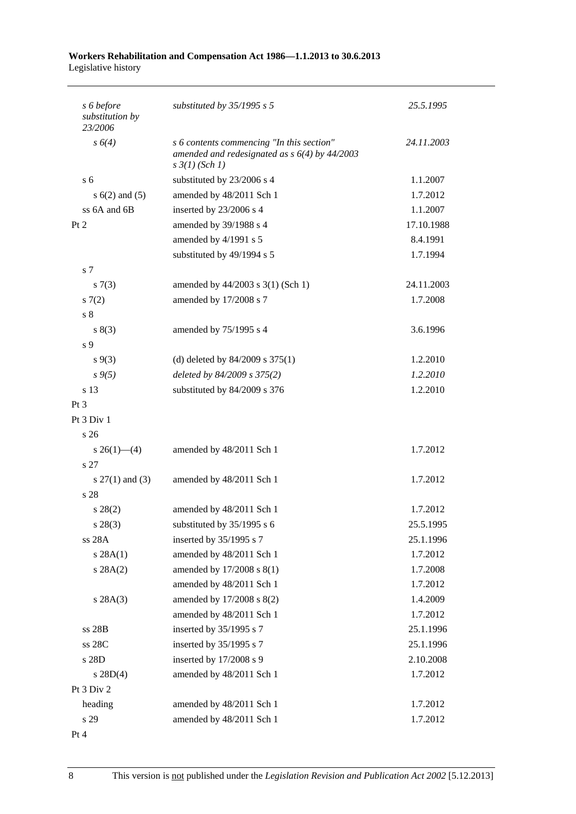#### **Workers Rehabilitation and Compensation Act 1986—1.1.2013 to 30.6.2013**  Legislative history

| s 6 before<br>substitution by<br>23/2006 | substituted by $35/1995$ s 5                                                                                            | 25.5.1995  |
|------------------------------------------|-------------------------------------------------------------------------------------------------------------------------|------------|
| s 6(4)                                   | s 6 contents commencing "In this section"<br>amended and redesignated as $s$ 6(4) by 44/2003<br>$s \frac{3}{1} (Sch 1)$ | 24.11.2003 |
| s <sub>6</sub>                           | substituted by 23/2006 s 4                                                                                              | 1.1.2007   |
| $s(6(2)$ and $(5)$                       | amended by 48/2011 Sch 1                                                                                                | 1.7.2012   |
| ss 6A and 6B                             | inserted by 23/2006 s 4                                                                                                 | 1.1.2007   |
| Pt 2                                     | amended by 39/1988 s 4                                                                                                  | 17.10.1988 |
|                                          | amended by 4/1991 s 5                                                                                                   | 8.4.1991   |
|                                          | substituted by 49/1994 s 5                                                                                              | 1.7.1994   |
| s 7                                      |                                                                                                                         |            |
| s(7(3))                                  | amended by 44/2003 s 3(1) (Sch 1)                                                                                       | 24.11.2003 |
| s(7(2)                                   | amended by 17/2008 s 7                                                                                                  | 1.7.2008   |
| s <sub>8</sub>                           |                                                                                                                         |            |
| s(3)                                     | amended by 75/1995 s 4                                                                                                  | 3.6.1996   |
| s 9                                      |                                                                                                                         |            |
| $s \, 9(3)$                              | (d) deleted by $84/2009$ s $375(1)$                                                                                     | 1.2.2010   |
| $s \, 9(5)$                              | deleted by 84/2009 s 375(2)                                                                                             | 1.2.2010   |
| s 13                                     | substituted by 84/2009 s 376                                                                                            | 1.2.2010   |
| Pt <sub>3</sub>                          |                                                                                                                         |            |
| Pt 3 Div 1                               |                                                                                                                         |            |
| s <sub>26</sub>                          |                                                                                                                         |            |
| $s \; 26(1)$ - (4)                       | amended by 48/2011 Sch 1                                                                                                | 1.7.2012   |
| s 27                                     |                                                                                                                         |            |
| s $27(1)$ and (3)                        | amended by 48/2011 Sch 1                                                                                                | 1.7.2012   |
| s 28                                     |                                                                                                                         |            |
| $s\,28(2)$                               | amended by 48/2011 Sch 1                                                                                                | 1.7.2012   |
| $s\,28(3)$                               | substituted by $35/1995$ s 6                                                                                            | 25.5.1995  |
| ss 28A                                   | inserted by 35/1995 s 7                                                                                                 | 25.1.1996  |
| s 28A(1)                                 | amended by 48/2011 Sch 1                                                                                                | 1.7.2012   |
| s 28A(2)                                 | amended by 17/2008 s 8(1)                                                                                               | 1.7.2008   |
|                                          | amended by 48/2011 Sch 1                                                                                                | 1.7.2012   |
| s 28A(3)                                 | amended by 17/2008 s 8(2)                                                                                               | 1.4.2009   |
|                                          | amended by 48/2011 Sch 1                                                                                                | 1.7.2012   |
| ss 28B                                   | inserted by 35/1995 s 7                                                                                                 | 25.1.1996  |
| ss 28C                                   | inserted by 35/1995 s 7                                                                                                 | 25.1.1996  |
| s 28D                                    | inserted by 17/2008 s 9                                                                                                 | 2.10.2008  |
| $s \, 28D(4)$                            | amended by 48/2011 Sch 1                                                                                                | 1.7.2012   |
| Pt 3 Div 2                               |                                                                                                                         |            |
| heading                                  | amended by 48/2011 Sch 1                                                                                                | 1.7.2012   |
| s 29                                     | amended by 48/2011 Sch 1                                                                                                | 1.7.2012   |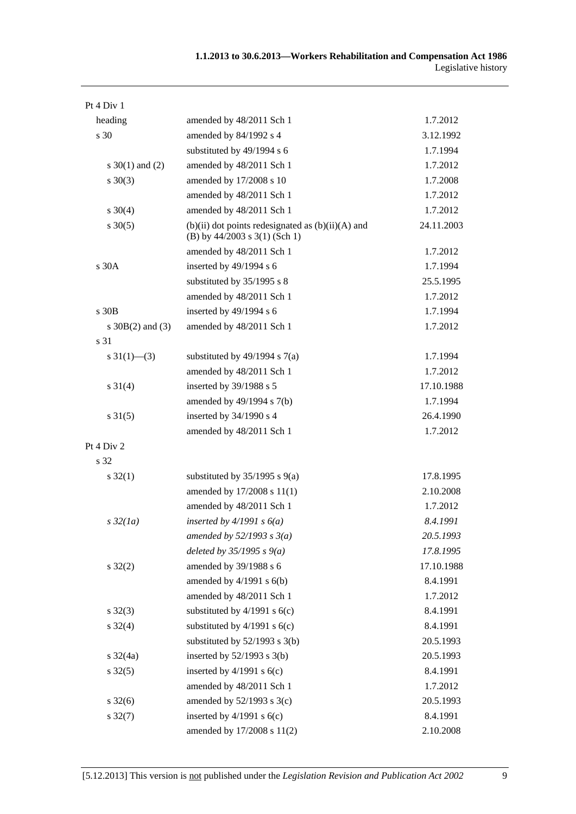| Pt 4 Div 1           |                                                                                            |            |
|----------------------|--------------------------------------------------------------------------------------------|------------|
| heading              | amended by 48/2011 Sch 1                                                                   | 1.7.2012   |
| s 30                 | amended by 84/1992 s 4                                                                     | 3.12.1992  |
|                      | substituted by 49/1994 s 6                                                                 | 1.7.1994   |
| s $30(1)$ and (2)    | amended by 48/2011 Sch 1                                                                   | 1.7.2012   |
| $s \ 30(3)$          | amended by 17/2008 s 10                                                                    | 1.7.2008   |
|                      | amended by 48/2011 Sch 1                                                                   | 1.7.2012   |
| $s \ 30(4)$          | amended by 48/2011 Sch 1                                                                   | 1.7.2012   |
| $s \ 30(5)$          | $(b)(ii)$ dot points redesignated as $(b)(ii)(A)$ and<br>(B) by $44/2003$ s $3(1)$ (Sch 1) | 24.11.2003 |
|                      | amended by 48/2011 Sch 1                                                                   | 1.7.2012   |
| s 30A                | inserted by 49/1994 s 6                                                                    | 1.7.1994   |
|                      | substituted by 35/1995 s 8                                                                 | 25.5.1995  |
|                      | amended by 48/2011 Sch 1                                                                   | 1.7.2012   |
| s 30B                | inserted by 49/1994 s 6                                                                    | 1.7.1994   |
| s $30B(2)$ and $(3)$ | amended by 48/2011 Sch 1                                                                   | 1.7.2012   |
| s 31                 |                                                                                            |            |
| s $31(1)$ - (3)      | substituted by $49/1994$ s $7(a)$                                                          | 1.7.1994   |
|                      | amended by 48/2011 Sch 1                                                                   | 1.7.2012   |
| $s \ 31(4)$          | inserted by 39/1988 s 5                                                                    | 17.10.1988 |
|                      | amended by 49/1994 s 7(b)                                                                  | 1.7.1994   |
| $s \, 31(5)$         | inserted by 34/1990 s 4                                                                    | 26.4.1990  |
|                      | amended by 48/2011 Sch 1                                                                   | 1.7.2012   |
| Pt 4 Div 2           |                                                                                            |            |
| s 32                 |                                                                                            |            |
| $s \, 32(1)$         | substituted by $35/1995$ s $9(a)$                                                          | 17.8.1995  |
|                      | amended by 17/2008 s 11(1)                                                                 | 2.10.2008  |
|                      | amended by 48/2011 Sch 1                                                                   | 1.7.2012   |
| $s\,32(1a)$          | inserted by $4/1991 s 6(a)$                                                                | 8.4.1991   |
|                      | amended by $52/1993$ s $3(a)$                                                              | 20.5.1993  |
|                      | deleted by $35/1995 s 9(a)$                                                                | 17.8.1995  |
| $s \, 32(2)$         | amended by 39/1988 s 6                                                                     | 17.10.1988 |
|                      | amended by $4/1991$ s $6(b)$                                                               | 8.4.1991   |
|                      | amended by 48/2011 Sch 1                                                                   | 1.7.2012   |
| $s \, 32(3)$         | substituted by $4/1991$ s $6(c)$                                                           | 8.4.1991   |
| $s \, 32(4)$         | substituted by $4/1991$ s $6(c)$                                                           | 8.4.1991   |
|                      | substituted by $52/1993$ s 3(b)                                                            | 20.5.1993  |
| $s \frac{32}{4a}$    | inserted by $52/1993$ s $3(b)$                                                             | 20.5.1993  |
| $s \, 32(5)$         | inserted by $4/1991$ s $6(c)$                                                              | 8.4.1991   |
|                      | amended by 48/2011 Sch 1                                                                   | 1.7.2012   |
| $s \frac{32(6)}{2}$  | amended by $52/1993$ s $3(c)$                                                              | 20.5.1993  |
| $s \, 32(7)$         | inserted by $4/1991$ s $6(c)$                                                              | 8.4.1991   |
|                      | amended by 17/2008 s 11(2)                                                                 | 2.10.2008  |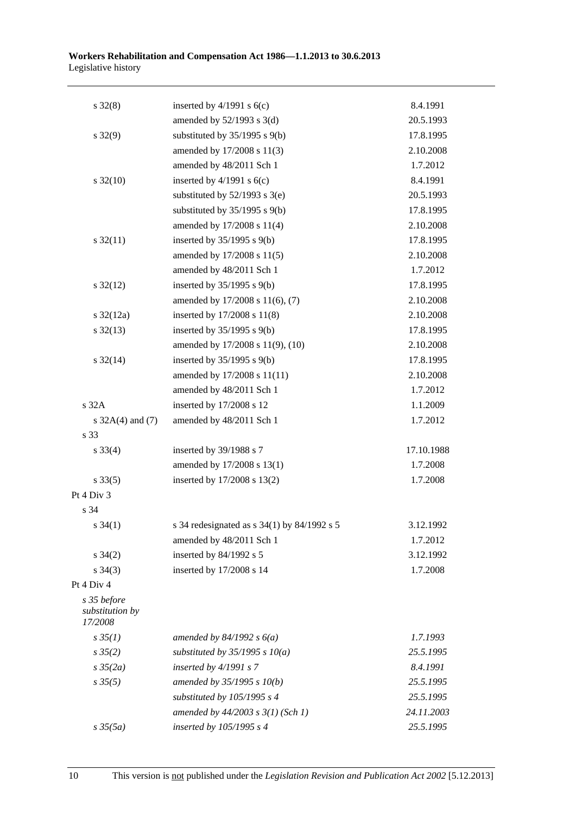| inserted by $4/1991$ s $6(c)$                   | 8.4.1991   |
|-------------------------------------------------|------------|
|                                                 |            |
| amended by $52/1993$ s $3(d)$                   | 20.5.1993  |
| substituted by $35/1995$ s $9(b)$               | 17.8.1995  |
| amended by 17/2008 s 11(3)                      | 2.10.2008  |
| amended by 48/2011 Sch 1                        | 1.7.2012   |
| inserted by $4/1991$ s $6(c)$                   | 8.4.1991   |
| substituted by $52/1993$ s $3(e)$               | 20.5.1993  |
| substituted by $35/1995$ s $9(b)$               | 17.8.1995  |
| amended by 17/2008 s 11(4)                      | 2.10.2008  |
| inserted by $35/1995$ s $9(b)$                  | 17.8.1995  |
| amended by 17/2008 s 11(5)                      | 2.10.2008  |
| amended by 48/2011 Sch 1                        | 1.7.2012   |
| inserted by $35/1995$ s $9(b)$                  | 17.8.1995  |
| amended by 17/2008 s 11(6), (7)                 | 2.10.2008  |
| inserted by 17/2008 s 11(8)                     | 2.10.2008  |
| inserted by $35/1995$ s $9(b)$                  | 17.8.1995  |
| amended by 17/2008 s 11(9), (10)                | 2.10.2008  |
| inserted by $35/1995$ s $9(b)$                  | 17.8.1995  |
| amended by 17/2008 s 11(11)                     | 2.10.2008  |
| amended by 48/2011 Sch 1                        | 1.7.2012   |
| inserted by 17/2008 s 12                        | 1.1.2009   |
| amended by 48/2011 Sch 1                        | 1.7.2012   |
|                                                 |            |
| inserted by 39/1988 s 7                         | 17.10.1988 |
| amended by 17/2008 s 13(1)                      | 1.7.2008   |
| inserted by 17/2008 s 13(2)                     | 1.7.2008   |
|                                                 |            |
|                                                 |            |
| s 34 redesignated as s $34(1)$ by $84/1992$ s 5 | 3.12.1992  |
| amended by 48/2011 Sch 1                        | 1.7.2012   |
| inserted by 84/1992 s 5                         | 3.12.1992  |
| inserted by 17/2008 s 14                        | 1.7.2008   |
|                                                 |            |
|                                                 |            |
| amended by $84/1992 s 6(a)$                     | 1.7.1993   |
| substituted by $35/1995$ s $10(a)$              | 25.5.1995  |
| inserted by $4/1991 s 7$                        | 8.4.1991   |
| amended by 35/1995 s 10(b)                      | 25.5.1995  |
| substituted by 105/1995 s 4                     | 25.5.1995  |
| amended by $44/2003$ s $3(1)$ (Sch 1)           | 24.11.2003 |
| inserted by 105/1995 s 4                        | 25.5.1995  |
|                                                 |            |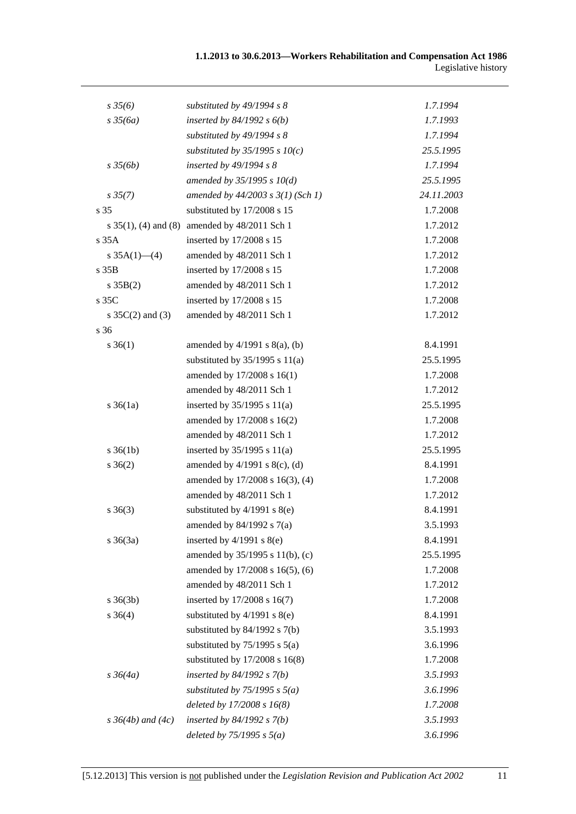| $s \frac{35}{6}$         | substituted by $49/1994 s 8$       | 1.7.1994   |
|--------------------------|------------------------------------|------------|
| $s \frac{35}{6a}$        | inserted by $84/1992 s 6(b)$       | 1.7.1993   |
|                          | substituted by 49/1994 s 8         | 1.7.1994   |
|                          | substituted by $35/1995 s 10(c)$   | 25.5.1995  |
| $s \frac{35}{6b}$        | inserted by $49/1994 s 8$          | 1.7.1994   |
|                          | amended by $35/1995 s 10(d)$       | 25.5.1995  |
| $s \, 35(7)$             | amended by 44/2003 s 3(1) (Sch 1)  | 24.11.2003 |
| s 35                     | substituted by 17/2008 s 15        | 1.7.2008   |
| s $35(1)$ , (4) and (8)  | amended by 48/2011 Sch 1           | 1.7.2012   |
| s 35A                    | inserted by 17/2008 s 15           | 1.7.2008   |
| s $35A(1)$ - (4)         | amended by 48/2011 Sch 1           | 1.7.2012   |
| s 35B                    | inserted by 17/2008 s 15           | 1.7.2008   |
| s 35B(2)                 | amended by 48/2011 Sch 1           | 1.7.2012   |
| $s$ 35 $C$               | inserted by 17/2008 s 15           | 1.7.2008   |
| s $35C(2)$ and $(3)$     | amended by 48/2011 Sch 1           | 1.7.2012   |
| s 36                     |                                    |            |
| $s \; 36(1)$             | amended by $4/1991$ s $8(a)$ , (b) | 8.4.1991   |
|                          | substituted by $35/1995$ s $11(a)$ | 25.5.1995  |
|                          | amended by 17/2008 s 16(1)         | 1.7.2008   |
|                          | amended by 48/2011 Sch 1           | 1.7.2012   |
| $s \, 36(1a)$            | inserted by $35/1995$ s $11(a)$    | 25.5.1995  |
|                          | amended by 17/2008 s 16(2)         | 1.7.2008   |
|                          | amended by 48/2011 Sch 1           | 1.7.2012   |
| $s \, 36(1b)$            | inserted by $35/1995$ s $11(a)$    | 25.5.1995  |
| $s \; 36(2)$             | amended by $4/1991$ s $8(c)$ , (d) | 8.4.1991   |
|                          | amended by 17/2008 s 16(3), (4)    | 1.7.2008   |
|                          | amended by 48/2011 Sch 1           | 1.7.2012   |
| $s \; 36(3)$             | substituted by $4/1991$ s $8(e)$   | 8.4.1991   |
|                          | amended by $84/1992$ s $7(a)$      | 3.5.1993   |
| $s \; 36(3a)$            | inserted by $4/1991$ s $8(e)$      | 8.4.1991   |
|                          | amended by 35/1995 s 11(b), (c)    | 25.5.1995  |
|                          | amended by 17/2008 s 16(5), (6)    | 1.7.2008   |
|                          | amended by 48/2011 Sch 1           | 1.7.2012   |
| $s \; 36(3b)$            | inserted by 17/2008 s 16(7)        | 1.7.2008   |
| $s \; 36(4)$             | substituted by $4/1991$ s $8(e)$   | 8.4.1991   |
|                          | substituted by $84/1992$ s $7(b)$  | 3.5.1993   |
|                          | substituted by $75/1995$ s $5(a)$  | 3.6.1996   |
|                          | substituted by $17/2008$ s $16(8)$ | 1.7.2008   |
| $s \frac{36}{4a}$        | inserted by $84/1992$ s $7(b)$     | 3.5.1993   |
|                          | substituted by $75/1995$ s $5(a)$  | 3.6.1996   |
|                          | deleted by 17/2008 s 16(8)         | 1.7.2008   |
| $s \, 36(4b)$ and $(4c)$ | inserted by $84/1992 s 7(b)$       | 3.5.1993   |
|                          | deleted by $75/1995$ s $5(a)$      | 3.6.1996   |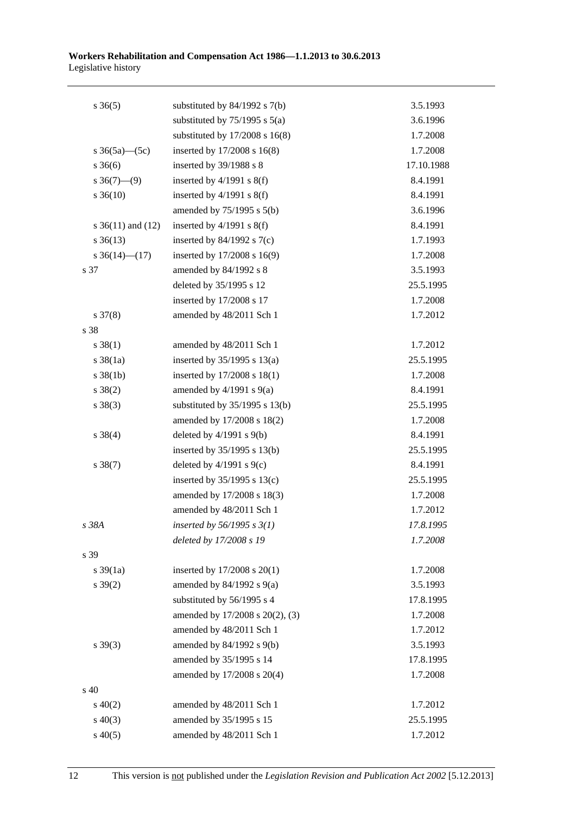| $s \; 36(5)$          | substituted by $84/1992$ s $7(b)$  | 3.5.1993   |
|-----------------------|------------------------------------|------------|
|                       | substituted by $75/1995$ s $5(a)$  | 3.6.1996   |
|                       | substituted by $17/2008$ s $16(8)$ | 1.7.2008   |
| s $36(5a)$ (5c)       | inserted by 17/2008 s 16(8)        | 1.7.2008   |
| $s \; 36(6)$          | inserted by 39/1988 s 8            | 17.10.1988 |
| $s \ 36(7)$ —(9)      | inserted by $4/1991$ s $8(f)$      | 8.4.1991   |
| $s \, 36(10)$         | inserted by $4/1991$ s $8(f)$      | 8.4.1991   |
|                       | amended by $75/1995$ s $5(b)$      | 3.6.1996   |
| s $36(11)$ and $(12)$ | inserted by $4/1991$ s $8(f)$      | 8.4.1991   |
| $s \, 36(13)$         | inserted by $84/1992$ s $7(c)$     | 1.7.1993   |
| s $36(14)$ (17)       | inserted by 17/2008 s 16(9)        | 1.7.2008   |
| s 37                  | amended by 84/1992 s 8             | 3.5.1993   |
|                       | deleted by 35/1995 s 12            | 25.5.1995  |
|                       | inserted by 17/2008 s 17           | 1.7.2008   |
| $s \frac{37(8)}{2}$   | amended by 48/2011 Sch 1           | 1.7.2012   |
| s 38                  |                                    |            |
| $s \ 38(1)$           | amended by 48/2011 Sch 1           | 1.7.2012   |
| $s \frac{38}{1a}$     | inserted by $35/1995$ s $13(a)$    | 25.5.1995  |
| $s \, 38(1b)$         | inserted by 17/2008 s 18(1)        | 1.7.2008   |
| $s \ 38(2)$           | amended by $4/1991$ s $9(a)$       | 8.4.1991   |
| $s \ 38(3)$           | substituted by $35/1995$ s $13(b)$ | 25.5.1995  |
|                       | amended by 17/2008 s 18(2)         | 1.7.2008   |
| $s \ 38(4)$           | deleted by $4/1991$ s $9(b)$       | 8.4.1991   |
|                       | inserted by 35/1995 s 13(b)        | 25.5.1995  |
| $s \ 38(7)$           | deleted by $4/1991$ s $9(c)$       | 8.4.1991   |
|                       | inserted by $35/1995$ s $13(c)$    | 25.5.1995  |
|                       | amended by 17/2008 s 18(3)         | 1.7.2008   |
|                       | amended by 48/2011 Sch 1           | 1.7.2012   |
| s 38A                 | inserted by $56/1995 s 3(1)$       | 17.8.1995  |
|                       | deleted by 17/2008 s 19            | 1.7.2008   |
| s 39                  |                                    |            |
| $s \frac{39}{1a}$     | inserted by 17/2008 s 20(1)        | 1.7.2008   |
| $s \, 39(2)$          | amended by $84/1992$ s $9(a)$      | 3.5.1993   |
|                       | substituted by 56/1995 s 4         | 17.8.1995  |
|                       | amended by 17/2008 s 20(2), (3)    | 1.7.2008   |
|                       | amended by 48/2011 Sch 1           | 1.7.2012   |
| $s \, 39(3)$          | amended by 84/1992 s 9(b)          | 3.5.1993   |
|                       | amended by 35/1995 s 14            | 17.8.1995  |
|                       | amended by 17/2008 s 20(4)         | 1.7.2008   |
| s 40                  |                                    |            |
| $s\ 40(2)$            | amended by 48/2011 Sch 1           | 1.7.2012   |
| $s\ 40(3)$            | amended by 35/1995 s 15            | 25.5.1995  |
| $s\,40(5)$            | amended by 48/2011 Sch 1           | 1.7.2012   |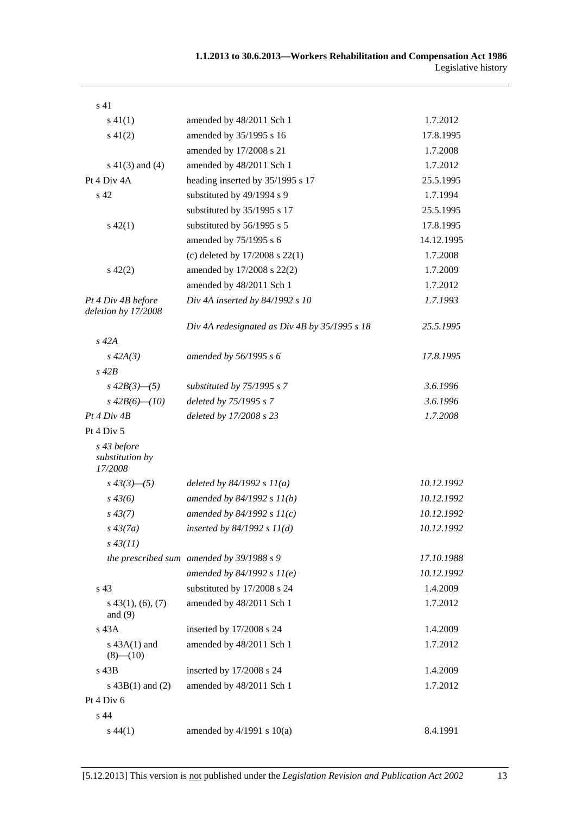| s <sub>41</sub>                           |                                               |            |
|-------------------------------------------|-----------------------------------------------|------------|
| $s\ 41(1)$                                | amended by 48/2011 Sch 1                      | 1.7.2012   |
| $s\ 41(2)$                                | amended by 35/1995 s 16                       | 17.8.1995  |
|                                           | amended by 17/2008 s 21                       | 1.7.2008   |
| $s\ 41(3)$ and (4)                        | amended by 48/2011 Sch 1                      | 1.7.2012   |
| Pt 4 Div 4A                               | heading inserted by 35/1995 s 17              | 25.5.1995  |
| s 42                                      | substituted by 49/1994 s 9                    | 1.7.1994   |
|                                           | substituted by 35/1995 s 17                   | 25.5.1995  |
| $s\ 42(1)$                                | substituted by 56/1995 s 5                    | 17.8.1995  |
|                                           | amended by 75/1995 s 6                        | 14.12.1995 |
|                                           | (c) deleted by $17/2008$ s $22(1)$            | 1.7.2008   |
| $s\ 42(2)$                                | amended by 17/2008 s 22(2)                    | 1.7.2009   |
|                                           | amended by 48/2011 Sch 1                      | 1.7.2012   |
| Pt 4 Div 4B before<br>deletion by 17/2008 | Div 4A inserted by $84/1992 s 10$             | 1.7.1993   |
|                                           | Div 4A redesignated as Div 4B by 35/1995 s 18 | 25.5.1995  |
| $s$ 42 $A$                                |                                               |            |
| $s\,42A(3)$                               | amended by 56/1995 s 6                        | 17.8.1995  |
| $s$ 42 $B$                                |                                               |            |
| $s\,42B(3)$ —(5)                          | substituted by $75/1995$ s $7$                | 3.6.1996   |
| $s\,42B(6)$ - (10)                        | deleted by 75/1995 s 7                        | 3.6.1996   |
| Pt 4 Div 4B                               | deleted by 17/2008 s 23                       | 1.7.2008   |
| Pt $4$ Div $5$                            |                                               |            |
| s 43 before<br>substitution by<br>17/2008 |                                               |            |
| $s\,43(3)$ - (5)                          | deleted by $84/1992 s 11(a)$                  | 10.12.1992 |
| $s\,43(6)$                                | amended by $84/1992 s 11(b)$                  | 10.12.1992 |
| $s\,43(7)$                                | amended by $84/1992 s 11(c)$                  | 10.12.1992 |
| $s\,43(7a)$                               | inserted by $84/1992 s 11(d)$                 | 10.12.1992 |
| $s\,43(11)$                               |                                               |            |
|                                           | the prescribed sum amended by 39/1988 s 9     | 17.10.1988 |
|                                           | amended by $84/1992 s 11(e)$                  | 10.12.1992 |
| s 43                                      | substituted by 17/2008 s 24                   | 1.4.2009   |
| $s$ 43(1), (6), (7)<br>and $(9)$          | amended by 48/2011 Sch 1                      | 1.7.2012   |
| $s$ 43 $A$                                | inserted by 17/2008 s 24                      | 1.4.2009   |
| $s$ 43A(1) and<br>$(8)$ - $(10)$          | amended by 48/2011 Sch 1                      | 1.7.2012   |
| s 43B                                     | inserted by 17/2008 s 24                      | 1.4.2009   |
| s $43B(1)$ and $(2)$                      | amended by 48/2011 Sch 1                      | 1.7.2012   |
| Pt $4$ Div $6$                            |                                               |            |
| s 44                                      |                                               |            |
| $s\,44(1)$                                | amended by $4/1991$ s $10(a)$                 | 8.4.1991   |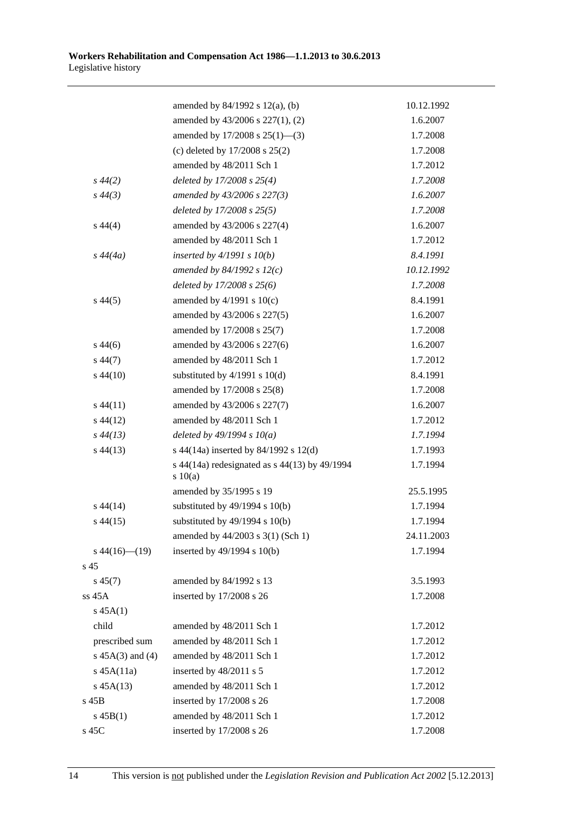|                      | amended by $84/1992$ s $12(a)$ , (b)                     | 10.12.1992 |
|----------------------|----------------------------------------------------------|------------|
|                      | amended by 43/2006 s 227(1), (2)                         | 1.6.2007   |
|                      | amended by 17/2008 s 25(1)-(3)                           | 1.7.2008   |
|                      | (c) deleted by $17/2008$ s $25(2)$                       | 1.7.2008   |
|                      | amended by 48/2011 Sch 1                                 | 1.7.2012   |
| $s\,44(2)$           | deleted by $17/2008 s 25(4)$                             | 1.7.2008   |
| $s\,44(3)$           | amended by 43/2006 s 227(3)                              | 1.6.2007   |
|                      | deleted by 17/2008 s 25(5)                               | 1.7.2008   |
| $s\,44(4)$           | amended by 43/2006 s 227(4)                              | 1.6.2007   |
|                      | amended by 48/2011 Sch 1                                 | 1.7.2012   |
| $s\,44(4a)$          | inserted by $4/1991 s 10(b)$                             | 8.4.1991   |
|                      | amended by $84/1992 s 12(c)$                             | 10.12.1992 |
|                      | deleted by $17/2008$ s $25(6)$                           | 1.7.2008   |
| $s\,44(5)$           | amended by $4/1991$ s $10(c)$                            | 8.4.1991   |
|                      | amended by 43/2006 s 227(5)                              | 1.6.2007   |
|                      | amended by 17/2008 s 25(7)                               | 1.7.2008   |
| $s\,44(6)$           | amended by 43/2006 s 227(6)                              | 1.6.2007   |
| $s\,44(7)$           | amended by 48/2011 Sch 1                                 | 1.7.2012   |
| $s\,44(10)$          | substituted by $4/1991$ s $10(d)$                        | 8.4.1991   |
|                      | amended by 17/2008 s 25(8)                               | 1.7.2008   |
| $s\,44(11)$          | amended by 43/2006 s 227(7)                              | 1.6.2007   |
| $s\,44(12)$          | amended by 48/2011 Sch 1                                 | 1.7.2012   |
| $s\,44(13)$          | deleted by $49/1994 s 10(a)$                             | 1.7.1994   |
| $s\,44(13)$          | s 44(14a) inserted by 84/1992 s 12(d)                    | 1.7.1993   |
|                      | s 44(14a) redesignated as $s$ 44(13) by 49/1994<br>10(a) | 1.7.1994   |
|                      | amended by 35/1995 s 19                                  | 25.5.1995  |
| $s\,44(14)$          | substituted by $49/1994$ s $10(b)$                       | 1.7.1994   |
| $s\,44(15)$          | substituted by $49/1994$ s $10(b)$                       | 1.7.1994   |
|                      | amended by 44/2003 s 3(1) (Sch 1)                        | 24.11.2003 |
| $s\,44(16)$ (19)     | inserted by 49/1994 s 10(b)                              | 1.7.1994   |
| s 45                 |                                                          |            |
| $s\,45(7)$           | amended by 84/1992 s 13                                  | 3.5.1993   |
| ss 45A               | inserted by 17/2008 s 26                                 | 1.7.2008   |
| $s\,45A(1)$          |                                                          |            |
| child                | amended by 48/2011 Sch 1                                 | 1.7.2012   |
| prescribed sum       | amended by 48/2011 Sch 1                                 | 1.7.2012   |
| s $45A(3)$ and $(4)$ | amended by 48/2011 Sch 1                                 | 1.7.2012   |
| $s$ 45A $(11a)$      | inserted by 48/2011 s 5                                  | 1.7.2012   |
| $s\,45A(13)$         | amended by 48/2011 Sch 1                                 | 1.7.2012   |
| $s$ 45 $B$           | inserted by 17/2008 s 26                                 | 1.7.2008   |
| $s\,45B(1)$          | amended by 48/2011 Sch 1                                 | 1.7.2012   |
| s 45C                | inserted by 17/2008 s 26                                 | 1.7.2008   |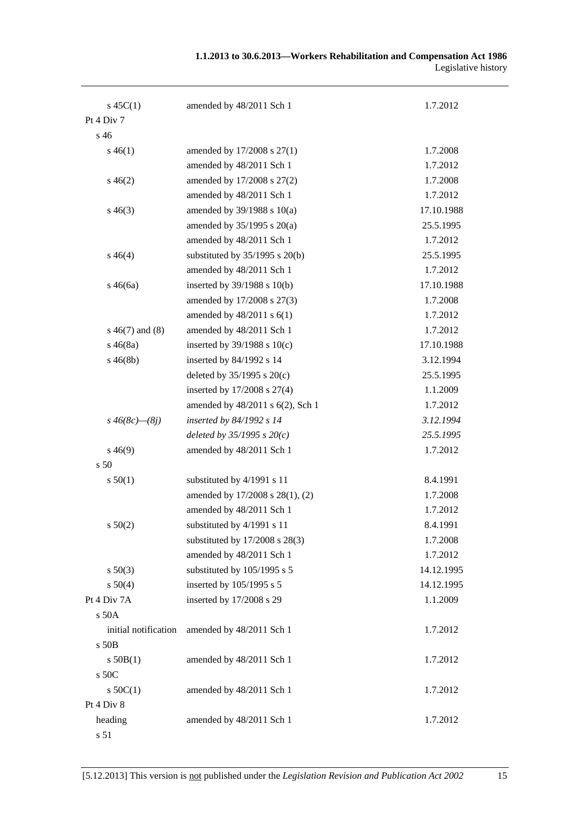| $s\,45C(1)$          | amended by 48/2011 Sch 1           | 1.7.2012   |
|----------------------|------------------------------------|------------|
| Pt 4 Div 7           |                                    |            |
| s <sub>46</sub>      |                                    |            |
| $s\,46(1)$           | amended by 17/2008 s 27(1)         | 1.7.2008   |
|                      | amended by 48/2011 Sch 1           | 1.7.2012   |
| $s\,46(2)$           | amended by 17/2008 s 27(2)         | 1.7.2008   |
|                      | amended by 48/2011 Sch 1           | 1.7.2012   |
| $s\,46(3)$           | amended by $39/1988$ s $10(a)$     | 17.10.1988 |
|                      | amended by $35/1995$ s $20(a)$     | 25.5.1995  |
|                      | amended by 48/2011 Sch 1           | 1.7.2012   |
| $s\,46(4)$           | substituted by $35/1995$ s $20(b)$ | 25.5.1995  |
|                      | amended by 48/2011 Sch 1           | 1.7.2012   |
| $s\,46(6a)$          | inserted by 39/1988 s 10(b)        | 17.10.1988 |
|                      | amended by 17/2008 s 27(3)         | 1.7.2008   |
|                      | amended by 48/2011 s 6(1)          | 1.7.2012   |
| $s\ 46(7)$ and $(8)$ | amended by 48/2011 Sch 1           | 1.7.2012   |
| $s\,46(8a)$          | inserted by $39/1988$ s $10(c)$    | 17.10.1988 |
| $s\,46(8b)$          | inserted by 84/1992 s 14           | 3.12.1994  |
|                      | deleted by $35/1995$ s $20(c)$     | 25.5.1995  |
|                      | inserted by 17/2008 s 27(4)        | 1.1.2009   |
|                      | amended by 48/2011 s 6(2), Sch 1   | 1.7.2012   |
| $s\,46(8c) - (8j)$   | inserted by 84/1992 s 14           | 3.12.1994  |
|                      | deleted by $35/1995 s 20(c)$       | 25.5.1995  |
| $s\,46(9)$           | amended by 48/2011 Sch 1           | 1.7.2012   |
| s <sub>50</sub>      |                                    |            |
| s 50(1)              | substituted by 4/1991 s 11         | 8.4.1991   |
|                      | amended by 17/2008 s 28(1), (2)    | 1.7.2008   |
|                      | amended by 48/2011 Sch 1           | 1.7.2012   |
| s 50(2)              | substituted by 4/1991 s 11         | 8.4.1991   |
|                      | substituted by 17/2008 s 28(3)     | 1.7.2008   |
|                      | amended by 48/2011 Sch 1           | 1.7.2012   |
| $s\ 50(3)$           | substituted by 105/1995 s 5        | 14.12.1995 |
| s 50(4)              | inserted by 105/1995 s 5           | 14.12.1995 |
| Pt 4 Div 7A          | inserted by 17/2008 s 29           | 1.1.2009   |
| s 50A                |                                    |            |
| initial notification | amended by 48/2011 Sch 1           | 1.7.2012   |
| s 50B                |                                    |            |
| s 50B(1)             | amended by 48/2011 Sch 1           | 1.7.2012   |
| s 50C                |                                    |            |
| $s$ 50C(1)           | amended by 48/2011 Sch 1           | 1.7.2012   |
| Pt 4 Div 8           |                                    |            |
| heading              | amended by 48/2011 Sch 1           | 1.7.2012   |

s 51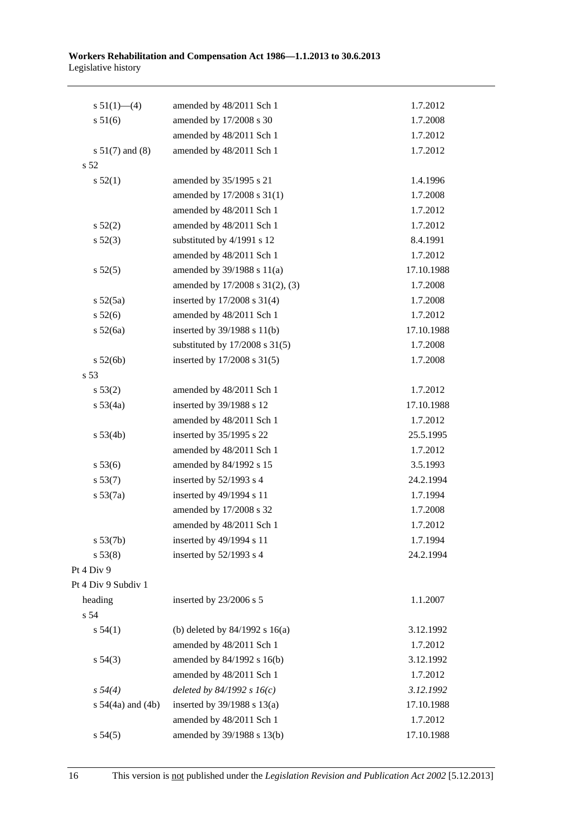| s $51(1)$ —(4)        | amended by 48/2011 Sch 1           | 1.7.2012   |
|-----------------------|------------------------------------|------------|
| s 51(6)               | amended by 17/2008 s 30            | 1.7.2008   |
|                       | amended by 48/2011 Sch 1           | 1.7.2012   |
| $s 51(7)$ and (8)     | amended by 48/2011 Sch 1           | 1.7.2012   |
| s 52                  |                                    |            |
| s 52(1)               | amended by 35/1995 s 21            | 1.4.1996   |
|                       | amended by 17/2008 s 31(1)         | 1.7.2008   |
|                       | amended by 48/2011 Sch 1           | 1.7.2012   |
| s 52(2)               | amended by 48/2011 Sch 1           | 1.7.2012   |
| $s\,52(3)$            | substituted by 4/1991 s 12         | 8.4.1991   |
|                       | amended by 48/2011 Sch 1           | 1.7.2012   |
| s 52(5)               | amended by 39/1988 s 11(a)         | 17.10.1988 |
|                       | amended by 17/2008 s 31(2), (3)    | 1.7.2008   |
| s 52(5a)              | inserted by 17/2008 s 31(4)        | 1.7.2008   |
| $s\,52(6)$            | amended by 48/2011 Sch 1           | 1.7.2012   |
| s 52(6a)              | inserted by 39/1988 s 11(b)        | 17.10.1988 |
|                       | substituted by $17/2008$ s $31(5)$ | 1.7.2008   |
| s 52(6b)              | inserted by 17/2008 s 31(5)        | 1.7.2008   |
| s 53                  |                                    |            |
| s 53(2)               | amended by 48/2011 Sch 1           | 1.7.2012   |
| s 53(4a)              | inserted by 39/1988 s 12           | 17.10.1988 |
|                       | amended by 48/2011 Sch 1           | 1.7.2012   |
| s 53(4b)              | inserted by 35/1995 s 22           | 25.5.1995  |
|                       | amended by 48/2011 Sch 1           | 1.7.2012   |
| s 53(6)               | amended by 84/1992 s 15            | 3.5.1993   |
| s 53(7)               | inserted by $52/1993$ s 4          | 24.2.1994  |
| s 53(7a)              | inserted by 49/1994 s 11           | 1.7.1994   |
|                       | amended by 17/2008 s 32            | 1.7.2008   |
|                       | amended by 48/2011 Sch 1           | 1.7.2012   |
| s 53(7b)              | inserted by 49/1994 s 11           | 1.7.1994   |
| s 53(8)               | inserted by 52/1993 s 4            | 24.2.1994  |
| Pt 4 Div 9            |                                    |            |
| Pt 4 Div 9 Subdiv 1   |                                    |            |
| heading               | inserted by 23/2006 s 5            | 1.1.2007   |
| s 54                  |                                    |            |
| s 54(1)               | (b) deleted by $84/1992$ s $16(a)$ | 3.12.1992  |
|                       | amended by 48/2011 Sch 1           | 1.7.2012   |
| $s\,54(3)$            | amended by 84/1992 s 16(b)         | 3.12.1992  |
|                       | amended by 48/2011 Sch 1           | 1.7.2012   |
| $s\,54(4)$            | deleted by $84/1992 s 16(c)$       | 3.12.1992  |
| s $54(4a)$ and $(4b)$ | inserted by $39/1988$ s $13(a)$    | 17.10.1988 |
|                       | amended by 48/2011 Sch 1           | 1.7.2012   |
| s 54(5)               | amended by 39/1988 s 13(b)         | 17.10.1988 |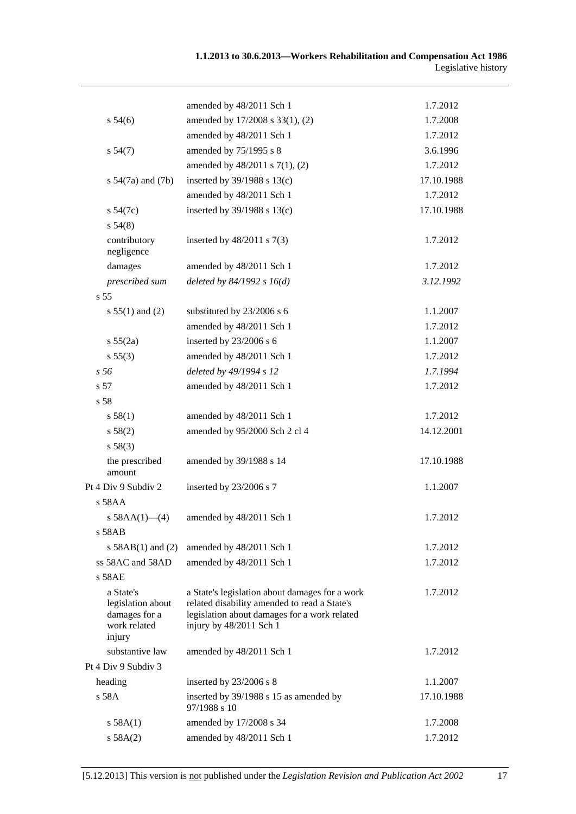|                                                                           | amended by 48/2011 Sch 1                                                                                                                                                  | 1.7.2012   |
|---------------------------------------------------------------------------|---------------------------------------------------------------------------------------------------------------------------------------------------------------------------|------------|
| $s\,54(6)$                                                                | amended by 17/2008 s 33(1), (2)                                                                                                                                           | 1.7.2008   |
|                                                                           | amended by 48/2011 Sch 1                                                                                                                                                  | 1.7.2012   |
| s 54(7)                                                                   | amended by 75/1995 s 8                                                                                                                                                    | 3.6.1996   |
|                                                                           | amended by 48/2011 s 7(1), (2)                                                                                                                                            | 1.7.2012   |
| s $54(7a)$ and $(7b)$                                                     | inserted by $39/1988$ s $13(c)$                                                                                                                                           | 17.10.1988 |
|                                                                           | amended by 48/2011 Sch 1                                                                                                                                                  | 1.7.2012   |
| $s\,54(7c)$                                                               | inserted by $39/1988$ s $13(c)$                                                                                                                                           | 17.10.1988 |
| s 54(8)                                                                   |                                                                                                                                                                           |            |
| contributory<br>negligence                                                | inserted by $48/2011$ s $7(3)$                                                                                                                                            | 1.7.2012   |
| damages                                                                   | amended by 48/2011 Sch 1                                                                                                                                                  | 1.7.2012   |
| prescribed sum                                                            | deleted by $84/1992 s 16(d)$                                                                                                                                              | 3.12.1992  |
| s <sub>55</sub>                                                           |                                                                                                                                                                           |            |
| $s 55(1)$ and (2)                                                         | substituted by 23/2006 s 6                                                                                                                                                | 1.1.2007   |
|                                                                           | amended by 48/2011 Sch 1                                                                                                                                                  | 1.7.2012   |
| s 55(2a)                                                                  | inserted by 23/2006 s 6                                                                                                                                                   | 1.1.2007   |
| s 55(3)                                                                   | amended by 48/2011 Sch 1                                                                                                                                                  | 1.7.2012   |
| s <sub>56</sub>                                                           | deleted by 49/1994 s 12                                                                                                                                                   | 1.7.1994   |
| s 57                                                                      | amended by 48/2011 Sch 1                                                                                                                                                  | 1.7.2012   |
| s <sub>58</sub>                                                           |                                                                                                                                                                           |            |
| s 58(1)                                                                   | amended by 48/2011 Sch 1                                                                                                                                                  | 1.7.2012   |
| s 58(2)                                                                   | amended by 95/2000 Sch 2 cl 4                                                                                                                                             | 14.12.2001 |
| s 58(3)                                                                   |                                                                                                                                                                           |            |
| the prescribed<br>amount                                                  | amended by 39/1988 s 14                                                                                                                                                   | 17.10.1988 |
| Pt 4 Div 9 Subdiv 2                                                       | inserted by 23/2006 s 7                                                                                                                                                   | 1.1.2007   |
| s 58AA                                                                    |                                                                                                                                                                           |            |
| s $58AA(1)$ - (4)                                                         | amended by 48/2011 Sch 1                                                                                                                                                  | 1.7.2012   |
| $s$ 58AB                                                                  |                                                                                                                                                                           |            |
| s $58AB(1)$ and $(2)$                                                     | amended by 48/2011 Sch 1                                                                                                                                                  | 1.7.2012   |
| ss 58AC and 58AD                                                          | amended by 48/2011 Sch 1                                                                                                                                                  | 1.7.2012   |
| $s$ 58AE                                                                  |                                                                                                                                                                           |            |
| a State's<br>legislation about<br>damages for a<br>work related<br>injury | a State's legislation about damages for a work<br>related disability amended to read a State's<br>legislation about damages for a work related<br>injury by 48/2011 Sch 1 | 1.7.2012   |
| substantive law                                                           | amended by 48/2011 Sch 1                                                                                                                                                  | 1.7.2012   |
| Pt 4 Div 9 Subdiv 3                                                       |                                                                                                                                                                           |            |
| heading                                                                   | inserted by 23/2006 s 8                                                                                                                                                   | 1.1.2007   |
| s 58A                                                                     | inserted by 39/1988 s 15 as amended by<br>97/1988 s 10                                                                                                                    | 17.10.1988 |
| s 58A(1)                                                                  | amended by 17/2008 s 34                                                                                                                                                   | 1.7.2008   |
| s 58A(2)                                                                  | amended by 48/2011 Sch 1                                                                                                                                                  | 1.7.2012   |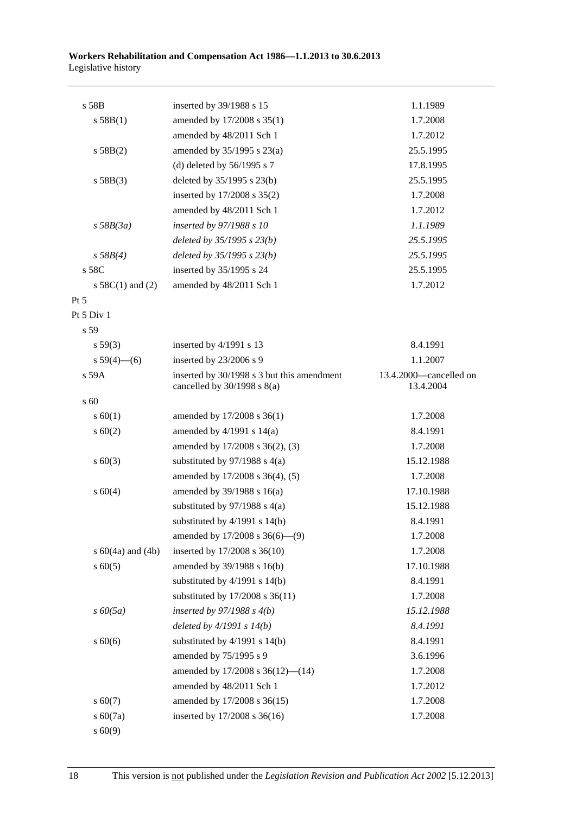| s 58B                 | inserted by 39/1988 s 15                                                      | 1.1.1989                            |
|-----------------------|-------------------------------------------------------------------------------|-------------------------------------|
| s 58B(1)              | amended by 17/2008 s 35(1)                                                    | 1.7.2008                            |
|                       | amended by 48/2011 Sch 1                                                      | 1.7.2012                            |
| s 58B(2)              | amended by 35/1995 s 23(a)                                                    | 25.5.1995                           |
|                       | (d) deleted by $56/1995$ s 7                                                  | 17.8.1995                           |
| s 58B(3)              | deleted by $35/1995$ s $23(b)$                                                | 25.5.1995                           |
|                       | inserted by 17/2008 s 35(2)                                                   | 1.7.2008                            |
|                       | amended by 48/2011 Sch 1                                                      | 1.7.2012                            |
| $s$ 58B(3a)           | inserted by 97/1988 s 10                                                      | 1.1.1989                            |
|                       | deleted by $35/1995 s 23(b)$                                                  | 25.5.1995                           |
| s 58B(4)              | deleted by $35/1995 s 23(b)$                                                  | 25.5.1995                           |
| s 58C                 | inserted by 35/1995 s 24                                                      | 25.5.1995                           |
| s $58C(1)$ and $(2)$  | amended by 48/2011 Sch 1                                                      | 1.7.2012                            |
| $Pt\,5$               |                                                                               |                                     |
| Pt 5 Div 1            |                                                                               |                                     |
| s 59                  |                                                                               |                                     |
| s 59(3)               | inserted by 4/1991 s 13                                                       | 8.4.1991                            |
| s $59(4)$ - (6)       | inserted by 23/2006 s 9                                                       | 1.1.2007                            |
| s 59A                 | inserted by 30/1998 s 3 but this amendment<br>cancelled by $30/1998$ s $8(a)$ | 13.4.2000-cancelled on<br>13.4.2004 |
| s 60                  |                                                                               |                                     |
| s 60(1)               | amended by 17/2008 s 36(1)                                                    | 1.7.2008                            |
| $s \ 60(2)$           | amended by $4/1991$ s $14(a)$                                                 | 8.4.1991                            |
|                       | amended by 17/2008 s 36(2), (3)                                               | 1.7.2008                            |
| $s \ 60(3)$           | substituted by $97/1988$ s 4(a)                                               | 15.12.1988                          |
|                       | amended by 17/2008 s 36(4), (5)                                               | 1.7.2008                            |
| s 60(4)               | amended by $39/1988$ s $16(a)$                                                | 17.10.1988                          |
|                       | substituted by $97/1988$ s 4(a)                                               | 15.12.1988                          |
|                       | substituted by $4/1991$ s $14(b)$                                             | 8.4.1991                            |
|                       | amended by $17/2008$ s $36(6)$ — $(9)$                                        | 1.7.2008                            |
| s $60(4a)$ and $(4b)$ | inserted by 17/2008 s 36(10)                                                  | 1.7.2008                            |
| $s \ 60(5)$           | amended by 39/1988 s 16(b)                                                    | 17.10.1988                          |
|                       | substituted by $4/1991$ s $14(b)$                                             | 8.4.1991                            |
|                       | substituted by 17/2008 s 36(11)                                               | 1.7.2008                            |
| $s\,60(5a)$           | inserted by $97/1988 s 4(b)$                                                  | 15.12.1988                          |
|                       | deleted by $4/1991 s 14(b)$                                                   | 8.4.1991                            |
| $s\ 60(6)$            | substituted by $4/1991$ s $14(b)$                                             | 8.4.1991                            |
|                       | amended by 75/1995 s 9                                                        | 3.6.1996                            |
|                       | amended by $17/2008$ s $36(12)$ — $(14)$                                      | 1.7.2008                            |
|                       | amended by 48/2011 Sch 1                                                      | 1.7.2012                            |
| $s\ 60(7)$            | amended by 17/2008 s 36(15)                                                   | 1.7.2008                            |
| s 60(7a)              | inserted by 17/2008 s 36(16)                                                  | 1.7.2008                            |
| s 60(9)               |                                                                               |                                     |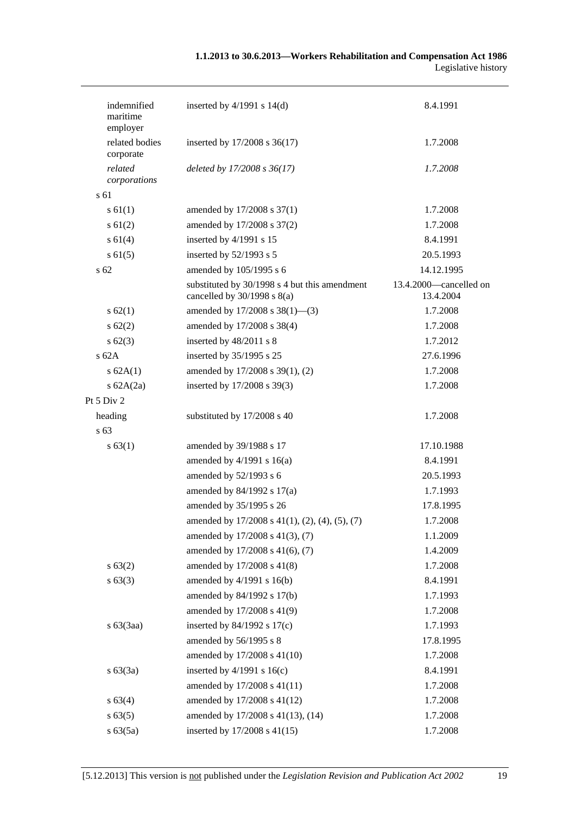| indemnified<br>maritime<br>employer | inserted by $4/1991$ s $14(d)$                                                   | 8.4.1991                            |
|-------------------------------------|----------------------------------------------------------------------------------|-------------------------------------|
| related bodies<br>corporate         | inserted by 17/2008 s 36(17)                                                     | 1.7.2008                            |
| related<br>corporations             | deleted by 17/2008 s 36(17)                                                      | 1.7.2008                            |
| s 61                                |                                                                                  |                                     |
| s 61(1)                             | amended by 17/2008 s 37(1)                                                       | 1.7.2008                            |
| $s \, 61(2)$                        | amended by 17/2008 s 37(2)                                                       | 1.7.2008                            |
| s 61(4)                             | inserted by 4/1991 s 15                                                          | 8.4.1991                            |
| $s \, 61(5)$                        | inserted by 52/1993 s 5                                                          | 20.5.1993                           |
| s 62                                | amended by 105/1995 s 6                                                          | 14.12.1995                          |
|                                     | substituted by 30/1998 s 4 but this amendment<br>cancelled by $30/1998$ s $8(a)$ | 13.4.2000—cancelled on<br>13.4.2004 |
| $s \, 62(1)$                        | amended by $17/2008$ s $38(1)$ —(3)                                              | 1.7.2008                            |
| $s \, 62(2)$                        | amended by 17/2008 s 38(4)                                                       | 1.7.2008                            |
| $s \, 62(3)$                        | inserted by 48/2011 s 8                                                          | 1.7.2012                            |
| $s$ 62A                             | inserted by 35/1995 s 25                                                         | 27.6.1996                           |
| s 62A(1)                            | amended by 17/2008 s 39(1), (2)                                                  | 1.7.2008                            |
| s $62A(2a)$                         | inserted by 17/2008 s 39(3)                                                      | 1.7.2008                            |
| Pt 5 Div 2                          |                                                                                  |                                     |
| heading                             | substituted by 17/2008 s 40                                                      | 1.7.2008                            |
| s 63                                |                                                                                  |                                     |
| s 63(1)                             | amended by 39/1988 s 17                                                          | 17.10.1988                          |
|                                     | amended by $4/1991$ s $16(a)$                                                    | 8.4.1991                            |
|                                     | amended by 52/1993 s 6                                                           | 20.5.1993                           |
|                                     | amended by $84/1992$ s $17(a)$                                                   | 1.7.1993                            |
|                                     | amended by 35/1995 s 26                                                          | 17.8.1995                           |
|                                     | amended by 17/2008 s 41(1), (2), (4), (5), (7)                                   | 1.7.2008                            |
|                                     | amended by 17/2008 s 41(3), (7)                                                  | 1.1.2009                            |
|                                     | amended by 17/2008 s 41(6), (7)                                                  | 1.4.2009                            |
| s 63(2)                             | amended by 17/2008 s 41(8)                                                       | 1.7.2008                            |
| s 63(3)                             | amended by 4/1991 s 16(b)                                                        | 8.4.1991                            |
|                                     | amended by 84/1992 s 17(b)                                                       | 1.7.1993                            |
|                                     | amended by 17/2008 s 41(9)                                                       | 1.7.2008                            |
| $s\ 63(3aa)$                        | inserted by $84/1992$ s $17(c)$                                                  | 1.7.1993                            |
|                                     | amended by 56/1995 s 8                                                           | 17.8.1995                           |
|                                     | amended by 17/2008 s 41(10)                                                      | 1.7.2008                            |
| s 63(3a)                            | inserted by $4/1991$ s $16(c)$                                                   | 8.4.1991                            |
|                                     | amended by 17/2008 s 41(11)                                                      | 1.7.2008                            |
| s 63(4)                             | amended by 17/2008 s 41(12)                                                      | 1.7.2008                            |
| s 63(5)                             | amended by 17/2008 s 41(13), (14)                                                | 1.7.2008                            |
| s 63(5a)                            | inserted by 17/2008 s 41(15)                                                     | 1.7.2008                            |
|                                     |                                                                                  |                                     |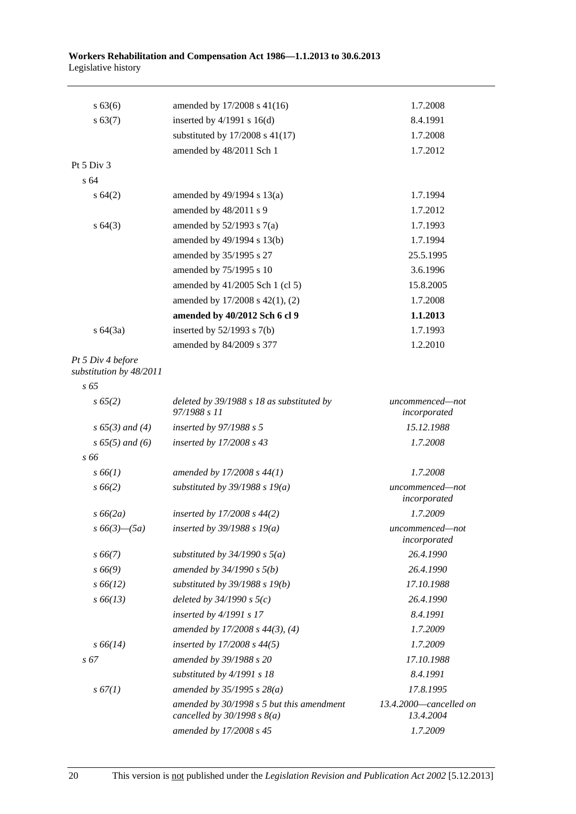| s 63(6)                                      | amended by 17/2008 s 41(16)                                                | 1.7.2008                            |
|----------------------------------------------|----------------------------------------------------------------------------|-------------------------------------|
| s 63(7)                                      | inserted by $4/1991$ s $16(d)$                                             | 8.4.1991                            |
|                                              | substituted by $17/2008$ s $41(17)$                                        | 1.7.2008                            |
|                                              | amended by 48/2011 Sch 1                                                   | 1.7.2012                            |
| Pt $5$ Div $3$                               |                                                                            |                                     |
| s <sub>64</sub>                              |                                                                            |                                     |
| s 64(2)                                      | amended by 49/1994 s 13(a)                                                 | 1.7.1994                            |
|                                              | amended by 48/2011 s 9                                                     | 1.7.2012                            |
| $s \, 64(3)$                                 | amended by $52/1993$ s $7(a)$                                              | 1.7.1993                            |
|                                              | amended by 49/1994 s 13(b)                                                 | 1.7.1994                            |
|                                              | amended by 35/1995 s 27                                                    | 25.5.1995                           |
|                                              | amended by 75/1995 s 10                                                    | 3.6.1996                            |
|                                              | amended by 41/2005 Sch 1 (cl 5)                                            | 15.8.2005                           |
|                                              | amended by 17/2008 s 42(1), (2)                                            | 1.7.2008                            |
|                                              | amended by 40/2012 Sch 6 cl 9                                              | 1.1.2013                            |
| $s \, 64(3a)$                                | inserted by $52/1993$ s $7(b)$                                             | 1.7.1993                            |
|                                              | amended by 84/2009 s 377                                                   | 1.2.2010                            |
| Pt 5 Div 4 before<br>substitution by 48/2011 |                                                                            |                                     |
| $s\,65$                                      |                                                                            |                                     |
| s 65(2)                                      | deleted by 39/1988 s 18 as substituted by<br>97/1988 s 11                  | uncommenced—not<br>incorporated     |
| $s\,65(3)$ and (4)                           | inserted by $97/1988 s 5$                                                  | 15.12.1988                          |
| $s\,65(5)$ and (6)                           | inserted by 17/2008 s 43                                                   | 1.7.2008                            |
| s 66                                         |                                                                            |                                     |
| $s\,66(1)$                                   | amended by 17/2008 s 44(1)                                                 | 1.7.2008                            |
| $s\,66(2)$                                   | substituted by $39/1988$ s $19(a)$                                         | uncommenced-not<br>incorporated     |
| $s\,66(2a)$                                  | inserted by $17/2008 s 44(2)$                                              | 1.7.2009                            |
| $s\,66(3)$ — $(5a)$                          | inserted by $39/1988 s 19(a)$                                              | uncommenced-not<br>incorporated     |
| $s\,66(7)$                                   | substituted by $34/1990 s 5(a)$                                            | 26.4.1990                           |
| $s\,66(9)$                                   | amended by $34/1990 s 5(b)$                                                | 26.4.1990                           |
| $s\,66(12)$                                  | substituted by $39/1988$ s $19(b)$                                         | 17.10.1988                          |
| $s\,66(13)$                                  | deleted by $34/1990 s 5(c)$                                                | 26.4.1990                           |
|                                              | inserted by $4/1991 s 17$                                                  | 8.4.1991                            |
|                                              | amended by $17/2008$ s $44(3)$ , (4)                                       | 1.7.2009                            |
| $s\,66(14)$                                  | inserted by $17/2008 s 44(5)$                                              | 1.7.2009                            |
| s 67                                         | amended by 39/1988 s 20                                                    | 17.10.1988                          |
|                                              | substituted by 4/1991 s 18                                                 | 8.4.1991                            |
| s 67(1)                                      | amended by $35/1995 s 28(a)$                                               | 17.8.1995                           |
|                                              | amended by 30/1998 s 5 but this amendment<br>cancelled by $30/1998 s 8(a)$ | 13.4.2000-cancelled on<br>13.4.2004 |
|                                              | amended by 17/2008 s 45                                                    | 1.7.2009                            |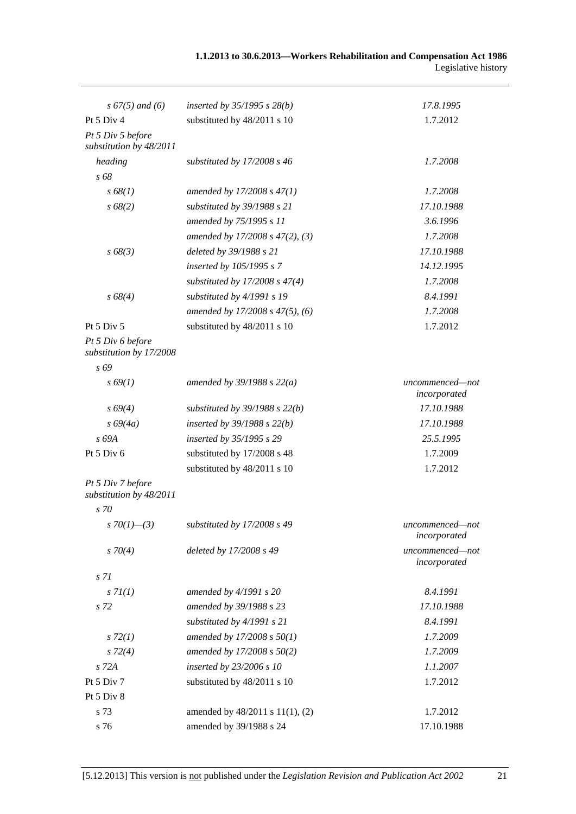| $s\,67(5)$ and (6)                           | inserted by $35/1995$ s $28(b)$    | 17.8.1995                       |
|----------------------------------------------|------------------------------------|---------------------------------|
| Pt 5 Div 4                                   | substituted by 48/2011 s 10        | 1.7.2012                        |
| Pt 5 Div 5 before<br>substitution by 48/2011 |                                    |                                 |
| heading                                      | substituted by $17/2008 s 46$      | 1.7.2008                        |
| s 68                                         |                                    |                                 |
| s 68(1)                                      | amended by $17/2008 s 47(1)$       | 1.7.2008                        |
| $s\,68(2)$                                   | substituted by 39/1988 s 21        | 17.10.1988                      |
|                                              | amended by 75/1995 s 11            | 3.6.1996                        |
|                                              | amended by 17/2008 s 47(2), (3)    | 1.7.2008                        |
| $s\,68(3)$                                   | deleted by 39/1988 s 21            | 17.10.1988                      |
|                                              | inserted by 105/1995 s 7           | 14.12.1995                      |
|                                              | substituted by $17/2008$ s $47(4)$ | 1.7.2008                        |
| $s\,68(4)$                                   | substituted by 4/1991 s 19         | 8.4.1991                        |
|                                              | amended by 17/2008 s 47(5), (6)    | 1.7.2008                        |
| Pt 5 Div 5                                   | substituted by 48/2011 s 10        | 1.7.2012                        |
| Pt 5 Div 6 before<br>substitution by 17/2008 |                                    |                                 |
| s 69                                         |                                    |                                 |
| $s\,69(1)$                                   | amended by $39/1988 s 22(a)$       | uncommenced-not<br>incorporated |
| $s\,69(4)$                                   | substituted by $39/1988$ s $22(b)$ | 17.10.1988                      |
| $s\,69(4a)$                                  | inserted by $39/1988$ s $22(b)$    | 17.10.1988                      |
| s 69A                                        | inserted by 35/1995 s 29           | 25.5.1995                       |
| Pt 5 Div 6                                   | substituted by 17/2008 s 48        | 1.7.2009                        |
|                                              | substituted by 48/2011 s 10        | 1.7.2012                        |
| Pt 5 Div 7 before<br>substitution by 48/2011 |                                    |                                 |
| $s\,70$                                      |                                    |                                 |
| s 70(1)–(3)                                  | substituted by $17/2008 s 49$      | uncommenced—not<br>incorporated |
| $s \, 70(4)$                                 | deleted by 17/2008 s 49            | uncommenced-not<br>incorporated |
| s <sub>71</sub>                              |                                    |                                 |
| s 7l(1)                                      | amended by $4/1991 s 20$           | 8.4.1991                        |
| s 72                                         | amended by 39/1988 s 23            | 17.10.1988                      |
|                                              | substituted by 4/1991 s 21         | 8.4.1991                        |
| $s\,72(1)$                                   | amended by 17/2008 s 50(1)         | 1.7.2009                        |
| $s\,72(4)$                                   | amended by 17/2008 s 50(2)         | 1.7.2009                        |
| $s$ 72 $A$                                   | inserted by 23/2006 s 10           | 1.1.2007                        |
| Pt 5 Div 7                                   | substituted by 48/2011 s 10        | 1.7.2012                        |
| Pt 5 Div 8                                   |                                    |                                 |
| s 73                                         | amended by 48/2011 s 11(1), (2)    | 1.7.2012                        |
| s 76                                         | amended by 39/1988 s 24            | 17.10.1988                      |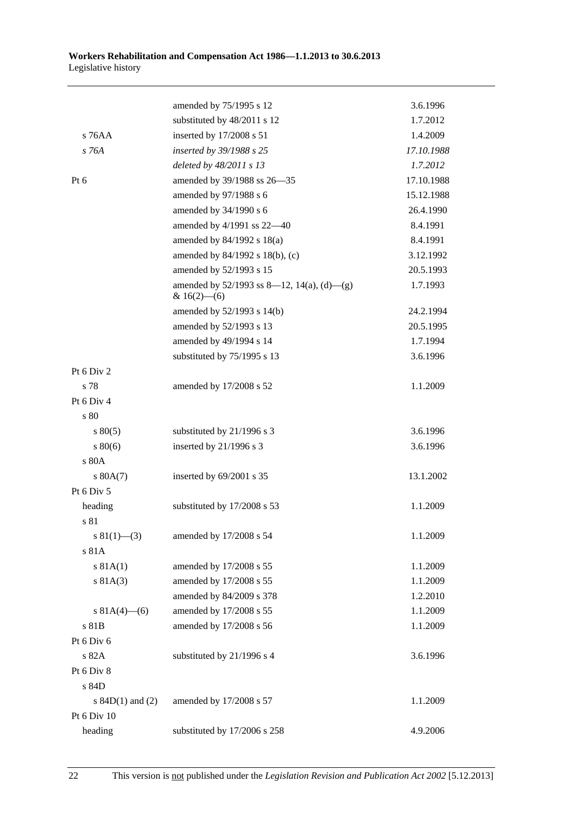|                      | amended by 75/1995 s 12                                         | 3.6.1996   |
|----------------------|-----------------------------------------------------------------|------------|
|                      | substituted by 48/2011 s 12                                     | 1.7.2012   |
| $s$ 76AA             | inserted by 17/2008 s 51                                        | 1.4.2009   |
| $s$ 76A              | inserted by 39/1988 s 25                                        | 17.10.1988 |
|                      | deleted by 48/2011 s 13                                         | 1.7.2012   |
| Pt $6$               | amended by 39/1988 ss 26-35                                     | 17.10.1988 |
|                      | amended by 97/1988 s 6                                          | 15.12.1988 |
|                      | amended by 34/1990 s 6                                          | 26.4.1990  |
|                      | amended by 4/1991 ss 22-40                                      | 8.4.1991   |
|                      | amended by 84/1992 s 18(a)                                      | 8.4.1991   |
|                      | amended by 84/1992 s 18(b), (c)                                 | 3.12.1992  |
|                      | amended by 52/1993 s 15                                         | 20.5.1993  |
|                      | amended by $52/1993$ ss 8—12, 14(a), (d)—(g)<br>& $16(2)$ - (6) | 1.7.1993   |
|                      | amended by 52/1993 s 14(b)                                      | 24.2.1994  |
|                      | amended by 52/1993 s 13                                         | 20.5.1995  |
|                      | amended by 49/1994 s 14                                         | 1.7.1994   |
|                      | substituted by 75/1995 s 13                                     | 3.6.1996   |
| Pt 6 Div 2           |                                                                 |            |
| s 78                 | amended by 17/2008 s 52                                         | 1.1.2009   |
| Pt 6 Div 4           |                                                                 |            |
| s 80                 |                                                                 |            |
| $s\,80(5)$           | substituted by 21/1996 s 3                                      | 3.6.1996   |
| $s\,80(6)$           | inserted by 21/1996 s 3                                         | 3.6.1996   |
| s 80A                |                                                                 |            |
| s 80A(7)             | inserted by 69/2001 s 35                                        | 13.1.2002  |
| Pt 6 Div 5           |                                                                 |            |
| heading              | substituted by 17/2008 s 53                                     | 1.1.2009   |
| s 81                 |                                                                 |            |
| $s \ 81(1)$ – (3)    | amended by 17/2008 s 54                                         | 1.1.2009   |
| s 81A                |                                                                 |            |
| s 81A(1)             | amended by 17/2008 s 55                                         | 1.1.2009   |
| s 81A(3)             | amended by 17/2008 s 55                                         | 1.1.2009   |
|                      | amended by 84/2009 s 378                                        | 1.2.2010   |
| s $81A(4)$ – (6)     | amended by 17/2008 s 55                                         | 1.1.2009   |
| s 81B                | amended by 17/2008 s 56                                         | 1.1.2009   |
| Pt 6 Div 6           |                                                                 |            |
| s 82A                | substituted by 21/1996 s 4                                      | 3.6.1996   |
| Pt 6 Div 8           |                                                                 |            |
| s 84D                |                                                                 |            |
| s $84D(1)$ and $(2)$ | amended by 17/2008 s 57                                         | 1.1.2009   |
| Pt 6 Div 10          |                                                                 |            |
| heading              | substituted by 17/2006 s 258                                    | 4.9.2006   |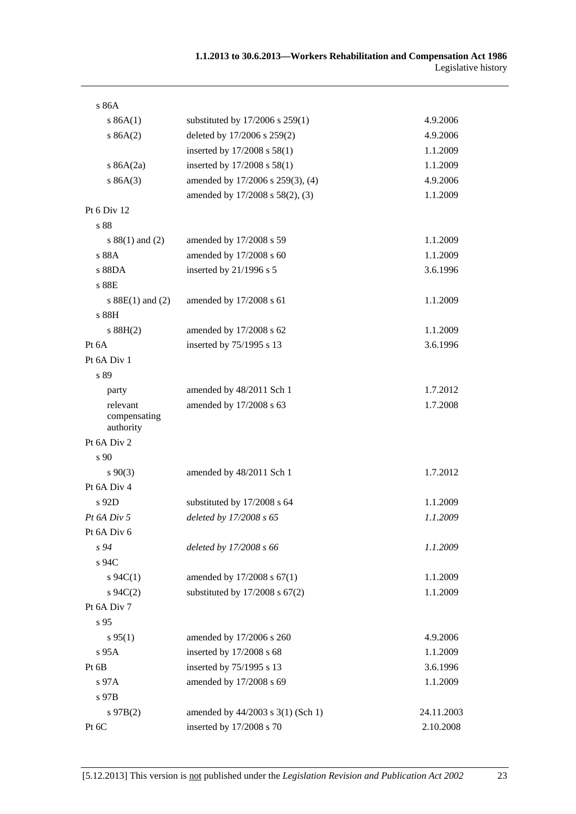| s 86A                                 |                                    |            |
|---------------------------------------|------------------------------------|------------|
| s 86A(1)                              | substituted by 17/2006 s 259(1)    | 4.9.2006   |
| s 86A(2)                              | deleted by 17/2006 s 259(2)        | 4.9.2006   |
|                                       | inserted by 17/2008 s 58(1)        | 1.1.2009   |
| s $86A(2a)$                           | inserted by 17/2008 s 58(1)        | 1.1.2009   |
| s 86A(3)                              | amended by 17/2006 s 259(3), (4)   | 4.9.2006   |
|                                       | amended by 17/2008 s 58(2), (3)    | 1.1.2009   |
| Pt 6 Div 12                           |                                    |            |
| s 88                                  |                                    |            |
| s $88(1)$ and $(2)$                   | amended by 17/2008 s 59            | 1.1.2009   |
| s 88A                                 | amended by 17/2008 s 60            | 1.1.2009   |
| s 88DA                                | inserted by 21/1996 s 5            | 3.6.1996   |
| s 88E                                 |                                    |            |
| s $88E(1)$ and $(2)$                  | amended by 17/2008 s 61            | 1.1.2009   |
| s 88H                                 |                                    |            |
| s 88H(2)                              | amended by 17/2008 s 62            | 1.1.2009   |
| Pt 6A                                 | inserted by 75/1995 s 13           | 3.6.1996   |
| Pt 6A Div 1                           |                                    |            |
| s 89                                  |                                    |            |
| party                                 | amended by 48/2011 Sch 1           | 1.7.2012   |
| relevant<br>compensating<br>authority | amended by 17/2008 s 63            | 1.7.2008   |
| Pt 6A Div 2                           |                                    |            |
| s 90                                  |                                    |            |
| $s\,90(3)$                            | amended by 48/2011 Sch 1           | 1.7.2012   |
| Pt 6A Div 4                           |                                    |            |
| s 92D                                 | substituted by 17/2008 s 64        | 1.1.2009   |
| Pt 6A Div 5                           | deleted by 17/2008 s 65            | 1.1.2009   |
| Pt 6A Div 6                           |                                    |            |
| $s\,94$                               | deleted by 17/2008 s 66            | 1.1.2009   |
| s 94C                                 |                                    |            |
| $s \, 94C(1)$                         | amended by 17/2008 s 67(1)         | 1.1.2009   |
| $s \, 94C(2)$                         | substituted by $17/2008$ s $67(2)$ | 1.1.2009   |
| Pt 6A Div 7                           |                                    |            |
| s 95                                  |                                    |            |
| s 95(1)                               | amended by 17/2006 s 260           | 4.9.2006   |
| $s$ 95 $A$                            | inserted by 17/2008 s 68           | 1.1.2009   |
| Pt 6B                                 | inserted by 75/1995 s 13           | 3.6.1996   |
| s 97A                                 | amended by 17/2008 s 69            | 1.1.2009   |
| s 97B                                 |                                    |            |
| $s\,97B(2)$                           | amended by 44/2003 s 3(1) (Sch 1)  | 24.11.2003 |
| Pt 6C                                 | inserted by 17/2008 s 70           | 2.10.2008  |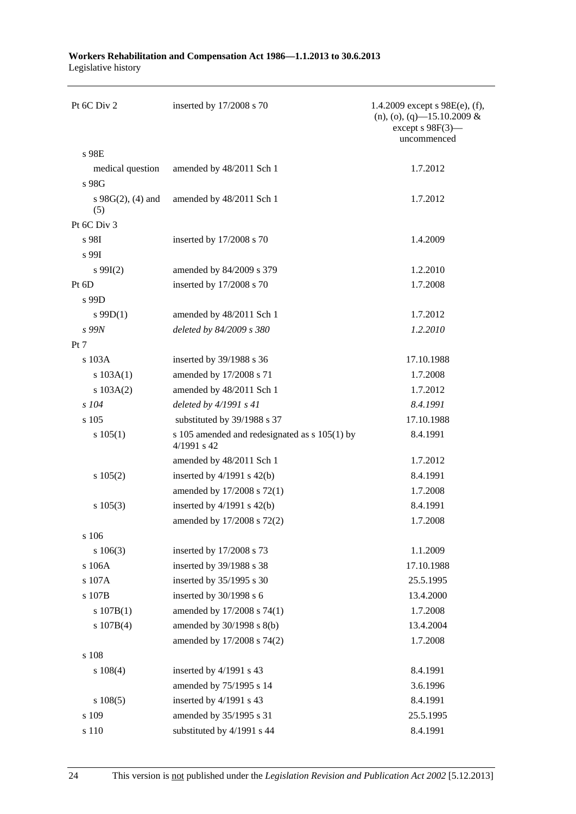| Pt 6C Div 2                 | inserted by 17/2008 s 70                                     | 1.4.2009 except $s$ 98E(e), (f),<br>$(n), (o), (q)$ -15.10.2009 &<br>except $s$ 98 $F(3)$ —<br>uncommenced |
|-----------------------------|--------------------------------------------------------------|------------------------------------------------------------------------------------------------------------|
| s 98E                       |                                                              |                                                                                                            |
| medical question            | amended by 48/2011 Sch 1                                     | 1.7.2012                                                                                                   |
| s 98G                       |                                                              |                                                                                                            |
| s $98G(2)$ , (4) and<br>(5) | amended by 48/2011 Sch 1                                     | 1.7.2012                                                                                                   |
| Pt 6C Div 3                 |                                                              |                                                                                                            |
| s 98I                       | inserted by 17/2008 s 70                                     | 1.4.2009                                                                                                   |
| s 99I                       |                                                              |                                                                                                            |
| $s\,99I(2)$                 | amended by 84/2009 s 379                                     | 1.2.2010                                                                                                   |
| Pt 6D                       | inserted by 17/2008 s 70                                     | 1.7.2008                                                                                                   |
| s 99D                       |                                                              |                                                                                                            |
| $s$ 99D(1)                  | amended by 48/2011 Sch 1                                     | 1.7.2012                                                                                                   |
| s 99N                       | deleted by 84/2009 s 380                                     | 1.2.2010                                                                                                   |
| Pt 7                        |                                                              |                                                                                                            |
| s 103A                      | inserted by 39/1988 s 36                                     | 17.10.1988                                                                                                 |
| s 103A(1)                   | amended by 17/2008 s 71                                      | 1.7.2008                                                                                                   |
| s 103A(2)                   | amended by 48/2011 Sch 1                                     | 1.7.2012                                                                                                   |
| $s$ 104                     | deleted by $4/1991 s 41$                                     | 8.4.1991                                                                                                   |
| s 105                       | substituted by 39/1988 s 37                                  | 17.10.1988                                                                                                 |
| s 105(1)                    | s 105 amended and redesignated as s 105(1) by<br>4/1991 s 42 | 8.4.1991                                                                                                   |
|                             | amended by 48/2011 Sch 1                                     | 1.7.2012                                                                                                   |
| s 105(2)                    | inserted by $4/1991$ s $42(b)$                               | 8.4.1991                                                                                                   |
|                             | amended by 17/2008 s 72(1)                                   | 1.7.2008                                                                                                   |
| $s\ 105(3)$                 | inserted by $4/1991$ s $42(b)$                               | 8.4.1991                                                                                                   |
|                             | amended by 17/2008 s 72(2)                                   | 1.7.2008                                                                                                   |
| s 106                       |                                                              |                                                                                                            |
| $s\ 106(3)$                 | inserted by 17/2008 s 73                                     | 1.1.2009                                                                                                   |
| s 106A                      | inserted by 39/1988 s 38                                     | 17.10.1988                                                                                                 |
| s 107A                      | inserted by 35/1995 s 30                                     | 25.5.1995                                                                                                  |
| s 107B                      | inserted by 30/1998 s 6                                      | 13.4.2000                                                                                                  |
| s 107B(1)                   | amended by 17/2008 s 74(1)                                   | 1.7.2008                                                                                                   |
| s 107B(4)                   | amended by 30/1998 s 8(b)                                    | 13.4.2004                                                                                                  |
|                             | amended by 17/2008 s 74(2)                                   | 1.7.2008                                                                                                   |
| s 108                       |                                                              |                                                                                                            |
| $s\ 108(4)$                 | inserted by 4/1991 s 43                                      | 8.4.1991                                                                                                   |
|                             | amended by 75/1995 s 14                                      | 3.6.1996                                                                                                   |
| s 108(5)                    | inserted by 4/1991 s 43                                      | 8.4.1991                                                                                                   |
| s 109                       | amended by 35/1995 s 31                                      | 25.5.1995                                                                                                  |
| s 110                       | substituted by 4/1991 s 44                                   | 8.4.1991                                                                                                   |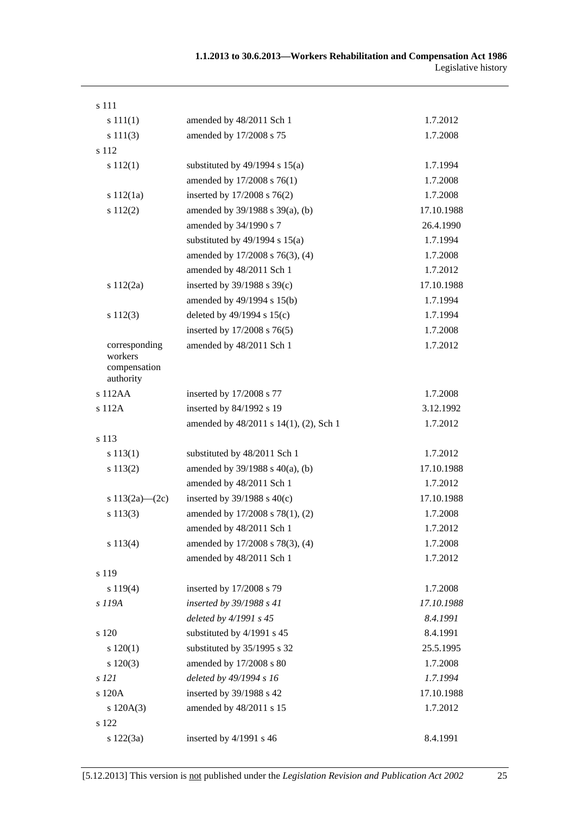| s 111                                    |                                        |            |
|------------------------------------------|----------------------------------------|------------|
| s 111(1)                                 | amended by 48/2011 Sch 1               | 1.7.2012   |
| s 111(3)                                 | amended by 17/2008 s 75                | 1.7.2008   |
| s 112                                    |                                        |            |
| s 112(1)                                 | substituted by $49/1994$ s $15(a)$     | 1.7.1994   |
|                                          | amended by 17/2008 s 76(1)             | 1.7.2008   |
| s 112(1a)                                | inserted by 17/2008 s 76(2)            | 1.7.2008   |
| s 112(2)                                 | amended by 39/1988 s 39(a), (b)        | 17.10.1988 |
|                                          | amended by 34/1990 s 7                 | 26.4.1990  |
|                                          | substituted by $49/1994$ s $15(a)$     | 1.7.1994   |
|                                          | amended by 17/2008 s 76(3), (4)        | 1.7.2008   |
|                                          | amended by 48/2011 Sch 1               | 1.7.2012   |
| s $112(2a)$                              | inserted by $39/1988$ s $39(c)$        | 17.10.1988 |
|                                          | amended by 49/1994 s 15(b)             | 1.7.1994   |
| s 112(3)                                 | deleted by $49/1994$ s $15(c)$         | 1.7.1994   |
|                                          | inserted by 17/2008 s 76(5)            | 1.7.2008   |
| corresponding<br>workers<br>compensation | amended by 48/2011 Sch 1               | 1.7.2012   |
| authority<br>s 112AA                     | inserted by 17/2008 s 77               | 1.7.2008   |
| s 112A                                   | inserted by 84/1992 s 19               | 3.12.1992  |
|                                          | amended by 48/2011 s 14(1), (2), Sch 1 | 1.7.2012   |
| s 113                                    |                                        |            |
| s 113(1)                                 | substituted by 48/2011 Sch 1           | 1.7.2012   |
| s 113(2)                                 | amended by $39/1988$ s $40(a)$ , (b)   | 17.10.1988 |
|                                          | amended by 48/2011 Sch 1               | 1.7.2012   |
| s $113(2a)$ - $(2c)$                     | inserted by $39/1988$ s $40(c)$        | 17.10.1988 |
| s 113(3)                                 | amended by 17/2008 s 78(1), (2)        | 1.7.2008   |
|                                          | amended by 48/2011 Sch 1               | 1.7.2012   |
| s 113(4)                                 | amended by 17/2008 s 78(3), (4)        | 1.7.2008   |
|                                          | amended by 48/2011 Sch 1               | 1.7.2012   |
| s 119                                    |                                        |            |
| s 119(4)                                 | inserted by 17/2008 s 79               | 1.7.2008   |
| s 119A                                   | inserted by 39/1988 s 41               | 17.10.1988 |
|                                          | deleted by 4/1991 s 45                 | 8.4.1991   |
| s 120                                    | substituted by 4/1991 s 45             | 8.4.1991   |
| s 120(1)                                 | substituted by 35/1995 s 32            | 25.5.1995  |
| $s\ 120(3)$                              | amended by 17/2008 s 80                | 1.7.2008   |
| s 121                                    | deleted by 49/1994 s 16                | 1.7.1994   |
| s 120A                                   | inserted by 39/1988 s 42               | 17.10.1988 |
| s 120A(3)                                | amended by 48/2011 s 15                | 1.7.2012   |
| s 122                                    |                                        |            |
| s 122(3a)                                | inserted by 4/1991 s 46                | 8.4.1991   |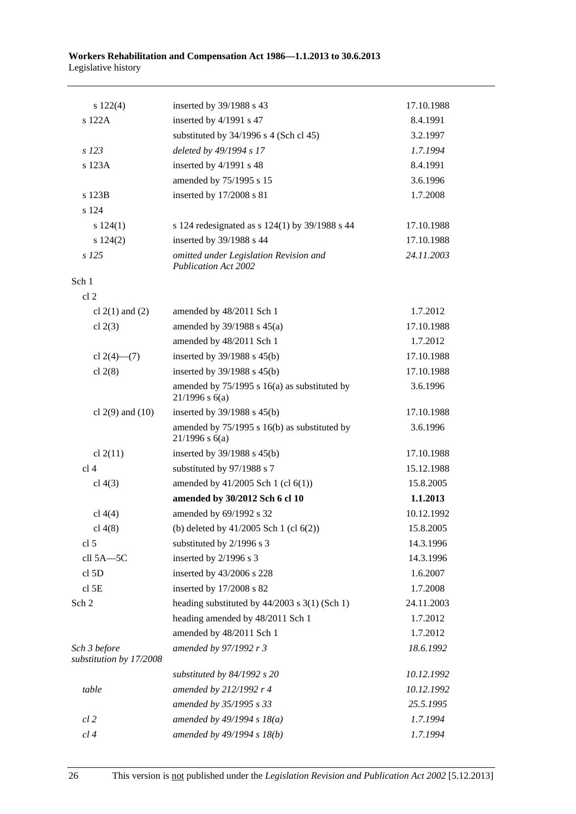| $s\ 122(4)$                             | inserted by 39/1988 s 43                                              | 17.10.1988 |
|-----------------------------------------|-----------------------------------------------------------------------|------------|
| s 122A                                  | inserted by 4/1991 s 47                                               | 8.4.1991   |
|                                         | substituted by 34/1996 s 4 (Sch cl 45)                                | 3.2.1997   |
| s 123                                   | deleted by 49/1994 s 17                                               | 1.7.1994   |
| s 123A                                  | inserted by 4/1991 s 48                                               | 8.4.1991   |
|                                         | amended by 75/1995 s 15                                               | 3.6.1996   |
| s 123B                                  | inserted by 17/2008 s 81                                              | 1.7.2008   |
| s 124                                   |                                                                       |            |
| s 124(1)                                | s 124 redesignated as $s$ 124(1) by 39/1988 s 44                      | 17.10.1988 |
| s 124(2)                                | inserted by 39/1988 s 44                                              | 17.10.1988 |
| $s$ 125                                 | omitted under Legislation Revision and<br><b>Publication Act 2002</b> | 24.11.2003 |
| Sch 1                                   |                                                                       |            |
| cl <sub>2</sub>                         |                                                                       |            |
| cl $2(1)$ and $(2)$                     | amended by 48/2011 Sch 1                                              | 1.7.2012   |
| cl $2(3)$                               | amended by $39/1988$ s $45(a)$                                        | 17.10.1988 |
|                                         | amended by 48/2011 Sch 1                                              | 1.7.2012   |
| cl $2(4)$ — $(7)$                       | inserted by $39/1988$ s $45(b)$                                       | 17.10.1988 |
| cl $2(8)$                               | inserted by 39/1988 s 45(b)                                           | 17.10.1988 |
|                                         | amended by $75/1995$ s 16(a) as substituted by<br>$21/1996$ s $6(a)$  | 3.6.1996   |
| cl $2(9)$ and $(10)$                    | inserted by $39/1988$ s $45(b)$                                       | 17.10.1988 |
|                                         | amended by 75/1995 s 16(b) as substituted by<br>$21/1996$ s $6(a)$    | 3.6.1996   |
| cl $2(11)$                              | inserted by $39/1988$ s $45(b)$                                       | 17.10.1988 |
| cl <sub>4</sub>                         | substituted by 97/1988 s 7                                            | 15.12.1988 |
| cl $4(3)$                               | amended by $41/2005$ Sch 1 (cl $6(1)$ )                               | 15.8.2005  |
|                                         | amended by 30/2012 Sch 6 cl 10                                        | 1.1.2013   |
| cl $4(4)$                               | amended by 69/1992 s 32                                               | 10.12.1992 |
| cl $4(8)$                               | (b) deleted by $41/2005$ Sch 1 (cl $6(2)$ )                           | 15.8.2005  |
| cl <sub>5</sub>                         | substituted by 2/1996 s 3                                             | 14.3.1996  |
| cll 5A-5C                               | inserted by 2/1996 s 3                                                | 14.3.1996  |
| cl <sub>5</sub> D                       | inserted by 43/2006 s 228                                             | 1.6.2007   |
| cl <sub>5E</sub>                        | inserted by 17/2008 s 82                                              | 1.7.2008   |
| Sch 2                                   | heading substituted by $44/2003$ s 3(1) (Sch 1)                       | 24.11.2003 |
|                                         | heading amended by 48/2011 Sch 1                                      | 1.7.2012   |
|                                         | amended by 48/2011 Sch 1                                              | 1.7.2012   |
| Sch 3 before<br>substitution by 17/2008 | amended by 97/1992 r 3                                                | 18.6.1992  |
|                                         | substituted by 84/1992 s 20                                           | 10.12.1992 |
| table                                   | amended by 212/1992 r 4                                               | 10.12.1992 |
|                                         | amended by 35/1995 s 33                                               | 25.5.1995  |
| $cl$ 2                                  | amended by $49/1994 s 18(a)$                                          | 1.7.1994   |
| cl 4                                    | amended by 49/1994 s 18(b)                                            | 1.7.1994   |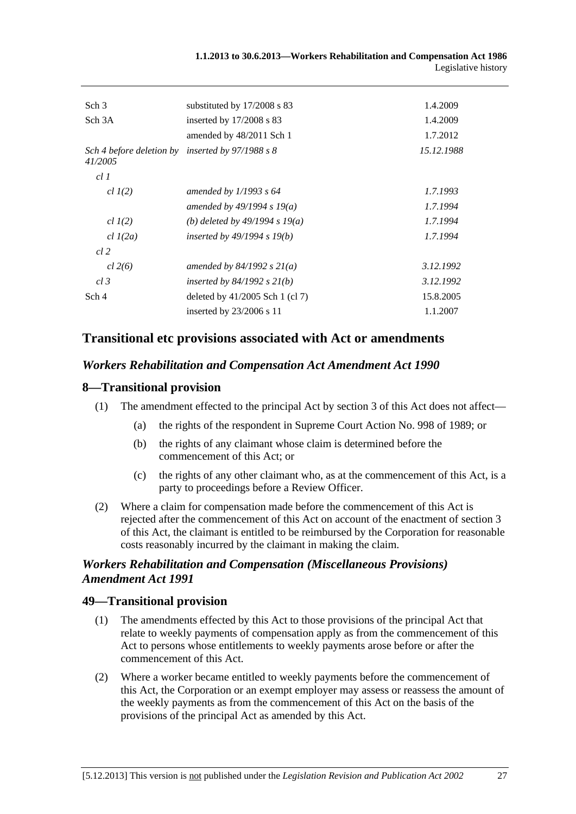| Sch <sub>3</sub>                    | substituted by 17/2008 s 83       | 1.4.2009   |
|-------------------------------------|-----------------------------------|------------|
| Sch <sub>3</sub> A                  | inserted by $17/2008$ s 83        | 1.4.2009   |
|                                     | amended by 48/2011 Sch 1          | 1.7.2012   |
| Sch 4 before deletion by<br>41/2005 | inserted by $97/1988$ s 8         | 15.12.1988 |
| cl1                                 |                                   |            |
| $cl$ $I(2)$                         | amended by $1/1993$ s 64          | 1.7.1993   |
|                                     | amended by $49/1994 s 19(a)$      | 1.7.1994   |
| $cl$ $I(2)$                         | (b) deleted by $49/1994 s 19(a)$  | 1.7.1994   |
| $cl$ $l(2a)$                        | inserted by $49/1994$ s $19(b)$   | 1.7.1994   |
| cl 2                                |                                   |            |
| cl 2(6)                             | amended by $84/1992 s 21(a)$      | 3.12.1992  |
| $cl$ 3                              | inserted by $84/1992$ s $21(b)$   | 3.12.1992  |
| Sch 4                               | deleted by $41/2005$ Sch 1 (cl 7) | 15.8.2005  |
|                                     | inserted by $23/2006$ s 11        | 1.1.2007   |
|                                     |                                   |            |

# **Transitional etc provisions associated with Act or amendments**

### *Workers Rehabilitation and Compensation Act Amendment Act 1990*

### **8—Transitional provision**

- (1) The amendment effected to the principal Act by section 3 of this Act does not affect—
	- (a) the rights of the respondent in Supreme Court Action No. 998 of 1989; or
	- (b) the rights of any claimant whose claim is determined before the commencement of this Act; or
	- (c) the rights of any other claimant who, as at the commencement of this Act, is a party to proceedings before a Review Officer.
- (2) Where a claim for compensation made before the commencement of this Act is rejected after the commencement of this Act on account of the enactment of section 3 of this Act, the claimant is entitled to be reimbursed by the Corporation for reasonable costs reasonably incurred by the claimant in making the claim.

# *Workers Rehabilitation and Compensation (Miscellaneous Provisions) Amendment Act 1991*

# **49—Transitional provision**

- (1) The amendments effected by this Act to those provisions of the principal Act that relate to weekly payments of compensation apply as from the commencement of this Act to persons whose entitlements to weekly payments arose before or after the commencement of this Act.
- (2) Where a worker became entitled to weekly payments before the commencement of this Act, the Corporation or an exempt employer may assess or reassess the amount of the weekly payments as from the commencement of this Act on the basis of the provisions of the principal Act as amended by this Act.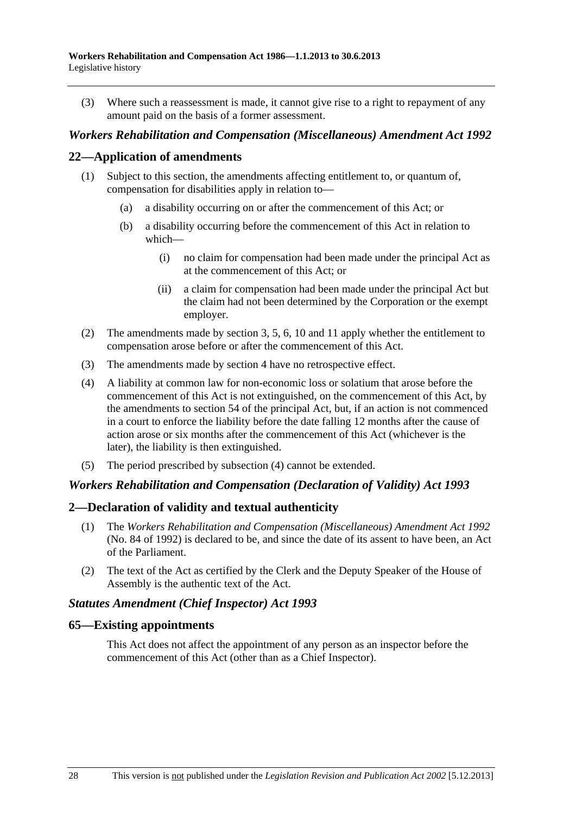(3) Where such a reassessment is made, it cannot give rise to a right to repayment of any amount paid on the basis of a former assessment.

## *Workers Rehabilitation and Compensation (Miscellaneous) Amendment Act 1992*

## **22—Application of amendments**

- (1) Subject to this section, the amendments affecting entitlement to, or quantum of, compensation for disabilities apply in relation to—
	- (a) a disability occurring on or after the commencement of this Act; or
	- (b) a disability occurring before the commencement of this Act in relation to which—
		- (i) no claim for compensation had been made under the principal Act as at the commencement of this Act; or
		- (ii) a claim for compensation had been made under the principal Act but the claim had not been determined by the Corporation or the exempt employer.
- (2) The amendments made by section 3, 5, 6, 10 and 11 apply whether the entitlement to compensation arose before or after the commencement of this Act.
- (3) The amendments made by section 4 have no retrospective effect.
- (4) A liability at common law for non-economic loss or solatium that arose before the commencement of this Act is not extinguished, on the commencement of this Act, by the amendments to section 54 of the principal Act, but, if an action is not commenced in a court to enforce the liability before the date falling 12 months after the cause of action arose or six months after the commencement of this Act (whichever is the later), the liability is then extinguished.
- (5) The period prescribed by subsection (4) cannot be extended.

#### *Workers Rehabilitation and Compensation (Declaration of Validity) Act 1993*

#### **2—Declaration of validity and textual authenticity**

- (1) The *[Workers Rehabilitation and Compensation \(Miscellaneous\) Amendment Act 1992](http://www.legislation.sa.gov.au/index.aspx?action=legref&type=act&legtitle=Workers%20Rehabilitation%20and%20Compensation%20(Miscellaneous)%20Amendment%20Act%201992)* (No. 84 of 1992) is declared to be, and since the date of its assent to have been, an Act of the Parliament.
- (2) The text of the Act as certified by the Clerk and the Deputy Speaker of the House of Assembly is the authentic text of the Act.

#### *Statutes Amendment (Chief Inspector) Act 1993*

#### **65—Existing appointments**

This Act does not affect the appointment of any person as an inspector before the commencement of this Act (other than as a Chief Inspector).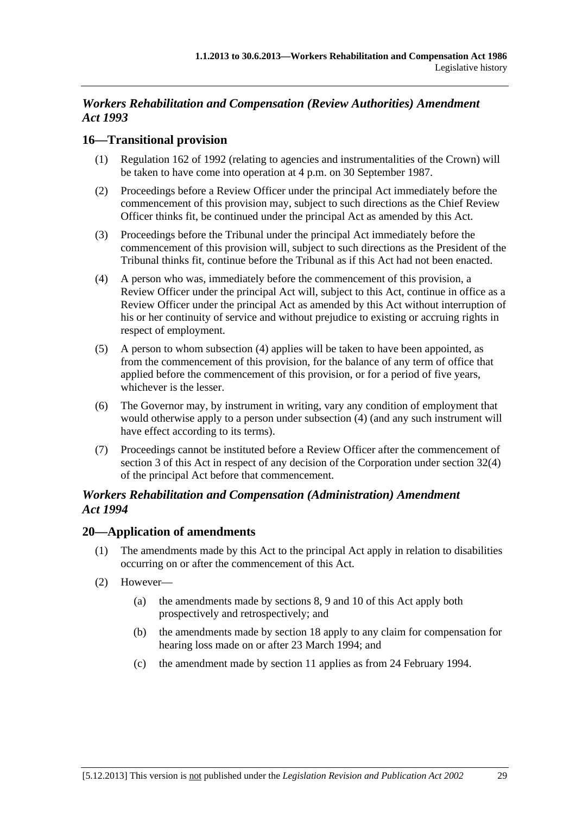# *Workers Rehabilitation and Compensation (Review Authorities) Amendment Act 1993*

# **16—Transitional provision**

- (1) Regulation 162 of 1992 (relating to agencies and instrumentalities of the Crown) will be taken to have come into operation at 4 p.m. on 30 September 1987.
- (2) Proceedings before a Review Officer under the principal Act immediately before the commencement of this provision may, subject to such directions as the Chief Review Officer thinks fit, be continued under the principal Act as amended by this Act.
- (3) Proceedings before the Tribunal under the principal Act immediately before the commencement of this provision will, subject to such directions as the President of the Tribunal thinks fit, continue before the Tribunal as if this Act had not been enacted.
- (4) A person who was, immediately before the commencement of this provision, a Review Officer under the principal Act will, subject to this Act, continue in office as a Review Officer under the principal Act as amended by this Act without interruption of his or her continuity of service and without prejudice to existing or accruing rights in respect of employment.
- (5) A person to whom subsection (4) applies will be taken to have been appointed, as from the commencement of this provision, for the balance of any term of office that applied before the commencement of this provision, or for a period of five years, whichever is the lesser.
- (6) The Governor may, by instrument in writing, vary any condition of employment that would otherwise apply to a person under subsection (4) (and any such instrument will have effect according to its terms).
- (7) Proceedings cannot be instituted before a Review Officer after the commencement of section 3 of this Act in respect of any decision of the Corporation under section 32(4) of the principal Act before that commencement.

# *Workers Rehabilitation and Compensation (Administration) Amendment Act 1994*

# **20—Application of amendments**

- (1) The amendments made by this Act to the principal Act apply in relation to disabilities occurring on or after the commencement of this Act.
- (2) However—
	- (a) the amendments made by sections 8, 9 and 10 of this Act apply both prospectively and retrospectively; and
	- (b) the amendments made by section 18 apply to any claim for compensation for hearing loss made on or after 23 March 1994; and
	- (c) the amendment made by section 11 applies as from 24 February 1994.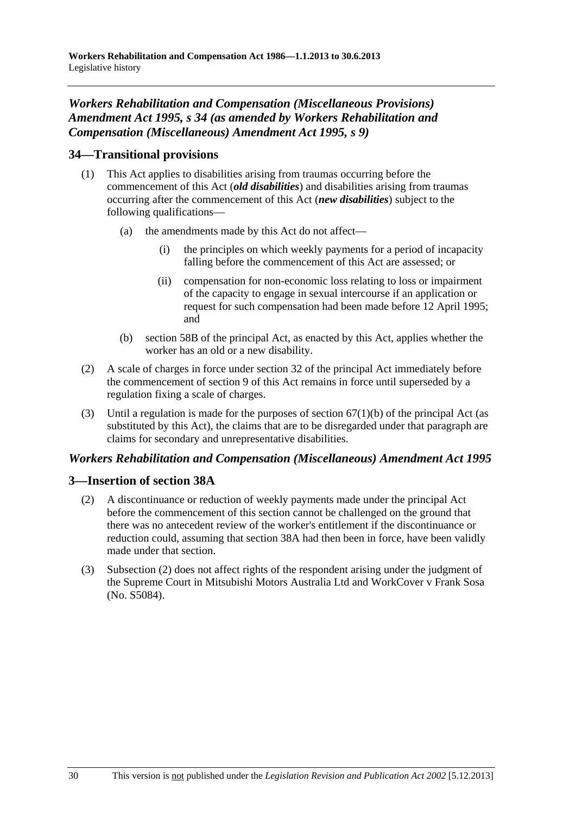# *Workers Rehabilitation and Compensation (Miscellaneous Provisions) Amendment Act 1995, s 34 (as amended by Workers Rehabilitation and Compensation (Miscellaneous) Amendment Act 1995, s 9)*

# **34—Transitional provisions**

- (1) This Act applies to disabilities arising from traumas occurring before the commencement of this Act (*old disabilities*) and disabilities arising from traumas occurring after the commencement of this Act (*new disabilities*) subject to the following qualifications—
	- (a) the amendments made by this Act do not affect—
		- (i) the principles on which weekly payments for a period of incapacity falling before the commencement of this Act are assessed; or
		- (ii) compensation for non-economic loss relating to loss or impairment of the capacity to engage in sexual intercourse if an application or request for such compensation had been made before 12 April 1995; and
	- (b) section 58B of the principal Act, as enacted by this Act, applies whether the worker has an old or a new disability.
- (2) A scale of charges in force under section 32 of the principal Act immediately before the commencement of section 9 of this Act remains in force until superseded by a regulation fixing a scale of charges.
- (3) Until a regulation is made for the purposes of section  $67(1)(b)$  of the principal Act (as substituted by this Act), the claims that are to be disregarded under that paragraph are claims for secondary and unrepresentative disabilities.

# *Workers Rehabilitation and Compensation (Miscellaneous) Amendment Act 1995*

# **3—Insertion of section 38A**

- (2) A discontinuance or reduction of weekly payments made under the principal Act before the commencement of this section cannot be challenged on the ground that there was no antecedent review of the worker's entitlement if the discontinuance or reduction could, assuming that section 38A had then been in force, have been validly made under that section.
- (3) Subsection (2) does not affect rights of the respondent arising under the judgment of the Supreme Court in Mitsubishi Motors Australia Ltd and WorkCover v Frank Sosa (No. S5084).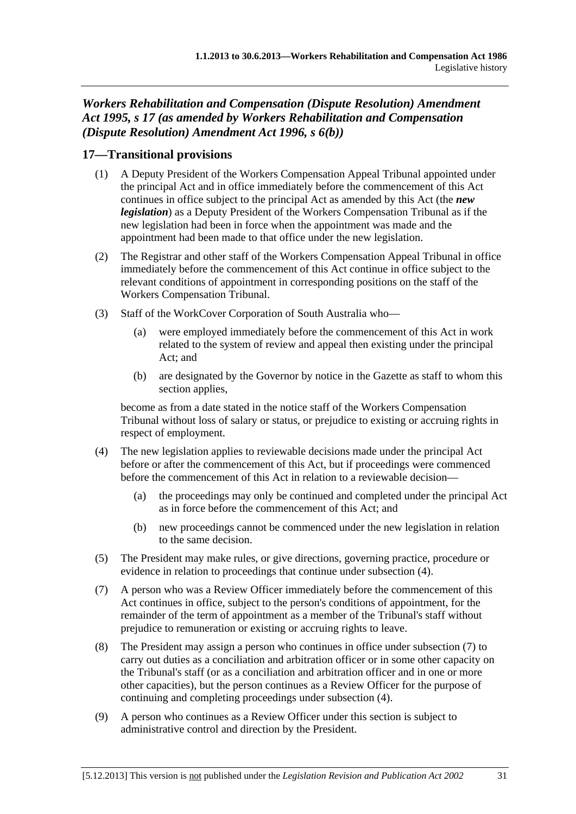*Workers Rehabilitation and Compensation (Dispute Resolution) Amendment Act 1995, s 17 (as amended by Workers Rehabilitation and Compensation (Dispute Resolution) Amendment Act 1996, s 6(b))* 

# **17—Transitional provisions**

- (1) A Deputy President of the Workers Compensation Appeal Tribunal appointed under the principal Act and in office immediately before the commencement of this Act continues in office subject to the principal Act as amended by this Act (the *new legislation*) as a Deputy President of the Workers Compensation Tribunal as if the new legislation had been in force when the appointment was made and the appointment had been made to that office under the new legislation.
- (2) The Registrar and other staff of the Workers Compensation Appeal Tribunal in office immediately before the commencement of this Act continue in office subject to the relevant conditions of appointment in corresponding positions on the staff of the Workers Compensation Tribunal.
- (3) Staff of the WorkCover Corporation of South Australia who—
	- (a) were employed immediately before the commencement of this Act in work related to the system of review and appeal then existing under the principal Act; and
	- (b) are designated by the Governor by notice in the Gazette as staff to whom this section applies.

become as from a date stated in the notice staff of the Workers Compensation Tribunal without loss of salary or status, or prejudice to existing or accruing rights in respect of employment.

- (4) The new legislation applies to reviewable decisions made under the principal Act before or after the commencement of this Act, but if proceedings were commenced before the commencement of this Act in relation to a reviewable decision—
	- (a) the proceedings may only be continued and completed under the principal Act as in force before the commencement of this Act; and
	- (b) new proceedings cannot be commenced under the new legislation in relation to the same decision.
- (5) The President may make rules, or give directions, governing practice, procedure or evidence in relation to proceedings that continue under subsection (4).
- (7) A person who was a Review Officer immediately before the commencement of this Act continues in office, subject to the person's conditions of appointment, for the remainder of the term of appointment as a member of the Tribunal's staff without prejudice to remuneration or existing or accruing rights to leave.
- (8) The President may assign a person who continues in office under subsection (7) to carry out duties as a conciliation and arbitration officer or in some other capacity on the Tribunal's staff (or as a conciliation and arbitration officer and in one or more other capacities), but the person continues as a Review Officer for the purpose of continuing and completing proceedings under subsection (4).
- (9) A person who continues as a Review Officer under this section is subject to administrative control and direction by the President.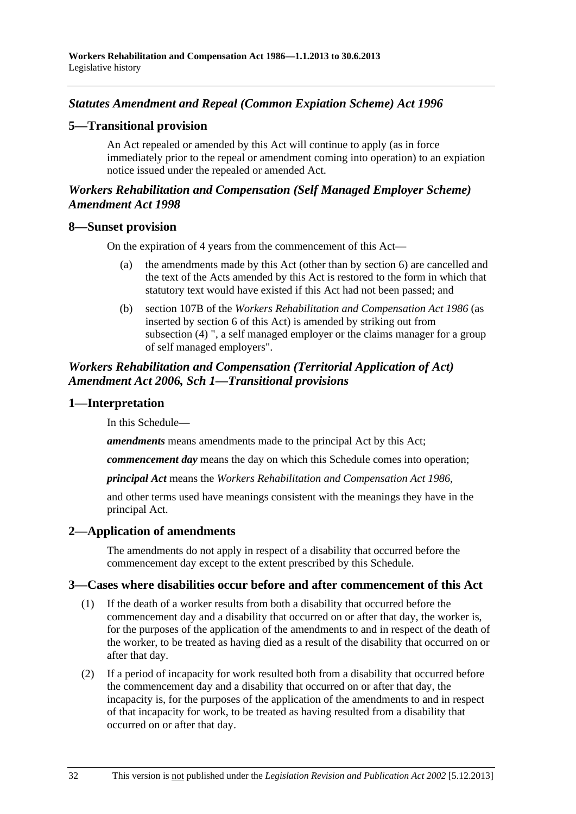# <span id="page-199-0"></span>*Statutes Amendment and Repeal (Common Expiation Scheme) Act 1996*

## **5—Transitional provision**

An Act repealed or amended by this Act will continue to apply (as in force immediately prior to the repeal or amendment coming into operation) to an expiation notice issued under the repealed or amended Act.

# *Workers Rehabilitation and Compensation (Self Managed Employer Scheme) Amendment Act 1998*

#### **8—Sunset provision**

On the expiration of 4 years from the commencement of this Act—

- (a) the amendments made by this Act (other than by section 6) are cancelled and the text of the Acts amended by this Act is restored to the form in which that statutory text would have existed if this Act had not been passed; and
- (b) section 107B of the *[Workers Rehabilitation and Compensation Act 1986](http://www.legislation.sa.gov.au/index.aspx?action=legref&type=act&legtitle=Workers%20Rehabilitation%20and%20Compensation%20Act%201986)* (as inserted by section 6 of this Act) is amended by striking out from subsection (4) ", a self managed employer or the claims manager for a group of self managed employers".

## *Workers Rehabilitation and Compensation (Territorial Application of Act) Amendment Act 2006, Sch 1—Transitional provisions*

#### **1—Interpretation**

In this Schedule—

*amendments* means amendments made to the principal Act by this Act;

*commencement day* means the day on which this Schedule comes into operation;

*principal Act* means the *[Workers Rehabilitation and Compensation Act 1986](http://www.legislation.sa.gov.au/index.aspx?action=legref&type=act&legtitle=Workers%20Rehabilitation%20and%20Compensation%20Act%201986)*,

and other terms used have meanings consistent with the meanings they have in the principal Act.

# **2—Application of amendments**

The amendments do not apply in respect of a disability that occurred before the commencement day except to the extent prescribed by this Schedule.

#### **3—Cases where disabilities occur before and after commencement of this Act**

- (1) If the death of a worker results from both a disability that occurred before the commencement day and a disability that occurred on or after that day, the worker is, for the purposes of the application of the amendments to and in respect of the death of the worker, to be treated as having died as a result of the disability that occurred on or after that day.
- (2) If a period of incapacity for work resulted both from a disability that occurred before the commencement day and a disability that occurred on or after that day, the incapacity is, for the purposes of the application of the amendments to and in respect of that incapacity for work, to be treated as having resulted from a disability that occurred on or after that day.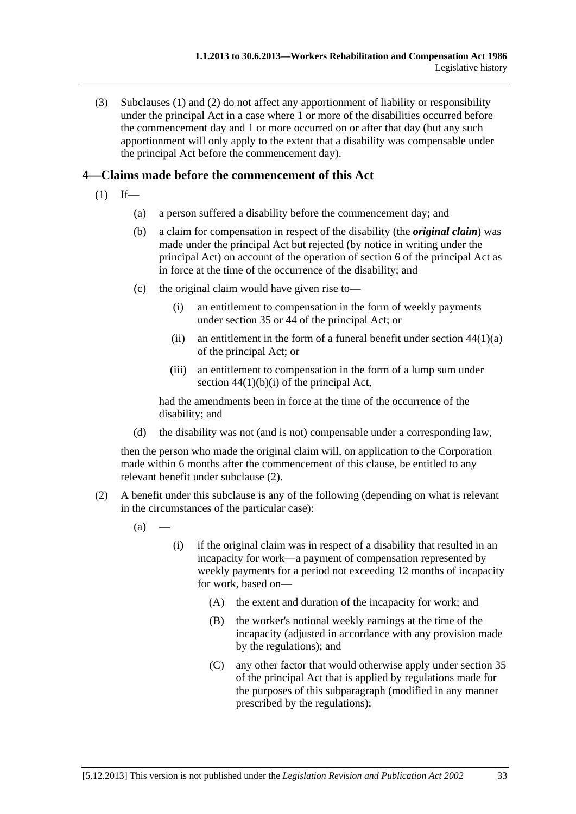<span id="page-200-0"></span> (3) [Subclauses \(1\)](#page-199-0) and [\(2\)](#page-199-0) do not affect any apportionment of liability or responsibility under the principal Act in a case where 1 or more of the disabilities occurred before the commencement day and 1 or more occurred on or after that day (but any such apportionment will only apply to the extent that a disability was compensable under the principal Act before the commencement day).

# **4—Claims made before the commencement of this Act**

- $(1)$  If—
	- (a) a person suffered a disability before the commencement day; and
	- (b) a claim for compensation in respect of the disability (the *original claim*) was made under the principal Act but rejected (by notice in writing under the principal Act) on account of the operation of section 6 of the principal Act as in force at the time of the occurrence of the disability; and
	- (c) the original claim would have given rise to—
		- (i) an entitlement to compensation in the form of weekly payments under section 35 or 44 of the principal Act; or
		- (ii) an entitlement in the form of a funeral benefit under section  $44(1)(a)$ of the principal Act; or
		- (iii) an entitlement to compensation in the form of a lump sum under section  $44(1)(b)(i)$  of the principal Act,

had the amendments been in force at the time of the occurrence of the disability; and

(d) the disability was not (and is not) compensable under a corresponding law,

then the person who made the original claim will, on application to the Corporation made within 6 months after the commencement of this clause, be entitled to any relevant benefit under [subclause \(2\).](#page-200-0)

- (2) A benefit under this subclause is any of the following (depending on what is relevant in the circumstances of the particular case):
	- $(a)$
- (i) if the original claim was in respect of a disability that resulted in an incapacity for work—a payment of compensation represented by weekly payments for a period not exceeding 12 months of incapacity for work, based on—
	- (A) the extent and duration of the incapacity for work; and
	- (B) the worker's notional weekly earnings at the time of the incapacity (adjusted in accordance with any provision made by the regulations); and
	- (C) any other factor that would otherwise apply under section 35 of the principal Act that is applied by regulations made for the purposes of this subparagraph (modified in any manner prescribed by the regulations);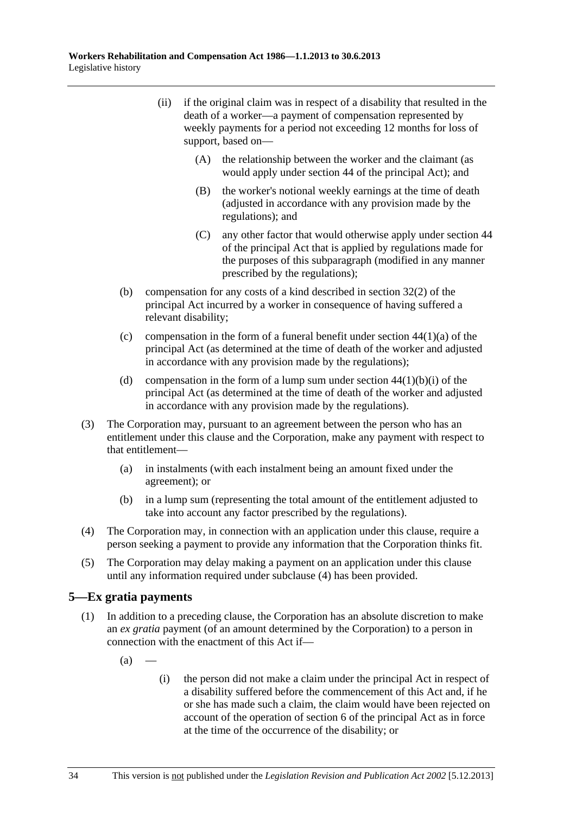- <span id="page-201-0"></span> (ii) if the original claim was in respect of a disability that resulted in the death of a worker—a payment of compensation represented by weekly payments for a period not exceeding 12 months for loss of support, based on—
	- (A) the relationship between the worker and the claimant (as would apply under section 44 of the principal Act); and
	- (B) the worker's notional weekly earnings at the time of death (adjusted in accordance with any provision made by the regulations); and
	- (C) any other factor that would otherwise apply under section 44 of the principal Act that is applied by regulations made for the purposes of this subparagraph (modified in any manner prescribed by the regulations);
- (b) compensation for any costs of a kind described in section 32(2) of the principal Act incurred by a worker in consequence of having suffered a relevant disability;
- (c) compensation in the form of a funeral benefit under section  $44(1)(a)$  of the principal Act (as determined at the time of death of the worker and adjusted in accordance with any provision made by the regulations);
- (d) compensation in the form of a lump sum under section  $44(1)(b)(i)$  of the principal Act (as determined at the time of death of the worker and adjusted in accordance with any provision made by the regulations).
- (3) The Corporation may, pursuant to an agreement between the person who has an entitlement under this clause and the Corporation, make any payment with respect to that entitlement—
	- (a) in instalments (with each instalment being an amount fixed under the agreement); or
	- (b) in a lump sum (representing the total amount of the entitlement adjusted to take into account any factor prescribed by the regulations).
- (4) The Corporation may, in connection with an application under this clause, require a person seeking a payment to provide any information that the Corporation thinks fit.
- (5) The Corporation may delay making a payment on an application under this clause until any information required under [subclause \(4\)](#page-201-0) has been provided.

# **5—Ex gratia payments**

- (1) In addition to a preceding clause, the Corporation has an absolute discretion to make an *ex gratia* payment (of an amount determined by the Corporation) to a person in connection with the enactment of this Act if—
	- $(a)$
- (i) the person did not make a claim under the principal Act in respect of a disability suffered before the commencement of this Act and, if he or she has made such a claim, the claim would have been rejected on account of the operation of section 6 of the principal Act as in force at the time of the occurrence of the disability; or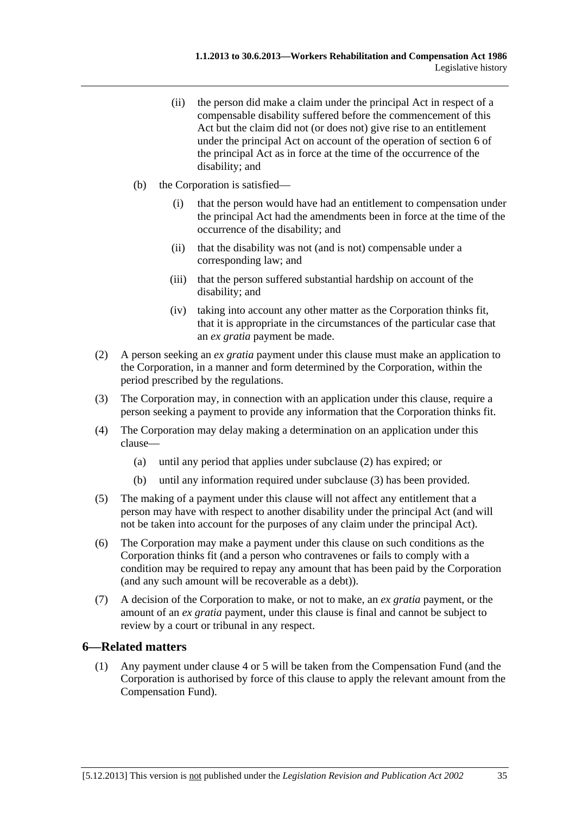- <span id="page-202-0"></span> (ii) the person did make a claim under the principal Act in respect of a compensable disability suffered before the commencement of this Act but the claim did not (or does not) give rise to an entitlement under the principal Act on account of the operation of section 6 of the principal Act as in force at the time of the occurrence of the disability; and
- (b) the Corporation is satisfied—
	- (i) that the person would have had an entitlement to compensation under the principal Act had the amendments been in force at the time of the occurrence of the disability; and
	- (ii) that the disability was not (and is not) compensable under a corresponding law; and
	- (iii) that the person suffered substantial hardship on account of the disability; and
	- (iv) taking into account any other matter as the Corporation thinks fit, that it is appropriate in the circumstances of the particular case that an *ex gratia* payment be made.
- (2) A person seeking an *ex gratia* payment under this clause must make an application to the Corporation, in a manner and form determined by the Corporation, within the period prescribed by the regulations.
- (3) The Corporation may, in connection with an application under this clause, require a person seeking a payment to provide any information that the Corporation thinks fit.
- (4) The Corporation may delay making a determination on an application under this clause—
	- (a) until any period that applies under [subclause \(2\)](#page-202-0) has expired; or
	- (b) until any information required under [subclause \(3\)](#page-202-0) has been provided.
- (5) The making of a payment under this clause will not affect any entitlement that a person may have with respect to another disability under the principal Act (and will not be taken into account for the purposes of any claim under the principal Act).
- (6) The Corporation may make a payment under this clause on such conditions as the Corporation thinks fit (and a person who contravenes or fails to comply with a condition may be required to repay any amount that has been paid by the Corporation (and any such amount will be recoverable as a debt)).
- (7) A decision of the Corporation to make, or not to make, an *ex gratia* payment, or the amount of an *ex gratia* payment, under this clause is final and cannot be subject to review by a court or tribunal in any respect.

### **6—Related matters**

 (1) Any payment under [clause 4](#page-200-0) or [5](#page-201-0) will be taken from the Compensation Fund (and the Corporation is authorised by force of this clause to apply the relevant amount from the Compensation Fund).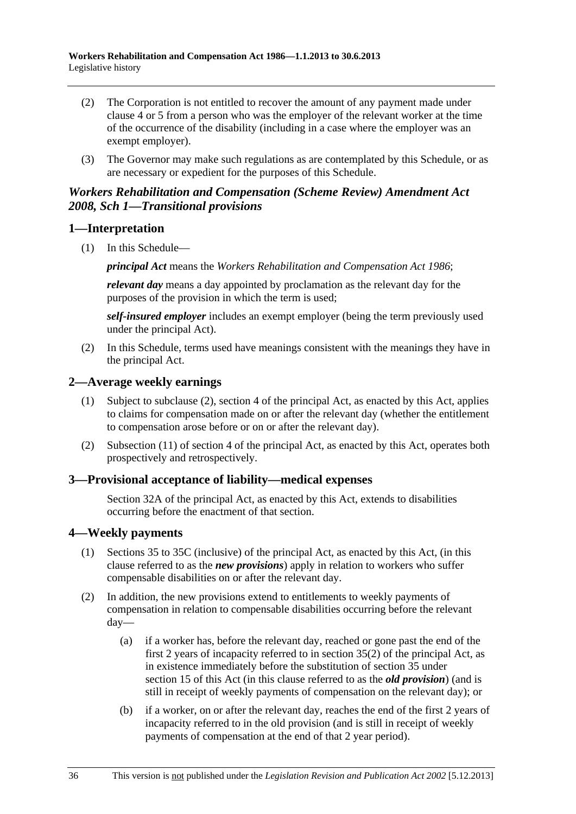- <span id="page-203-0"></span> (2) The Corporation is not entitled to recover the amount of any payment made under [clause 4](#page-200-0) or [5](#page-201-0) from a person who was the employer of the relevant worker at the time of the occurrence of the disability (including in a case where the employer was an exempt employer).
- (3) The Governor may make such regulations as are contemplated by this Schedule, or as are necessary or expedient for the purposes of this Schedule.

# *Workers Rehabilitation and Compensation (Scheme Review) Amendment Act 2008, Sch 1—Transitional provisions*

# **1—Interpretation**

(1) In this Schedule—

*principal Act* means the *[Workers Rehabilitation and Compensation Act 1986](http://www.legislation.sa.gov.au/index.aspx?action=legref&type=act&legtitle=Workers%20Rehabilitation%20and%20Compensation%20Act%201986)*;

*relevant day* means a day appointed by proclamation as the relevant day for the purposes of the provision in which the term is used;

*self-insured employer* includes an exempt employer (being the term previously used under the principal Act).

 (2) In this Schedule, terms used have meanings consistent with the meanings they have in the principal Act.

# **2—Average weekly earnings**

- (1) Subject to subclause (2), section 4 of the principal Act, as enacted by this Act, applies to claims for compensation made on or after the relevant day (whether the entitlement to compensation arose before or on or after the relevant day).
- (2) Subsection (11) of section 4 of the principal Act, as enacted by this Act, operates both prospectively and retrospectively.

# **3—Provisional acceptance of liability—medical expenses**

Section 32A of the principal Act, as enacted by this Act, extends to disabilities occurring before the enactment of that section.

# **4—Weekly payments**

- (1) Sections 35 to 35C (inclusive) of the principal Act, as enacted by this Act, (in this clause referred to as the *new provisions*) apply in relation to workers who suffer compensable disabilities on or after the relevant day.
- (2) In addition, the new provisions extend to entitlements to weekly payments of compensation in relation to compensable disabilities occurring before the relevant day—
	- (a) if a worker has, before the relevant day, reached or gone past the end of the first 2 years of incapacity referred to in section 35(2) of the principal Act, as in existence immediately before the substitution of section 35 under [section 15](#page-0-0) of this Act (in this clause referred to as the *old provision*) (and is still in receipt of weekly payments of compensation on the relevant day); or
	- (b) if a worker, on or after the relevant day, reaches the end of the first 2 years of incapacity referred to in the old provision (and is still in receipt of weekly payments of compensation at the end of that 2 year period).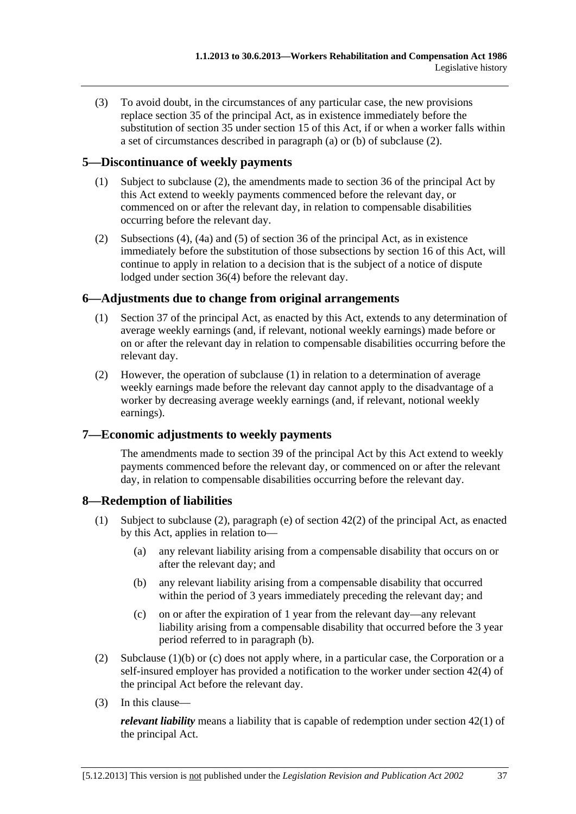(3) To avoid doubt, in the circumstances of any particular case, the new provisions replace section 35 of the principal Act, as in existence immediately before the substitution of section 35 under [section 15](#page-0-0) of this Act, if or when a worker falls within a set of circumstances described in [paragraph \(a\)](#page-203-0) or [\(b\)](#page-203-0) of subclause (2).

# **5—Discontinuance of weekly payments**

- (1) Subject to subclause (2), the amendments made to section 36 of the principal Act by this Act extend to weekly payments commenced before the relevant day, or commenced on or after the relevant day, in relation to compensable disabilities occurring before the relevant day.
- (2) Subsections (4), (4a) and (5) of section 36 of the principal Act, as in existence immediately before the substitution of those subsections by [section 16](#page-0-0) of this Act, will continue to apply in relation to a decision that is the subject of a notice of dispute lodged under section 36(4) before the relevant day.

# **6—Adjustments due to change from original arrangements**

- (1) Section 37 of the principal Act, as enacted by this Act, extends to any determination of average weekly earnings (and, if relevant, notional weekly earnings) made before or on or after the relevant day in relation to compensable disabilities occurring before the relevant day.
- (2) However, the operation of subclause (1) in relation to a determination of average weekly earnings made before the relevant day cannot apply to the disadvantage of a worker by decreasing average weekly earnings (and, if relevant, notional weekly earnings).

# **7—Economic adjustments to weekly payments**

The amendments made to section 39 of the principal Act by this Act extend to weekly payments commenced before the relevant day, or commenced on or after the relevant day, in relation to compensable disabilities occurring before the relevant day.

# **8—Redemption of liabilities**

- (1) Subject to subclause (2), paragraph (e) of section 42(2) of the principal Act, as enacted by this Act, applies in relation to—
	- (a) any relevant liability arising from a compensable disability that occurs on or after the relevant day; and
	- (b) any relevant liability arising from a compensable disability that occurred within the period of 3 years immediately preceding the relevant day; and
	- (c) on or after the expiration of 1 year from the relevant day—any relevant liability arising from a compensable disability that occurred before the 3 year period referred to in paragraph (b).
- (2) Subclause  $(1)(b)$  or (c) does not apply where, in a particular case, the Corporation or a self-insured employer has provided a notification to the worker under section 42(4) of the principal Act before the relevant day.
- (3) In this clause—

*relevant liability* means a liability that is capable of redemption under section 42(1) of the principal Act.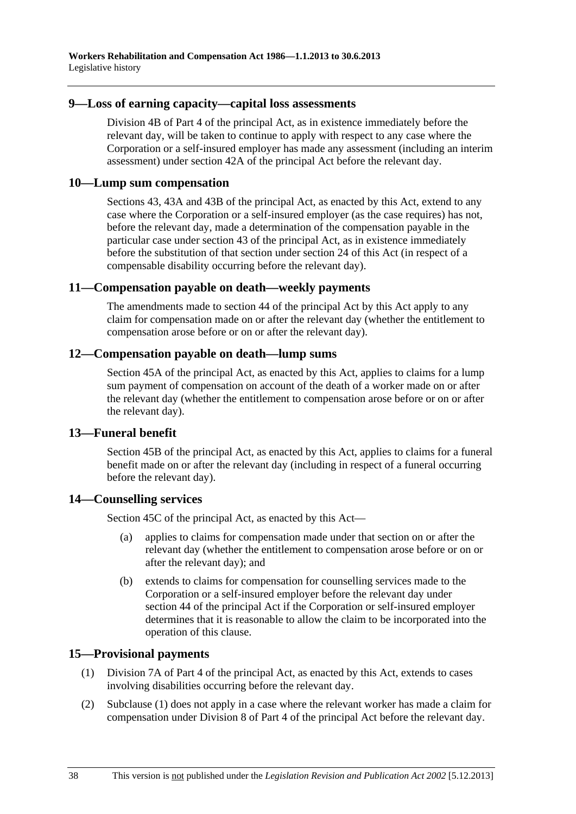#### **9—Loss of earning capacity—capital loss assessments**

Division 4B of Part 4 of the principal Act, as in existence immediately before the relevant day, will be taken to continue to apply with respect to any case where the Corporation or a self-insured employer has made any assessment (including an interim assessment) under section 42A of the principal Act before the relevant day.

### **10—Lump sum compensation**

Sections 43, 43A and 43B of the principal Act, as enacted by this Act, extend to any case where the Corporation or a self-insured employer (as the case requires) has not, before the relevant day, made a determination of the compensation payable in the particular case under section 43 of the principal Act, as in existence immediately before the substitution of that section under [section 24](#page-0-0) of this Act (in respect of a compensable disability occurring before the relevant day).

### **11—Compensation payable on death—weekly payments**

The amendments made to section 44 of the principal Act by this Act apply to any claim for compensation made on or after the relevant day (whether the entitlement to compensation arose before or on or after the relevant day).

### **12—Compensation payable on death—lump sums**

Section 45A of the principal Act, as enacted by this Act, applies to claims for a lump sum payment of compensation on account of the death of a worker made on or after the relevant day (whether the entitlement to compensation arose before or on or after the relevant day).

# **13—Funeral benefit**

Section 45B of the principal Act, as enacted by this Act, applies to claims for a funeral benefit made on or after the relevant day (including in respect of a funeral occurring before the relevant day).

# **14—Counselling services**

Section 45C of the principal Act, as enacted by this Act—

- (a) applies to claims for compensation made under that section on or after the relevant day (whether the entitlement to compensation arose before or on or after the relevant day); and
- (b) extends to claims for compensation for counselling services made to the Corporation or a self-insured employer before the relevant day under section 44 of the principal Act if the Corporation or self-insured employer determines that it is reasonable to allow the claim to be incorporated into the operation of this clause.

# **15—Provisional payments**

- (1) Division 7A of Part 4 of the principal Act, as enacted by this Act, extends to cases involving disabilities occurring before the relevant day.
- (2) Subclause (1) does not apply in a case where the relevant worker has made a claim for compensation under Division 8 of Part 4 of the principal Act before the relevant day.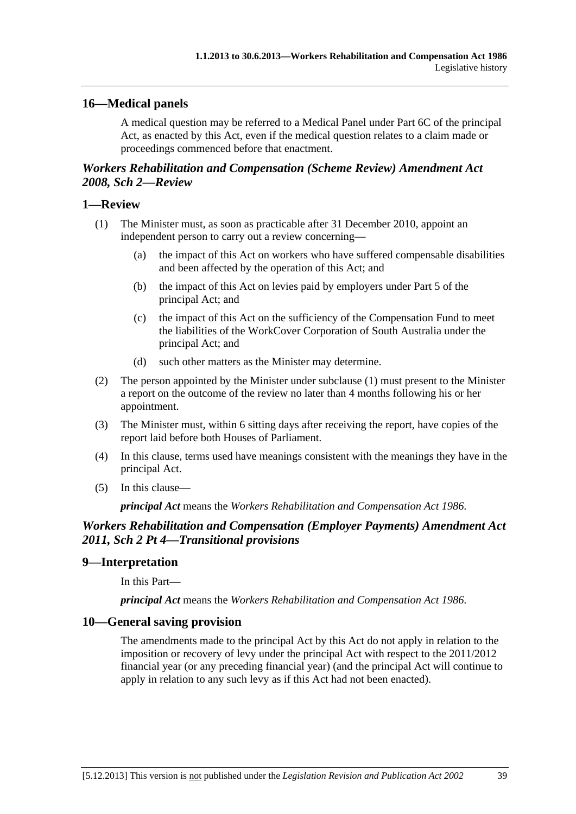# <span id="page-206-0"></span>**16—Medical panels**

A medical question may be referred to a Medical Panel under Part 6C of the principal Act, as enacted by this Act, even if the medical question relates to a claim made or proceedings commenced before that enactment.

# *Workers Rehabilitation and Compensation (Scheme Review) Amendment Act 2008, Sch 2—Review*

## **1—Review**

- (1) The Minister must, as soon as practicable after 31 December 2010, appoint an independent person to carry out a review concerning—
	- (a) the impact of this Act on workers who have suffered compensable disabilities and been affected by the operation of this Act; and
	- (b) the impact of this Act on levies paid by employers under Part 5 of the principal Act; and
	- (c) the impact of this Act on the sufficiency of the Compensation Fund to meet the liabilities of the WorkCover Corporation of South Australia under the principal Act; and
	- (d) such other matters as the Minister may determine.
- (2) The person appointed by the Minister under [subclause \(1\)](#page-206-0) must present to the Minister a report on the outcome of the review no later than 4 months following his or her appointment.
- (3) The Minister must, within 6 sitting days after receiving the report, have copies of the report laid before both Houses of Parliament.
- (4) In this clause, terms used have meanings consistent with the meanings they have in the principal Act.
- (5) In this clause—

*principal Act* means the *[Workers Rehabilitation and Compensation Act 1986](http://www.legislation.sa.gov.au/index.aspx?action=legref&type=act&legtitle=Workers%20Rehabilitation%20and%20Compensation%20Act%201986)*.

# *Workers Rehabilitation and Compensation (Employer Payments) Amendment Act 2011, Sch 2 Pt 4—Transitional provisions*

# **9—Interpretation**

In this Part—

*principal Act* means the *[Workers Rehabilitation and Compensation Act 1986](http://www.legislation.sa.gov.au/index.aspx?action=legref&type=act&legtitle=Workers%20Rehabilitation%20and%20Compensation%20Act%201986)*.

# **10—General saving provision**

The amendments made to the principal Act by this Act do not apply in relation to the imposition or recovery of levy under the principal Act with respect to the 2011/2012 financial year (or any preceding financial year) (and the principal Act will continue to apply in relation to any such levy as if this Act had not been enacted).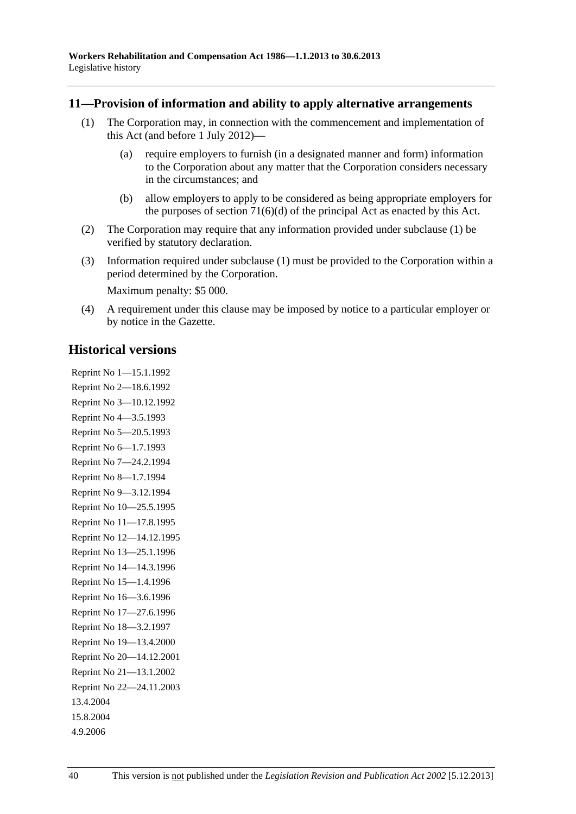### <span id="page-207-0"></span>**11—Provision of information and ability to apply alternative arrangements**

- (1) The Corporation may, in connection with the commencement and implementation of this Act (and before 1 July 2012)—
	- (a) require employers to furnish (in a designated manner and form) information to the Corporation about any matter that the Corporation considers necessary in the circumstances; and
	- (b) allow employers to apply to be considered as being appropriate employers for the purposes of section  $71(6)(d)$  of the principal Act as enacted by this Act.
- (2) The Corporation may require that any information provided under [subclause \(1\)](#page-207-0) be verified by statutory declaration.
- (3) Information required under [subclause \(1\)](#page-207-0) must be provided to the Corporation within a period determined by the Corporation.

Maximum penalty: \$5 000.

 (4) A requirement under this clause may be imposed by notice to a particular employer or by notice in the Gazette.

# **Historical versions**

Reprint No 1—15.1.1992 Reprint No 2—18.6.1992 Reprint No 3—10.12.1992 Reprint No 4—3.5.1993 Reprint No 5—20.5.1993 Reprint No 6—1.7.1993 Reprint No 7—24.2.1994 Reprint No 8—1.7.1994 Reprint No 9—3.12.1994 Reprint No 10—25.5.1995 Reprint No 11—17.8.1995 Reprint No 12—14.12.1995 Reprint No 13—25.1.1996 Reprint No 14—14.3.1996 Reprint No 15—1.4.1996 Reprint No 16—3.6.1996 Reprint No 17—27.6.1996 Reprint No 18—3.2.1997 Reprint No 19—13.4.2000 Reprint No 20—14.12.2001 Reprint No 21—13.1.2002 Reprint No 22—24.11.2003 13.4.2004 15.8.2004 4.9.2006